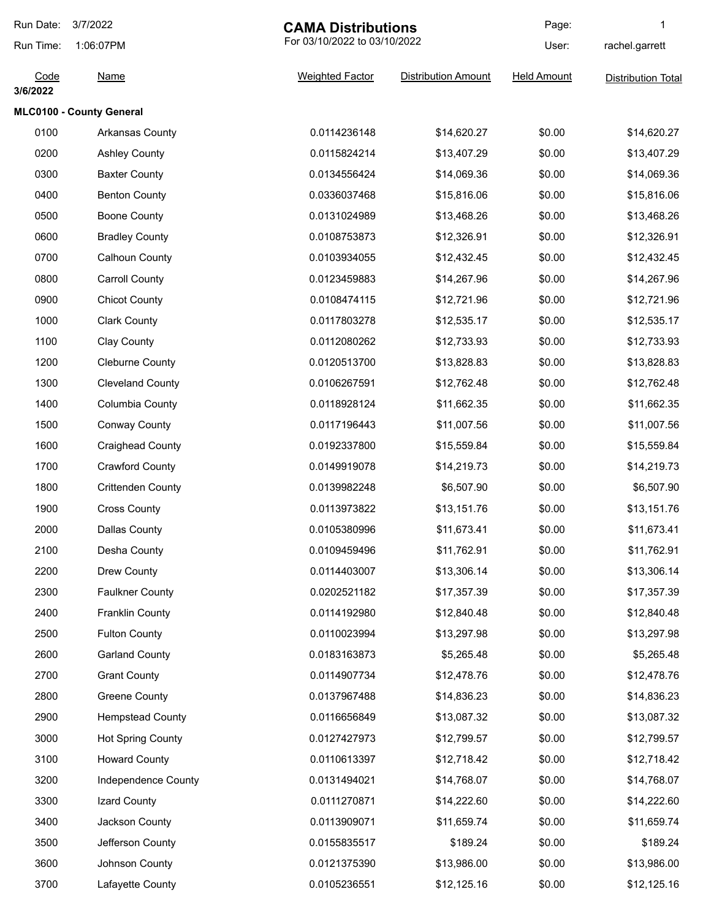| Run Date:        | 3/7/2022                 | <b>CAMA Distributions</b><br>For 03/10/2022 to 03/10/2022 |                            | Page:              | 1                         |
|------------------|--------------------------|-----------------------------------------------------------|----------------------------|--------------------|---------------------------|
| Run Time:        | 1:06:07PM                |                                                           |                            | User:              | rachel.garrett            |
| Code<br>3/6/2022 | <b>Name</b>              | <b>Weighted Factor</b>                                    | <b>Distribution Amount</b> | <b>Held Amount</b> | <b>Distribution Total</b> |
|                  | MLC0100 - County General |                                                           |                            |                    |                           |
| 0100             | Arkansas County          | 0.0114236148                                              | \$14,620.27                | \$0.00             | \$14,620.27               |
| 0200             | <b>Ashley County</b>     | 0.0115824214                                              | \$13,407.29                | \$0.00             | \$13,407.29               |
| 0300             | <b>Baxter County</b>     | 0.0134556424                                              | \$14,069.36                | \$0.00             | \$14,069.36               |
| 0400             | <b>Benton County</b>     | 0.0336037468                                              | \$15,816.06                | \$0.00             | \$15,816.06               |
| 0500             | <b>Boone County</b>      | 0.0131024989                                              | \$13,468.26                | \$0.00             | \$13,468.26               |
| 0600             | <b>Bradley County</b>    | 0.0108753873                                              | \$12,326.91                | \$0.00             | \$12,326.91               |
| 0700             | Calhoun County           | 0.0103934055                                              | \$12,432.45                | \$0.00             | \$12,432.45               |
| 0800             | <b>Carroll County</b>    | 0.0123459883                                              | \$14,267.96                | \$0.00             | \$14,267.96               |
| 0900             | <b>Chicot County</b>     | 0.0108474115                                              | \$12,721.96                | \$0.00             | \$12,721.96               |
| 1000             | <b>Clark County</b>      | 0.0117803278                                              | \$12,535.17                | \$0.00             | \$12,535.17               |
| 1100             | <b>Clay County</b>       | 0.0112080262                                              | \$12,733.93                | \$0.00             | \$12,733.93               |
| 1200             | <b>Cleburne County</b>   | 0.0120513700                                              | \$13,828.83                | \$0.00             | \$13,828.83               |
| 1300             | <b>Cleveland County</b>  | 0.0106267591                                              | \$12,762.48                | \$0.00             | \$12,762.48               |
| 1400             | Columbia County          | 0.0118928124                                              | \$11,662.35                | \$0.00             | \$11,662.35               |
| 1500             | <b>Conway County</b>     | 0.0117196443                                              | \$11,007.56                | \$0.00             | \$11,007.56               |
| 1600             | <b>Craighead County</b>  | 0.0192337800                                              | \$15,559.84                | \$0.00             | \$15,559.84               |
| 1700             | <b>Crawford County</b>   | 0.0149919078                                              | \$14,219.73                | \$0.00             | \$14,219.73               |
| 1800             | <b>Crittenden County</b> | 0.0139982248                                              | \$6,507.90                 | \$0.00             | \$6,507.90                |
| 1900             | <b>Cross County</b>      | 0.0113973822                                              | \$13,151.76                | \$0.00             | \$13,151.76               |
| 2000             | Dallas County            | 0.0105380996                                              | \$11,673.41                | \$0.00             | \$11,673.41               |
| 2100             | Desha County             | 0.0109459496                                              | \$11,762.91                | \$0.00             | \$11,762.91               |
| 2200             | Drew County              | 0.0114403007                                              | \$13,306.14                | \$0.00             | \$13,306.14               |
| 2300             | <b>Faulkner County</b>   | 0.0202521182                                              | \$17,357.39                | \$0.00             | \$17,357.39               |
| 2400             | Franklin County          | 0.0114192980                                              | \$12,840.48                | \$0.00             | \$12,840.48               |
| 2500             | <b>Fulton County</b>     | 0.0110023994                                              | \$13,297.98                | \$0.00             | \$13,297.98               |
| 2600             | <b>Garland County</b>    | 0.0183163873                                              | \$5,265.48                 | \$0.00             | \$5,265.48                |
| 2700             | <b>Grant County</b>      | 0.0114907734                                              | \$12,478.76                | \$0.00             | \$12,478.76               |
| 2800             | <b>Greene County</b>     | 0.0137967488                                              | \$14,836.23                | \$0.00             | \$14,836.23               |
| 2900             | <b>Hempstead County</b>  | 0.0116656849                                              | \$13,087.32                | \$0.00             | \$13,087.32               |
| 3000             | <b>Hot Spring County</b> | 0.0127427973                                              | \$12,799.57                | \$0.00             | \$12,799.57               |
| 3100             | <b>Howard County</b>     | 0.0110613397                                              | \$12,718.42                | \$0.00             | \$12,718.42               |
| 3200             | Independence County      | 0.0131494021                                              | \$14,768.07                | \$0.00             | \$14,768.07               |
| 3300             | Izard County             | 0.0111270871                                              | \$14,222.60                | \$0.00             | \$14,222.60               |
| 3400             | Jackson County           | 0.0113909071                                              | \$11,659.74                | \$0.00             | \$11,659.74               |
| 3500             | Jefferson County         | 0.0155835517                                              | \$189.24                   | \$0.00             | \$189.24                  |
| 3600             | Johnson County           | 0.0121375390                                              | \$13,986.00                | \$0.00             | \$13,986.00               |
| 3700             | Lafayette County         | 0.0105236551                                              | \$12,125.16                | \$0.00             | \$12,125.16               |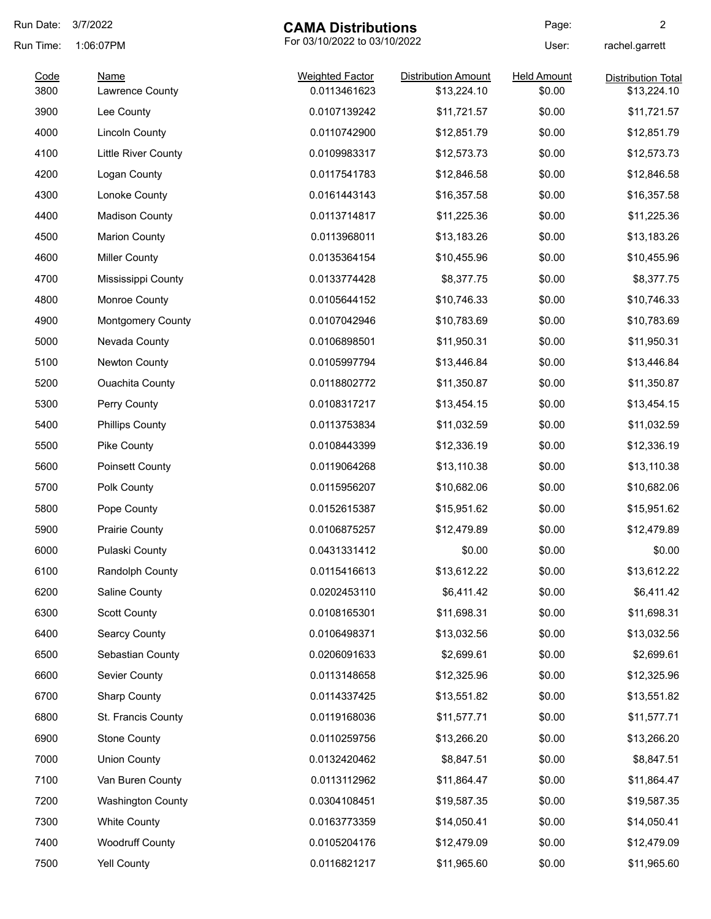| Run Date:    | 3/7/2022                                  | <b>CAMA Distributions</b>              |                                           | Page:                        | 2                                        |
|--------------|-------------------------------------------|----------------------------------------|-------------------------------------------|------------------------------|------------------------------------------|
| Run Time:    | For 03/10/2022 to 03/10/2022<br>1:06:07PM |                                        |                                           | User:                        | rachel.garrett                           |
| Code<br>3800 | <b>Name</b><br>Lawrence County            | <b>Weighted Factor</b><br>0.0113461623 | <b>Distribution Amount</b><br>\$13,224.10 | <b>Held Amount</b><br>\$0.00 | <b>Distribution Total</b><br>\$13,224.10 |
| 3900         | Lee County                                | 0.0107139242                           | \$11,721.57                               | \$0.00                       | \$11,721.57                              |
| 4000         | <b>Lincoln County</b>                     | 0.0110742900                           | \$12,851.79                               | \$0.00                       | \$12,851.79                              |
| 4100         | <b>Little River County</b>                | 0.0109983317                           | \$12,573.73                               | \$0.00                       | \$12,573.73                              |
| 4200         | Logan County                              | 0.0117541783                           | \$12,846.58                               | \$0.00                       | \$12,846.58                              |
| 4300         | Lonoke County                             | 0.0161443143                           | \$16,357.58                               | \$0.00                       | \$16,357.58                              |
| 4400         | <b>Madison County</b>                     | 0.0113714817                           | \$11,225.36                               | \$0.00                       | \$11,225.36                              |
| 4500         | <b>Marion County</b>                      | 0.0113968011                           | \$13,183.26                               | \$0.00                       | \$13,183.26                              |
| 4600         | <b>Miller County</b>                      | 0.0135364154                           | \$10,455.96                               | \$0.00                       | \$10,455.96                              |
| 4700         | Mississippi County                        | 0.0133774428                           | \$8,377.75                                | \$0.00                       | \$8,377.75                               |
| 4800         | Monroe County                             | 0.0105644152                           | \$10,746.33                               | \$0.00                       | \$10,746.33                              |
| 4900         | <b>Montgomery County</b>                  | 0.0107042946                           | \$10,783.69                               | \$0.00                       | \$10,783.69                              |
| 5000         | Nevada County                             | 0.0106898501                           | \$11,950.31                               | \$0.00                       | \$11,950.31                              |
| 5100         | Newton County                             | 0.0105997794                           | \$13,446.84                               | \$0.00                       | \$13,446.84                              |
| 5200         | <b>Ouachita County</b>                    | 0.0118802772                           | \$11,350.87                               | \$0.00                       | \$11,350.87                              |
| 5300         | Perry County                              | 0.0108317217                           | \$13,454.15                               | \$0.00                       | \$13,454.15                              |
| 5400         | <b>Phillips County</b>                    | 0.0113753834                           | \$11,032.59                               | \$0.00                       | \$11,032.59                              |
| 5500         | Pike County                               | 0.0108443399                           | \$12,336.19                               | \$0.00                       | \$12,336.19                              |
| 5600         | Poinsett County                           | 0.0119064268                           | \$13,110.38                               | \$0.00                       | \$13,110.38                              |
| 5700         | Polk County                               | 0.0115956207                           | \$10,682.06                               | \$0.00                       | \$10,682.06                              |
| 5800         | Pope County                               | 0.0152615387                           | \$15,951.62                               | \$0.00                       | \$15,951.62                              |
| 5900         | <b>Prairie County</b>                     | 0.0106875257                           | \$12,479.89                               | \$0.00                       | \$12,479.89                              |
| 6000         | Pulaski County                            | 0.0431331412                           | \$0.00                                    | \$0.00                       | \$0.00                                   |
| 6100         | Randolph County                           | 0.0115416613                           | \$13,612.22                               | \$0.00                       | \$13,612.22                              |
| 6200         | Saline County                             | 0.0202453110                           | \$6,411.42                                | \$0.00                       | \$6,411.42                               |
| 6300         | <b>Scott County</b>                       | 0.0108165301                           | \$11,698.31                               | \$0.00                       | \$11,698.31                              |
| 6400         | <b>Searcy County</b>                      | 0.0106498371                           | \$13,032.56                               | \$0.00                       | \$13,032.56                              |
| 6500         | Sebastian County                          | 0.0206091633                           | \$2,699.61                                | \$0.00                       | \$2,699.61                               |
| 6600         | Sevier County                             | 0.0113148658                           | \$12,325.96                               | \$0.00                       | \$12,325.96                              |
| 6700         | <b>Sharp County</b>                       | 0.0114337425                           | \$13,551.82                               | \$0.00                       | \$13,551.82                              |
| 6800         | St. Francis County                        | 0.0119168036                           | \$11,577.71                               | \$0.00                       | \$11,577.71                              |
| 6900         | <b>Stone County</b>                       | 0.0110259756                           | \$13,266.20                               | \$0.00                       | \$13,266.20                              |
| 7000         | <b>Union County</b>                       | 0.0132420462                           | \$8,847.51                                | \$0.00                       | \$8,847.51                               |
| 7100         | Van Buren County                          | 0.0113112962                           | \$11,864.47                               | \$0.00                       | \$11,864.47                              |
| 7200         | <b>Washington County</b>                  | 0.0304108451                           | \$19,587.35                               | \$0.00                       | \$19,587.35                              |
| 7300         | <b>White County</b>                       | 0.0163773359                           | \$14,050.41                               | \$0.00                       | \$14,050.41                              |
| 7400         | <b>Woodruff County</b>                    | 0.0105204176                           | \$12,479.09                               | \$0.00                       | \$12,479.09                              |
| 7500         | <b>Yell County</b>                        | 0.0116821217                           | \$11,965.60                               | \$0.00                       | \$11,965.60                              |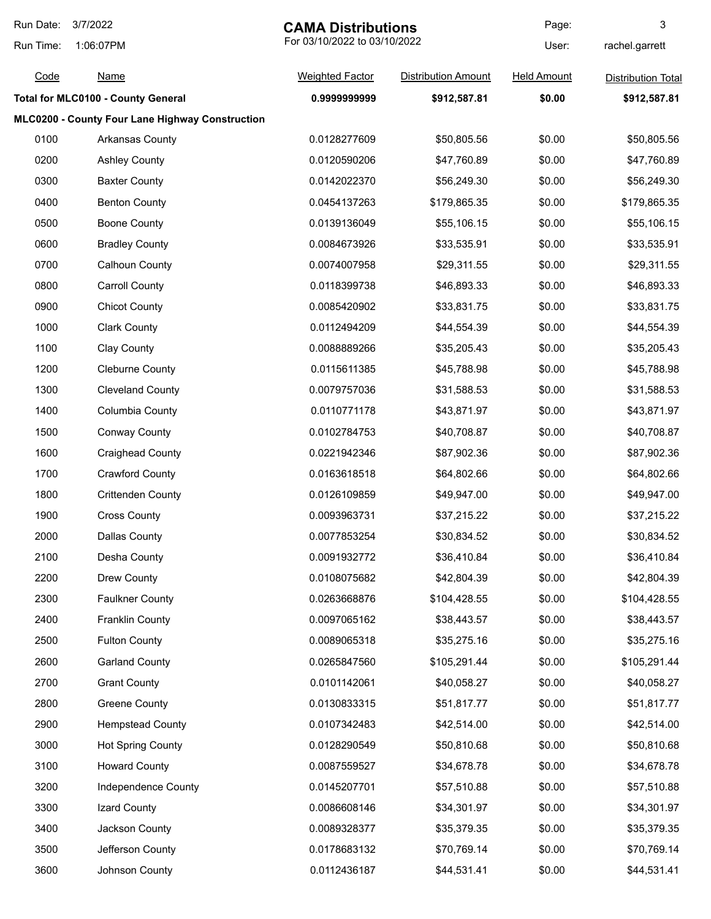| Run Date: | 3/7/2022                                        | <b>CAMA Distributions</b> |                              | Page:              | 3                         |
|-----------|-------------------------------------------------|---------------------------|------------------------------|--------------------|---------------------------|
| Run Time: | 1:06:07PM                                       |                           | For 03/10/2022 to 03/10/2022 |                    | rachel.garrett            |
| Code      | <b>Name</b>                                     | <b>Weighted Factor</b>    | <b>Distribution Amount</b>   | <b>Held Amount</b> | <b>Distribution Total</b> |
|           | <b>Total for MLC0100 - County General</b>       | 0.999999999               | \$912,587.81                 | \$0.00             | \$912,587.81              |
|           | MLC0200 - County Four Lane Highway Construction |                           |                              |                    |                           |
| 0100      | <b>Arkansas County</b>                          | 0.0128277609              | \$50,805.56                  | \$0.00             | \$50,805.56               |
| 0200      | <b>Ashley County</b>                            | 0.0120590206              | \$47,760.89                  | \$0.00             | \$47,760.89               |
| 0300      | <b>Baxter County</b>                            | 0.0142022370              | \$56,249.30                  | \$0.00             | \$56,249.30               |
| 0400      | <b>Benton County</b>                            | 0.0454137263              | \$179,865.35                 | \$0.00             | \$179,865.35              |
| 0500      | <b>Boone County</b>                             | 0.0139136049              | \$55,106.15                  | \$0.00             | \$55,106.15               |
| 0600      | <b>Bradley County</b>                           | 0.0084673926              | \$33,535.91                  | \$0.00             | \$33,535.91               |
| 0700      | <b>Calhoun County</b>                           | 0.0074007958              | \$29,311.55                  | \$0.00             | \$29,311.55               |
| 0800      | <b>Carroll County</b>                           | 0.0118399738              | \$46,893.33                  | \$0.00             | \$46,893.33               |
| 0900      | <b>Chicot County</b>                            | 0.0085420902              | \$33,831.75                  | \$0.00             | \$33,831.75               |
| 1000      | <b>Clark County</b>                             | 0.0112494209              | \$44,554.39                  | \$0.00             | \$44,554.39               |
| 1100      | <b>Clay County</b>                              | 0.0088889266              | \$35,205.43                  | \$0.00             | \$35,205.43               |
| 1200      | <b>Cleburne County</b>                          | 0.0115611385              | \$45,788.98                  | \$0.00             | \$45,788.98               |
| 1300      | <b>Cleveland County</b>                         | 0.0079757036              | \$31,588.53                  | \$0.00             | \$31,588.53               |
| 1400      | Columbia County                                 | 0.0110771178              | \$43,871.97                  | \$0.00             | \$43,871.97               |
| 1500      | <b>Conway County</b>                            | 0.0102784753              | \$40,708.87                  | \$0.00             | \$40,708.87               |
| 1600      | <b>Craighead County</b>                         | 0.0221942346              | \$87,902.36                  | \$0.00             | \$87,902.36               |
| 1700      | <b>Crawford County</b>                          | 0.0163618518              | \$64,802.66                  | \$0.00             | \$64,802.66               |
| 1800      | <b>Crittenden County</b>                        | 0.0126109859              | \$49,947.00                  | \$0.00             | \$49,947.00               |
| 1900      | <b>Cross County</b>                             | 0.0093963731              | \$37,215.22                  | \$0.00             | \$37,215.22               |
| 2000      | <b>Dallas County</b>                            | 0.0077853254              | \$30,834.52                  | \$0.00             | \$30,834.52               |
| 2100      | Desha County                                    | 0.0091932772              | \$36,410.84                  | \$0.00             | \$36,410.84               |
| 2200      | Drew County                                     | 0.0108075682              | \$42,804.39                  | \$0.00             | \$42,804.39               |
| 2300      | <b>Faulkner County</b>                          | 0.0263668876              | \$104,428.55                 | \$0.00             | \$104,428.55              |
| 2400      | <b>Franklin County</b>                          | 0.0097065162              | \$38,443.57                  | \$0.00             | \$38,443.57               |
| 2500      | <b>Fulton County</b>                            | 0.0089065318              | \$35,275.16                  | \$0.00             | \$35,275.16               |
| 2600      | <b>Garland County</b>                           | 0.0265847560              | \$105,291.44                 | \$0.00             | \$105,291.44              |
| 2700      | <b>Grant County</b>                             | 0.0101142061              | \$40,058.27                  | \$0.00             | \$40,058.27               |
| 2800      | <b>Greene County</b>                            | 0.0130833315              | \$51,817.77                  | \$0.00             | \$51,817.77               |
| 2900      | <b>Hempstead County</b>                         | 0.0107342483              | \$42,514.00                  | \$0.00             | \$42,514.00               |
| 3000      | <b>Hot Spring County</b>                        | 0.0128290549              | \$50,810.68                  | \$0.00             | \$50,810.68               |
| 3100      | <b>Howard County</b>                            | 0.0087559527              | \$34,678.78                  | \$0.00             | \$34,678.78               |
| 3200      | Independence County                             | 0.0145207701              | \$57,510.88                  | \$0.00             | \$57,510.88               |
| 3300      | Izard County                                    | 0.0086608146              | \$34,301.97                  | \$0.00             | \$34,301.97               |
| 3400      | Jackson County                                  | 0.0089328377              | \$35,379.35                  | \$0.00             | \$35,379.35               |
| 3500      | Jefferson County                                | 0.0178683132              | \$70,769.14                  | \$0.00             | \$70,769.14               |
| 3600      | Johnson County                                  | 0.0112436187              | \$44,531.41                  | \$0.00             | \$44,531.41               |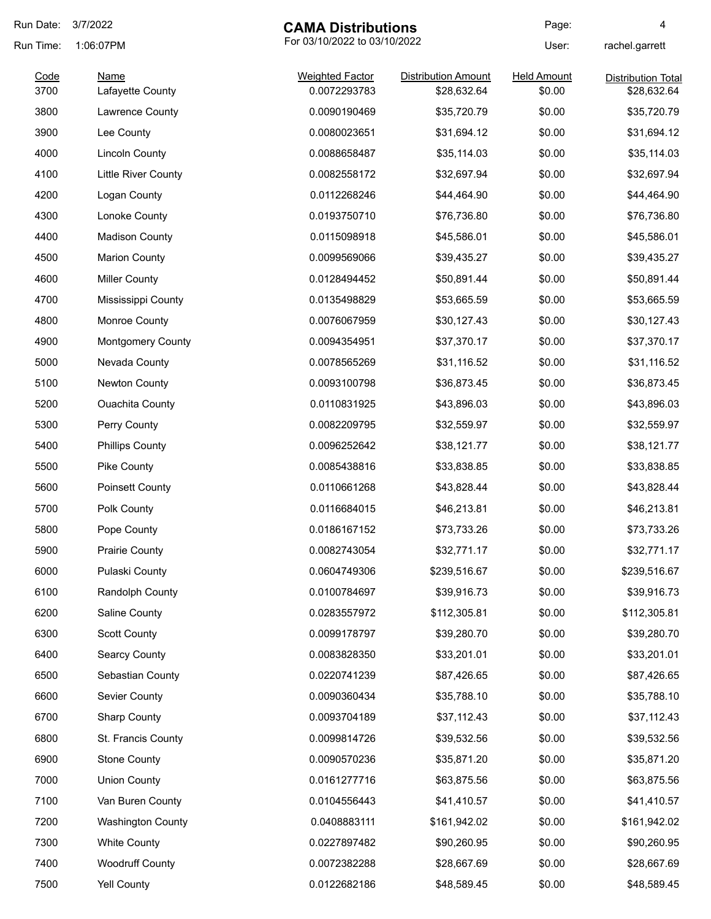| Run Date: | 3/7/2022                 | <b>CAMA Distributions</b>    |                            | Page:              | 4                         |
|-----------|--------------------------|------------------------------|----------------------------|--------------------|---------------------------|
| Run Time: | 1:06:07PM                | For 03/10/2022 to 03/10/2022 |                            | User:              | rachel.garrett            |
| Code      | <b>Name</b>              | <b>Weighted Factor</b>       | <b>Distribution Amount</b> | <b>Held Amount</b> | <b>Distribution Total</b> |
| 3700      | Lafayette County         | 0.0072293783                 | \$28,632.64                | \$0.00             | \$28,632.64               |
| 3800      | Lawrence County          | 0.0090190469                 | \$35,720.79                | \$0.00             | \$35,720.79               |
| 3900      | Lee County               | 0.0080023651                 | \$31,694.12                | \$0.00             | \$31,694.12               |
| 4000      | <b>Lincoln County</b>    | 0.0088658487                 | \$35,114.03                | \$0.00             | \$35,114.03               |
| 4100      | Little River County      | 0.0082558172                 | \$32,697.94                | \$0.00             | \$32,697.94               |
| 4200      | Logan County             | 0.0112268246                 | \$44,464.90                | \$0.00             | \$44,464.90               |
| 4300      | Lonoke County            | 0.0193750710                 | \$76,736.80                | \$0.00             | \$76,736.80               |
| 4400      | <b>Madison County</b>    | 0.0115098918                 | \$45,586.01                | \$0.00             | \$45,586.01               |
| 4500      | <b>Marion County</b>     | 0.0099569066                 | \$39,435.27                | \$0.00             | \$39,435.27               |
| 4600      | <b>Miller County</b>     | 0.0128494452                 | \$50,891.44                | \$0.00             | \$50,891.44               |
| 4700      | Mississippi County       | 0.0135498829                 | \$53,665.59                | \$0.00             | \$53,665.59               |
| 4800      | Monroe County            | 0.0076067959                 | \$30,127.43                | \$0.00             | \$30,127.43               |
| 4900      | <b>Montgomery County</b> | 0.0094354951                 | \$37,370.17                | \$0.00             | \$37,370.17               |
| 5000      | Nevada County            | 0.0078565269                 | \$31,116.52                | \$0.00             | \$31,116.52               |
| 5100      | Newton County            | 0.0093100798                 | \$36,873.45                | \$0.00             | \$36,873.45               |
| 5200      | <b>Ouachita County</b>   | 0.0110831925                 | \$43,896.03                | \$0.00             | \$43,896.03               |
| 5300      | Perry County             | 0.0082209795                 | \$32,559.97                | \$0.00             | \$32,559.97               |
| 5400      | <b>Phillips County</b>   | 0.0096252642                 | \$38,121.77                | \$0.00             | \$38,121.77               |
| 5500      | Pike County              | 0.0085438816                 | \$33,838.85                | \$0.00             | \$33,838.85               |
| 5600      | Poinsett County          | 0.0110661268                 | \$43,828.44                | \$0.00             | \$43,828.44               |
| 5700      | Polk County              | 0.0116684015                 | \$46,213.81                | \$0.00             | \$46,213.81               |
| 5800      | Pope County              | 0.0186167152                 | \$73,733.26                | \$0.00             | \$73,733.26               |
| 5900      | <b>Prairie County</b>    | 0.0082743054                 | \$32,771.17                | \$0.00             | \$32,771.17               |
| 6000      | Pulaski County           | 0.0604749306                 | \$239,516.67               | \$0.00             | \$239,516.67              |
| 6100      | Randolph County          | 0.0100784697                 | \$39,916.73                | \$0.00             | \$39,916.73               |
| 6200      | Saline County            | 0.0283557972                 | \$112,305.81               | \$0.00             | \$112,305.81              |
| 6300      | <b>Scott County</b>      | 0.0099178797                 | \$39,280.70                | \$0.00             | \$39,280.70               |
| 6400      | <b>Searcy County</b>     | 0.0083828350                 | \$33,201.01                | \$0.00             | \$33,201.01               |
| 6500      | Sebastian County         | 0.0220741239                 | \$87,426.65                | \$0.00             | \$87,426.65               |
| 6600      | Sevier County            | 0.0090360434                 | \$35,788.10                | \$0.00             | \$35,788.10               |
| 6700      | <b>Sharp County</b>      | 0.0093704189                 | \$37,112.43                | \$0.00             | \$37,112.43               |
| 6800      | St. Francis County       | 0.0099814726                 | \$39,532.56                | \$0.00             | \$39,532.56               |
| 6900      | <b>Stone County</b>      | 0.0090570236                 | \$35,871.20                | \$0.00             | \$35,871.20               |
| 7000      | <b>Union County</b>      | 0.0161277716                 | \$63,875.56                | \$0.00             | \$63,875.56               |
| 7100      | Van Buren County         | 0.0104556443                 | \$41,410.57                | \$0.00             | \$41,410.57               |
| 7200      | <b>Washington County</b> | 0.0408883111                 | \$161,942.02               | \$0.00             | \$161,942.02              |
| 7300      | <b>White County</b>      | 0.0227897482                 | \$90,260.95                | \$0.00             | \$90,260.95               |
|           |                          |                              |                            |                    |                           |
| 7400      | <b>Woodruff County</b>   | 0.0072382288                 | \$28,667.69                | \$0.00             | \$28,667.69               |
| 7500      | <b>Yell County</b>       | 0.0122682186                 | \$48,589.45                | \$0.00             | \$48,589.45               |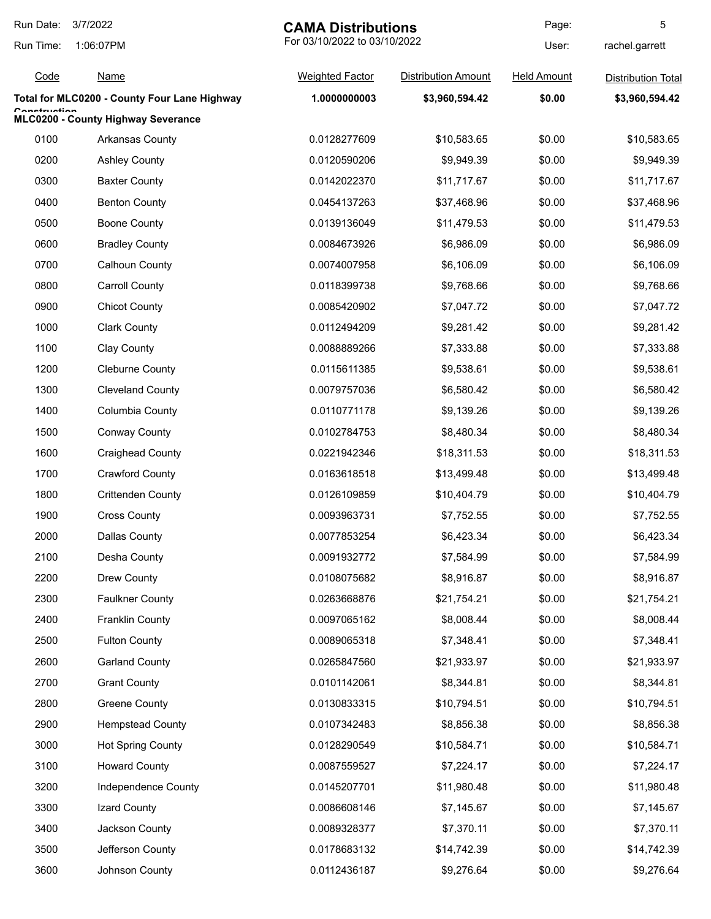| Run Date:    | 3/7/2022<br><b>CAMA Distributions</b>        |                              | Page:                      | 5                  |                           |
|--------------|----------------------------------------------|------------------------------|----------------------------|--------------------|---------------------------|
| Run Time:    | 1:06:07PM                                    | For 03/10/2022 to 03/10/2022 |                            | User:              | rachel.garrett            |
| Code         | <b>Name</b>                                  | <b>Weighted Factor</b>       | <b>Distribution Amount</b> | <b>Held Amount</b> | <b>Distribution Total</b> |
|              | Total for MLC0200 - County Four Lane Highway | 1.0000000003                 | \$3,960,594.42             | \$0.00             | \$3,960,594.42            |
| Canatruatian | MLC0200 - County Highway Severance           |                              |                            |                    |                           |
| 0100         | <b>Arkansas County</b>                       | 0.0128277609                 | \$10,583.65                | \$0.00             | \$10,583.65               |
| 0200         | <b>Ashley County</b>                         | 0.0120590206                 | \$9,949.39                 | \$0.00             | \$9,949.39                |
| 0300         | <b>Baxter County</b>                         | 0.0142022370                 | \$11,717.67                | \$0.00             | \$11,717.67               |
| 0400         | <b>Benton County</b>                         | 0.0454137263                 | \$37,468.96                | \$0.00             | \$37,468.96               |
| 0500         | <b>Boone County</b>                          | 0.0139136049                 | \$11,479.53                | \$0.00             | \$11,479.53               |
| 0600         | <b>Bradley County</b>                        | 0.0084673926                 | \$6,986.09                 | \$0.00             | \$6,986.09                |
| 0700         | <b>Calhoun County</b>                        | 0.0074007958                 | \$6,106.09                 | \$0.00             | \$6,106.09                |
| 0800         | <b>Carroll County</b>                        | 0.0118399738                 | \$9,768.66                 | \$0.00             | \$9,768.66                |
| 0900         | <b>Chicot County</b>                         | 0.0085420902                 | \$7,047.72                 | \$0.00             | \$7,047.72                |
| 1000         | <b>Clark County</b>                          | 0.0112494209                 | \$9,281.42                 | \$0.00             | \$9,281.42                |
| 1100         | Clay County                                  | 0.0088889266                 | \$7,333.88                 | \$0.00             | \$7,333.88                |
| 1200         | <b>Cleburne County</b>                       | 0.0115611385                 | \$9,538.61                 | \$0.00             | \$9,538.61                |
| 1300         | <b>Cleveland County</b>                      | 0.0079757036                 | \$6,580.42                 | \$0.00             | \$6,580.42                |
| 1400         | Columbia County                              | 0.0110771178                 | \$9,139.26                 | \$0.00             | \$9,139.26                |
| 1500         | <b>Conway County</b>                         | 0.0102784753                 | \$8,480.34                 | \$0.00             | \$8,480.34                |
| 1600         | <b>Craighead County</b>                      | 0.0221942346                 | \$18,311.53                | \$0.00             | \$18,311.53               |
| 1700         | <b>Crawford County</b>                       | 0.0163618518                 | \$13,499.48                | \$0.00             | \$13,499.48               |
| 1800         | <b>Crittenden County</b>                     | 0.0126109859                 | \$10,404.79                | \$0.00             | \$10,404.79               |
| 1900         | <b>Cross County</b>                          | 0.0093963731                 | \$7,752.55                 | \$0.00             | \$7,752.55                |
| 2000         | <b>Dallas County</b>                         | 0.0077853254                 | \$6,423.34                 | \$0.00             | \$6,423.34                |
| 2100         | Desha County                                 | 0.0091932772                 | \$7,584.99                 | \$0.00             | \$7,584.99                |
| 2200         | Drew County                                  | 0.0108075682                 | \$8,916.87                 | \$0.00             | \$8,916.87                |
| 2300         | <b>Faulkner County</b>                       | 0.0263668876                 | \$21,754.21                | \$0.00             | \$21,754.21               |
| 2400         | <b>Franklin County</b>                       | 0.0097065162                 | \$8,008.44                 | \$0.00             | \$8,008.44                |
| 2500         | <b>Fulton County</b>                         | 0.0089065318                 | \$7,348.41                 | \$0.00             | \$7,348.41                |
| 2600         | <b>Garland County</b>                        | 0.0265847560                 | \$21,933.97                | \$0.00             | \$21,933.97               |
| 2700         | <b>Grant County</b>                          | 0.0101142061                 | \$8,344.81                 | \$0.00             | \$8,344.81                |
| 2800         | <b>Greene County</b>                         | 0.0130833315                 | \$10,794.51                | \$0.00             | \$10,794.51               |
| 2900         | <b>Hempstead County</b>                      | 0.0107342483                 | \$8,856.38                 | \$0.00             | \$8,856.38                |
| 3000         | <b>Hot Spring County</b>                     | 0.0128290549                 | \$10,584.71                | \$0.00             | \$10,584.71               |
| 3100         | <b>Howard County</b>                         | 0.0087559527                 | \$7,224.17                 | \$0.00             | \$7,224.17                |
| 3200         | Independence County                          | 0.0145207701                 | \$11,980.48                | \$0.00             | \$11,980.48               |
| 3300         | Izard County                                 | 0.0086608146                 | \$7,145.67                 | \$0.00             | \$7,145.67                |
| 3400         | Jackson County                               | 0.0089328377                 | \$7,370.11                 | \$0.00             | \$7,370.11                |
| 3500         | Jefferson County                             | 0.0178683132                 | \$14,742.39                | \$0.00             | \$14,742.39               |
| 3600         | Johnson County                               | 0.0112436187                 | \$9,276.64                 | \$0.00             | \$9,276.64                |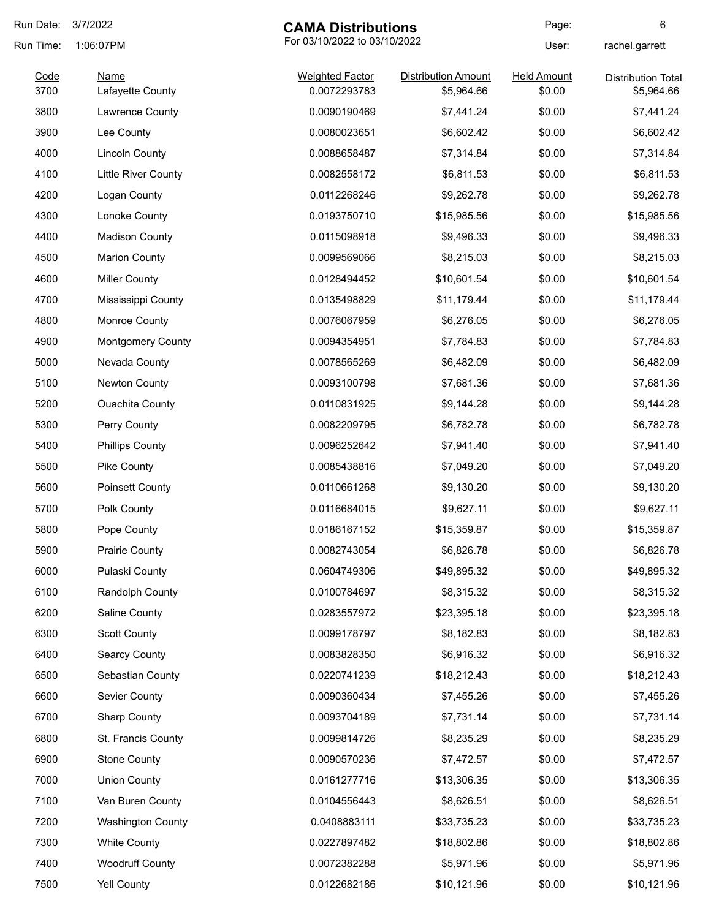| Run Date: | 3/7/2022                 | <b>CAMA Distributions</b>    |                            | Page:              | 6                         |
|-----------|--------------------------|------------------------------|----------------------------|--------------------|---------------------------|
| Run Time: | 1:06:07PM                | For 03/10/2022 to 03/10/2022 |                            | User:              | rachel.garrett            |
| Code      | <b>Name</b>              | <b>Weighted Factor</b>       | <b>Distribution Amount</b> | <b>Held Amount</b> | <b>Distribution Total</b> |
| 3700      | Lafayette County         | 0.0072293783                 | \$5,964.66                 | \$0.00             | \$5,964.66                |
| 3800      | Lawrence County          | 0.0090190469                 | \$7,441.24                 | \$0.00             | \$7,441.24                |
| 3900      | Lee County               | 0.0080023651                 | \$6,602.42                 | \$0.00             | \$6,602.42                |
| 4000      | <b>Lincoln County</b>    | 0.0088658487                 | \$7,314.84                 | \$0.00             | \$7,314.84                |
| 4100      | Little River County      | 0.0082558172                 | \$6,811.53                 | \$0.00             | \$6,811.53                |
| 4200      | Logan County             | 0.0112268246                 | \$9,262.78                 | \$0.00             | \$9,262.78                |
| 4300      | Lonoke County            | 0.0193750710                 | \$15,985.56                | \$0.00             | \$15,985.56               |
| 4400      | <b>Madison County</b>    | 0.0115098918                 | \$9,496.33                 | \$0.00             | \$9,496.33                |
| 4500      | <b>Marion County</b>     | 0.0099569066                 | \$8,215.03                 | \$0.00             | \$8,215.03                |
| 4600      | <b>Miller County</b>     | 0.0128494452                 | \$10,601.54                | \$0.00             | \$10,601.54               |
| 4700      | Mississippi County       | 0.0135498829                 | \$11,179.44                | \$0.00             | \$11,179.44               |
| 4800      | Monroe County            | 0.0076067959                 | \$6,276.05                 | \$0.00             | \$6,276.05                |
| 4900      | <b>Montgomery County</b> | 0.0094354951                 | \$7,784.83                 | \$0.00             | \$7,784.83                |
| 5000      | Nevada County            | 0.0078565269                 | \$6,482.09                 | \$0.00             | \$6,482.09                |
| 5100      | Newton County            | 0.0093100798                 | \$7,681.36                 | \$0.00             | \$7,681.36                |
| 5200      | <b>Ouachita County</b>   | 0.0110831925                 | \$9,144.28                 | \$0.00             | \$9,144.28                |
| 5300      | Perry County             | 0.0082209795                 | \$6,782.78                 | \$0.00             | \$6,782.78                |
| 5400      | <b>Phillips County</b>   | 0.0096252642                 | \$7,941.40                 | \$0.00             | \$7,941.40                |
| 5500      | Pike County              | 0.0085438816                 | \$7,049.20                 | \$0.00             | \$7,049.20                |
| 5600      | Poinsett County          | 0.0110661268                 | \$9,130.20                 | \$0.00             | \$9,130.20                |
| 5700      | Polk County              | 0.0116684015                 | \$9,627.11                 | \$0.00             | \$9,627.11                |
| 5800      | Pope County              | 0.0186167152                 | \$15,359.87                | \$0.00             | \$15,359.87               |
| 5900      | <b>Prairie County</b>    | 0.0082743054                 | \$6,826.78                 | \$0.00             | \$6,826.78                |
| 6000      | Pulaski County           | 0.0604749306                 | \$49,895.32                | \$0.00             | \$49,895.32               |
| 6100      | Randolph County          | 0.0100784697                 | \$8,315.32                 | \$0.00             | \$8,315.32                |
| 6200      | Saline County            | 0.0283557972                 | \$23,395.18                | \$0.00             | \$23,395.18               |
| 6300      | <b>Scott County</b>      | 0.0099178797                 | \$8,182.83                 | \$0.00             | \$8,182.83                |
| 6400      | <b>Searcy County</b>     | 0.0083828350                 | \$6,916.32                 | \$0.00             | \$6,916.32                |
| 6500      | Sebastian County         | 0.0220741239                 | \$18,212.43                | \$0.00             | \$18,212.43               |
| 6600      | Sevier County            | 0.0090360434                 | \$7,455.26                 | \$0.00             | \$7,455.26                |
| 6700      | <b>Sharp County</b>      | 0.0093704189                 | \$7,731.14                 | \$0.00             | \$7,731.14                |
| 6800      | St. Francis County       | 0.0099814726                 | \$8,235.29                 | \$0.00             | \$8,235.29                |
| 6900      | <b>Stone County</b>      | 0.0090570236                 | \$7,472.57                 | \$0.00             | \$7,472.57                |
| 7000      | <b>Union County</b>      | 0.0161277716                 | \$13,306.35                | \$0.00             | \$13,306.35               |
| 7100      | Van Buren County         | 0.0104556443                 | \$8,626.51                 | \$0.00             | \$8,626.51                |
| 7200      | <b>Washington County</b> | 0.0408883111                 | \$33,735.23                | \$0.00             | \$33,735.23               |
| 7300      | <b>White County</b>      | 0.0227897482                 | \$18,802.86                | \$0.00             | \$18,802.86               |
| 7400      | <b>Woodruff County</b>   | 0.0072382288                 | \$5,971.96                 | \$0.00             | \$5,971.96                |
| 7500      | Yell County              | 0.0122682186                 | \$10,121.96                | \$0.00             | \$10,121.96               |
|           |                          |                              |                            |                    |                           |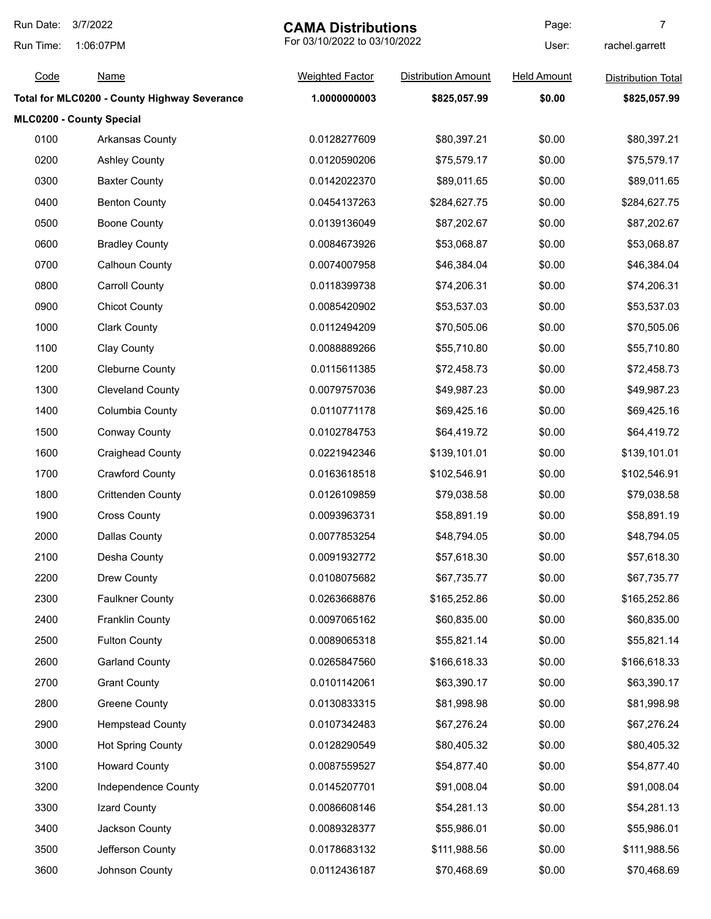| Run Date: | 3/7/2022                                     | <b>CAMA Distributions</b>    |                            | Page:              | 7                         |
|-----------|----------------------------------------------|------------------------------|----------------------------|--------------------|---------------------------|
| Run Time: | 1:06:07PM                                    | For 03/10/2022 to 03/10/2022 |                            | User:              | rachel.garrett            |
| Code      | <b>Name</b>                                  | <b>Weighted Factor</b>       | <b>Distribution Amount</b> | <b>Held Amount</b> | <b>Distribution Total</b> |
|           | Total for MLC0200 - County Highway Severance | 1.0000000003                 | \$825,057.99               | \$0.00             | \$825,057.99              |
|           | MLC0200 - County Special                     |                              |                            |                    |                           |
| 0100      | <b>Arkansas County</b>                       | 0.0128277609                 | \$80,397.21                | \$0.00             | \$80,397.21               |
| 0200      | <b>Ashley County</b>                         | 0.0120590206                 | \$75,579.17                | \$0.00             | \$75,579.17               |
| 0300      | <b>Baxter County</b>                         | 0.0142022370                 | \$89,011.65                | \$0.00             | \$89,011.65               |
| 0400      | <b>Benton County</b>                         | 0.0454137263                 | \$284,627.75               | \$0.00             | \$284,627.75              |
| 0500      | <b>Boone County</b>                          | 0.0139136049                 | \$87,202.67                | \$0.00             | \$87,202.67               |
| 0600      | <b>Bradley County</b>                        | 0.0084673926                 | \$53,068.87                | \$0.00             | \$53,068.87               |
| 0700      | Calhoun County                               | 0.0074007958                 | \$46,384.04                | \$0.00             | \$46,384.04               |
| 0800      | <b>Carroll County</b>                        | 0.0118399738                 | \$74,206.31                | \$0.00             | \$74,206.31               |
| 0900      | <b>Chicot County</b>                         | 0.0085420902                 | \$53,537.03                | \$0.00             | \$53,537.03               |
| 1000      | <b>Clark County</b>                          | 0.0112494209                 | \$70,505.06                | \$0.00             | \$70,505.06               |
| 1100      | Clay County                                  | 0.0088889266                 | \$55,710.80                | \$0.00             | \$55,710.80               |
| 1200      | <b>Cleburne County</b>                       | 0.0115611385                 | \$72,458.73                | \$0.00             | \$72,458.73               |
| 1300      | <b>Cleveland County</b>                      | 0.0079757036                 | \$49,987.23                | \$0.00             | \$49,987.23               |
| 1400      | Columbia County                              | 0.0110771178                 | \$69,425.16                | \$0.00             | \$69,425.16               |
| 1500      | <b>Conway County</b>                         | 0.0102784753                 | \$64,419.72                | \$0.00             | \$64,419.72               |
| 1600      | <b>Craighead County</b>                      | 0.0221942346                 | \$139,101.01               | \$0.00             | \$139,101.01              |
| 1700      | <b>Crawford County</b>                       | 0.0163618518                 | \$102,546.91               | \$0.00             | \$102,546.91              |
| 1800      | <b>Crittenden County</b>                     | 0.0126109859                 | \$79,038.58                | \$0.00             | \$79,038.58               |
| 1900      | <b>Cross County</b>                          | 0.0093963731                 | \$58,891.19                | \$0.00             | \$58,891.19               |
| 2000      | <b>Dallas County</b>                         | 0.0077853254                 | \$48,794.05                | \$0.00             | \$48,794.05               |
| 2100      | Desha County                                 | 0.0091932772                 | \$57,618.30                | \$0.00             | \$57,618.30               |
| 2200      | Drew County                                  | 0.0108075682                 | \$67,735.77                | \$0.00             | \$67,735.77               |
| 2300      | <b>Faulkner County</b>                       | 0.0263668876                 | \$165,252.86               | \$0.00             | \$165,252.86              |
| 2400      | <b>Franklin County</b>                       | 0.0097065162                 | \$60,835.00                | \$0.00             | \$60,835.00               |
| 2500      | <b>Fulton County</b>                         | 0.0089065318                 | \$55,821.14                | \$0.00             | \$55,821.14               |
| 2600      | <b>Garland County</b>                        | 0.0265847560                 | \$166,618.33               | \$0.00             | \$166,618.33              |
| 2700      | <b>Grant County</b>                          | 0.0101142061                 | \$63,390.17                | \$0.00             | \$63,390.17               |
| 2800      | <b>Greene County</b>                         | 0.0130833315                 | \$81,998.98                | \$0.00             | \$81,998.98               |
| 2900      | <b>Hempstead County</b>                      | 0.0107342483                 | \$67,276.24                | \$0.00             | \$67,276.24               |
| 3000      | <b>Hot Spring County</b>                     | 0.0128290549                 | \$80,405.32                | \$0.00             | \$80,405.32               |
| 3100      | <b>Howard County</b>                         | 0.0087559527                 | \$54,877.40                | \$0.00             | \$54,877.40               |
| 3200      | Independence County                          | 0.0145207701                 | \$91,008.04                | \$0.00             | \$91,008.04               |
| 3300      | Izard County                                 | 0.0086608146                 | \$54,281.13                | \$0.00             | \$54,281.13               |
| 3400      | Jackson County                               | 0.0089328377                 | \$55,986.01                | \$0.00             | \$55,986.01               |
| 3500      | Jefferson County                             | 0.0178683132                 | \$111,988.56               | \$0.00             | \$111,988.56              |
| 3600      | Johnson County                               | 0.0112436187                 | \$70,468.69                | \$0.00             | \$70,468.69               |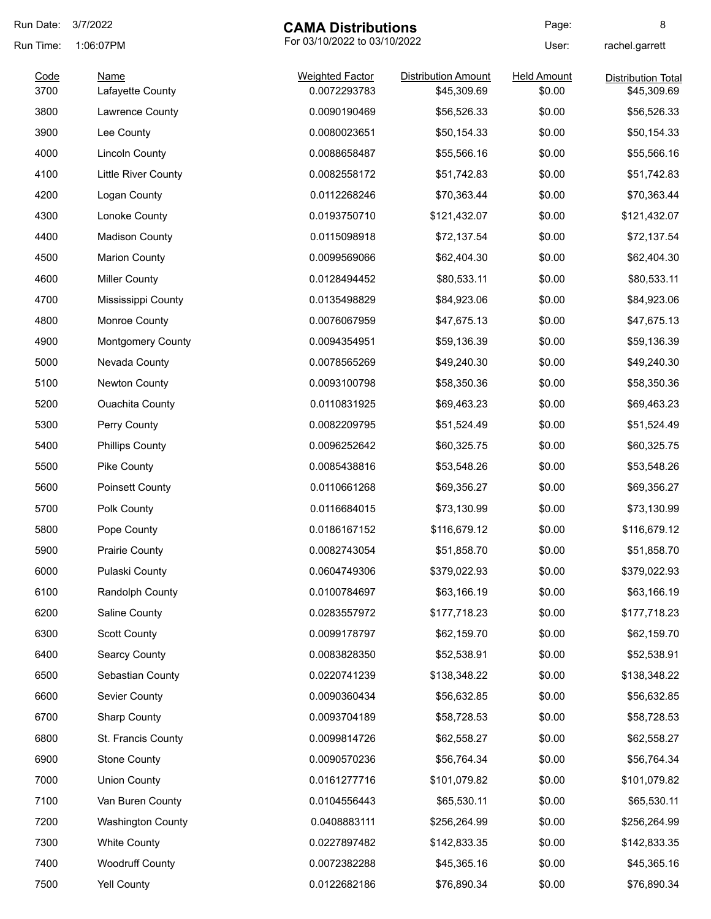| Run Date:    | 3/7/2022                        | <b>CAMA Distributions</b>              |                                           | Page:                        | 8                                        |
|--------------|---------------------------------|----------------------------------------|-------------------------------------------|------------------------------|------------------------------------------|
| Run Time:    | 1:06:07PM                       | For 03/10/2022 to 03/10/2022           |                                           | User:                        | rachel.garrett                           |
| Code<br>3700 | <b>Name</b><br>Lafayette County | <b>Weighted Factor</b><br>0.0072293783 | <b>Distribution Amount</b><br>\$45,309.69 | <b>Held Amount</b><br>\$0.00 | <b>Distribution Total</b><br>\$45,309.69 |
| 3800         | Lawrence County                 | 0.0090190469                           | \$56,526.33                               | \$0.00                       | \$56,526.33                              |
| 3900         | Lee County                      | 0.0080023651                           | \$50,154.33                               | \$0.00                       | \$50,154.33                              |
| 4000         | <b>Lincoln County</b>           | 0.0088658487                           | \$55,566.16                               | \$0.00                       | \$55,566.16                              |
| 4100         | <b>Little River County</b>      | 0.0082558172                           | \$51,742.83                               | \$0.00                       | \$51,742.83                              |
| 4200         | Logan County                    | 0.0112268246                           | \$70,363.44                               | \$0.00                       | \$70,363.44                              |
| 4300         | Lonoke County                   | 0.0193750710                           | \$121,432.07                              | \$0.00                       | \$121,432.07                             |
| 4400         | <b>Madison County</b>           | 0.0115098918                           | \$72,137.54                               | \$0.00                       | \$72,137.54                              |
| 4500         | <b>Marion County</b>            | 0.0099569066                           | \$62,404.30                               | \$0.00                       | \$62,404.30                              |
| 4600         | <b>Miller County</b>            | 0.0128494452                           | \$80,533.11                               | \$0.00                       | \$80,533.11                              |
| 4700         | Mississippi County              | 0.0135498829                           | \$84,923.06                               | \$0.00                       | \$84,923.06                              |
| 4800         | Monroe County                   | 0.0076067959                           | \$47,675.13                               | \$0.00                       | \$47,675.13                              |
| 4900         | <b>Montgomery County</b>        | 0.0094354951                           | \$59,136.39                               | \$0.00                       | \$59,136.39                              |
| 5000         | Nevada County                   | 0.0078565269                           | \$49,240.30                               | \$0.00                       | \$49,240.30                              |
| 5100         | Newton County                   | 0.0093100798                           | \$58,350.36                               | \$0.00                       | \$58,350.36                              |
| 5200         | <b>Ouachita County</b>          | 0.0110831925                           | \$69,463.23                               | \$0.00                       | \$69,463.23                              |
| 5300         | Perry County                    | 0.0082209795                           | \$51,524.49                               | \$0.00                       | \$51,524.49                              |
| 5400         | <b>Phillips County</b>          | 0.0096252642                           | \$60,325.75                               | \$0.00                       | \$60,325.75                              |
| 5500         | Pike County                     | 0.0085438816                           | \$53,548.26                               | \$0.00                       | \$53,548.26                              |
| 5600         | <b>Poinsett County</b>          | 0.0110661268                           | \$69,356.27                               | \$0.00                       | \$69,356.27                              |
| 5700         | Polk County                     | 0.0116684015                           | \$73,130.99                               | \$0.00                       | \$73,130.99                              |
| 5800         | Pope County                     | 0.0186167152                           | \$116,679.12                              | \$0.00                       | \$116,679.12                             |
| 5900         | <b>Prairie County</b>           | 0.0082743054                           | \$51,858.70                               | \$0.00                       | \$51,858.70                              |
| 6000         | Pulaski County                  | 0.0604749306                           | \$379,022.93                              | \$0.00                       | \$379,022.93                             |
| 6100         | Randolph County                 | 0.0100784697                           | \$63,166.19                               | \$0.00                       | \$63,166.19                              |
| 6200         | Saline County                   | 0.0283557972                           | \$177,718.23                              | \$0.00                       | \$177,718.23                             |
| 6300         | <b>Scott County</b>             | 0.0099178797                           | \$62,159.70                               | \$0.00                       | \$62,159.70                              |
| 6400         | <b>Searcy County</b>            | 0.0083828350                           | \$52,538.91                               | \$0.00                       | \$52,538.91                              |
| 6500         | Sebastian County                | 0.0220741239                           | \$138,348.22                              | \$0.00                       | \$138,348.22                             |
| 6600         | Sevier County                   | 0.0090360434                           | \$56,632.85                               | \$0.00                       | \$56,632.85                              |
| 6700         | <b>Sharp County</b>             | 0.0093704189                           | \$58,728.53                               | \$0.00                       | \$58,728.53                              |
| 6800         | St. Francis County              | 0.0099814726                           | \$62,558.27                               | \$0.00                       | \$62,558.27                              |
| 6900         | <b>Stone County</b>             | 0.0090570236                           | \$56,764.34                               | \$0.00                       | \$56,764.34                              |
| 7000         | <b>Union County</b>             | 0.0161277716                           | \$101,079.82                              | \$0.00                       | \$101,079.82                             |
| 7100         | Van Buren County                | 0.0104556443                           | \$65,530.11                               | \$0.00                       | \$65,530.11                              |
| 7200         | <b>Washington County</b>        | 0.0408883111                           | \$256,264.99                              | \$0.00                       | \$256,264.99                             |
| 7300         | <b>White County</b>             | 0.0227897482                           | \$142,833.35                              | \$0.00                       | \$142,833.35                             |
| 7400         | <b>Woodruff County</b>          | 0.0072382288                           | \$45,365.16                               | \$0.00                       | \$45,365.16                              |
| 7500         | Yell County                     | 0.0122682186                           | \$76,890.34                               | \$0.00                       | \$76,890.34                              |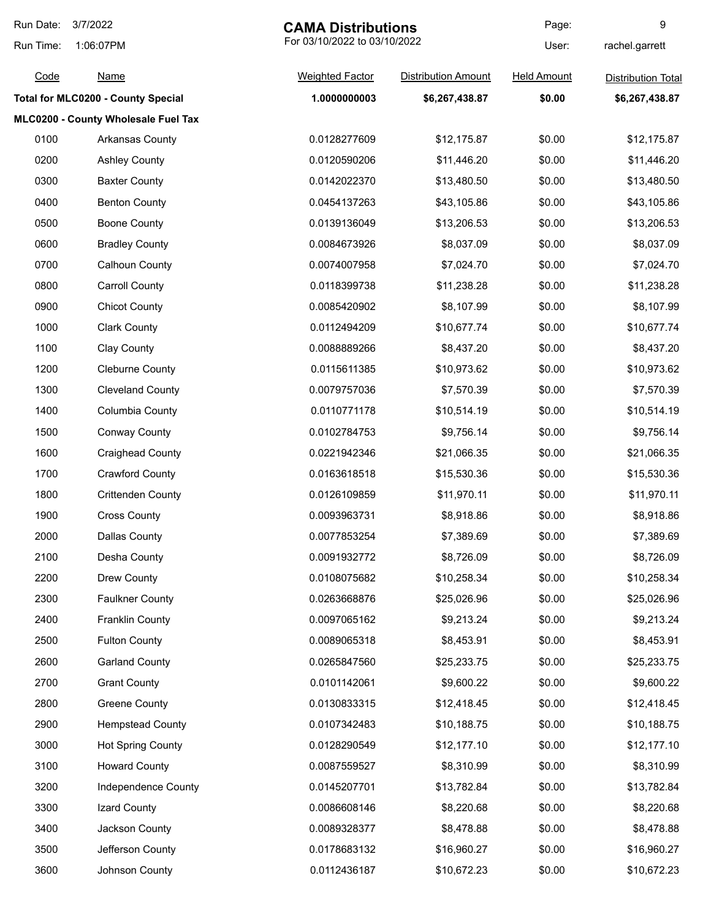| Run Date: | 3/7/2022<br><b>CAMA Distributions</b>     |                              | Page:                      | 9                  |                           |
|-----------|-------------------------------------------|------------------------------|----------------------------|--------------------|---------------------------|
| Run Time: | 1:06:07PM                                 | For 03/10/2022 to 03/10/2022 |                            | User:              | rachel.garrett            |
| Code      | <b>Name</b>                               | <b>Weighted Factor</b>       | <b>Distribution Amount</b> | <b>Held Amount</b> | <b>Distribution Total</b> |
|           | <b>Total for MLC0200 - County Special</b> | 1.0000000003                 | \$6,267,438.87             | \$0.00             | \$6,267,438.87            |
|           | MLC0200 - County Wholesale Fuel Tax       |                              |                            |                    |                           |
| 0100      | Arkansas County                           | 0.0128277609                 | \$12,175.87                | \$0.00             | \$12,175.87               |
| 0200      | <b>Ashley County</b>                      | 0.0120590206                 | \$11,446.20                | \$0.00             | \$11,446.20               |
| 0300      | <b>Baxter County</b>                      | 0.0142022370                 | \$13,480.50                | \$0.00             | \$13,480.50               |
| 0400      | <b>Benton County</b>                      | 0.0454137263                 | \$43,105.86                | \$0.00             | \$43,105.86               |
| 0500      | <b>Boone County</b>                       | 0.0139136049                 | \$13,206.53                | \$0.00             | \$13,206.53               |
| 0600      | <b>Bradley County</b>                     | 0.0084673926                 | \$8,037.09                 | \$0.00             | \$8,037.09                |
| 0700      | <b>Calhoun County</b>                     | 0.0074007958                 | \$7,024.70                 | \$0.00             | \$7,024.70                |
| 0800      | <b>Carroll County</b>                     | 0.0118399738                 | \$11,238.28                | \$0.00             | \$11,238.28               |
| 0900      | <b>Chicot County</b>                      | 0.0085420902                 | \$8,107.99                 | \$0.00             | \$8,107.99                |
| 1000      | <b>Clark County</b>                       | 0.0112494209                 | \$10,677.74                | \$0.00             | \$10,677.74               |
| 1100      | <b>Clay County</b>                        | 0.0088889266                 | \$8,437.20                 | \$0.00             | \$8,437.20                |
| 1200      | <b>Cleburne County</b>                    | 0.0115611385                 | \$10,973.62                | \$0.00             | \$10,973.62               |
| 1300      | <b>Cleveland County</b>                   | 0.0079757036                 | \$7,570.39                 | \$0.00             | \$7,570.39                |
| 1400      | Columbia County                           | 0.0110771178                 | \$10,514.19                | \$0.00             | \$10,514.19               |
| 1500      | <b>Conway County</b>                      | 0.0102784753                 | \$9,756.14                 | \$0.00             | \$9,756.14                |
| 1600      | <b>Craighead County</b>                   | 0.0221942346                 | \$21,066.35                | \$0.00             | \$21,066.35               |
| 1700      | <b>Crawford County</b>                    | 0.0163618518                 | \$15,530.36                | \$0.00             | \$15,530.36               |
| 1800      | <b>Crittenden County</b>                  | 0.0126109859                 | \$11,970.11                | \$0.00             | \$11,970.11               |
| 1900      | <b>Cross County</b>                       | 0.0093963731                 | \$8,918.86                 | \$0.00             | \$8,918.86                |
| 2000      | Dallas County                             | 0.0077853254                 | \$7,389.69                 | \$0.00             | \$7,389.69                |
| 2100      | Desha County                              | 0.0091932772                 | \$8,726.09                 | \$0.00             | \$8,726.09                |
| 2200      | Drew County                               | 0.0108075682                 | \$10,258.34                | \$0.00             | \$10,258.34               |
| 2300      | <b>Faulkner County</b>                    | 0.0263668876                 | \$25,026.96                | \$0.00             | \$25,026.96               |
| 2400      | <b>Franklin County</b>                    | 0.0097065162                 | \$9,213.24                 | \$0.00             | \$9,213.24                |
| 2500      | <b>Fulton County</b>                      | 0.0089065318                 | \$8,453.91                 | \$0.00             | \$8,453.91                |
| 2600      | <b>Garland County</b>                     | 0.0265847560                 | \$25,233.75                | \$0.00             | \$25,233.75               |
| 2700      | <b>Grant County</b>                       | 0.0101142061                 | \$9,600.22                 | \$0.00             | \$9,600.22                |
| 2800      | <b>Greene County</b>                      | 0.0130833315                 | \$12,418.45                | \$0.00             | \$12,418.45               |
| 2900      | <b>Hempstead County</b>                   | 0.0107342483                 | \$10,188.75                | \$0.00             | \$10,188.75               |
| 3000      | <b>Hot Spring County</b>                  | 0.0128290549                 | \$12,177.10                | \$0.00             | \$12,177.10               |
| 3100      | <b>Howard County</b>                      | 0.0087559527                 | \$8,310.99                 | \$0.00             | \$8,310.99                |
| 3200      | Independence County                       | 0.0145207701                 | \$13,782.84                | \$0.00             | \$13,782.84               |
| 3300      | Izard County                              | 0.0086608146                 | \$8,220.68                 | \$0.00             | \$8,220.68                |
| 3400      | Jackson County                            | 0.0089328377                 | \$8,478.88                 | \$0.00             | \$8,478.88                |
| 3500      | Jefferson County                          | 0.0178683132                 | \$16,960.27                | \$0.00             | \$16,960.27               |
| 3600      | Johnson County                            | 0.0112436187                 | \$10,672.23                | \$0.00             | \$10,672.23               |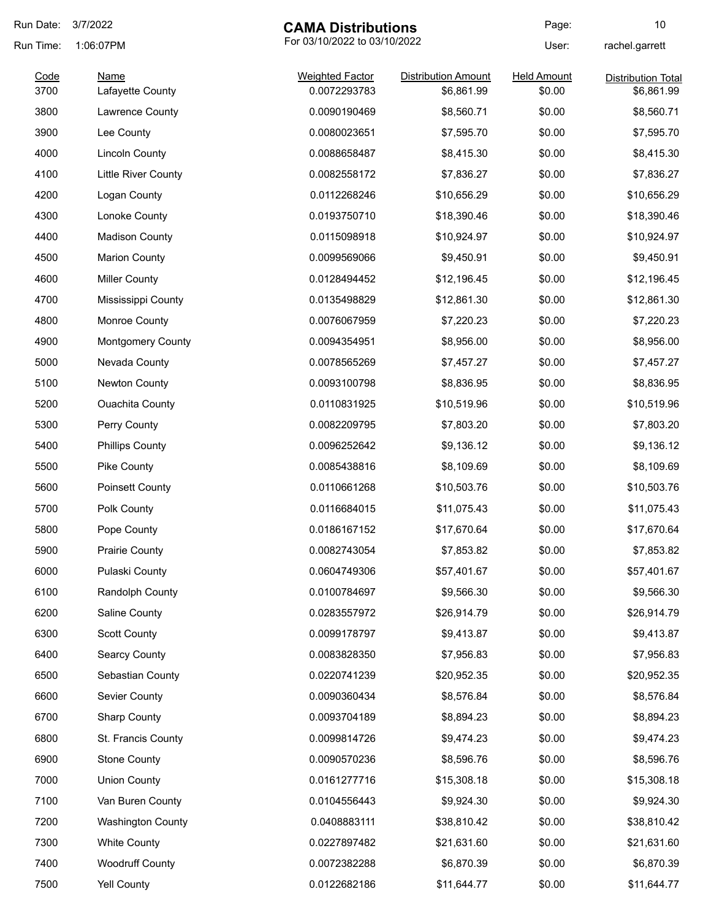| Run Date: | 3/7/2022                   | <b>CAMA Distributions</b>    |                            | Page:              | 10                        |
|-----------|----------------------------|------------------------------|----------------------------|--------------------|---------------------------|
| Run Time: | 1:06:07PM                  | For 03/10/2022 to 03/10/2022 |                            | User:              | rachel.garrett            |
| Code      | Name                       | <b>Weighted Factor</b>       | <b>Distribution Amount</b> | <b>Held Amount</b> | <b>Distribution Total</b> |
| 3700      | Lafayette County           | 0.0072293783                 | \$6,861.99                 | \$0.00             | \$6,861.99                |
| 3800      | Lawrence County            | 0.0090190469                 | \$8,560.71                 | \$0.00             | \$8,560.71                |
| 3900      | Lee County                 | 0.0080023651                 | \$7,595.70                 | \$0.00             | \$7,595.70                |
| 4000      | <b>Lincoln County</b>      | 0.0088658487                 | \$8,415.30                 | \$0.00             | \$8,415.30                |
| 4100      | <b>Little River County</b> | 0.0082558172                 | \$7,836.27                 | \$0.00             | \$7,836.27                |
| 4200      | Logan County               | 0.0112268246                 | \$10,656.29                | \$0.00             | \$10,656.29               |
| 4300      | Lonoke County              | 0.0193750710                 | \$18,390.46                | \$0.00             | \$18,390.46               |
| 4400      | <b>Madison County</b>      | 0.0115098918                 | \$10,924.97                | \$0.00             | \$10,924.97               |
| 4500      | <b>Marion County</b>       | 0.0099569066                 | \$9,450.91                 | \$0.00             | \$9,450.91                |
| 4600      | <b>Miller County</b>       | 0.0128494452                 | \$12,196.45                | \$0.00             | \$12,196.45               |
| 4700      | Mississippi County         | 0.0135498829                 | \$12,861.30                | \$0.00             | \$12,861.30               |
| 4800      | Monroe County              | 0.0076067959                 | \$7,220.23                 | \$0.00             | \$7,220.23                |
| 4900      | <b>Montgomery County</b>   | 0.0094354951                 | \$8,956.00                 | \$0.00             | \$8,956.00                |
| 5000      | Nevada County              | 0.0078565269                 | \$7,457.27                 | \$0.00             | \$7,457.27                |
| 5100      | <b>Newton County</b>       | 0.0093100798                 | \$8,836.95                 | \$0.00             | \$8,836.95                |
| 5200      | <b>Ouachita County</b>     | 0.0110831925                 | \$10,519.96                | \$0.00             | \$10,519.96               |
| 5300      | Perry County               | 0.0082209795                 | \$7,803.20                 | \$0.00             | \$7,803.20                |
| 5400      | <b>Phillips County</b>     | 0.0096252642                 | \$9,136.12                 | \$0.00             | \$9,136.12                |
| 5500      | Pike County                | 0.0085438816                 | \$8,109.69                 | \$0.00             | \$8,109.69                |
| 5600      | Poinsett County            | 0.0110661268                 | \$10,503.76                | \$0.00             | \$10,503.76               |
| 5700      | Polk County                | 0.0116684015                 | \$11,075.43                | \$0.00             | \$11,075.43               |
| 5800      | Pope County                | 0.0186167152                 | \$17,670.64                | \$0.00             | \$17,670.64               |
| 5900      | <b>Prairie County</b>      | 0.0082743054                 | \$7,853.82                 | \$0.00             | \$7,853.82                |
| 6000      | Pulaski County             | 0.0604749306                 | \$57,401.67                | \$0.00             | \$57,401.67               |
| 6100      | Randolph County            | 0.0100784697                 | \$9,566.30                 | \$0.00             | \$9,566.30                |
| 6200      | Saline County              | 0.0283557972                 | \$26,914.79                | \$0.00             | \$26,914.79               |
| 6300      | <b>Scott County</b>        | 0.0099178797                 | \$9,413.87                 | \$0.00             | \$9,413.87                |
| 6400      | <b>Searcy County</b>       | 0.0083828350                 | \$7,956.83                 | \$0.00             | \$7,956.83                |
| 6500      | Sebastian County           | 0.0220741239                 | \$20,952.35                | \$0.00             | \$20,952.35               |
| 6600      | Sevier County              | 0.0090360434                 | \$8,576.84                 | \$0.00             | \$8,576.84                |
| 6700      | <b>Sharp County</b>        | 0.0093704189                 | \$8,894.23                 | \$0.00             | \$8,894.23                |
| 6800      | St. Francis County         | 0.0099814726                 | \$9,474.23                 | \$0.00             | \$9,474.23                |
| 6900      | <b>Stone County</b>        | 0.0090570236                 | \$8,596.76                 | \$0.00             | \$8,596.76                |
| 7000      | <b>Union County</b>        | 0.0161277716                 | \$15,308.18                | \$0.00             | \$15,308.18               |
| 7100      | Van Buren County           | 0.0104556443                 | \$9,924.30                 | \$0.00             | \$9,924.30                |
| 7200      | <b>Washington County</b>   | 0.0408883111                 | \$38,810.42                | \$0.00             | \$38,810.42               |
| 7300      | <b>White County</b>        | 0.0227897482                 | \$21,631.60                | \$0.00             | \$21,631.60               |
| 7400      | <b>Woodruff County</b>     | 0.0072382288                 | \$6,870.39                 | \$0.00             | \$6,870.39                |
| 7500      | Yell County                | 0.0122682186                 | \$11,644.77                | \$0.00             | \$11,644.77               |
|           |                            |                              |                            |                    |                           |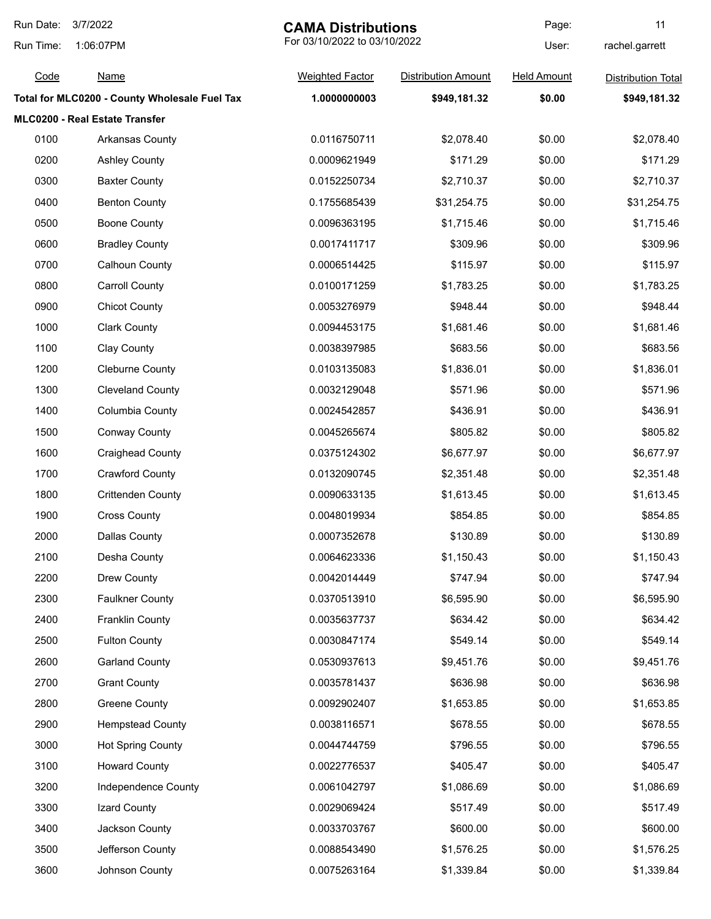| Run Date: | 3/7/2022                                      | <b>CAMA Distributions</b>    |                            | Page:              | 11                        |
|-----------|-----------------------------------------------|------------------------------|----------------------------|--------------------|---------------------------|
| Run Time: | 1:06:07PM                                     | For 03/10/2022 to 03/10/2022 |                            | User:              | rachel.garrett            |
| Code      | <b>Name</b>                                   | <b>Weighted Factor</b>       | <b>Distribution Amount</b> | <b>Held Amount</b> | <b>Distribution Total</b> |
|           | Total for MLC0200 - County Wholesale Fuel Tax | 1.0000000003                 | \$949,181.32               | \$0.00             | \$949,181.32              |
|           | MLC0200 - Real Estate Transfer                |                              |                            |                    |                           |
| 0100      | <b>Arkansas County</b>                        | 0.0116750711                 | \$2,078.40                 | \$0.00             | \$2,078.40                |
| 0200      | <b>Ashley County</b>                          | 0.0009621949                 | \$171.29                   | \$0.00             | \$171.29                  |
| 0300      | <b>Baxter County</b>                          | 0.0152250734                 | \$2,710.37                 | \$0.00             | \$2,710.37                |
| 0400      | <b>Benton County</b>                          | 0.1755685439                 | \$31,254.75                | \$0.00             | \$31,254.75               |
| 0500      | <b>Boone County</b>                           | 0.0096363195                 | \$1,715.46                 | \$0.00             | \$1,715.46                |
| 0600      | <b>Bradley County</b>                         | 0.0017411717                 | \$309.96                   | \$0.00             | \$309.96                  |
| 0700      | <b>Calhoun County</b>                         | 0.0006514425                 | \$115.97                   | \$0.00             | \$115.97                  |
| 0800      | <b>Carroll County</b>                         | 0.0100171259                 | \$1,783.25                 | \$0.00             | \$1,783.25                |
| 0900      | <b>Chicot County</b>                          | 0.0053276979                 | \$948.44                   | \$0.00             | \$948.44                  |
| 1000      | <b>Clark County</b>                           | 0.0094453175                 | \$1,681.46                 | \$0.00             | \$1,681.46                |
| 1100      | Clay County                                   | 0.0038397985                 | \$683.56                   | \$0.00             | \$683.56                  |
| 1200      | <b>Cleburne County</b>                        | 0.0103135083                 | \$1,836.01                 | \$0.00             | \$1,836.01                |
| 1300      | <b>Cleveland County</b>                       | 0.0032129048                 | \$571.96                   | \$0.00             | \$571.96                  |
| 1400      | Columbia County                               | 0.0024542857                 | \$436.91                   | \$0.00             | \$436.91                  |
| 1500      | <b>Conway County</b>                          | 0.0045265674                 | \$805.82                   | \$0.00             | \$805.82                  |
| 1600      | <b>Craighead County</b>                       | 0.0375124302                 | \$6,677.97                 | \$0.00             | \$6,677.97                |
| 1700      | <b>Crawford County</b>                        | 0.0132090745                 | \$2,351.48                 | \$0.00             | \$2,351.48                |
| 1800      | <b>Crittenden County</b>                      | 0.0090633135                 | \$1,613.45                 | \$0.00             | \$1,613.45                |
| 1900      | <b>Cross County</b>                           | 0.0048019934                 | \$854.85                   | \$0.00             | \$854.85                  |
| 2000      | <b>Dallas County</b>                          | 0.0007352678                 | \$130.89                   | \$0.00             | \$130.89                  |
| 2100      | Desha County                                  | 0.0064623336                 | \$1,150.43                 | \$0.00             | \$1,150.43                |
| 2200      | Drew County                                   | 0.0042014449                 | \$747.94                   | \$0.00             | \$747.94                  |
| 2300      | <b>Faulkner County</b>                        | 0.0370513910                 | \$6,595.90                 | \$0.00             | \$6,595.90                |
| 2400      | <b>Franklin County</b>                        | 0.0035637737                 | \$634.42                   | \$0.00             | \$634.42                  |
| 2500      | <b>Fulton County</b>                          | 0.0030847174                 | \$549.14                   | \$0.00             | \$549.14                  |
| 2600      | <b>Garland County</b>                         | 0.0530937613                 | \$9,451.76                 | \$0.00             | \$9,451.76                |
| 2700      | <b>Grant County</b>                           | 0.0035781437                 | \$636.98                   | \$0.00             | \$636.98                  |
| 2800      | Greene County                                 | 0.0092902407                 | \$1,653.85                 | \$0.00             | \$1,653.85                |
| 2900      | <b>Hempstead County</b>                       | 0.0038116571                 | \$678.55                   | \$0.00             | \$678.55                  |
| 3000      | <b>Hot Spring County</b>                      | 0.0044744759                 | \$796.55                   | \$0.00             | \$796.55                  |
| 3100      | <b>Howard County</b>                          | 0.0022776537                 | \$405.47                   | \$0.00             | \$405.47                  |
| 3200      | Independence County                           | 0.0061042797                 | \$1,086.69                 | \$0.00             | \$1,086.69                |
| 3300      | Izard County                                  | 0.0029069424                 | \$517.49                   | \$0.00             | \$517.49                  |
| 3400      | Jackson County                                | 0.0033703767                 | \$600.00                   | \$0.00             | \$600.00                  |
| 3500      | Jefferson County                              | 0.0088543490                 | \$1,576.25                 | \$0.00             | \$1,576.25                |
| 3600      | Johnson County                                | 0.0075263164                 | \$1,339.84                 | \$0.00             | \$1,339.84                |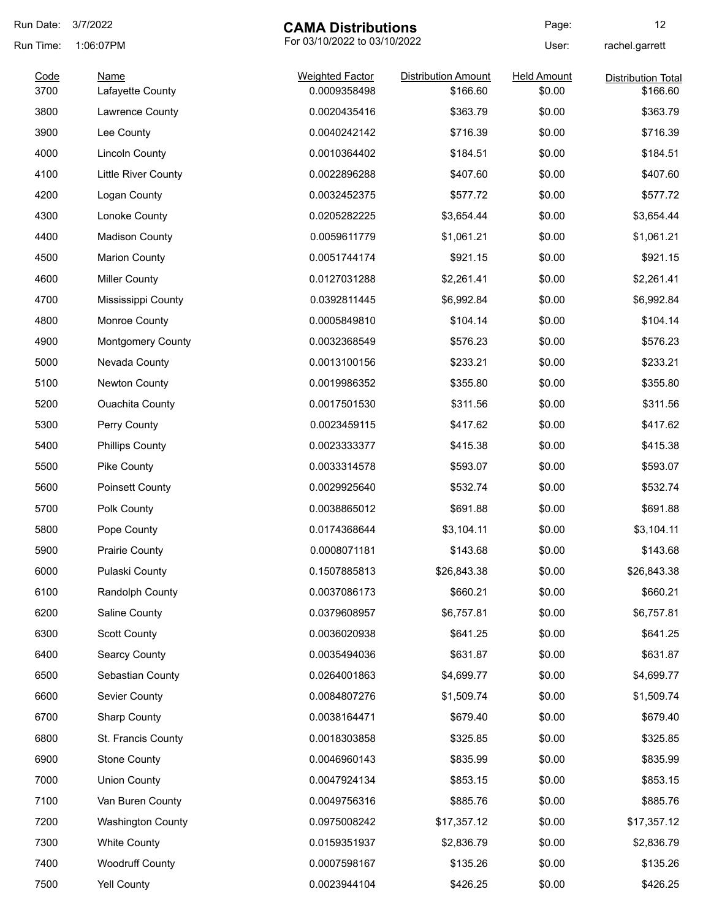| Run Date: | 3/7/2022                   | <b>CAMA Distributions</b>    |                            | Page:              | 12                        |
|-----------|----------------------------|------------------------------|----------------------------|--------------------|---------------------------|
| Run Time: | 1:06:07PM                  | For 03/10/2022 to 03/10/2022 |                            | User:              | rachel.garrett            |
| Code      | Name                       | <b>Weighted Factor</b>       | <b>Distribution Amount</b> | <b>Held Amount</b> | <b>Distribution Total</b> |
| 3700      | Lafayette County           | 0.0009358498                 | \$166.60                   | \$0.00             | \$166.60                  |
| 3800      | Lawrence County            | 0.0020435416                 | \$363.79                   | \$0.00             | \$363.79                  |
| 3900      | Lee County                 | 0.0040242142                 | \$716.39                   | \$0.00             | \$716.39                  |
| 4000      | <b>Lincoln County</b>      | 0.0010364402                 | \$184.51                   | \$0.00             | \$184.51                  |
| 4100      | <b>Little River County</b> | 0.0022896288                 | \$407.60                   | \$0.00             | \$407.60                  |
| 4200      | Logan County               | 0.0032452375                 | \$577.72                   | \$0.00             | \$577.72                  |
| 4300      | Lonoke County              | 0.0205282225                 | \$3,654.44                 | \$0.00             | \$3,654.44                |
| 4400      | <b>Madison County</b>      | 0.0059611779                 | \$1,061.21                 | \$0.00             | \$1,061.21                |
| 4500      | <b>Marion County</b>       | 0.0051744174                 | \$921.15                   | \$0.00             | \$921.15                  |
| 4600      | <b>Miller County</b>       | 0.0127031288                 | \$2,261.41                 | \$0.00             | \$2,261.41                |
| 4700      | Mississippi County         | 0.0392811445                 | \$6,992.84                 | \$0.00             | \$6,992.84                |
| 4800      | Monroe County              | 0.0005849810                 | \$104.14                   | \$0.00             | \$104.14                  |
| 4900      | <b>Montgomery County</b>   | 0.0032368549                 | \$576.23                   | \$0.00             | \$576.23                  |
| 5000      | Nevada County              | 0.0013100156                 | \$233.21                   | \$0.00             | \$233.21                  |
| 5100      | Newton County              | 0.0019986352                 | \$355.80                   | \$0.00             | \$355.80                  |
| 5200      | <b>Ouachita County</b>     | 0.0017501530                 | \$311.56                   | \$0.00             | \$311.56                  |
| 5300      | Perry County               | 0.0023459115                 | \$417.62                   | \$0.00             | \$417.62                  |
| 5400      | <b>Phillips County</b>     | 0.0023333377                 | \$415.38                   | \$0.00             | \$415.38                  |
| 5500      | <b>Pike County</b>         | 0.0033314578                 | \$593.07                   | \$0.00             | \$593.07                  |
| 5600      | <b>Poinsett County</b>     | 0.0029925640                 | \$532.74                   | \$0.00             | \$532.74                  |
| 5700      | Polk County                | 0.0038865012                 | \$691.88                   | \$0.00             | \$691.88                  |
| 5800      | Pope County                | 0.0174368644                 | \$3,104.11                 | \$0.00             | \$3,104.11                |
| 5900      | <b>Prairie County</b>      | 0.0008071181                 | \$143.68                   | \$0.00             | \$143.68                  |
| 6000      | Pulaski County             | 0.1507885813                 | \$26,843.38                | \$0.00             | \$26,843.38               |
| 6100      | Randolph County            | 0.0037086173                 | \$660.21                   | \$0.00             | \$660.21                  |
| 6200      | Saline County              | 0.0379608957                 | \$6,757.81                 | \$0.00             | \$6,757.81                |
| 6300      | <b>Scott County</b>        | 0.0036020938                 | \$641.25                   | \$0.00             | \$641.25                  |
| 6400      | <b>Searcy County</b>       | 0.0035494036                 | \$631.87                   | \$0.00             | \$631.87                  |
| 6500      | Sebastian County           | 0.0264001863                 | \$4,699.77                 | \$0.00             | \$4,699.77                |
| 6600      | Sevier County              | 0.0084807276                 | \$1,509.74                 | \$0.00             | \$1,509.74                |
| 6700      | <b>Sharp County</b>        | 0.0038164471                 | \$679.40                   | \$0.00             | \$679.40                  |
| 6800      | St. Francis County         | 0.0018303858                 | \$325.85                   | \$0.00             | \$325.85                  |
| 6900      | <b>Stone County</b>        | 0.0046960143                 | \$835.99                   | \$0.00             | \$835.99                  |
| 7000      | <b>Union County</b>        | 0.0047924134                 | \$853.15                   | \$0.00             | \$853.15                  |
| 7100      | Van Buren County           | 0.0049756316                 | \$885.76                   | \$0.00             | \$885.76                  |
| 7200      | <b>Washington County</b>   | 0.0975008242                 | \$17,357.12                | \$0.00             | \$17,357.12               |
| 7300      | <b>White County</b>        | 0.0159351937                 | \$2,836.79                 | \$0.00             | \$2,836.79                |
| 7400      | <b>Woodruff County</b>     | 0.0007598167                 | \$135.26                   | \$0.00             | \$135.26                  |
| 7500      | Yell County                | 0.0023944104                 | \$426.25                   | \$0.00             | \$426.25                  |
|           |                            |                              |                            |                    |                           |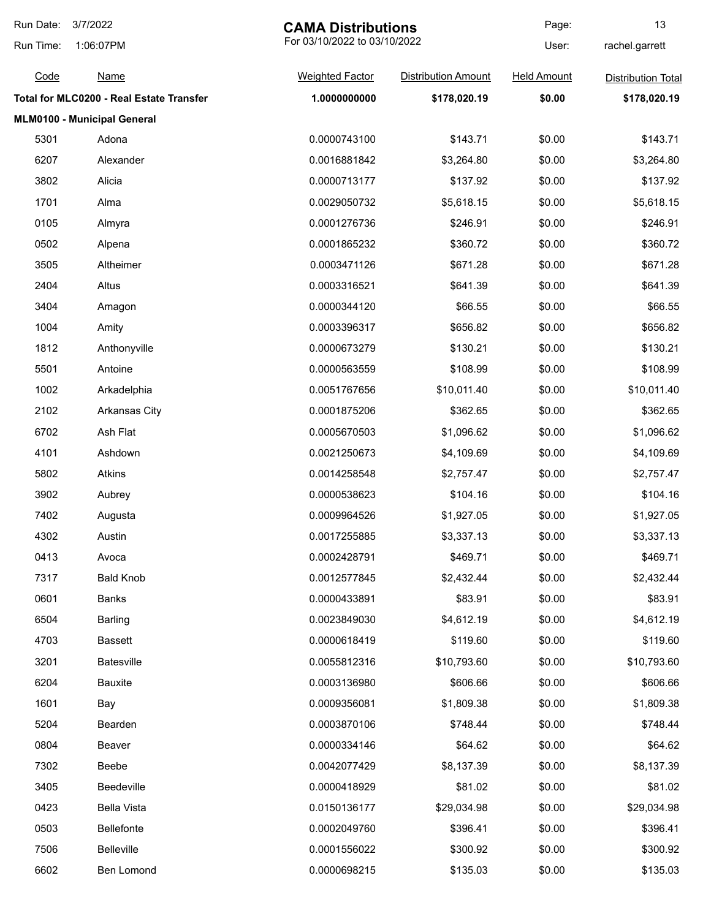| Run Date: | 3/7/2022<br><b>CAMA Distributions</b>    |                              | Page:                      | 13                 |                           |
|-----------|------------------------------------------|------------------------------|----------------------------|--------------------|---------------------------|
| Run Time: | 1:06:07PM                                | For 03/10/2022 to 03/10/2022 |                            | User:              | rachel.garrett            |
| Code      | <u>Name</u>                              | <b>Weighted Factor</b>       | <b>Distribution Amount</b> | <b>Held Amount</b> | <b>Distribution Total</b> |
|           | Total for MLC0200 - Real Estate Transfer | 1.0000000000                 | \$178,020.19               | \$0.00             | \$178,020.19              |
|           | MLM0100 - Municipal General              |                              |                            |                    |                           |
| 5301      | Adona                                    | 0.0000743100                 | \$143.71                   | \$0.00             | \$143.71                  |
| 6207      | Alexander                                | 0.0016881842                 | \$3,264.80                 | \$0.00             | \$3,264.80                |
| 3802      | Alicia                                   | 0.0000713177                 | \$137.92                   | \$0.00             | \$137.92                  |
| 1701      | Alma                                     | 0.0029050732                 | \$5,618.15                 | \$0.00             | \$5,618.15                |
| 0105      | Almyra                                   | 0.0001276736                 | \$246.91                   | \$0.00             | \$246.91                  |
| 0502      | Alpena                                   | 0.0001865232                 | \$360.72                   | \$0.00             | \$360.72                  |
| 3505      | Altheimer                                | 0.0003471126                 | \$671.28                   | \$0.00             | \$671.28                  |
| 2404      | Altus                                    | 0.0003316521                 | \$641.39                   | \$0.00             | \$641.39                  |
| 3404      | Amagon                                   | 0.0000344120                 | \$66.55                    | \$0.00             | \$66.55                   |
| 1004      | Amity                                    | 0.0003396317                 | \$656.82                   | \$0.00             | \$656.82                  |
| 1812      | Anthonyville                             | 0.0000673279                 | \$130.21                   | \$0.00             | \$130.21                  |
| 5501      | Antoine                                  | 0.0000563559                 | \$108.99                   | \$0.00             | \$108.99                  |
| 1002      | Arkadelphia                              | 0.0051767656                 | \$10,011.40                | \$0.00             | \$10,011.40               |
| 2102      | <b>Arkansas City</b>                     | 0.0001875206                 | \$362.65                   | \$0.00             | \$362.65                  |
| 6702      | Ash Flat                                 | 0.0005670503                 | \$1,096.62                 | \$0.00             | \$1,096.62                |
| 4101      | Ashdown                                  | 0.0021250673                 | \$4,109.69                 | \$0.00             | \$4,109.69                |
| 5802      | Atkins                                   | 0.0014258548                 | \$2,757.47                 | \$0.00             | \$2,757.47                |
| 3902      | Aubrey                                   | 0.0000538623                 | \$104.16                   | \$0.00             | \$104.16                  |
| 7402      | Augusta                                  | 0.0009964526                 | \$1,927.05                 | \$0.00             | \$1,927.05                |
| 4302      | Austin                                   | 0.0017255885                 | \$3,337.13                 | \$0.00             | \$3,337.13                |
| 0413      | Avoca                                    | 0.0002428791                 | \$469.71                   | \$0.00             | \$469.71                  |
| 7317      | <b>Bald Knob</b>                         | 0.0012577845                 | \$2,432.44                 | \$0.00             | \$2,432.44                |
| 0601      | Banks                                    | 0.0000433891                 | \$83.91                    | \$0.00             | \$83.91                   |
| 6504      | <b>Barling</b>                           | 0.0023849030                 | \$4,612.19                 | \$0.00             | \$4,612.19                |
| 4703      | <b>Bassett</b>                           | 0.0000618419                 | \$119.60                   | \$0.00             | \$119.60                  |
| 3201      | Batesville                               | 0.0055812316                 | \$10,793.60                | \$0.00             | \$10,793.60               |
| 6204      | <b>Bauxite</b>                           | 0.0003136980                 | \$606.66                   | \$0.00             | \$606.66                  |
| 1601      | Bay                                      | 0.0009356081                 | \$1,809.38                 | \$0.00             | \$1,809.38                |
| 5204      | Bearden                                  | 0.0003870106                 | \$748.44                   | \$0.00             | \$748.44                  |
| 0804      | Beaver                                   | 0.0000334146                 | \$64.62                    | \$0.00             | \$64.62                   |
| 7302      | Beebe                                    | 0.0042077429                 | \$8,137.39                 | \$0.00             | \$8,137.39                |
| 3405      | Beedeville                               | 0.0000418929                 | \$81.02                    | \$0.00             | \$81.02                   |
| 0423      | <b>Bella Vista</b>                       | 0.0150136177                 | \$29,034.98                | \$0.00             | \$29,034.98               |
| 0503      | <b>Bellefonte</b>                        | 0.0002049760                 | \$396.41                   | \$0.00             | \$396.41                  |
| 7506      | <b>Belleville</b>                        | 0.0001556022                 | \$300.92                   | \$0.00             | \$300.92                  |
| 6602      | Ben Lomond                               | 0.0000698215                 | \$135.03                   | \$0.00             | \$135.03                  |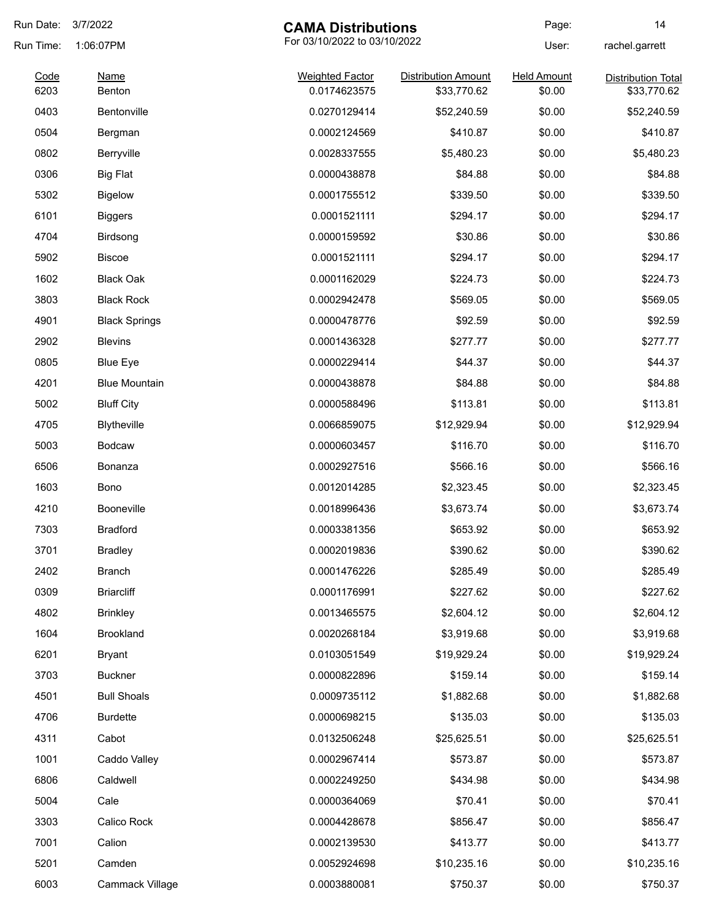| Run Date:    | 3/7/2022             | <b>CAMA Distributions</b>              |                                           | Page:                        | 14                                       |
|--------------|----------------------|----------------------------------------|-------------------------------------------|------------------------------|------------------------------------------|
| Run Time:    | 1:06:07PM            | For 03/10/2022 to 03/10/2022           |                                           | User:                        | rachel.garrett                           |
| Code<br>6203 | Name<br>Benton       | <b>Weighted Factor</b><br>0.0174623575 | <b>Distribution Amount</b><br>\$33,770.62 | <b>Held Amount</b><br>\$0.00 | <b>Distribution Total</b><br>\$33,770.62 |
| 0403         | Bentonville          | 0.0270129414                           | \$52,240.59                               | \$0.00                       | \$52,240.59                              |
| 0504         | Bergman              | 0.0002124569                           | \$410.87                                  | \$0.00                       | \$410.87                                 |
|              |                      |                                        |                                           |                              |                                          |
| 0802         | Berryville           | 0.0028337555                           | \$5,480.23                                | \$0.00                       | \$5,480.23                               |
| 0306         | <b>Big Flat</b>      | 0.0000438878                           | \$84.88                                   | \$0.00                       | \$84.88                                  |
| 5302         | <b>Bigelow</b>       | 0.0001755512                           | \$339.50                                  | \$0.00                       | \$339.50                                 |
| 6101         | <b>Biggers</b>       | 0.0001521111                           | \$294.17                                  | \$0.00                       | \$294.17                                 |
| 4704         | Birdsong             | 0.0000159592                           | \$30.86                                   | \$0.00                       | \$30.86                                  |
| 5902         | <b>Biscoe</b>        | 0.0001521111                           | \$294.17                                  | \$0.00                       | \$294.17                                 |
| 1602         | <b>Black Oak</b>     | 0.0001162029                           | \$224.73                                  | \$0.00                       | \$224.73                                 |
| 3803         | <b>Black Rock</b>    | 0.0002942478                           | \$569.05                                  | \$0.00                       | \$569.05                                 |
| 4901         | <b>Black Springs</b> | 0.0000478776                           | \$92.59                                   | \$0.00                       | \$92.59                                  |
| 2902         | <b>Blevins</b>       | 0.0001436328                           | \$277.77                                  | \$0.00                       | \$277.77                                 |
| 0805         | <b>Blue Eye</b>      | 0.0000229414                           | \$44.37                                   | \$0.00                       | \$44.37                                  |
| 4201         | <b>Blue Mountain</b> | 0.0000438878                           | \$84.88                                   | \$0.00                       | \$84.88                                  |
| 5002         | <b>Bluff City</b>    | 0.0000588496                           | \$113.81                                  | \$0.00                       | \$113.81                                 |
| 4705         | Blytheville          | 0.0066859075                           | \$12,929.94                               | \$0.00                       | \$12,929.94                              |
| 5003         | <b>Bodcaw</b>        | 0.0000603457                           | \$116.70                                  | \$0.00                       | \$116.70                                 |
| 6506         | Bonanza              | 0.0002927516                           | \$566.16                                  | \$0.00                       | \$566.16                                 |
| 1603         | Bono                 | 0.0012014285                           | \$2,323.45                                | \$0.00                       | \$2,323.45                               |
| 4210         | Booneville           | 0.0018996436                           | \$3,673.74                                | \$0.00                       | \$3,673.74                               |
| 7303         | <b>Bradford</b>      | 0.0003381356                           | \$653.92                                  | \$0.00                       | \$653.92                                 |
| 3701         | <b>Bradley</b>       | 0.0002019836                           | \$390.62                                  | \$0.00                       | \$390.62                                 |
| 2402         | <b>Branch</b>        | 0.0001476226                           | \$285.49                                  | \$0.00                       | \$285.49                                 |
| 0309         | <b>Briarcliff</b>    | 0.0001176991                           | \$227.62                                  | \$0.00                       | \$227.62                                 |
| 4802         | <b>Brinkley</b>      | 0.0013465575                           | \$2,604.12                                | \$0.00                       | \$2,604.12                               |
| 1604         | Brookland            | 0.0020268184                           | \$3,919.68                                | \$0.00                       | \$3,919.68                               |
| 6201         | <b>Bryant</b>        | 0.0103051549                           | \$19,929.24                               | \$0.00                       | \$19,929.24                              |
| 3703         | <b>Buckner</b>       | 0.0000822896                           | \$159.14                                  | \$0.00                       | \$159.14                                 |
| 4501         | <b>Bull Shoals</b>   | 0.0009735112                           | \$1,882.68                                | \$0.00                       | \$1,882.68                               |
| 4706         | <b>Burdette</b>      | 0.0000698215                           | \$135.03                                  | \$0.00                       | \$135.03                                 |
| 4311         | Cabot                | 0.0132506248                           | \$25,625.51                               | \$0.00                       | \$25,625.51                              |
| 1001         | Caddo Valley         | 0.0002967414                           | \$573.87                                  | \$0.00                       | \$573.87                                 |
| 6806         | Caldwell             | 0.0002249250                           | \$434.98                                  | \$0.00                       | \$434.98                                 |
| 5004         | Cale                 | 0.0000364069                           | \$70.41                                   | \$0.00                       | \$70.41                                  |
| 3303         | Calico Rock          | 0.0004428678                           | \$856.47                                  | \$0.00                       | \$856.47                                 |
| 7001         | Calion               | 0.0002139530                           | \$413.77                                  | \$0.00                       | \$413.77                                 |
| 5201         | Camden               | 0.0052924698                           | \$10,235.16                               | \$0.00                       | \$10,235.16                              |
| 6003         |                      | 0.0003880081                           |                                           | \$0.00                       | \$750.37                                 |
|              | Cammack Village      |                                        | \$750.37                                  |                              |                                          |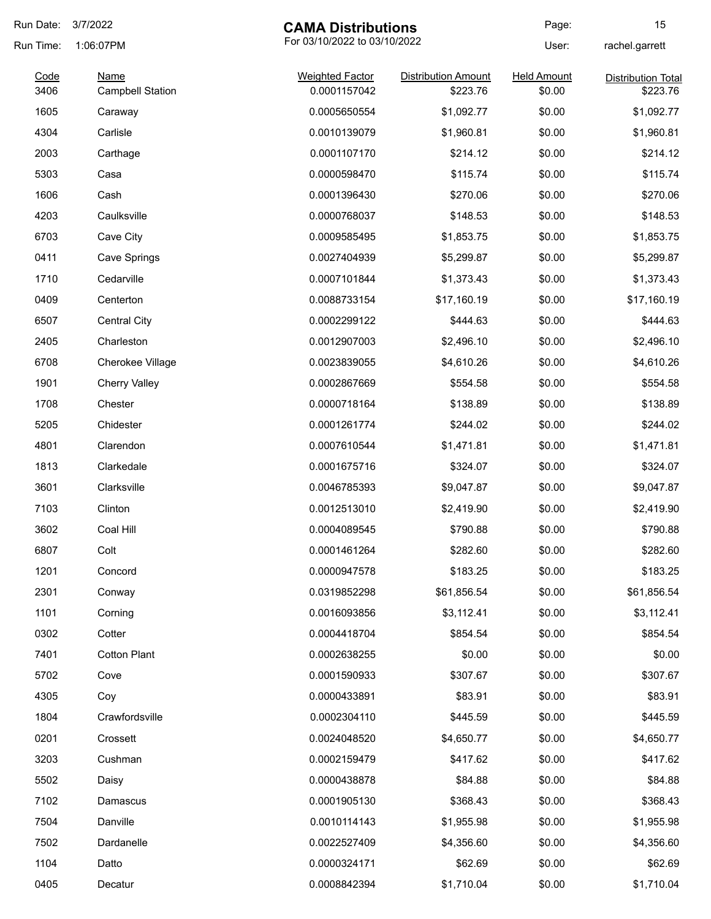| Run Date:    | 3/7/2022                               | <b>CAMA Distributions</b>              |                                        | Page:                        | 15                                    |
|--------------|----------------------------------------|----------------------------------------|----------------------------------------|------------------------------|---------------------------------------|
| Run Time:    | 1:06:07PM                              | For 03/10/2022 to 03/10/2022           |                                        | User:                        | rachel.garrett                        |
| Code<br>3406 | <b>Name</b><br><b>Campbell Station</b> | <b>Weighted Factor</b><br>0.0001157042 | <b>Distribution Amount</b><br>\$223.76 | <b>Held Amount</b><br>\$0.00 | <b>Distribution Total</b><br>\$223.76 |
| 1605         | Caraway                                | 0.0005650554                           | \$1,092.77                             | \$0.00                       | \$1,092.77                            |
| 4304         | Carlisle                               | 0.0010139079                           | \$1,960.81                             | \$0.00                       | \$1,960.81                            |
| 2003         | Carthage                               | 0.0001107170                           | \$214.12                               | \$0.00                       | \$214.12                              |
| 5303         | Casa                                   | 0.0000598470                           | \$115.74                               | \$0.00                       | \$115.74                              |
| 1606         | Cash                                   | 0.0001396430                           | \$270.06                               | \$0.00                       | \$270.06                              |
| 4203         | Caulksville                            | 0.0000768037                           | \$148.53                               | \$0.00                       | \$148.53                              |
| 6703         | Cave City                              | 0.0009585495                           | \$1,853.75                             | \$0.00                       | \$1,853.75                            |
| 0411         | Cave Springs                           | 0.0027404939                           | \$5,299.87                             | \$0.00                       | \$5,299.87                            |
| 1710         | Cedarville                             | 0.0007101844                           | \$1,373.43                             | \$0.00                       | \$1,373.43                            |
| 0409         | Centerton                              | 0.0088733154                           | \$17,160.19                            | \$0.00                       | \$17,160.19                           |
| 6507         | <b>Central City</b>                    | 0.0002299122                           | \$444.63                               | \$0.00                       | \$444.63                              |
| 2405         | Charleston                             | 0.0012907003                           | \$2,496.10                             | \$0.00                       | \$2,496.10                            |
| 6708         | Cherokee Village                       | 0.0023839055                           | \$4,610.26                             | \$0.00                       | \$4,610.26                            |
| 1901         | <b>Cherry Valley</b>                   | 0.0002867669                           | \$554.58                               | \$0.00                       | \$554.58                              |
| 1708         | Chester                                | 0.0000718164                           | \$138.89                               | \$0.00                       | \$138.89                              |
| 5205         | Chidester                              | 0.0001261774                           | \$244.02                               | \$0.00                       | \$244.02                              |
| 4801         | Clarendon                              | 0.0007610544                           | \$1,471.81                             | \$0.00                       | \$1,471.81                            |
| 1813         | Clarkedale                             | 0.0001675716                           | \$324.07                               | \$0.00                       | \$324.07                              |
| 3601         | Clarksville                            | 0.0046785393                           | \$9,047.87                             | \$0.00                       | \$9,047.87                            |
| 7103         | Clinton                                | 0.0012513010                           | \$2,419.90                             | \$0.00                       | \$2,419.90                            |
| 3602         | Coal Hill                              | 0.0004089545                           | \$790.88                               | \$0.00                       | \$790.88                              |
| 6807         | Colt                                   | 0.0001461264                           | \$282.60                               | \$0.00                       | \$282.60                              |
| 1201         | Concord                                | 0.0000947578                           | \$183.25                               | \$0.00                       | \$183.25                              |
| 2301         | Conway                                 | 0.0319852298                           | \$61,856.54                            | \$0.00                       | \$61,856.54                           |
| 1101         | Corning                                | 0.0016093856                           | \$3,112.41                             | \$0.00                       | \$3,112.41                            |
| 0302         | Cotter                                 | 0.0004418704                           | \$854.54                               | \$0.00                       | \$854.54                              |
| 7401         | <b>Cotton Plant</b>                    | 0.0002638255                           | \$0.00                                 | \$0.00                       | \$0.00                                |
| 5702         | Cove                                   | 0.0001590933                           | \$307.67                               | \$0.00                       | \$307.67                              |
| 4305         | Coy                                    | 0.0000433891                           | \$83.91                                | \$0.00                       | \$83.91                               |
| 1804         | Crawfordsville                         | 0.0002304110                           | \$445.59                               | \$0.00                       | \$445.59                              |
| 0201         | Crossett                               | 0.0024048520                           | \$4,650.77                             | \$0.00                       | \$4,650.77                            |
| 3203         | Cushman                                | 0.0002159479                           | \$417.62                               | \$0.00                       | \$417.62                              |
| 5502         | Daisy                                  | 0.0000438878                           | \$84.88                                | \$0.00                       | \$84.88                               |
| 7102         | Damascus                               | 0.0001905130                           | \$368.43                               | \$0.00                       | \$368.43                              |
| 7504         | Danville                               | 0.0010114143                           | \$1,955.98                             | \$0.00                       | \$1,955.98                            |
| 7502         | Dardanelle                             | 0.0022527409                           | \$4,356.60                             | \$0.00                       | \$4,356.60                            |
| 1104         | Datto                                  | 0.0000324171                           | \$62.69                                | \$0.00                       | \$62.69                               |
| 0405         | Decatur                                | 0.0008842394                           | \$1,710.04                             | \$0.00                       | \$1,710.04                            |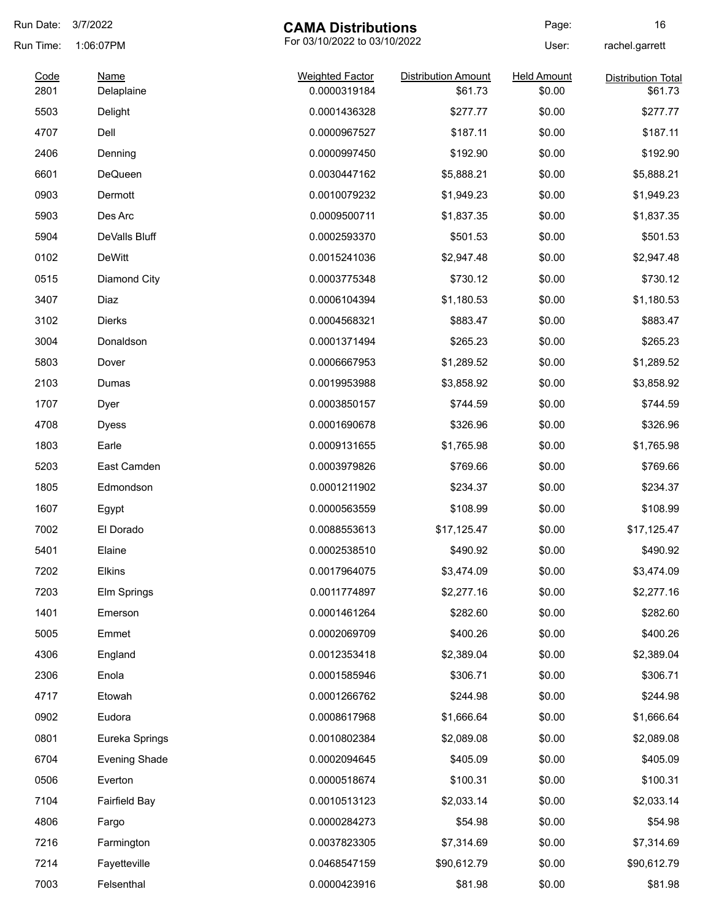| Run Date:    | 3/7/2022                  | <b>CAMA Distributions</b>              |                                       | Page:                        | 16                                   |
|--------------|---------------------------|----------------------------------------|---------------------------------------|------------------------------|--------------------------------------|
| Run Time:    | 1:06:07PM                 | For 03/10/2022 to 03/10/2022           |                                       | User:                        | rachel.garrett                       |
| Code<br>2801 | <b>Name</b><br>Delaplaine | <b>Weighted Factor</b><br>0.0000319184 | <b>Distribution Amount</b><br>\$61.73 | <b>Held Amount</b><br>\$0.00 | <b>Distribution Total</b><br>\$61.73 |
| 5503         | Delight                   | 0.0001436328                           | \$277.77                              | \$0.00                       | \$277.77                             |
| 4707         | Dell                      | 0.0000967527                           | \$187.11                              | \$0.00                       | \$187.11                             |
| 2406         | Denning                   | 0.0000997450                           | \$192.90                              | \$0.00                       | \$192.90                             |
| 6601         | <b>DeQueen</b>            | 0.0030447162                           | \$5,888.21                            | \$0.00                       | \$5,888.21                           |
| 0903         | Dermott                   | 0.0010079232                           | \$1,949.23                            | \$0.00                       | \$1,949.23                           |
| 5903         | Des Arc                   | 0.0009500711                           | \$1,837.35                            | \$0.00                       | \$1,837.35                           |
| 5904         | DeValls Bluff             | 0.0002593370                           | \$501.53                              | \$0.00                       | \$501.53                             |
| 0102         | <b>DeWitt</b>             | 0.0015241036                           | \$2,947.48                            | \$0.00                       | \$2,947.48                           |
| 0515         | Diamond City              | 0.0003775348                           | \$730.12                              | \$0.00                       | \$730.12                             |
| 3407         | Diaz                      | 0.0006104394                           | \$1,180.53                            | \$0.00                       | \$1,180.53                           |
| 3102         | Dierks                    | 0.0004568321                           | \$883.47                              | \$0.00                       | \$883.47                             |
| 3004         | Donaldson                 | 0.0001371494                           | \$265.23                              | \$0.00                       | \$265.23                             |
| 5803         | Dover                     | 0.0006667953                           | \$1,289.52                            | \$0.00                       | \$1,289.52                           |
| 2103         | Dumas                     | 0.0019953988                           | \$3,858.92                            | \$0.00                       | \$3,858.92                           |
| 1707         | Dyer                      | 0.0003850157                           | \$744.59                              | \$0.00                       | \$744.59                             |
| 4708         | <b>Dyess</b>              | 0.0001690678                           | \$326.96                              | \$0.00                       | \$326.96                             |
| 1803         | Earle                     | 0.0009131655                           | \$1,765.98                            | \$0.00                       | \$1,765.98                           |
| 5203         | East Camden               | 0.0003979826                           | \$769.66                              | \$0.00                       | \$769.66                             |
| 1805         | Edmondson                 | 0.0001211902                           | \$234.37                              | \$0.00                       | \$234.37                             |
| 1607         | Egypt                     | 0.0000563559                           | \$108.99                              | \$0.00                       | \$108.99                             |
| 7002         | El Dorado                 | 0.0088553613                           | \$17,125.47                           | \$0.00                       | \$17,125.47                          |
| 5401         | Elaine                    | 0.0002538510                           | \$490.92                              | \$0.00                       | \$490.92                             |
| 7202         | Elkins                    | 0.0017964075                           | \$3,474.09                            | \$0.00                       | \$3,474.09                           |
| 7203         | Elm Springs               | 0.0011774897                           | \$2,277.16                            | \$0.00                       | \$2,277.16                           |
| 1401         | Emerson                   | 0.0001461264                           | \$282.60                              | \$0.00                       | \$282.60                             |
| 5005         | Emmet                     | 0.0002069709                           | \$400.26                              | \$0.00                       | \$400.26                             |
| 4306         | England                   | 0.0012353418                           | \$2,389.04                            | \$0.00                       | \$2,389.04                           |
| 2306         | Enola                     | 0.0001585946                           | \$306.71                              | \$0.00                       | \$306.71                             |
| 4717         | Etowah                    | 0.0001266762                           | \$244.98                              | \$0.00                       | \$244.98                             |
| 0902         | Eudora                    | 0.0008617968                           | \$1,666.64                            | \$0.00                       | \$1,666.64                           |
| 0801         | Eureka Springs            | 0.0010802384                           | \$2,089.08                            | \$0.00                       | \$2,089.08                           |
| 6704         | <b>Evening Shade</b>      | 0.0002094645                           | \$405.09                              | \$0.00                       | \$405.09                             |
| 0506         | Everton                   | 0.0000518674                           | \$100.31                              | \$0.00                       | \$100.31                             |
| 7104         | <b>Fairfield Bay</b>      | 0.0010513123                           | \$2,033.14                            | \$0.00                       | \$2,033.14                           |
| 4806         | Fargo                     | 0.0000284273                           | \$54.98                               | \$0.00                       | \$54.98                              |
| 7216         | Farmington                | 0.0037823305                           | \$7,314.69                            | \$0.00                       | \$7,314.69                           |
| 7214         | Fayetteville              | 0.0468547159                           | \$90,612.79                           | \$0.00                       | \$90,612.79                          |
| 7003         | Felsenthal                | 0.0000423916                           | \$81.98                               | \$0.00                       | \$81.98                              |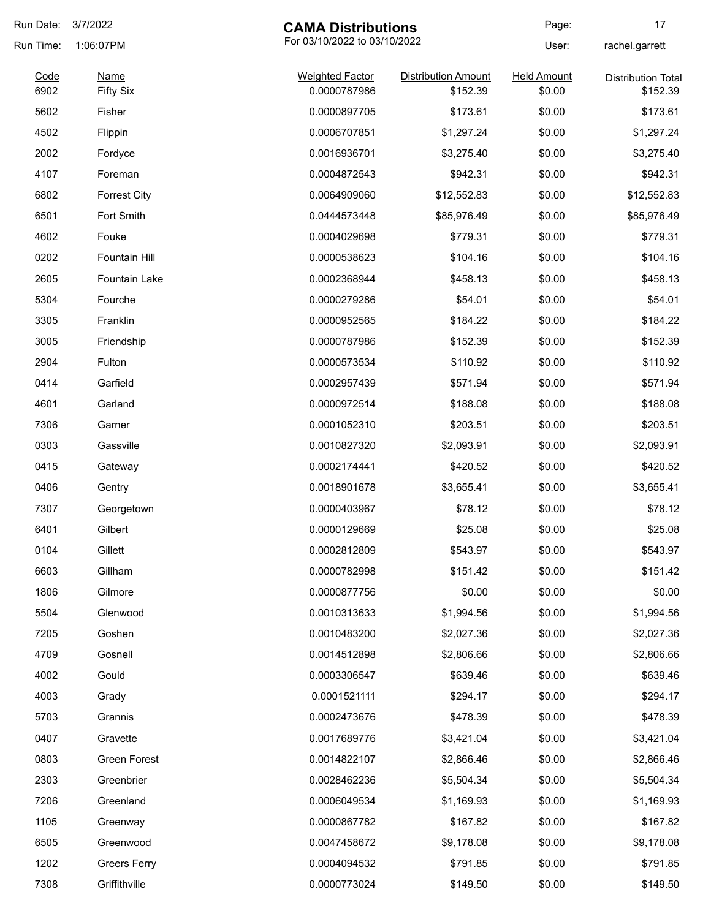| Run Date:    | 3/7/2022                   | <b>CAMA Distributions</b>              |                                        | Page:                        | 17                                    |
|--------------|----------------------------|----------------------------------------|----------------------------------------|------------------------------|---------------------------------------|
| Run Time:    | 1:06:07PM                  | For 03/10/2022 to 03/10/2022           |                                        | User:                        | rachel.garrett                        |
| Code<br>6902 | <b>Name</b>                | <b>Weighted Factor</b><br>0.0000787986 | <b>Distribution Amount</b><br>\$152.39 | <b>Held Amount</b><br>\$0.00 | <b>Distribution Total</b><br>\$152.39 |
|              | <b>Fifty Six</b><br>Fisher |                                        | \$173.61                               |                              | \$173.61                              |
| 5602         |                            | 0.0000897705<br>0.0006707851           |                                        | \$0.00                       |                                       |
| 4502         | Flippin                    |                                        | \$1,297.24                             | \$0.00                       | \$1,297.24                            |
| 2002         | Fordyce                    | 0.0016936701                           | \$3,275.40                             | \$0.00                       | \$3,275.40                            |
| 4107         | Foreman                    | 0.0004872543                           | \$942.31                               | \$0.00                       | \$942.31                              |
| 6802         | <b>Forrest City</b>        | 0.0064909060                           | \$12,552.83                            | \$0.00                       | \$12,552.83                           |
| 6501         | Fort Smith                 | 0.0444573448                           | \$85,976.49                            | \$0.00                       | \$85,976.49                           |
| 4602         | Fouke                      | 0.0004029698                           | \$779.31                               | \$0.00                       | \$779.31                              |
| 0202         | <b>Fountain Hill</b>       | 0.0000538623                           | \$104.16                               | \$0.00                       | \$104.16                              |
| 2605         | Fountain Lake              | 0.0002368944                           | \$458.13                               | \$0.00                       | \$458.13                              |
| 5304         | Fourche                    | 0.0000279286                           | \$54.01                                | \$0.00                       | \$54.01                               |
| 3305         | Franklin                   | 0.0000952565                           | \$184.22                               | \$0.00                       | \$184.22                              |
| 3005         | Friendship                 | 0.0000787986                           | \$152.39                               | \$0.00                       | \$152.39                              |
| 2904         | Fulton                     | 0.0000573534                           | \$110.92                               | \$0.00                       | \$110.92                              |
| 0414         | Garfield                   | 0.0002957439                           | \$571.94                               | \$0.00                       | \$571.94                              |
| 4601         | Garland                    | 0.0000972514                           | \$188.08                               | \$0.00                       | \$188.08                              |
| 7306         | Garner                     | 0.0001052310                           | \$203.51                               | \$0.00                       | \$203.51                              |
| 0303         | Gassville                  | 0.0010827320                           | \$2,093.91                             | \$0.00                       | \$2,093.91                            |
| 0415         | Gateway                    | 0.0002174441                           | \$420.52                               | \$0.00                       | \$420.52                              |
| 0406         | Gentry                     | 0.0018901678                           | \$3,655.41                             | \$0.00                       | \$3,655.41                            |
| 7307         | Georgetown                 | 0.0000403967                           | \$78.12                                | \$0.00                       | \$78.12                               |
| 6401         | Gilbert                    | 0.0000129669                           | \$25.08                                | \$0.00                       | \$25.08                               |
| 0104         | Gillett                    | 0.0002812809                           | \$543.97                               | \$0.00                       | \$543.97                              |
| 6603         | Gillham                    | 0.0000782998                           | \$151.42                               | \$0.00                       | \$151.42                              |
| 1806         | Gilmore                    | 0.0000877756                           | \$0.00                                 | \$0.00                       | \$0.00                                |
| 5504         | Glenwood                   | 0.0010313633                           | \$1,994.56                             | \$0.00                       | \$1,994.56                            |
| 7205         | Goshen                     | 0.0010483200                           | \$2,027.36                             | \$0.00                       | \$2,027.36                            |
| 4709         | Gosnell                    | 0.0014512898                           | \$2,806.66                             | \$0.00                       | \$2,806.66                            |
| 4002         | Gould                      | 0.0003306547                           | \$639.46                               | \$0.00                       | \$639.46                              |
| 4003         | Grady                      | 0.0001521111                           | \$294.17                               | \$0.00                       | \$294.17                              |
| 5703         | Grannis                    | 0.0002473676                           | \$478.39                               | \$0.00                       | \$478.39                              |
| 0407         | Gravette                   | 0.0017689776                           | \$3,421.04                             | \$0.00                       | \$3,421.04                            |
| 0803         | Green Forest               | 0.0014822107                           | \$2,866.46                             | \$0.00                       | \$2,866.46                            |
| 2303         | Greenbrier                 | 0.0028462236                           | \$5,504.34                             | \$0.00                       | \$5,504.34                            |
| 7206         | Greenland                  | 0.0006049534                           | \$1,169.93                             | \$0.00                       | \$1,169.93                            |
| 1105         | Greenway                   | 0.0000867782                           | \$167.82                               | \$0.00                       | \$167.82                              |
| 6505         | Greenwood                  | 0.0047458672                           | \$9,178.08                             | \$0.00                       | \$9,178.08                            |
| 1202         |                            |                                        | \$791.85                               | \$0.00                       | \$791.85                              |
|              | <b>Greers Ferry</b>        | 0.0004094532                           |                                        |                              |                                       |
| 7308         | Griffithville              | 0.0000773024                           | \$149.50                               | \$0.00                       | \$149.50                              |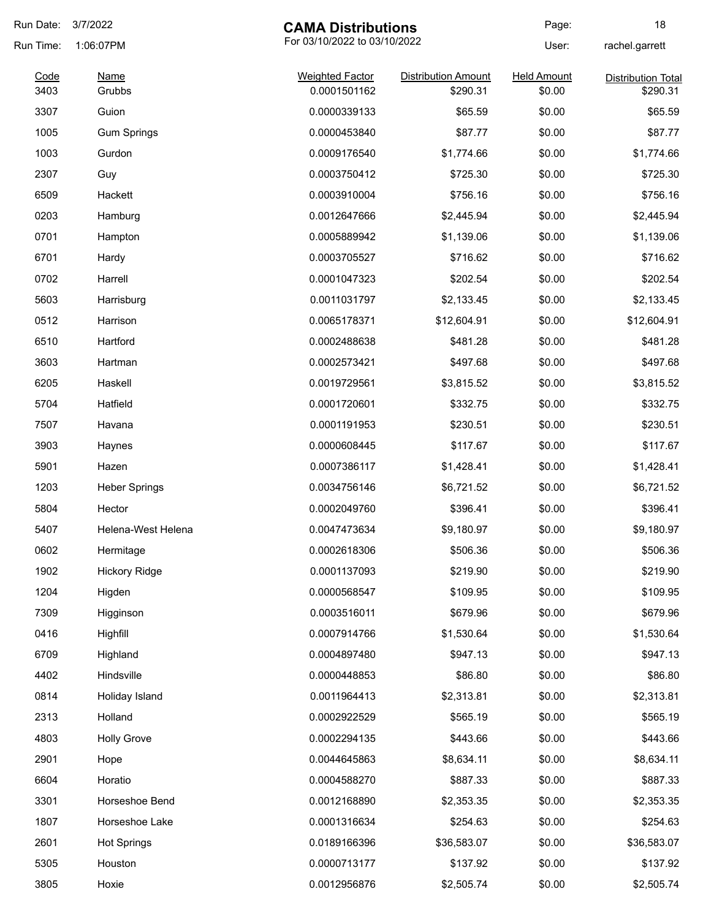| Run Date: | 3/7/2022                                  | <b>CAMA Distributions</b> |                            | Page:              | 18                        |
|-----------|-------------------------------------------|---------------------------|----------------------------|--------------------|---------------------------|
| Run Time: | For 03/10/2022 to 03/10/2022<br>1:06:07PM |                           |                            | User:              | rachel.garrett            |
| Code      | <b>Name</b>                               | <b>Weighted Factor</b>    | <b>Distribution Amount</b> | <b>Held Amount</b> | <b>Distribution Total</b> |
| 3403      | Grubbs                                    | 0.0001501162              | \$290.31                   | \$0.00             | \$290.31                  |
| 3307      | Guion                                     | 0.0000339133              | \$65.59                    | \$0.00             | \$65.59                   |
| 1005      | <b>Gum Springs</b>                        | 0.0000453840              | \$87.77                    | \$0.00             | \$87.77                   |
| 1003      | Gurdon                                    | 0.0009176540              | \$1,774.66                 | \$0.00             | \$1,774.66                |
| 2307      | Guy                                       | 0.0003750412              | \$725.30                   | \$0.00             | \$725.30                  |
| 6509      | Hackett                                   | 0.0003910004              | \$756.16                   | \$0.00             | \$756.16                  |
| 0203      | Hamburg                                   | 0.0012647666              | \$2,445.94                 | \$0.00             | \$2,445.94                |
| 0701      | Hampton                                   | 0.0005889942              | \$1,139.06                 | \$0.00             | \$1,139.06                |
| 6701      | Hardy                                     | 0.0003705527              | \$716.62                   | \$0.00             | \$716.62                  |
| 0702      | Harrell                                   | 0.0001047323              | \$202.54                   | \$0.00             | \$202.54                  |
| 5603      | Harrisburg                                | 0.0011031797              | \$2,133.45                 | \$0.00             | \$2,133.45                |
| 0512      | Harrison                                  | 0.0065178371              | \$12,604.91                | \$0.00             | \$12,604.91               |
| 6510      | Hartford                                  | 0.0002488638              | \$481.28                   | \$0.00             | \$481.28                  |
| 3603      | Hartman                                   | 0.0002573421              | \$497.68                   | \$0.00             | \$497.68                  |
| 6205      | Haskell                                   | 0.0019729561              | \$3,815.52                 | \$0.00             | \$3,815.52                |
| 5704      | Hatfield                                  | 0.0001720601              | \$332.75                   | \$0.00             | \$332.75                  |
| 7507      | Havana                                    | 0.0001191953              | \$230.51                   | \$0.00             | \$230.51                  |
| 3903      | Haynes                                    | 0.0000608445              | \$117.67                   | \$0.00             | \$117.67                  |
| 5901      | Hazen                                     | 0.0007386117              | \$1,428.41                 | \$0.00             | \$1,428.41                |
| 1203      | <b>Heber Springs</b>                      | 0.0034756146              | \$6,721.52                 | \$0.00             | \$6,721.52                |
| 5804      | Hector                                    | 0.0002049760              | \$396.41                   | \$0.00             | \$396.41                  |
| 5407      | Helena-West Helena                        | 0.0047473634              | \$9,180.97                 | \$0.00             | \$9,180.97                |
| 0602      | Hermitage                                 | 0.0002618306              | \$506.36                   | \$0.00             | \$506.36                  |
| 1902      | <b>Hickory Ridge</b>                      | 0.0001137093              | \$219.90                   | \$0.00             | \$219.90                  |
| 1204      | Higden                                    | 0.0000568547              | \$109.95                   | \$0.00             | \$109.95                  |
| 7309      | Higginson                                 | 0.0003516011              | \$679.96                   | \$0.00             | \$679.96                  |
| 0416      | Highfill                                  | 0.0007914766              | \$1,530.64                 | \$0.00             | \$1,530.64                |
| 6709      | Highland                                  | 0.0004897480              | \$947.13                   | \$0.00             | \$947.13                  |
| 4402      | Hindsville                                | 0.0000448853              | \$86.80                    | \$0.00             | \$86.80                   |
| 0814      | Holiday Island                            | 0.0011964413              | \$2,313.81                 | \$0.00             | \$2,313.81                |
| 2313      | Holland                                   | 0.0002922529              | \$565.19                   | \$0.00             | \$565.19                  |
| 4803      | <b>Holly Grove</b>                        | 0.0002294135              | \$443.66                   | \$0.00             | \$443.66                  |
| 2901      | Hope                                      | 0.0044645863              | \$8,634.11                 | \$0.00             | \$8,634.11                |
| 6604      | Horatio                                   | 0.0004588270              | \$887.33                   | \$0.00             | \$887.33                  |
| 3301      | Horseshoe Bend                            | 0.0012168890              | \$2,353.35                 | \$0.00             | \$2,353.35                |
| 1807      | Horseshoe Lake                            | 0.0001316634              | \$254.63                   | \$0.00             | \$254.63                  |
| 2601      | <b>Hot Springs</b>                        | 0.0189166396              | \$36,583.07                | \$0.00             | \$36,583.07               |
| 5305      | Houston                                   | 0.0000713177              | \$137.92                   | \$0.00             | \$137.92                  |
|           |                                           |                           |                            |                    |                           |
| 3805      | Hoxie                                     | 0.0012956876              | \$2,505.74                 | \$0.00             | \$2,505.74                |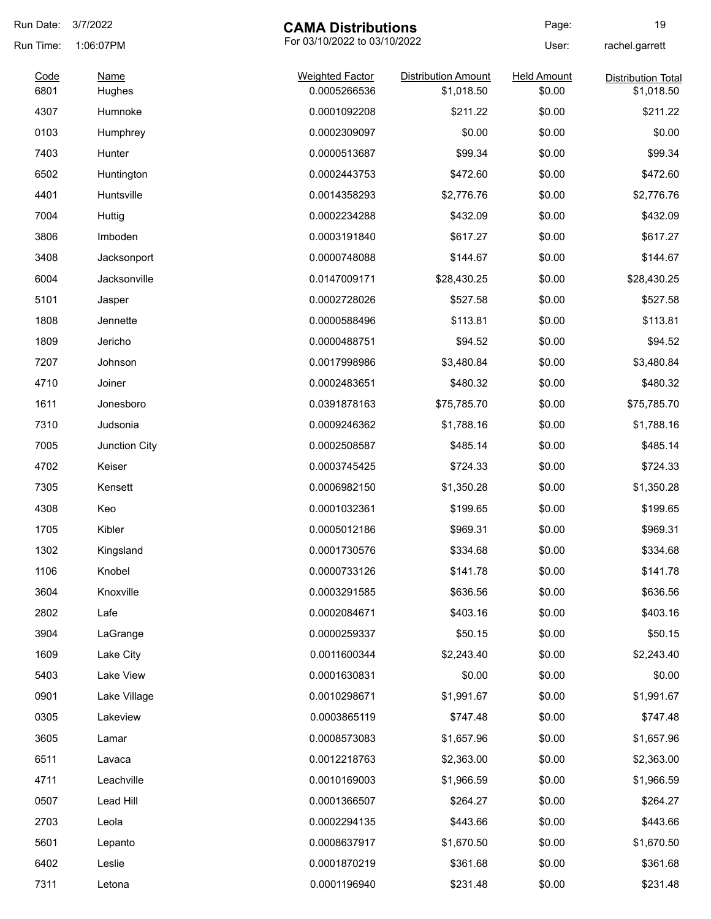| Run Date: | 3/7/2022      | <b>CAMA Distributions</b> |                              | Page:              | 19                        |
|-----------|---------------|---------------------------|------------------------------|--------------------|---------------------------|
| Run Time: | 1:06:07PM     |                           | For 03/10/2022 to 03/10/2022 |                    | rachel.garrett            |
| Code      | <b>Name</b>   | <b>Weighted Factor</b>    | <b>Distribution Amount</b>   | <b>Held Amount</b> | <b>Distribution Total</b> |
| 6801      | Hughes        | 0.0005266536              | \$1,018.50                   | \$0.00             | \$1,018.50                |
| 4307      | Humnoke       | 0.0001092208              | \$211.22                     | \$0.00             | \$211.22                  |
| 0103      | Humphrey      | 0.0002309097              | \$0.00                       | \$0.00             | \$0.00                    |
| 7403      | Hunter        | 0.0000513687              | \$99.34                      | \$0.00             | \$99.34                   |
| 6502      | Huntington    | 0.0002443753              | \$472.60                     | \$0.00             | \$472.60                  |
| 4401      | Huntsville    | 0.0014358293              | \$2,776.76                   | \$0.00             | \$2,776.76                |
| 7004      | Huttig        | 0.0002234288              | \$432.09                     | \$0.00             | \$432.09                  |
| 3806      | Imboden       | 0.0003191840              | \$617.27                     | \$0.00             | \$617.27                  |
| 3408      | Jacksonport   | 0.0000748088              | \$144.67                     | \$0.00             | \$144.67                  |
| 6004      | Jacksonville  | 0.0147009171              | \$28,430.25                  | \$0.00             | \$28,430.25               |
| 5101      | Jasper        | 0.0002728026              | \$527.58                     | \$0.00             | \$527.58                  |
| 1808      | Jennette      | 0.0000588496              | \$113.81                     | \$0.00             | \$113.81                  |
| 1809      | Jericho       | 0.0000488751              | \$94.52                      | \$0.00             | \$94.52                   |
| 7207      | Johnson       | 0.0017998986              | \$3,480.84                   | \$0.00             | \$3,480.84                |
| 4710      | Joiner        | 0.0002483651              | \$480.32                     | \$0.00             | \$480.32                  |
| 1611      | Jonesboro     | 0.0391878163              | \$75,785.70                  | \$0.00             | \$75,785.70               |
| 7310      | Judsonia      | 0.0009246362              | \$1,788.16                   | \$0.00             | \$1,788.16                |
| 7005      | Junction City | 0.0002508587              | \$485.14                     | \$0.00             | \$485.14                  |
| 4702      | Keiser        | 0.0003745425              | \$724.33                     | \$0.00             | \$724.33                  |
| 7305      | Kensett       | 0.0006982150              | \$1,350.28                   | \$0.00             | \$1,350.28                |
| 4308      | Keo           | 0.0001032361              | \$199.65                     | \$0.00             | \$199.65                  |
| 1705      | Kibler        | 0.0005012186              | \$969.31                     | \$0.00             | \$969.31                  |
| 1302      | Kingsland     | 0.0001730576              | \$334.68                     | \$0.00             | \$334.68                  |
| 1106      | Knobel        | 0.0000733126              | \$141.78                     | \$0.00             | \$141.78                  |
| 3604      | Knoxville     | 0.0003291585              | \$636.56                     | \$0.00             | \$636.56                  |
| 2802      | Lafe          | 0.0002084671              | \$403.16                     | \$0.00             | \$403.16                  |
| 3904      | LaGrange      | 0.0000259337              | \$50.15                      | \$0.00             | \$50.15                   |
| 1609      | Lake City     | 0.0011600344              | \$2,243.40                   | \$0.00             | \$2,243.40                |
| 5403      | Lake View     | 0.0001630831              | \$0.00                       | \$0.00             | \$0.00                    |
| 0901      | Lake Village  | 0.0010298671              | \$1,991.67                   | \$0.00             | \$1,991.67                |
| 0305      | Lakeview      | 0.0003865119              | \$747.48                     | \$0.00             | \$747.48                  |
| 3605      | Lamar         | 0.0008573083              | \$1,657.96                   | \$0.00             | \$1,657.96                |
| 6511      | Lavaca        | 0.0012218763              | \$2,363.00                   | \$0.00             | \$2,363.00                |
| 4711      | Leachville    | 0.0010169003              | \$1,966.59                   | \$0.00             | \$1,966.59                |
|           |               |                           |                              |                    |                           |
| 0507      | Lead Hill     | 0.0001366507              | \$264.27                     | \$0.00             | \$264.27                  |
| 2703      | Leola         | 0.0002294135              | \$443.66                     | \$0.00             | \$443.66                  |
| 5601      | Lepanto       | 0.0008637917              | \$1,670.50                   | \$0.00             | \$1,670.50                |
| 6402      | Leslie        | 0.0001870219              | \$361.68                     | \$0.00             | \$361.68                  |
| 7311      | Letona        | 0.0001196940              | \$231.48                     | \$0.00             | \$231.48                  |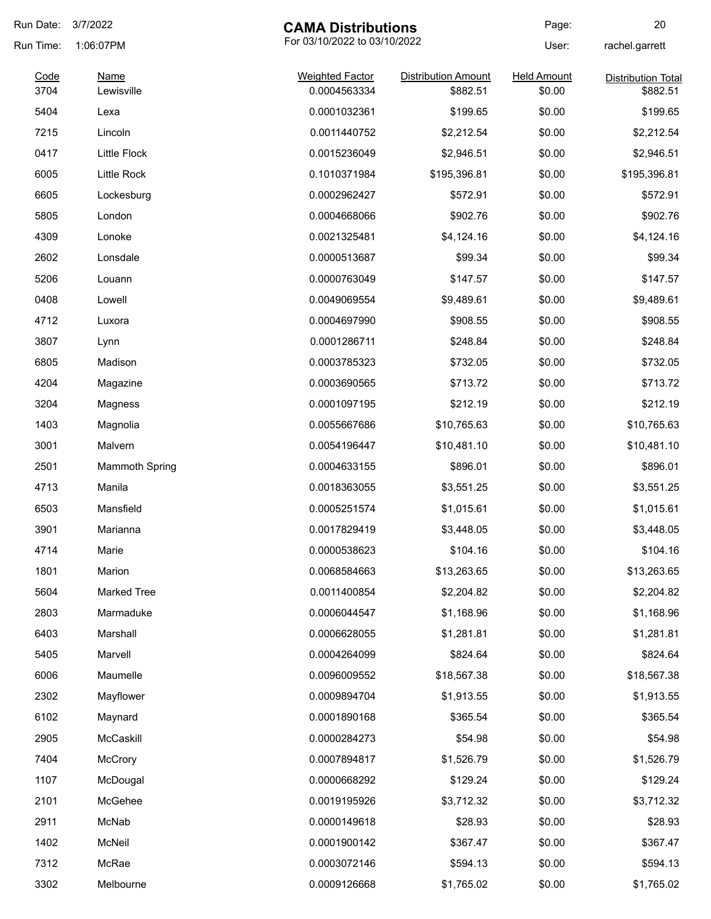| Run Date:    | 3/7/2022                  | <b>CAMA Distributions</b>              |                                        | Page:                        | 20                                    |
|--------------|---------------------------|----------------------------------------|----------------------------------------|------------------------------|---------------------------------------|
| Run Time:    | 1:06:07PM                 | For 03/10/2022 to 03/10/2022           |                                        | User:                        | rachel.garrett                        |
| Code<br>3704 | <b>Name</b><br>Lewisville | <b>Weighted Factor</b><br>0.0004563334 | <b>Distribution Amount</b><br>\$882.51 | <b>Held Amount</b><br>\$0.00 | <b>Distribution Total</b><br>\$882.51 |
| 5404         | Lexa                      | 0.0001032361                           | \$199.65                               | \$0.00                       | \$199.65                              |
| 7215         | Lincoln                   | 0.0011440752                           | \$2,212.54                             | \$0.00                       | \$2,212.54                            |
| 0417         | <b>Little Flock</b>       | 0.0015236049                           | \$2,946.51                             | \$0.00                       | \$2,946.51                            |
| 6005         | Little Rock               | 0.1010371984                           | \$195,396.81                           | \$0.00                       | \$195,396.81                          |
| 6605         | Lockesburg                | 0.0002962427                           | \$572.91                               | \$0.00                       | \$572.91                              |
| 5805         | London                    | 0.0004668066                           | \$902.76                               | \$0.00                       | \$902.76                              |
| 4309         | Lonoke                    | 0.0021325481                           | \$4,124.16                             | \$0.00                       | \$4,124.16                            |
| 2602         | Lonsdale                  | 0.0000513687                           | \$99.34                                | \$0.00                       | \$99.34                               |
| 5206         | Louann                    | 0.0000763049                           | \$147.57                               | \$0.00                       | \$147.57                              |
| 0408         | Lowell                    | 0.0049069554                           | \$9,489.61                             | \$0.00                       | \$9,489.61                            |
| 4712         | Luxora                    | 0.0004697990                           | \$908.55                               | \$0.00                       | \$908.55                              |
| 3807         | Lynn                      | 0.0001286711                           | \$248.84                               | \$0.00                       | \$248.84                              |
| 6805         | Madison                   | 0.0003785323                           | \$732.05                               | \$0.00                       | \$732.05                              |
| 4204         | Magazine                  | 0.0003690565                           | \$713.72                               | \$0.00                       | \$713.72                              |
| 3204         | Magness                   | 0.0001097195                           | \$212.19                               | \$0.00                       | \$212.19                              |
| 1403         | Magnolia                  | 0.0055667686                           | \$10,765.63                            | \$0.00                       | \$10,765.63                           |
| 3001         | Malvern                   | 0.0054196447                           | \$10,481.10                            | \$0.00                       | \$10,481.10                           |
| 2501         | <b>Mammoth Spring</b>     | 0.0004633155                           | \$896.01                               | \$0.00                       | \$896.01                              |
| 4713         | Manila                    | 0.0018363055                           | \$3,551.25                             | \$0.00                       | \$3,551.25                            |
| 6503         | Mansfield                 | 0.0005251574                           | \$1,015.61                             | \$0.00                       | \$1,015.61                            |
| 3901         | Marianna                  | 0.0017829419                           | \$3,448.05                             | \$0.00                       | \$3,448.05                            |
| 4714         | Marie                     | 0.0000538623                           | \$104.16                               | \$0.00                       | \$104.16                              |
| 1801         | Marion                    | 0.0068584663                           | \$13,263.65                            | \$0.00                       | \$13,263.65                           |
| 5604         | <b>Marked Tree</b>        | 0.0011400854                           | \$2,204.82                             | \$0.00                       | \$2,204.82                            |
| 2803         | Marmaduke                 | 0.0006044547                           | \$1,168.96                             | \$0.00                       | \$1,168.96                            |
| 6403         | Marshall                  | 0.0006628055                           | \$1,281.81                             | \$0.00                       |                                       |
|              |                           |                                        |                                        |                              | \$1,281.81<br>\$824.64                |
| 5405         | Marvell                   | 0.0004264099                           | \$824.64                               | \$0.00                       |                                       |
| 6006         | Maumelle                  | 0.0096009552                           | \$18,567.38                            | \$0.00                       | \$18,567.38                           |
| 2302         | Mayflower                 | 0.0009894704                           | \$1,913.55                             | \$0.00                       | \$1,913.55                            |
| 6102         | Maynard                   | 0.0001890168                           | \$365.54                               | \$0.00                       | \$365.54                              |
| 2905         | McCaskill                 | 0.0000284273                           | \$54.98                                | \$0.00                       | \$54.98                               |
| 7404         | McCrory                   | 0.0007894817                           | \$1,526.79                             | \$0.00                       | \$1,526.79                            |
| 1107         | McDougal                  | 0.0000668292                           | \$129.24                               | \$0.00                       | \$129.24                              |
| 2101         | McGehee                   | 0.0019195926                           | \$3,712.32                             | \$0.00                       | \$3,712.32                            |
| 2911         | McNab                     | 0.0000149618                           | \$28.93                                | \$0.00                       | \$28.93                               |
| 1402         | McNeil                    | 0.0001900142                           | \$367.47                               | \$0.00                       | \$367.47                              |
| 7312         | McRae                     | 0.0003072146                           | \$594.13                               | \$0.00                       | \$594.13                              |
| 3302         | Melbourne                 | 0.0009126668                           | \$1,765.02                             | \$0.00                       | \$1,765.02                            |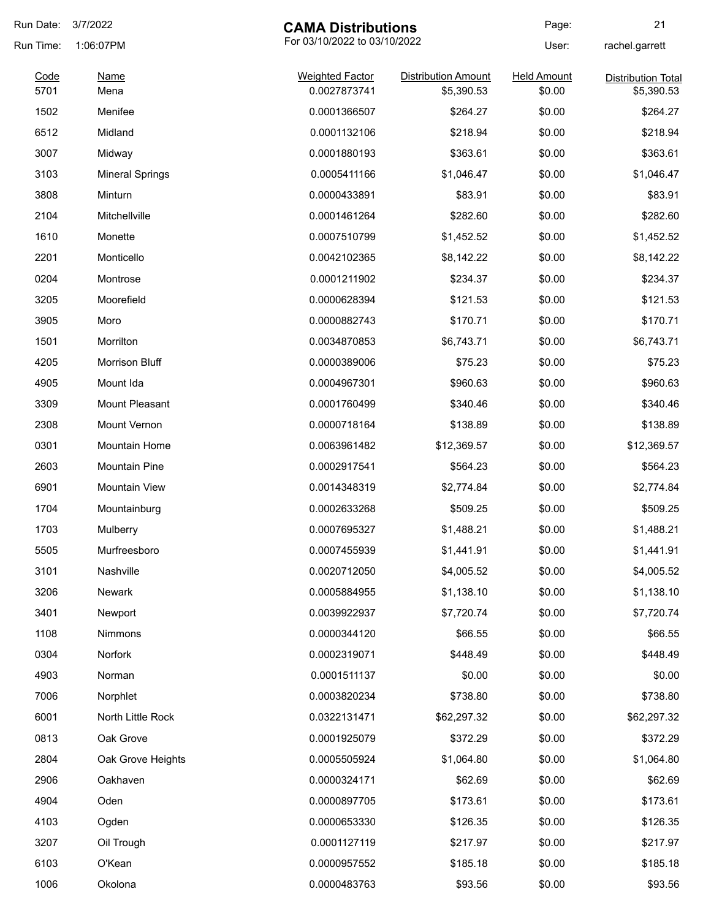| Run Date: | 3/7/2022                                  | <b>CAMA Distributions</b> |                            | Page:              | 21                        |
|-----------|-------------------------------------------|---------------------------|----------------------------|--------------------|---------------------------|
| Run Time: | For 03/10/2022 to 03/10/2022<br>1:06:07PM |                           | User:                      | rachel.garrett     |                           |
| Code      | <b>Name</b>                               | <b>Weighted Factor</b>    | <b>Distribution Amount</b> | <b>Held Amount</b> | <b>Distribution Total</b> |
| 5701      | Mena                                      | 0.0027873741              | \$5,390.53                 | \$0.00             | \$5,390.53                |
| 1502      | Menifee                                   | 0.0001366507              | \$264.27                   | \$0.00             | \$264.27                  |
| 6512      | Midland                                   | 0.0001132106              | \$218.94                   | \$0.00             | \$218.94                  |
| 3007      | Midway                                    | 0.0001880193              | \$363.61                   | \$0.00             | \$363.61                  |
| 3103      | <b>Mineral Springs</b>                    | 0.0005411166              | \$1,046.47                 | \$0.00             | \$1,046.47                |
| 3808      | Minturn                                   | 0.0000433891              | \$83.91                    | \$0.00             | \$83.91                   |
| 2104      | Mitchellville                             | 0.0001461264              | \$282.60                   | \$0.00             | \$282.60                  |
| 1610      | Monette                                   | 0.0007510799              | \$1,452.52                 | \$0.00             | \$1,452.52                |
| 2201      | Monticello                                | 0.0042102365              | \$8,142.22                 | \$0.00             | \$8,142.22                |
| 0204      | Montrose                                  | 0.0001211902              | \$234.37                   | \$0.00             | \$234.37                  |
| 3205      | Moorefield                                | 0.0000628394              | \$121.53                   | \$0.00             | \$121.53                  |
| 3905      | Moro                                      | 0.0000882743              | \$170.71                   | \$0.00             | \$170.71                  |
| 1501      | Morrilton                                 | 0.0034870853              | \$6,743.71                 | \$0.00             | \$6,743.71                |
| 4205      | Morrison Bluff                            | 0.0000389006              | \$75.23                    | \$0.00             | \$75.23                   |
| 4905      | Mount Ida                                 | 0.0004967301              | \$960.63                   | \$0.00             | \$960.63                  |
| 3309      | Mount Pleasant                            | 0.0001760499              | \$340.46                   | \$0.00             | \$340.46                  |
| 2308      | Mount Vernon                              | 0.0000718164              | \$138.89                   | \$0.00             | \$138.89                  |
| 0301      | Mountain Home                             | 0.0063961482              | \$12,369.57                | \$0.00             | \$12,369.57               |
| 2603      | <b>Mountain Pine</b>                      | 0.0002917541              | \$564.23                   | \$0.00             | \$564.23                  |
| 6901      | <b>Mountain View</b>                      | 0.0014348319              | \$2,774.84                 | \$0.00             | \$2,774.84                |
| 1704      | Mountainburg                              | 0.0002633268              | \$509.25                   | \$0.00             | \$509.25                  |
| 1703      | Mulberry                                  | 0.0007695327              | \$1,488.21                 | \$0.00             | \$1,488.21                |
| 5505      | Murfreesboro                              | 0.0007455939              | \$1,441.91                 | \$0.00             | \$1,441.91                |
| 3101      | Nashville                                 | 0.0020712050              | \$4,005.52                 | \$0.00             | \$4,005.52                |
| 3206      | Newark                                    | 0.0005884955              | \$1,138.10                 | \$0.00             | \$1,138.10                |
| 3401      | Newport                                   | 0.0039922937              | \$7,720.74                 | \$0.00             | \$7,720.74                |
| 1108      | Nimmons                                   | 0.0000344120              | \$66.55                    | \$0.00             | \$66.55                   |
| 0304      | <b>Norfork</b>                            | 0.0002319071              | \$448.49                   | \$0.00             | \$448.49                  |
| 4903      | Norman                                    | 0.0001511137              | \$0.00                     | \$0.00             | \$0.00                    |
| 7006      | Norphlet                                  | 0.0003820234              | \$738.80                   | \$0.00             | \$738.80                  |
| 6001      | North Little Rock                         | 0.0322131471              | \$62,297.32                | \$0.00             | \$62,297.32               |
| 0813      | Oak Grove                                 | 0.0001925079              | \$372.29                   | \$0.00             | \$372.29                  |
| 2804      | Oak Grove Heights                         | 0.0005505924              | \$1,064.80                 | \$0.00             | \$1,064.80                |
|           |                                           |                           |                            |                    |                           |
| 2906      | Oakhaven                                  | 0.0000324171              | \$62.69                    | \$0.00             | \$62.69                   |
| 4904      | Oden                                      | 0.0000897705              | \$173.61                   | \$0.00             | \$173.61                  |
| 4103      | Ogden                                     | 0.0000653330              | \$126.35                   | \$0.00             | \$126.35                  |
| 3207      | Oil Trough                                | 0.0001127119              | \$217.97                   | \$0.00             | \$217.97                  |
| 6103      | O'Kean                                    | 0.0000957552              | \$185.18                   | \$0.00             | \$185.18                  |
| 1006      | Okolona                                   | 0.0000483763              | \$93.56                    | \$0.00             | \$93.56                   |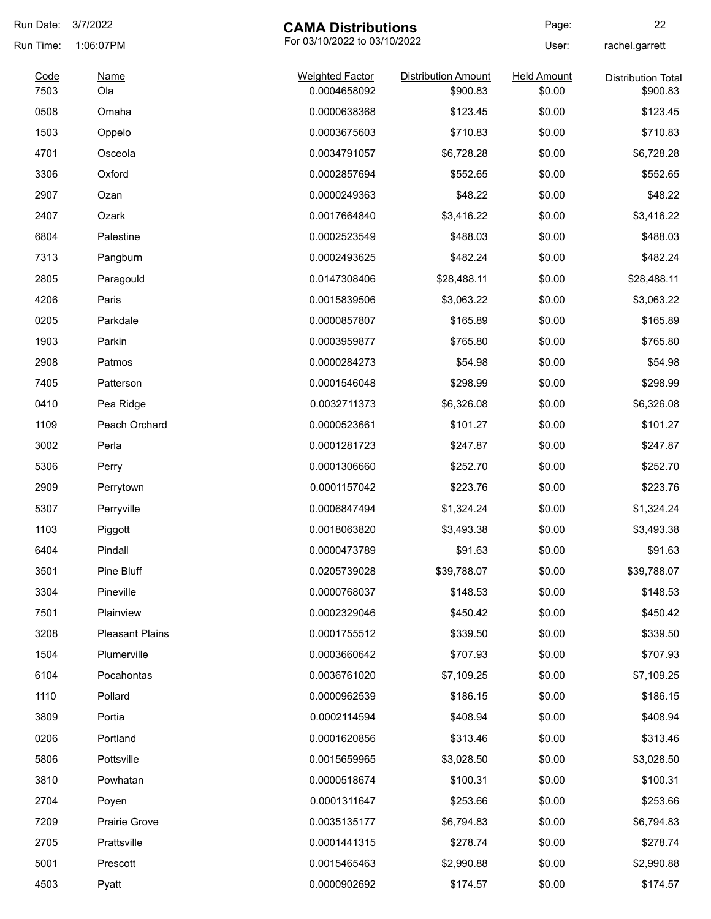| Run Date:    | 3/7/2022<br><b>CAMA Distributions</b> |                                        | Page:                                  | 22                           |                                       |
|--------------|---------------------------------------|----------------------------------------|----------------------------------------|------------------------------|---------------------------------------|
| Run Time:    | 1:06:07PM                             | For 03/10/2022 to 03/10/2022           |                                        | User:                        | rachel.garrett                        |
| Code<br>7503 | <b>Name</b><br>Ola                    | <b>Weighted Factor</b><br>0.0004658092 | <b>Distribution Amount</b><br>\$900.83 | <b>Held Amount</b><br>\$0.00 | <b>Distribution Total</b><br>\$900.83 |
| 0508         | Omaha                                 | 0.0000638368                           | \$123.45                               | \$0.00                       | \$123.45                              |
|              |                                       |                                        |                                        |                              | \$710.83                              |
| 1503         | Oppelo                                | 0.0003675603                           | \$710.83                               | \$0.00                       |                                       |
| 4701         | Osceola                               | 0.0034791057                           | \$6,728.28                             | \$0.00                       | \$6,728.28                            |
| 3306         | Oxford                                | 0.0002857694                           | \$552.65                               | \$0.00                       | \$552.65                              |
| 2907         | Ozan                                  | 0.0000249363                           | \$48.22                                | \$0.00                       | \$48.22                               |
| 2407         | Ozark                                 | 0.0017664840                           | \$3,416.22                             | \$0.00                       | \$3,416.22                            |
| 6804         | Palestine                             | 0.0002523549                           | \$488.03                               | \$0.00                       | \$488.03                              |
| 7313         | Pangburn                              | 0.0002493625                           | \$482.24                               | \$0.00                       | \$482.24                              |
| 2805         | Paragould                             | 0.0147308406                           | \$28,488.11                            | \$0.00                       | \$28,488.11                           |
| 4206         | Paris                                 | 0.0015839506                           | \$3,063.22                             | \$0.00                       | \$3,063.22                            |
| 0205         | Parkdale                              | 0.0000857807                           | \$165.89                               | \$0.00                       | \$165.89                              |
| 1903         | Parkin                                | 0.0003959877                           | \$765.80                               | \$0.00                       | \$765.80                              |
| 2908         | Patmos                                | 0.0000284273                           | \$54.98                                | \$0.00                       | \$54.98                               |
| 7405         | Patterson                             | 0.0001546048                           | \$298.99                               | \$0.00                       | \$298.99                              |
| 0410         | Pea Ridge                             | 0.0032711373                           | \$6,326.08                             | \$0.00                       | \$6,326.08                            |
| 1109         | Peach Orchard                         | 0.0000523661                           | \$101.27                               | \$0.00                       | \$101.27                              |
| 3002         | Perla                                 | 0.0001281723                           | \$247.87                               | \$0.00                       | \$247.87                              |
| 5306         | Perry                                 | 0.0001306660                           | \$252.70                               | \$0.00                       | \$252.70                              |
| 2909         | Perrytown                             | 0.0001157042                           | \$223.76                               | \$0.00                       | \$223.76                              |
| 5307         | Perryville                            | 0.0006847494                           | \$1,324.24                             | \$0.00                       | \$1,324.24                            |
| 1103         | Piggott                               | 0.0018063820                           | \$3,493.38                             | \$0.00                       | \$3,493.38                            |
| 6404         | Pindall                               | 0.0000473789                           | \$91.63                                | \$0.00                       | \$91.63                               |
| 3501         | Pine Bluff                            | 0.0205739028                           | \$39,788.07                            | \$0.00                       | \$39,788.07                           |
| 3304         | Pineville                             | 0.0000768037                           | \$148.53                               | \$0.00                       | \$148.53                              |
| 7501         | Plainview                             | 0.0002329046                           | \$450.42                               | \$0.00                       | \$450.42                              |
| 3208         | <b>Pleasant Plains</b>                | 0.0001755512                           | \$339.50                               | \$0.00                       | \$339.50                              |
| 1504         | Plumerville                           | 0.0003660642                           | \$707.93                               | \$0.00                       | \$707.93                              |
| 6104         | Pocahontas                            | 0.0036761020                           | \$7,109.25                             | \$0.00                       | \$7,109.25                            |
| 1110         | Pollard                               | 0.0000962539                           | \$186.15                               | \$0.00                       | \$186.15                              |
| 3809         | Portia                                | 0.0002114594                           | \$408.94                               | \$0.00                       | \$408.94                              |
| 0206         | Portland                              | 0.0001620856                           | \$313.46                               | \$0.00                       | \$313.46                              |
| 5806         | Pottsville                            | 0.0015659965                           | \$3,028.50                             | \$0.00                       | \$3,028.50                            |
| 3810         | Powhatan                              | 0.0000518674                           | \$100.31                               | \$0.00                       | \$100.31                              |
| 2704         | Poyen                                 | 0.0001311647                           | \$253.66                               | \$0.00                       | \$253.66                              |
| 7209         | Prairie Grove                         | 0.0035135177                           | \$6,794.83                             | \$0.00                       | \$6,794.83                            |
| 2705         | Prattsville                           | 0.0001441315                           | \$278.74                               | \$0.00                       | \$278.74                              |
| 5001         | Prescott                              | 0.0015465463                           | \$2,990.88                             | \$0.00                       | \$2,990.88                            |
|              |                                       |                                        |                                        |                              |                                       |
| 4503         | Pyatt                                 | 0.0000902692                           | \$174.57                               | \$0.00                       | \$174.57                              |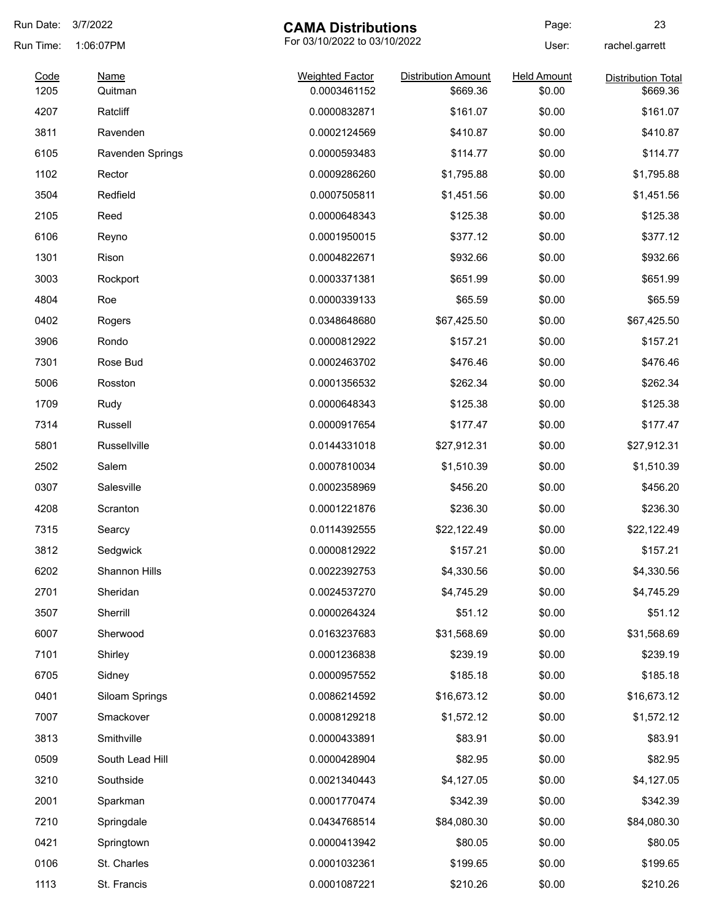| Run Date:    | 3/7/2022               | <b>CAMA Distributions</b>              |                                        | Page:                        | 23                                    |
|--------------|------------------------|----------------------------------------|----------------------------------------|------------------------------|---------------------------------------|
| Run Time:    | 1:06:07PM              | For 03/10/2022 to 03/10/2022           |                                        | User:                        | rachel.garrett                        |
| Code<br>1205 | <b>Name</b><br>Quitman | <b>Weighted Factor</b><br>0.0003461152 | <b>Distribution Amount</b><br>\$669.36 | <b>Held Amount</b><br>\$0.00 | <b>Distribution Total</b><br>\$669.36 |
| 4207         | Ratcliff               | 0.0000832871                           | \$161.07                               | \$0.00                       | \$161.07                              |
| 3811         | Ravenden               | 0.0002124569                           | \$410.87                               | \$0.00                       | \$410.87                              |
| 6105         | Ravenden Springs       | 0.0000593483                           | \$114.77                               | \$0.00                       | \$114.77                              |
| 1102         | Rector                 | 0.0009286260                           | \$1,795.88                             | \$0.00                       | \$1,795.88                            |
| 3504         | Redfield               | 0.0007505811                           | \$1,451.56                             | \$0.00                       | \$1,451.56                            |
| 2105         | Reed                   | 0.0000648343                           | \$125.38                               | \$0.00                       | \$125.38                              |
| 6106         | Reyno                  | 0.0001950015                           | \$377.12                               | \$0.00                       | \$377.12                              |
| 1301         | Rison                  | 0.0004822671                           | \$932.66                               | \$0.00                       | \$932.66                              |
| 3003         | Rockport               | 0.0003371381                           | \$651.99                               | \$0.00                       | \$651.99                              |
| 4804         | Roe                    | 0.0000339133                           | \$65.59                                | \$0.00                       | \$65.59                               |
| 0402         | Rogers                 | 0.0348648680                           | \$67,425.50                            | \$0.00                       | \$67,425.50                           |
| 3906         | Rondo                  | 0.0000812922                           | \$157.21                               | \$0.00                       | \$157.21                              |
| 7301         | Rose Bud               | 0.0002463702                           | \$476.46                               | \$0.00                       | \$476.46                              |
| 5006         | Rosston                | 0.0001356532                           | \$262.34                               | \$0.00                       | \$262.34                              |
| 1709         | Rudy                   | 0.0000648343                           | \$125.38                               | \$0.00                       | \$125.38                              |
| 7314         | Russell                | 0.0000917654                           | \$177.47                               | \$0.00                       | \$177.47                              |
| 5801         | Russellville           | 0.0144331018                           | \$27,912.31                            | \$0.00                       | \$27,912.31                           |
| 2502         | Salem                  | 0.0007810034                           | \$1,510.39                             | \$0.00                       | \$1,510.39                            |
| 0307         | Salesville             | 0.0002358969                           | \$456.20                               | \$0.00                       | \$456.20                              |
| 4208         | Scranton               | 0.0001221876                           | \$236.30                               | \$0.00                       | \$236.30                              |
| 7315         | Searcy                 | 0.0114392555                           | \$22,122.49                            | \$0.00                       | \$22,122.49                           |
| 3812         | Sedgwick               | 0.0000812922                           | \$157.21                               | \$0.00                       | \$157.21                              |
| 6202         | Shannon Hills          | 0.0022392753                           | \$4,330.56                             | \$0.00                       | \$4,330.56                            |
| 2701         | Sheridan               | 0.0024537270                           | \$4,745.29                             | \$0.00                       | \$4,745.29                            |
| 3507         | Sherrill               | 0.0000264324                           | \$51.12                                | \$0.00                       | \$51.12                               |
| 6007         | Sherwood               | 0.0163237683                           | \$31,568.69                            | \$0.00                       | \$31,568.69                           |
| 7101         | Shirley                | 0.0001236838                           | \$239.19                               | \$0.00                       | \$239.19                              |
| 6705         | Sidney                 | 0.0000957552                           | \$185.18                               | \$0.00                       | \$185.18                              |
| 0401         | Siloam Springs         | 0.0086214592                           | \$16,673.12                            | \$0.00                       | \$16,673.12                           |
| 7007         | Smackover              | 0.0008129218                           | \$1,572.12                             | \$0.00                       | \$1,572.12                            |
| 3813         | Smithville             | 0.0000433891                           | \$83.91                                | \$0.00                       | \$83.91                               |
| 0509         | South Lead Hill        | 0.0000428904                           | \$82.95                                | \$0.00                       | \$82.95                               |
| 3210         | Southside              | 0.0021340443                           | \$4,127.05                             | \$0.00                       | \$4,127.05                            |
| 2001         | Sparkman               | 0.0001770474                           | \$342.39                               | \$0.00                       | \$342.39                              |
| 7210         | Springdale             | 0.0434768514                           | \$84,080.30                            | \$0.00                       | \$84,080.30                           |
| 0421         | Springtown             | 0.0000413942                           | \$80.05                                | \$0.00                       | \$80.05                               |
| 0106         | St. Charles            | 0.0001032361                           | \$199.65                               | \$0.00                       | \$199.65                              |
| 1113         | St. Francis            | 0.0001087221                           | \$210.26                               | \$0.00                       | \$210.26                              |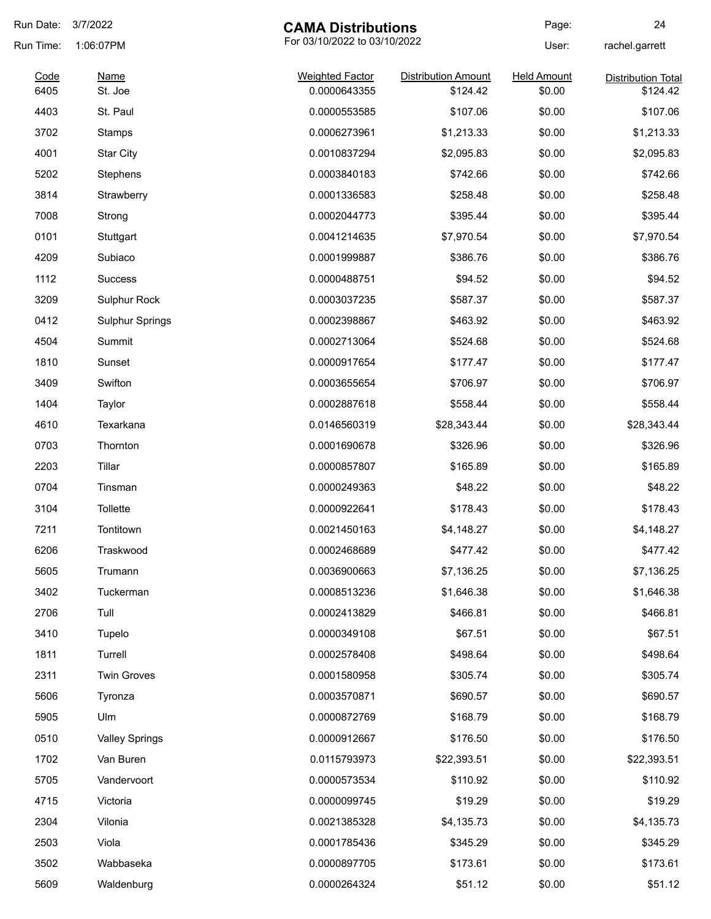| Run Date: | 3/7/2022               | <b>CAMA Distributions</b>    |                            | Page:              | 24                        |
|-----------|------------------------|------------------------------|----------------------------|--------------------|---------------------------|
| Run Time: | 1:06:07PM              | For 03/10/2022 to 03/10/2022 |                            | User:              | rachel.garrett            |
| Code      | <b>Name</b>            | <b>Weighted Factor</b>       | <b>Distribution Amount</b> | <b>Held Amount</b> | <b>Distribution Total</b> |
| 6405      | St. Joe                | 0.0000643355                 | \$124.42                   | \$0.00             | \$124.42                  |
| 4403      | St. Paul               | 0.0000553585                 | \$107.06                   | \$0.00             | \$107.06                  |
| 3702      | Stamps                 | 0.0006273961                 | \$1,213.33                 | \$0.00             | \$1,213.33                |
| 4001      | <b>Star City</b>       | 0.0010837294                 | \$2,095.83                 | \$0.00             | \$2,095.83                |
| 5202      | Stephens               | 0.0003840183                 | \$742.66                   | \$0.00             | \$742.66                  |
| 3814      | Strawberry             | 0.0001336583                 | \$258.48                   | \$0.00             | \$258.48                  |
| 7008      | Strong                 | 0.0002044773                 | \$395.44                   | \$0.00             | \$395.44                  |
| 0101      | Stuttgart              | 0.0041214635                 | \$7,970.54                 | \$0.00             | \$7,970.54                |
| 4209      | Subiaco                | 0.0001999887                 | \$386.76                   | \$0.00             | \$386.76                  |
| 1112      | <b>Success</b>         | 0.0000488751                 | \$94.52                    | \$0.00             | \$94.52                   |
| 3209      | Sulphur Rock           | 0.0003037235                 | \$587.37                   | \$0.00             | \$587.37                  |
| 0412      | <b>Sulphur Springs</b> | 0.0002398867                 | \$463.92                   | \$0.00             | \$463.92                  |
| 4504      | Summit                 | 0.0002713064                 | \$524.68                   | \$0.00             | \$524.68                  |
| 1810      | Sunset                 | 0.0000917654                 | \$177.47                   | \$0.00             | \$177.47                  |
| 3409      | Swifton                | 0.0003655654                 | \$706.97                   | \$0.00             | \$706.97                  |
| 1404      | Taylor                 | 0.0002887618                 | \$558.44                   | \$0.00             | \$558.44                  |
| 4610      | Texarkana              | 0.0146560319                 | \$28,343.44                | \$0.00             | \$28,343.44               |
| 0703      | Thornton               | 0.0001690678                 | \$326.96                   | \$0.00             | \$326.96                  |
| 2203      | Tillar                 | 0.0000857807                 | \$165.89                   | \$0.00             | \$165.89                  |
| 0704      | Tinsman                | 0.0000249363                 | \$48.22                    | \$0.00             | \$48.22                   |
| 3104      | <b>Tollette</b>        | 0.0000922641                 | \$178.43                   | \$0.00             | \$178.43                  |
| 7211      | Tontitown              | 0.0021450163                 | \$4,148.27                 | \$0.00             | \$4,148.27                |
| 6206      | Traskwood              | 0.0002468689                 | \$477.42                   | \$0.00             | \$477.42                  |
| 5605      | Trumann                | 0.0036900663                 | \$7,136.25                 | \$0.00             | \$7,136.25                |
| 3402      | Tuckerman              | 0.0008513236                 | \$1,646.38                 | \$0.00             | \$1,646.38                |
| 2706      | Tull                   | 0.0002413829                 | \$466.81                   | \$0.00             | \$466.81                  |
| 3410      | Tupelo                 | 0.0000349108                 | \$67.51                    | \$0.00             | \$67.51                   |
| 1811      | Turrell                | 0.0002578408                 | \$498.64                   | \$0.00             | \$498.64                  |
| 2311      | <b>Twin Groves</b>     | 0.0001580958                 | \$305.74                   | \$0.00             | \$305.74                  |
| 5606      | Tyronza                | 0.0003570871                 | \$690.57                   | \$0.00             | \$690.57                  |
| 5905      | Ulm                    | 0.0000872769                 | \$168.79                   | \$0.00             | \$168.79                  |
| 0510      | <b>Valley Springs</b>  | 0.0000912667                 | \$176.50                   | \$0.00             | \$176.50                  |
| 1702      | Van Buren              | 0.0115793973                 | \$22,393.51                | \$0.00             | \$22,393.51               |
|           |                        |                              |                            |                    |                           |
| 5705      | Vandervoort            | 0.0000573534                 | \$110.92                   | \$0.00             | \$110.92                  |
| 4715      | Victoria               | 0.0000099745                 | \$19.29                    | \$0.00             | \$19.29                   |
| 2304      | Vilonia                | 0.0021385328                 | \$4,135.73                 | \$0.00             | \$4,135.73                |
| 2503      | Viola                  | 0.0001785436                 | \$345.29                   | \$0.00             | \$345.29                  |
| 3502      | Wabbaseka              | 0.0000897705                 | \$173.61                   | \$0.00             | \$173.61                  |
| 5609      | Waldenburg             | 0.0000264324                 | \$51.12                    | \$0.00             | \$51.12                   |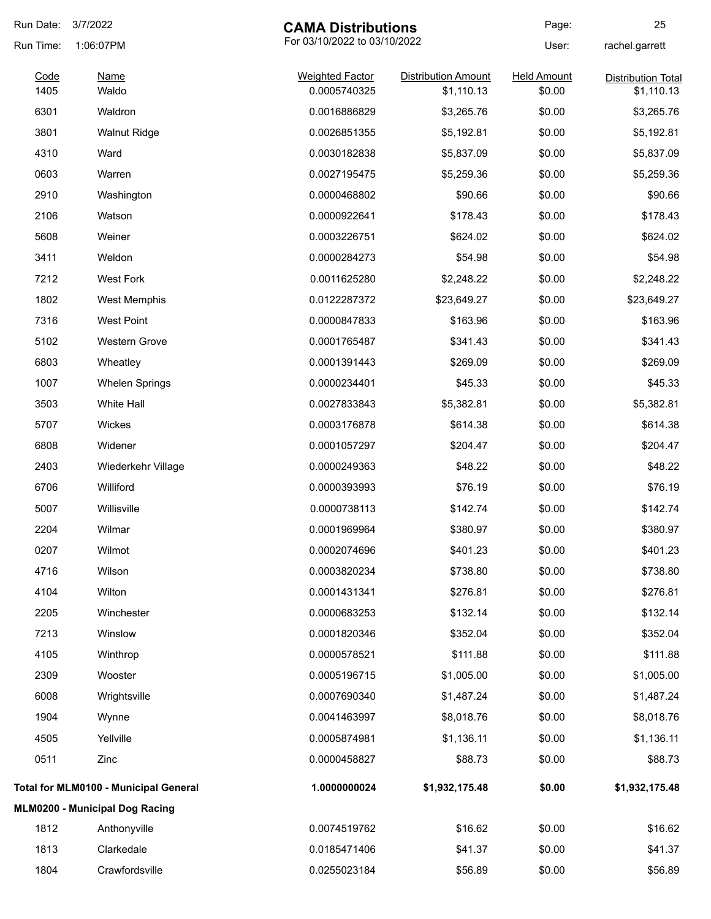| Run Date: | 3/7/2022<br><b>CAMA Distributions</b> |                              | Page:                      | 25                 |                           |
|-----------|---------------------------------------|------------------------------|----------------------------|--------------------|---------------------------|
| Run Time: | 1:06:07PM                             | For 03/10/2022 to 03/10/2022 |                            | User:              | rachel.garrett            |
| Code      | <b>Name</b>                           | <b>Weighted Factor</b>       | <b>Distribution Amount</b> | <b>Held Amount</b> | <b>Distribution Total</b> |
| 1405      | Waldo                                 | 0.0005740325                 | \$1,110.13                 | \$0.00             | \$1,110.13                |
| 6301      | Waldron                               | 0.0016886829                 | \$3,265.76                 | \$0.00             | \$3,265.76                |
| 3801      | <b>Walnut Ridge</b>                   | 0.0026851355                 | \$5,192.81                 | \$0.00             | \$5,192.81                |
| 4310      | Ward                                  | 0.0030182838                 | \$5,837.09                 | \$0.00             | \$5,837.09                |
| 0603      | Warren                                | 0.0027195475                 | \$5,259.36                 | \$0.00             | \$5,259.36                |
| 2910      | Washington                            | 0.0000468802                 | \$90.66                    | \$0.00             | \$90.66                   |
| 2106      | Watson                                | 0.0000922641                 | \$178.43                   | \$0.00             | \$178.43                  |
| 5608      | Weiner                                | 0.0003226751                 | \$624.02                   | \$0.00             | \$624.02                  |
| 3411      | Weldon                                | 0.0000284273                 | \$54.98                    | \$0.00             | \$54.98                   |
| 7212      | <b>West Fork</b>                      | 0.0011625280                 | \$2,248.22                 | \$0.00             | \$2,248.22                |
| 1802      | <b>West Memphis</b>                   | 0.0122287372                 | \$23,649.27                | \$0.00             | \$23,649.27               |
| 7316      | <b>West Point</b>                     | 0.0000847833                 | \$163.96                   | \$0.00             | \$163.96                  |
| 5102      | Western Grove                         | 0.0001765487                 | \$341.43                   | \$0.00             | \$341.43                  |
| 6803      | Wheatley                              | 0.0001391443                 | \$269.09                   | \$0.00             | \$269.09                  |
| 1007      | <b>Whelen Springs</b>                 | 0.0000234401                 | \$45.33                    | \$0.00             | \$45.33                   |
| 3503      | White Hall                            | 0.0027833843                 | \$5,382.81                 | \$0.00             | \$5,382.81                |
| 5707      | Wickes                                | 0.0003176878                 | \$614.38                   | \$0.00             | \$614.38                  |
| 6808      | Widener                               | 0.0001057297                 | \$204.47                   | \$0.00             | \$204.47                  |
| 2403      | Wiederkehr Village                    | 0.0000249363                 | \$48.22                    | \$0.00             | \$48.22                   |
| 6706      | Williford                             | 0.0000393993                 | \$76.19                    | \$0.00             | \$76.19                   |
| 5007      | Willisville                           | 0.0000738113                 | \$142.74                   | \$0.00             | \$142.74                  |
| 2204      | Wilmar                                | 0.0001969964                 | \$380.97                   | \$0.00             | \$380.97                  |
| 0207      | Wilmot                                | 0.0002074696                 | \$401.23                   | \$0.00             | \$401.23                  |
| 4716      | Wilson                                | 0.0003820234                 | \$738.80                   | \$0.00             | \$738.80                  |
| 4104      | Wilton                                | 0.0001431341                 | \$276.81                   | \$0.00             | \$276.81                  |
| 2205      | Winchester                            | 0.0000683253                 | \$132.14                   | \$0.00             | \$132.14                  |
| 7213      | Winslow                               | 0.0001820346                 | \$352.04                   | \$0.00             | \$352.04                  |
| 4105      | Winthrop                              | 0.0000578521                 | \$111.88                   | \$0.00             | \$111.88                  |
| 2309      | Wooster                               | 0.0005196715                 | \$1,005.00                 | \$0.00             | \$1,005.00                |
| 6008      | Wrightsville                          | 0.0007690340                 | \$1,487.24                 | \$0.00             | \$1,487.24                |
| 1904      | Wynne                                 | 0.0041463997                 | \$8,018.76                 | \$0.00             | \$8,018.76                |
| 4505      | Yellville                             | 0.0005874981                 | \$1,136.11                 | \$0.00             | \$1,136.11                |
| 0511      | Zinc                                  | 0.0000458827                 | \$88.73                    | \$0.00             | \$88.73                   |
|           | Total for MLM0100 - Municipal General | 1.0000000024                 | \$1,932,175.48             | \$0.00             | \$1,932,175.48            |
|           | MLM0200 - Municipal Dog Racing        |                              |                            |                    |                           |
| 1812      | Anthonyville                          | 0.0074519762                 | \$16.62                    | \$0.00             | \$16.62                   |
| 1813      | Clarkedale                            | 0.0185471406                 | \$41.37                    | \$0.00             | \$41.37                   |
| 1804      | Crawfordsville                        | 0.0255023184                 | \$56.89                    | \$0.00             | \$56.89                   |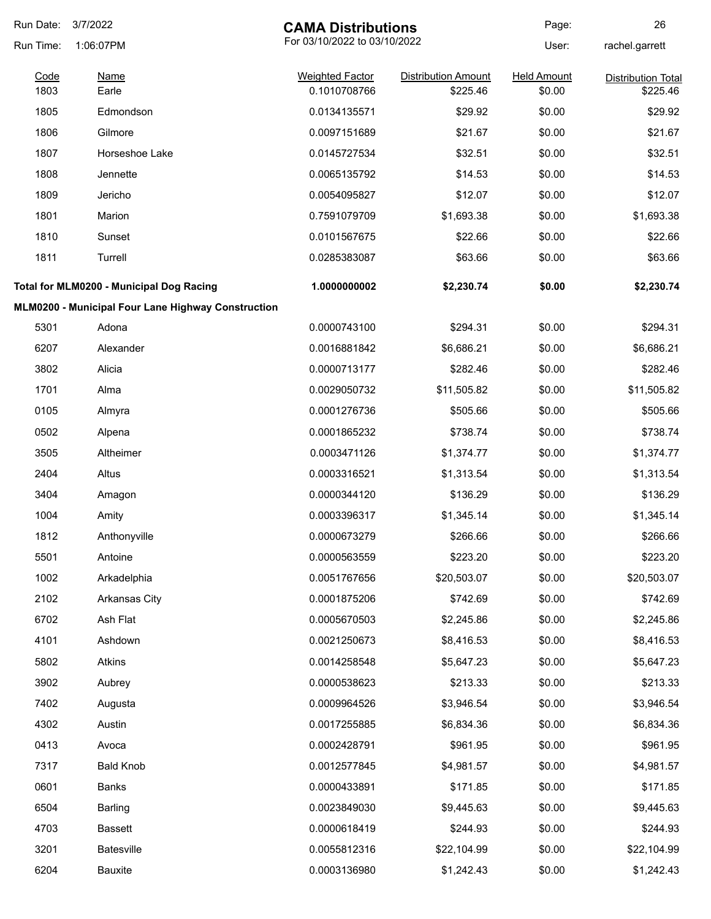| Run Date:    | 3/7/2022                                           | <b>CAMA Distributions</b>              |                                        | Page:                        | 26                                    |
|--------------|----------------------------------------------------|----------------------------------------|----------------------------------------|------------------------------|---------------------------------------|
| Run Time:    | 1:06:07PM                                          |                                        | For 03/10/2022 to 03/10/2022           |                              | rachel.garrett                        |
| Code<br>1803 | <b>Name</b><br>Earle                               | <b>Weighted Factor</b><br>0.1010708766 | <b>Distribution Amount</b><br>\$225.46 | <b>Held Amount</b><br>\$0.00 | <b>Distribution Total</b><br>\$225.46 |
| 1805         | Edmondson                                          | 0.0134135571                           | \$29.92                                | \$0.00                       | \$29.92                               |
| 1806         | Gilmore                                            | 0.0097151689                           | \$21.67                                | \$0.00                       | \$21.67                               |
| 1807         | Horseshoe Lake                                     | 0.0145727534                           | \$32.51                                | \$0.00                       | \$32.51                               |
| 1808         | Jennette                                           | 0.0065135792                           | \$14.53                                | \$0.00                       | \$14.53                               |
| 1809         | Jericho                                            | 0.0054095827                           | \$12.07                                | \$0.00                       | \$12.07                               |
| 1801         | Marion                                             | 0.7591079709                           | \$1,693.38                             | \$0.00                       | \$1,693.38                            |
| 1810         | Sunset                                             | 0.0101567675                           | \$22.66                                | \$0.00                       | \$22.66                               |
| 1811         | Turrell                                            | 0.0285383087                           | \$63.66                                | \$0.00                       | \$63.66                               |
|              | Total for MLM0200 - Municipal Dog Racing           | 1.0000000002                           | \$2,230.74                             | \$0.00                       | \$2,230.74                            |
|              | MLM0200 - Municipal Four Lane Highway Construction |                                        |                                        |                              |                                       |
| 5301         | Adona                                              | 0.0000743100                           | \$294.31                               | \$0.00                       | \$294.31                              |
| 6207         | Alexander                                          | 0.0016881842                           | \$6,686.21                             | \$0.00                       | \$6,686.21                            |
| 3802         | Alicia                                             | 0.0000713177                           | \$282.46                               | \$0.00                       | \$282.46                              |
| 1701         | Alma                                               | 0.0029050732                           | \$11,505.82                            | \$0.00                       | \$11,505.82                           |
| 0105         | Almyra                                             | 0.0001276736                           | \$505.66                               | \$0.00                       | \$505.66                              |
| 0502         | Alpena                                             | 0.0001865232                           | \$738.74                               | \$0.00                       | \$738.74                              |
| 3505         | Altheimer                                          | 0.0003471126                           | \$1,374.77                             | \$0.00                       | \$1,374.77                            |
| 2404         | Altus                                              | 0.0003316521                           | \$1,313.54                             | \$0.00                       | \$1,313.54                            |
| 3404         | Amagon                                             | 0.0000344120                           | \$136.29                               | \$0.00                       | \$136.29                              |
| 1004         | Amity                                              | 0.0003396317                           | \$1,345.14                             | \$0.00                       | \$1,345.14                            |
| 1812         | Anthonyville                                       | 0.0000673279                           | \$266.66                               | \$0.00                       | \$266.66                              |
| 5501         | Antoine                                            | 0.0000563559                           | \$223.20                               | \$0.00                       | \$223.20                              |
| 1002         | Arkadelphia                                        | 0.0051767656                           | \$20,503.07                            | \$0.00                       | \$20,503.07                           |
| 2102         | Arkansas City                                      | 0.0001875206                           | \$742.69                               | \$0.00                       | \$742.69                              |
| 6702         | Ash Flat                                           | 0.0005670503                           | \$2,245.86                             | \$0.00                       | \$2,245.86                            |
| 4101         | Ashdown                                            | 0.0021250673                           | \$8,416.53                             | \$0.00                       | \$8,416.53                            |
| 5802         | Atkins                                             | 0.0014258548                           | \$5,647.23                             | \$0.00                       | \$5,647.23                            |
| 3902         | Aubrey                                             | 0.0000538623                           | \$213.33                               | \$0.00                       | \$213.33                              |
| 7402         | Augusta                                            | 0.0009964526                           | \$3,946.54                             | \$0.00                       | \$3,946.54                            |
| 4302         | Austin                                             | 0.0017255885                           | \$6,834.36                             | \$0.00                       | \$6,834.36                            |
| 0413         | Avoca                                              | 0.0002428791                           | \$961.95                               | \$0.00                       | \$961.95                              |
| 7317         | <b>Bald Knob</b>                                   | 0.0012577845                           | \$4,981.57                             | \$0.00                       | \$4,981.57                            |
| 0601         | Banks                                              | 0.0000433891                           | \$171.85                               | \$0.00                       | \$171.85                              |
| 6504         | Barling                                            | 0.0023849030                           | \$9,445.63                             | \$0.00                       | \$9,445.63                            |
| 4703         | <b>Bassett</b>                                     | 0.0000618419                           | \$244.93                               | \$0.00                       | \$244.93                              |
| 3201         | Batesville                                         | 0.0055812316                           | \$22,104.99                            | \$0.00                       | \$22,104.99                           |
| 6204         | Bauxite                                            | 0.0003136980                           | \$1,242.43                             | \$0.00                       | \$1,242.43                            |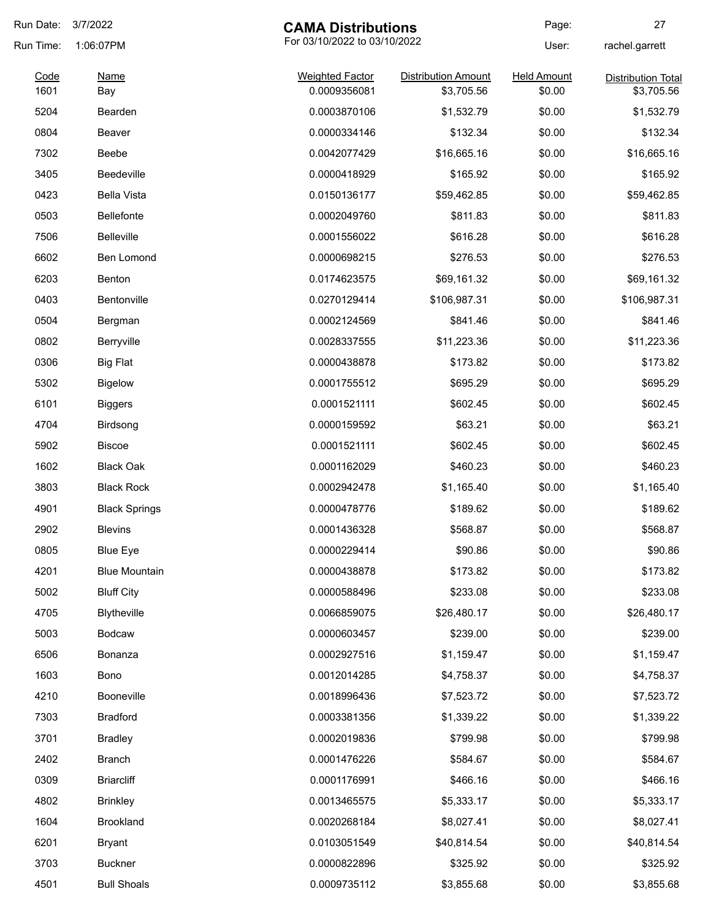| Run Date:    | 3/7/2022             | <b>CAMA Distributions</b>              |                                          | Page:                        | 27                                      |
|--------------|----------------------|----------------------------------------|------------------------------------------|------------------------------|-----------------------------------------|
| Run Time:    | 1:06:07PM            | For 03/10/2022 to 03/10/2022           |                                          | User:                        | rachel.garrett                          |
| Code<br>1601 | Name<br>Bay          | <b>Weighted Factor</b><br>0.0009356081 | <b>Distribution Amount</b><br>\$3,705.56 | <b>Held Amount</b><br>\$0.00 | <b>Distribution Total</b><br>\$3,705.56 |
| 5204         | Bearden              | 0.0003870106                           | \$1,532.79                               | \$0.00                       | \$1,532.79                              |
| 0804         | <b>Beaver</b>        | 0.0000334146                           | \$132.34                                 | \$0.00                       | \$132.34                                |
| 7302         | Beebe                | 0.0042077429                           | \$16,665.16                              | \$0.00                       | \$16,665.16                             |
| 3405         | <b>Beedeville</b>    | 0.0000418929                           | \$165.92                                 | \$0.00                       | \$165.92                                |
| 0423         | <b>Bella Vista</b>   | 0.0150136177                           | \$59,462.85                              | \$0.00                       | \$59,462.85                             |
| 0503         | <b>Bellefonte</b>    | 0.0002049760                           | \$811.83                                 | \$0.00                       | \$811.83                                |
| 7506         | <b>Belleville</b>    | 0.0001556022                           | \$616.28                                 | \$0.00                       | \$616.28                                |
| 6602         | Ben Lomond           | 0.0000698215                           | \$276.53                                 | \$0.00                       | \$276.53                                |
| 6203         | Benton               | 0.0174623575                           | \$69,161.32                              | \$0.00                       | \$69,161.32                             |
| 0403         | Bentonville          | 0.0270129414                           | \$106,987.31                             | \$0.00                       | \$106,987.31                            |
| 0504         | Bergman              | 0.0002124569                           | \$841.46                                 | \$0.00                       | \$841.46                                |
| 0802         | Berryville           | 0.0028337555                           | \$11,223.36                              | \$0.00                       | \$11,223.36                             |
| 0306         | <b>Big Flat</b>      | 0.0000438878                           | \$173.82                                 | \$0.00                       | \$173.82                                |
| 5302         | <b>Bigelow</b>       | 0.0001755512                           | \$695.29                                 | \$0.00                       | \$695.29                                |
| 6101         | <b>Biggers</b>       | 0.0001521111                           | \$602.45                                 | \$0.00                       | \$602.45                                |
| 4704         | Birdsong             | 0.0000159592                           | \$63.21                                  | \$0.00                       | \$63.21                                 |
| 5902         | <b>Biscoe</b>        | 0.0001521111                           | \$602.45                                 | \$0.00                       | \$602.45                                |
| 1602         | <b>Black Oak</b>     | 0.0001162029                           | \$460.23                                 | \$0.00                       | \$460.23                                |
| 3803         | <b>Black Rock</b>    | 0.0002942478                           | \$1,165.40                               | \$0.00                       | \$1,165.40                              |
| 4901         | <b>Black Springs</b> | 0.0000478776                           | \$189.62                                 | \$0.00                       | \$189.62                                |
| 2902         | <b>Blevins</b>       | 0.0001436328                           | \$568.87                                 | \$0.00                       | \$568.87                                |
| 0805         | <b>Blue Eye</b>      | 0.0000229414                           | \$90.86                                  | \$0.00                       | \$90.86                                 |
| 4201         | <b>Blue Mountain</b> | 0.0000438878                           | \$173.82                                 | \$0.00                       | \$173.82                                |
| 5002         | <b>Bluff City</b>    | 0.0000588496                           | \$233.08                                 | \$0.00                       | \$233.08                                |
| 4705         | <b>Blytheville</b>   | 0.0066859075                           | \$26,480.17                              | \$0.00                       | \$26,480.17                             |
| 5003         | <b>Bodcaw</b>        | 0.0000603457                           | \$239.00                                 | \$0.00                       | \$239.00                                |
| 6506         | Bonanza              | 0.0002927516                           | \$1,159.47                               | \$0.00                       | \$1,159.47                              |
| 1603         | Bono                 | 0.0012014285                           | \$4,758.37                               | \$0.00                       | \$4,758.37                              |
| 4210         | Booneville           | 0.0018996436                           | \$7,523.72                               | \$0.00                       | \$7,523.72                              |
| 7303         | <b>Bradford</b>      | 0.0003381356                           | \$1,339.22                               | \$0.00                       | \$1,339.22                              |
| 3701         | <b>Bradley</b>       | 0.0002019836                           | \$799.98                                 | \$0.00                       | \$799.98                                |
| 2402         | Branch               | 0.0001476226                           | \$584.67                                 | \$0.00                       | \$584.67                                |
| 0309         | <b>Briarcliff</b>    | 0.0001176991                           | \$466.16                                 | \$0.00                       | \$466.16                                |
| 4802         | <b>Brinkley</b>      | 0.0013465575                           | \$5,333.17                               | \$0.00                       | \$5,333.17                              |
| 1604         | Brookland            | 0.0020268184                           | \$8,027.41                               | \$0.00                       | \$8,027.41                              |
| 6201         | <b>Bryant</b>        | 0.0103051549                           | \$40,814.54                              | \$0.00                       | \$40,814.54                             |
| 3703         | <b>Buckner</b>       | 0.0000822896                           | \$325.92                                 | \$0.00                       | \$325.92                                |
| 4501         | <b>Bull Shoals</b>   | 0.0009735112                           | \$3,855.68                               | \$0.00                       | \$3,855.68                              |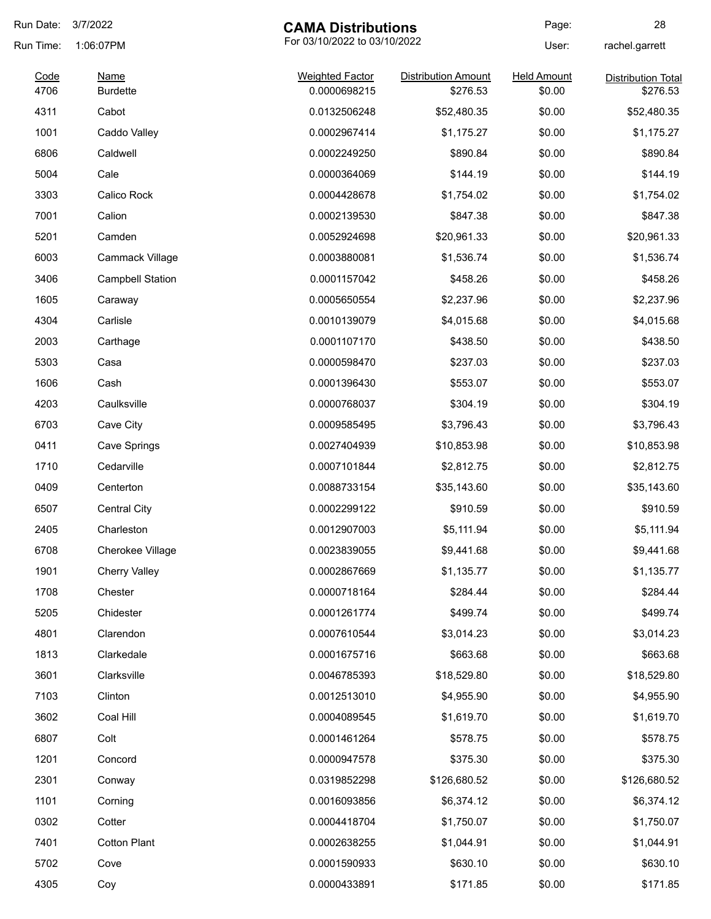| Run Date:    | 3/7/2022                | <b>CAMA Distributions</b>              |                                        | Page:                        | 28                                    |
|--------------|-------------------------|----------------------------------------|----------------------------------------|------------------------------|---------------------------------------|
| Run Time:    | 1:06:07PM               |                                        | For 03/10/2022 to 03/10/2022           |                              | rachel.garrett                        |
| Code<br>4706 | Name<br><b>Burdette</b> | <b>Weighted Factor</b><br>0.0000698215 | <b>Distribution Amount</b><br>\$276.53 | <b>Held Amount</b><br>\$0.00 | <b>Distribution Total</b><br>\$276.53 |
| 4311         | Cabot                   | 0.0132506248                           | \$52,480.35                            | \$0.00                       | \$52,480.35                           |
| 1001         | Caddo Valley            | 0.0002967414                           | \$1,175.27                             | \$0.00                       | \$1,175.27                            |
| 6806         | Caldwell                | 0.0002249250                           | \$890.84                               | \$0.00                       | \$890.84                              |
| 5004         | Cale                    | 0.0000364069                           | \$144.19                               | \$0.00                       | \$144.19                              |
| 3303         | Calico Rock             | 0.0004428678                           | \$1,754.02                             | \$0.00                       | \$1,754.02                            |
| 7001         | Calion                  | 0.0002139530                           | \$847.38                               | \$0.00                       | \$847.38                              |
| 5201         | Camden                  | 0.0052924698                           | \$20,961.33                            | \$0.00                       | \$20,961.33                           |
| 6003         | Cammack Village         | 0.0003880081                           | \$1,536.74                             | \$0.00                       | \$1,536.74                            |
| 3406         | <b>Campbell Station</b> | 0.0001157042                           | \$458.26                               | \$0.00                       | \$458.26                              |
| 1605         | Caraway                 | 0.0005650554                           | \$2,237.96                             | \$0.00                       | \$2,237.96                            |
| 4304         | Carlisle                | 0.0010139079                           | \$4,015.68                             | \$0.00                       | \$4,015.68                            |
| 2003         | Carthage                | 0.0001107170                           | \$438.50                               | \$0.00                       | \$438.50                              |
| 5303         | Casa                    | 0.0000598470                           | \$237.03                               | \$0.00                       | \$237.03                              |
| 1606         | Cash                    | 0.0001396430                           | \$553.07                               | \$0.00                       | \$553.07                              |
| 4203         | Caulksville             | 0.0000768037                           | \$304.19                               | \$0.00                       | \$304.19                              |
| 6703         | Cave City               | 0.0009585495                           | \$3,796.43                             | \$0.00                       | \$3,796.43                            |
| 0411         | Cave Springs            | 0.0027404939                           | \$10,853.98                            | \$0.00                       | \$10,853.98                           |
| 1710         | Cedarville              | 0.0007101844                           | \$2,812.75                             | \$0.00                       | \$2,812.75                            |
| 0409         | Centerton               | 0.0088733154                           | \$35,143.60                            | \$0.00                       | \$35,143.60                           |
| 6507         | <b>Central City</b>     | 0.0002299122                           | \$910.59                               | \$0.00                       | \$910.59                              |
| 2405         | Charleston              | 0.0012907003                           | \$5,111.94                             | \$0.00                       | \$5,111.94                            |
| 6708         | Cherokee Village        | 0.0023839055                           | \$9,441.68                             | \$0.00                       | \$9,441.68                            |
| 1901         | <b>Cherry Valley</b>    | 0.0002867669                           | \$1,135.77                             | \$0.00                       | \$1,135.77                            |
| 1708         | Chester                 | 0.0000718164                           | \$284.44                               | \$0.00                       | \$284.44                              |
| 5205         | Chidester               | 0.0001261774                           | \$499.74                               | \$0.00                       | \$499.74                              |
| 4801         | Clarendon               | 0.0007610544                           | \$3,014.23                             | \$0.00                       | \$3,014.23                            |
| 1813         | Clarkedale              | 0.0001675716                           | \$663.68                               | \$0.00                       | \$663.68                              |
| 3601         | Clarksville             | 0.0046785393                           | \$18,529.80                            | \$0.00                       | \$18,529.80                           |
| 7103         | Clinton                 | 0.0012513010                           | \$4,955.90                             | \$0.00                       | \$4,955.90                            |
| 3602         | Coal Hill               | 0.0004089545                           | \$1,619.70                             | \$0.00                       | \$1,619.70                            |
| 6807         | Colt                    | 0.0001461264                           | \$578.75                               | \$0.00                       | \$578.75                              |
| 1201         | Concord                 | 0.0000947578                           | \$375.30                               | \$0.00                       | \$375.30                              |
| 2301         | Conway                  | 0.0319852298                           | \$126,680.52                           | \$0.00                       | \$126,680.52                          |
| 1101         | Corning                 | 0.0016093856                           | \$6,374.12                             | \$0.00                       | \$6,374.12                            |
| 0302         | Cotter                  | 0.0004418704                           | \$1,750.07                             | \$0.00                       | \$1,750.07                            |
| 7401         | <b>Cotton Plant</b>     | 0.0002638255                           | \$1,044.91                             | \$0.00                       | \$1,044.91                            |
| 5702         | Cove                    | 0.0001590933                           | \$630.10                               | \$0.00                       | \$630.10                              |
| 4305         | Coy                     | 0.0000433891                           | \$171.85                               | \$0.00                       | \$171.85                              |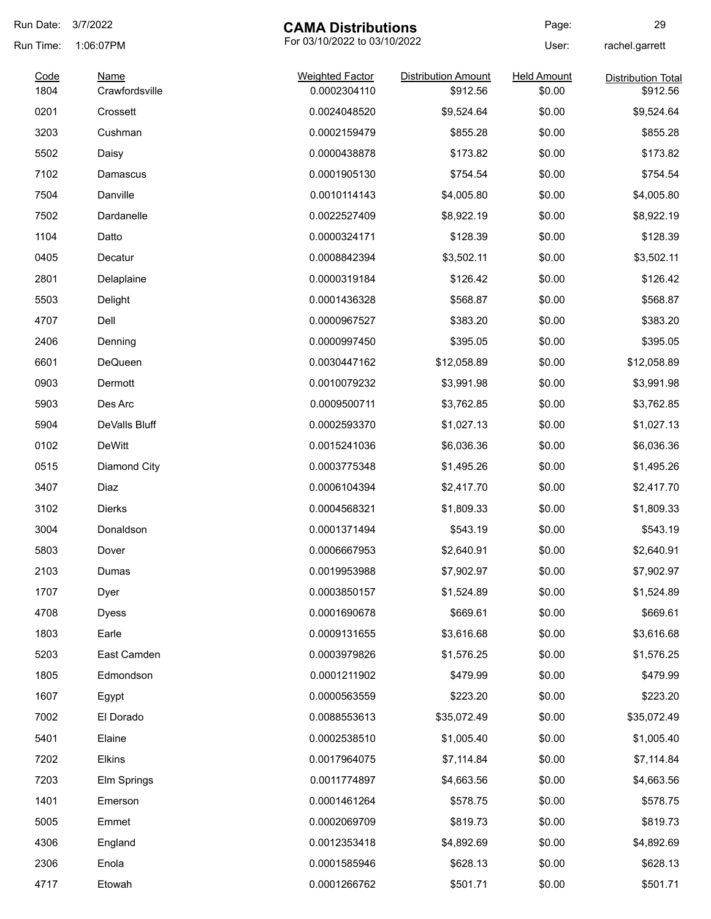| Run Date: | 3/7/2022<br><b>CAMA Distributions</b> |                              | Page:                      | 29                 |                           |
|-----------|---------------------------------------|------------------------------|----------------------------|--------------------|---------------------------|
| Run Time: | 1:06:07PM                             | For 03/10/2022 to 03/10/2022 |                            | User:              | rachel.garrett            |
| Code      | <b>Name</b>                           | <b>Weighted Factor</b>       | <b>Distribution Amount</b> | <b>Held Amount</b> | <b>Distribution Total</b> |
| 1804      | Crawfordsville                        | 0.0002304110                 | \$912.56                   | \$0.00             | \$912.56                  |
| 0201      | Crossett                              | 0.0024048520                 | \$9,524.64                 | \$0.00             | \$9,524.64                |
| 3203      | Cushman                               | 0.0002159479                 | \$855.28                   | \$0.00             | \$855.28                  |
| 5502      | Daisy                                 | 0.0000438878                 | \$173.82                   | \$0.00             | \$173.82                  |
| 7102      | Damascus                              | 0.0001905130                 | \$754.54                   | \$0.00             | \$754.54                  |
| 7504      | Danville                              | 0.0010114143                 | \$4,005.80                 | \$0.00             | \$4,005.80                |
| 7502      | Dardanelle                            | 0.0022527409                 | \$8,922.19                 | \$0.00             | \$8,922.19                |
| 1104      | Datto                                 | 0.0000324171                 | \$128.39                   | \$0.00             | \$128.39                  |
| 0405      | Decatur                               | 0.0008842394                 | \$3,502.11                 | \$0.00             | \$3,502.11                |
| 2801      | Delaplaine                            | 0.0000319184                 | \$126.42                   | \$0.00             | \$126.42                  |
| 5503      | Delight                               | 0.0001436328                 | \$568.87                   | \$0.00             | \$568.87                  |
| 4707      | Dell                                  | 0.0000967527                 | \$383.20                   | \$0.00             | \$383.20                  |
| 2406      | Denning                               | 0.0000997450                 | \$395.05                   | \$0.00             | \$395.05                  |
| 6601      | DeQueen                               | 0.0030447162                 | \$12,058.89                | \$0.00             | \$12,058.89               |
| 0903      | Dermott                               | 0.0010079232                 | \$3,991.98                 | \$0.00             | \$3,991.98                |
| 5903      | Des Arc                               | 0.0009500711                 | \$3,762.85                 | \$0.00             | \$3,762.85                |
| 5904      | DeValls Bluff                         | 0.0002593370                 | \$1,027.13                 | \$0.00             | \$1,027.13                |
| 0102      | DeWitt                                | 0.0015241036                 | \$6,036.36                 | \$0.00             | \$6,036.36                |
| 0515      | Diamond City                          | 0.0003775348                 | \$1,495.26                 | \$0.00             | \$1,495.26                |
| 3407      | Diaz                                  | 0.0006104394                 | \$2,417.70                 | \$0.00             | \$2,417.70                |
| 3102      | <b>Dierks</b>                         | 0.0004568321                 | \$1,809.33                 | \$0.00             | \$1,809.33                |
| 3004      | Donaldson                             | 0.0001371494                 | \$543.19                   | \$0.00             | \$543.19                  |
| 5803      | Dover                                 | 0.0006667953                 | \$2,640.91                 | \$0.00             | \$2,640.91                |
| 2103      | Dumas                                 | 0.0019953988                 | \$7,902.97                 | \$0.00             | \$7,902.97                |
| 1707      | Dyer                                  | 0.0003850157                 | \$1,524.89                 | \$0.00             | \$1,524.89                |
| 4708      | <b>Dyess</b>                          | 0.0001690678                 | \$669.61                   | \$0.00             | \$669.61                  |
| 1803      | Earle                                 | 0.0009131655                 | \$3,616.68                 | \$0.00             | \$3,616.68                |
| 5203      | East Camden                           | 0.0003979826                 | \$1,576.25                 | \$0.00             | \$1,576.25                |
| 1805      | Edmondson                             | 0.0001211902                 | \$479.99                   | \$0.00             | \$479.99                  |
| 1607      | Egypt                                 | 0.0000563559                 | \$223.20                   | \$0.00             | \$223.20                  |
| 7002      | El Dorado                             | 0.0088553613                 | \$35,072.49                | \$0.00             | \$35,072.49               |
| 5401      | Elaine                                | 0.0002538510                 | \$1,005.40                 | \$0.00             | \$1,005.40                |
| 7202      | <b>Elkins</b>                         | 0.0017964075                 | \$7,114.84                 | \$0.00             | \$7,114.84                |
| 7203      | Elm Springs                           | 0.0011774897                 | \$4,663.56                 | \$0.00             | \$4,663.56                |
| 1401      | Emerson                               | 0.0001461264                 | \$578.75                   | \$0.00             | \$578.75                  |
| 5005      | Emmet                                 | 0.0002069709                 | \$819.73                   | \$0.00             | \$819.73                  |
| 4306      | England                               | 0.0012353418                 | \$4,892.69                 | \$0.00             | \$4,892.69                |
| 2306      | Enola                                 | 0.0001585946                 | \$628.13                   | \$0.00             | \$628.13                  |
|           |                                       |                              |                            |                    |                           |
| 4717      | Etowah                                | 0.0001266762                 | \$501.71                   | \$0.00             | \$501.71                  |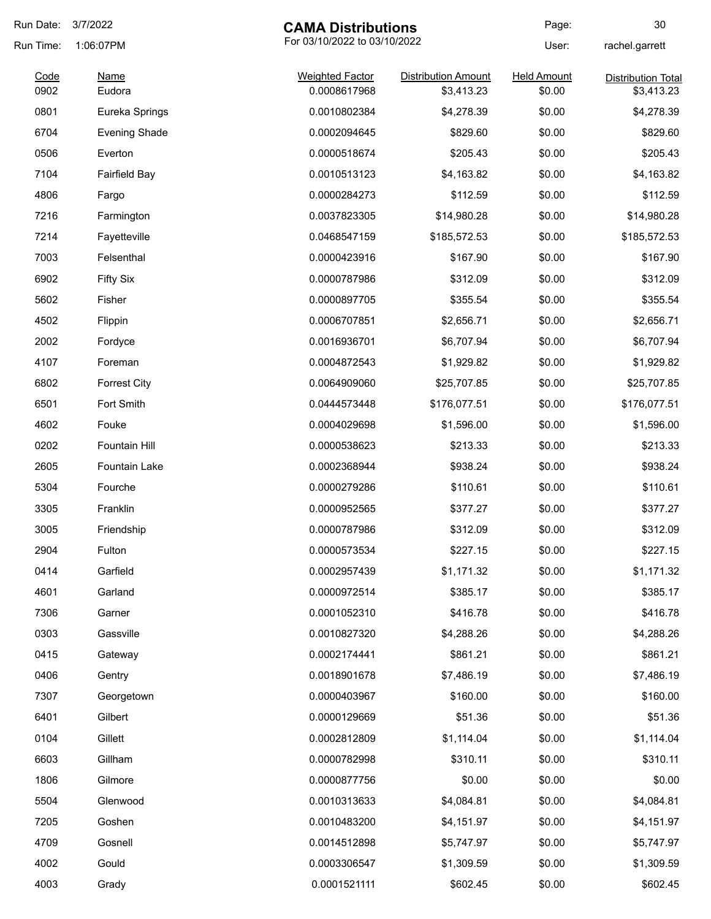| Run Date: | 3/7/2022<br><b>CAMA Distributions</b>     |                        | Page:                      | 30                 |                           |
|-----------|-------------------------------------------|------------------------|----------------------------|--------------------|---------------------------|
| Run Time: | For 03/10/2022 to 03/10/2022<br>1:06:07PM |                        |                            | User:              | rachel.garrett            |
| Code      | <b>Name</b>                               | <b>Weighted Factor</b> | <b>Distribution Amount</b> | <b>Held Amount</b> | <b>Distribution Total</b> |
| 0902      | Eudora                                    | 0.0008617968           | \$3,413.23                 | \$0.00             | \$3,413.23                |
| 0801      | Eureka Springs                            | 0.0010802384           | \$4,278.39                 | \$0.00             | \$4,278.39                |
| 6704      | <b>Evening Shade</b>                      | 0.0002094645           | \$829.60                   | \$0.00             | \$829.60                  |
| 0506      | Everton                                   | 0.0000518674           | \$205.43                   | \$0.00             | \$205.43                  |
| 7104      | <b>Fairfield Bay</b>                      | 0.0010513123           | \$4,163.82                 | \$0.00             | \$4,163.82                |
| 4806      | Fargo                                     | 0.0000284273           | \$112.59                   | \$0.00             | \$112.59                  |
| 7216      | Farmington                                | 0.0037823305           | \$14,980.28                | \$0.00             | \$14,980.28               |
| 7214      | Fayetteville                              | 0.0468547159           | \$185,572.53               | \$0.00             | \$185,572.53              |
| 7003      | Felsenthal                                | 0.0000423916           | \$167.90                   | \$0.00             | \$167.90                  |
| 6902      | <b>Fifty Six</b>                          | 0.0000787986           | \$312.09                   | \$0.00             | \$312.09                  |
| 5602      | Fisher                                    | 0.0000897705           | \$355.54                   | \$0.00             | \$355.54                  |
| 4502      | Flippin                                   | 0.0006707851           | \$2,656.71                 | \$0.00             | \$2,656.71                |
| 2002      | Fordyce                                   | 0.0016936701           | \$6,707.94                 | \$0.00             | \$6,707.94                |
| 4107      | Foreman                                   | 0.0004872543           | \$1,929.82                 | \$0.00             | \$1,929.82                |
| 6802      | <b>Forrest City</b>                       | 0.0064909060           | \$25,707.85                | \$0.00             | \$25,707.85               |
| 6501      | Fort Smith                                | 0.0444573448           | \$176,077.51               | \$0.00             | \$176,077.51              |
| 4602      | Fouke                                     | 0.0004029698           | \$1,596.00                 | \$0.00             | \$1,596.00                |
| 0202      | Fountain Hill                             | 0.0000538623           | \$213.33                   | \$0.00             | \$213.33                  |
| 2605      | <b>Fountain Lake</b>                      | 0.0002368944           | \$938.24                   | \$0.00             | \$938.24                  |
| 5304      | Fourche                                   | 0.0000279286           | \$110.61                   | \$0.00             | \$110.61                  |
| 3305      | Franklin                                  | 0.0000952565           | \$377.27                   | \$0.00             | \$377.27                  |
| 3005      | Friendship                                | 0.0000787986           | \$312.09                   | \$0.00             | \$312.09                  |
| 2904      | Fulton                                    | 0.0000573534           | \$227.15                   | \$0.00             | \$227.15                  |
| 0414      | Garfield                                  | 0.0002957439           | \$1,171.32                 | \$0.00             | \$1,171.32                |
| 4601      | Garland                                   | 0.0000972514           | \$385.17                   | \$0.00             | \$385.17                  |
| 7306      | Garner                                    | 0.0001052310           | \$416.78                   | \$0.00             | \$416.78                  |
| 0303      | Gassville                                 | 0.0010827320           | \$4,288.26                 | \$0.00             | \$4,288.26                |
| 0415      | Gateway                                   | 0.0002174441           | \$861.21                   | \$0.00             | \$861.21                  |
| 0406      | Gentry                                    | 0.0018901678           | \$7,486.19                 | \$0.00             | \$7,486.19                |
| 7307      | Georgetown                                | 0.0000403967           | \$160.00                   | \$0.00             | \$160.00                  |
| 6401      | Gilbert                                   | 0.0000129669           | \$51.36                    | \$0.00             | \$51.36                   |
| 0104      | Gillett                                   | 0.0002812809           | \$1,114.04                 | \$0.00             | \$1,114.04                |
| 6603      | Gillham                                   | 0.0000782998           | \$310.11                   | \$0.00             | \$310.11                  |
| 1806      | Gilmore                                   | 0.0000877756           | \$0.00                     | \$0.00             | \$0.00                    |
| 5504      | Glenwood                                  | 0.0010313633           | \$4,084.81                 | \$0.00             | \$4,084.81                |
| 7205      | Goshen                                    | 0.0010483200           | \$4,151.97                 | \$0.00             | \$4,151.97                |
| 4709      | Gosnell                                   | 0.0014512898           | \$5,747.97                 | \$0.00             | \$5,747.97                |
| 4002      | Gould                                     | 0.0003306547           | \$1,309.59                 | \$0.00             | \$1,309.59                |
| 4003      | Grady                                     | 0.0001521111           | \$602.45                   | \$0.00             | \$602.45                  |
|           |                                           |                        |                            |                    |                           |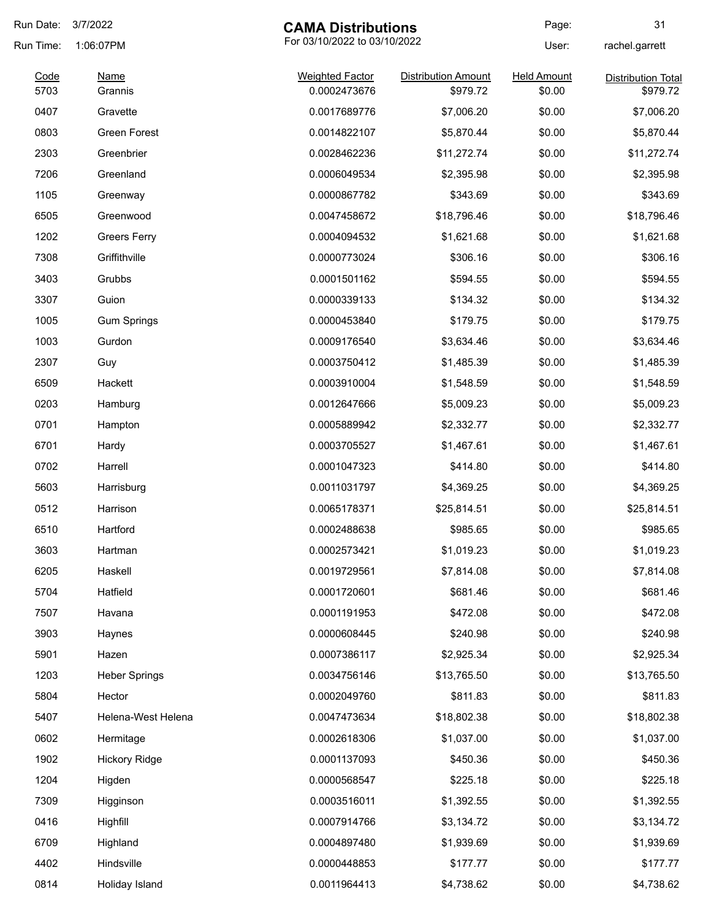| Run Date: | 3/7/2022<br><b>CAMA Distributions</b>     |                        | Page:                      | 31                 |                           |
|-----------|-------------------------------------------|------------------------|----------------------------|--------------------|---------------------------|
| Run Time: | For 03/10/2022 to 03/10/2022<br>1:06:07PM |                        | User:                      | rachel.garrett     |                           |
| Code      | <b>Name</b>                               | <b>Weighted Factor</b> | <b>Distribution Amount</b> | <b>Held Amount</b> | <b>Distribution Total</b> |
| 5703      | Grannis                                   | 0.0002473676           | \$979.72                   | \$0.00             | \$979.72                  |
| 0407      | Gravette                                  | 0.0017689776           | \$7,006.20                 | \$0.00             | \$7,006.20                |
| 0803      | <b>Green Forest</b>                       | 0.0014822107           | \$5,870.44                 | \$0.00             | \$5,870.44                |
| 2303      | Greenbrier                                | 0.0028462236           | \$11,272.74                | \$0.00             | \$11,272.74               |
| 7206      | Greenland                                 | 0.0006049534           | \$2,395.98                 | \$0.00             | \$2,395.98                |
| 1105      | Greenway                                  | 0.0000867782           | \$343.69                   | \$0.00             | \$343.69                  |
| 6505      | Greenwood                                 | 0.0047458672           | \$18,796.46                | \$0.00             | \$18,796.46               |
| 1202      | <b>Greers Ferry</b>                       | 0.0004094532           | \$1,621.68                 | \$0.00             | \$1,621.68                |
| 7308      | Griffithville                             | 0.0000773024           | \$306.16                   | \$0.00             | \$306.16                  |
| 3403      | Grubbs                                    | 0.0001501162           | \$594.55                   | \$0.00             | \$594.55                  |
| 3307      | Guion                                     | 0.0000339133           | \$134.32                   | \$0.00             | \$134.32                  |
| 1005      | <b>Gum Springs</b>                        | 0.0000453840           | \$179.75                   | \$0.00             | \$179.75                  |
| 1003      | Gurdon                                    | 0.0009176540           | \$3,634.46                 | \$0.00             | \$3,634.46                |
| 2307      | Guy                                       | 0.0003750412           | \$1,485.39                 | \$0.00             | \$1,485.39                |
| 6509      | Hackett                                   | 0.0003910004           | \$1,548.59                 | \$0.00             | \$1,548.59                |
| 0203      | Hamburg                                   | 0.0012647666           | \$5,009.23                 | \$0.00             | \$5,009.23                |
| 0701      | Hampton                                   | 0.0005889942           | \$2,332.77                 | \$0.00             | \$2,332.77                |
| 6701      | Hardy                                     | 0.0003705527           | \$1,467.61                 | \$0.00             | \$1,467.61                |
| 0702      | Harrell                                   | 0.0001047323           | \$414.80                   | \$0.00             | \$414.80                  |
| 5603      | Harrisburg                                | 0.0011031797           | \$4,369.25                 | \$0.00             | \$4,369.25                |
| 0512      | Harrison                                  | 0.0065178371           | \$25,814.51                | \$0.00             | \$25,814.51               |
| 6510      | Hartford                                  | 0.0002488638           | \$985.65                   | \$0.00             | \$985.65                  |
| 3603      | Hartman                                   | 0.0002573421           | \$1,019.23                 | \$0.00             | \$1,019.23                |
| 6205      | Haskell                                   | 0.0019729561           | \$7,814.08                 | \$0.00             | \$7,814.08                |
| 5704      | Hatfield                                  | 0.0001720601           | \$681.46                   | \$0.00             | \$681.46                  |
| 7507      | Havana                                    | 0.0001191953           | \$472.08                   | \$0.00             | \$472.08                  |
| 3903      | Haynes                                    | 0.0000608445           | \$240.98                   | \$0.00             | \$240.98                  |
| 5901      |                                           | 0.0007386117           | \$2,925.34                 | \$0.00             |                           |
|           | Hazen                                     |                        |                            |                    | \$2,925.34                |
| 1203      | <b>Heber Springs</b>                      | 0.0034756146           | \$13,765.50                | \$0.00             | \$13,765.50               |
| 5804      | Hector                                    | 0.0002049760           | \$811.83                   | \$0.00             | \$811.83                  |
| 5407      | Helena-West Helena                        | 0.0047473634           | \$18,802.38                | \$0.00             | \$18,802.38               |
| 0602      | Hermitage                                 | 0.0002618306           | \$1,037.00                 | \$0.00             | \$1,037.00                |
| 1902      | <b>Hickory Ridge</b>                      | 0.0001137093           | \$450.36                   | \$0.00             | \$450.36                  |
| 1204      | Higden                                    | 0.0000568547           | \$225.18                   | \$0.00             | \$225.18                  |
| 7309      | Higginson                                 | 0.0003516011           | \$1,392.55                 | \$0.00             | \$1,392.55                |
| 0416      | Highfill                                  | 0.0007914766           | \$3,134.72                 | \$0.00             | \$3,134.72                |
| 6709      | Highland                                  | 0.0004897480           | \$1,939.69                 | \$0.00             | \$1,939.69                |
| 4402      | Hindsville                                | 0.0000448853           | \$177.77                   | \$0.00             | \$177.77                  |
| 0814      | Holiday Island                            | 0.0011964413           | \$4,738.62                 | \$0.00             | \$4,738.62                |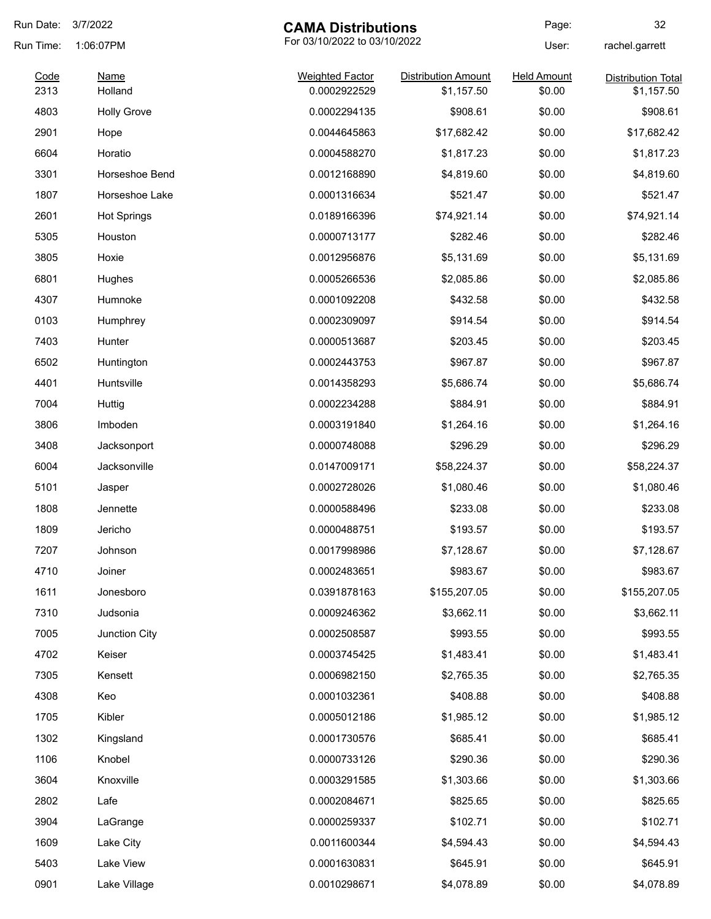| Run Date: | 3/7/2022<br><b>CAMA Distributions</b> |                              |                            | Page:              | 32                        |
|-----------|---------------------------------------|------------------------------|----------------------------|--------------------|---------------------------|
| Run Time: | 1:06:07PM                             | For 03/10/2022 to 03/10/2022 |                            | User:              | rachel.garrett            |
| Code      | <b>Name</b>                           | <b>Weighted Factor</b>       | <b>Distribution Amount</b> | <b>Held Amount</b> | <b>Distribution Total</b> |
| 2313      | Holland                               | 0.0002922529                 | \$1,157.50                 | \$0.00             | \$1,157.50                |
| 4803      | <b>Holly Grove</b>                    | 0.0002294135                 | \$908.61                   | \$0.00             | \$908.61                  |
| 2901      | Hope                                  | 0.0044645863                 | \$17,682.42                | \$0.00             | \$17,682.42               |
| 6604      | Horatio                               | 0.0004588270                 | \$1,817.23                 | \$0.00             | \$1,817.23                |
| 3301      | Horseshoe Bend                        | 0.0012168890                 | \$4,819.60                 | \$0.00             | \$4,819.60                |
| 1807      | Horseshoe Lake                        | 0.0001316634                 | \$521.47                   | \$0.00             | \$521.47                  |
| 2601      | <b>Hot Springs</b>                    | 0.0189166396                 | \$74,921.14                | \$0.00             | \$74,921.14               |
| 5305      | Houston                               | 0.0000713177                 | \$282.46                   | \$0.00             | \$282.46                  |
| 3805      | Hoxie                                 | 0.0012956876                 | \$5,131.69                 | \$0.00             | \$5,131.69                |
| 6801      | Hughes                                | 0.0005266536                 | \$2,085.86                 | \$0.00             | \$2,085.86                |
| 4307      | Humnoke                               | 0.0001092208                 | \$432.58                   | \$0.00             | \$432.58                  |
| 0103      | Humphrey                              | 0.0002309097                 | \$914.54                   | \$0.00             | \$914.54                  |
| 7403      | Hunter                                | 0.0000513687                 | \$203.45                   | \$0.00             | \$203.45                  |
| 6502      | Huntington                            | 0.0002443753                 | \$967.87                   | \$0.00             | \$967.87                  |
| 4401      | Huntsville                            | 0.0014358293                 | \$5,686.74                 | \$0.00             | \$5,686.74                |
| 7004      | Huttig                                | 0.0002234288                 | \$884.91                   | \$0.00             | \$884.91                  |
| 3806      | Imboden                               | 0.0003191840                 | \$1,264.16                 | \$0.00             | \$1,264.16                |
| 3408      | Jacksonport                           | 0.0000748088                 | \$296.29                   | \$0.00             | \$296.29                  |
| 6004      | Jacksonville                          | 0.0147009171                 | \$58,224.37                | \$0.00             | \$58,224.37               |
| 5101      | Jasper                                | 0.0002728026                 | \$1,080.46                 | \$0.00             | \$1,080.46                |
| 1808      | Jennette                              | 0.0000588496                 | \$233.08                   | \$0.00             | \$233.08                  |
| 1809      | Jericho                               | 0.0000488751                 | \$193.57                   | \$0.00             | \$193.57                  |
| 7207      | Johnson                               | 0.0017998986                 | \$7,128.67                 | \$0.00             | \$7,128.67                |
| 4710      | Joiner                                | 0.0002483651                 | \$983.67                   | \$0.00             | \$983.67                  |
| 1611      | Jonesboro                             | 0.0391878163                 | \$155,207.05               | \$0.00             | \$155,207.05              |
| 7310      | Judsonia                              | 0.0009246362                 | \$3,662.11                 | \$0.00             | \$3,662.11                |
| 7005      | Junction City                         | 0.0002508587                 | \$993.55                   | \$0.00             | \$993.55                  |
| 4702      | Keiser                                | 0.0003745425                 | \$1,483.41                 | \$0.00             | \$1,483.41                |
| 7305      | Kensett                               | 0.0006982150                 | \$2,765.35                 | \$0.00             | \$2,765.35                |
| 4308      | Keo                                   | 0.0001032361                 | \$408.88                   | \$0.00             | \$408.88                  |
| 1705      | Kibler                                | 0.0005012186                 | \$1,985.12                 | \$0.00             | \$1,985.12                |
| 1302      | Kingsland                             | 0.0001730576                 | \$685.41                   | \$0.00             | \$685.41                  |
| 1106      | Knobel                                | 0.0000733126                 | \$290.36                   | \$0.00             | \$290.36                  |
| 3604      | Knoxville                             |                              | \$1,303.66                 | \$0.00             | \$1,303.66                |
|           |                                       | 0.0003291585                 |                            |                    |                           |
| 2802      | Lafe                                  | 0.0002084671                 | \$825.65                   | \$0.00             | \$825.65                  |
| 3904      | LaGrange                              | 0.0000259337                 | \$102.71                   | \$0.00             | \$102.71                  |
| 1609      | Lake City                             | 0.0011600344                 | \$4,594.43                 | \$0.00             | \$4,594.43                |
| 5403      | Lake View                             | 0.0001630831                 | \$645.91                   | \$0.00             | \$645.91                  |
| 0901      | Lake Village                          | 0.0010298671                 | \$4,078.89                 | \$0.00             | \$4,078.89                |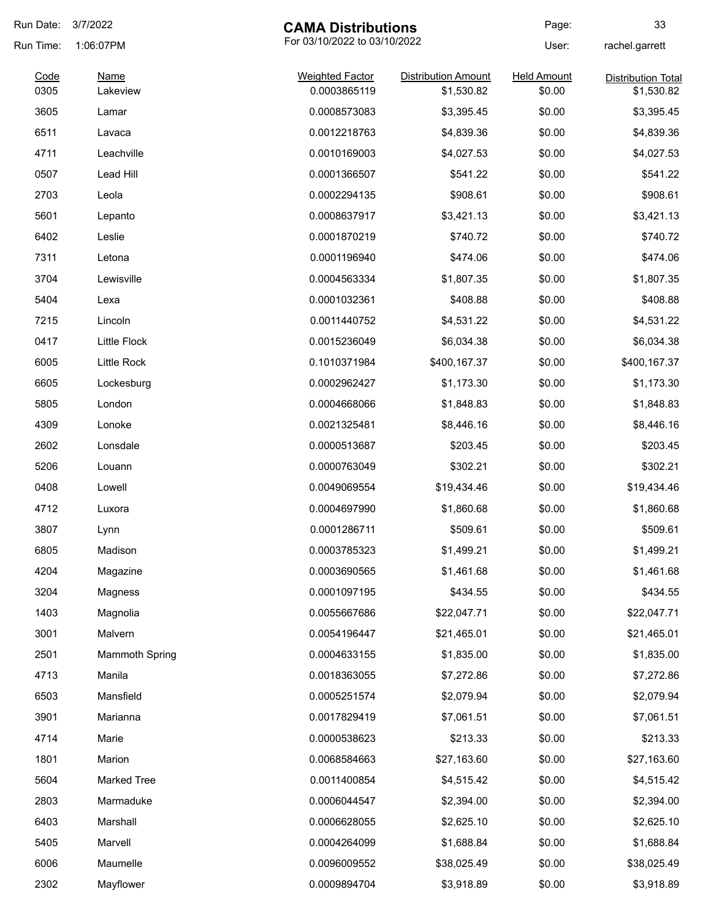| Run Date:    | 3/7/2022                                  | <b>CAMA Distributions</b>              |                                          | Page:                        | 33                                      |
|--------------|-------------------------------------------|----------------------------------------|------------------------------------------|------------------------------|-----------------------------------------|
| Run Time:    | For 03/10/2022 to 03/10/2022<br>1:06:07PM |                                        |                                          | User:                        | rachel.garrett                          |
| Code<br>0305 | <b>Name</b><br>Lakeview                   | <b>Weighted Factor</b><br>0.0003865119 | <b>Distribution Amount</b><br>\$1,530.82 | <b>Held Amount</b><br>\$0.00 | <b>Distribution Total</b><br>\$1,530.82 |
| 3605         | Lamar                                     | 0.0008573083                           | \$3,395.45                               | \$0.00                       | \$3,395.45                              |
| 6511         | Lavaca                                    | 0.0012218763                           | \$4,839.36                               | \$0.00                       | \$4,839.36                              |
| 4711         | Leachville                                | 0.0010169003                           | \$4,027.53                               | \$0.00                       | \$4,027.53                              |
| 0507         | Lead Hill                                 | 0.0001366507                           | \$541.22                                 | \$0.00                       | \$541.22                                |
| 2703         | Leola                                     | 0.0002294135                           | \$908.61                                 | \$0.00                       | \$908.61                                |
| 5601         | Lepanto                                   | 0.0008637917                           | \$3,421.13                               | \$0.00                       | \$3,421.13                              |
| 6402         | Leslie                                    | 0.0001870219                           | \$740.72                                 | \$0.00                       | \$740.72                                |
| 7311         | Letona                                    | 0.0001196940                           | \$474.06                                 | \$0.00                       | \$474.06                                |
| 3704         | Lewisville                                | 0.0004563334                           | \$1,807.35                               | \$0.00                       | \$1,807.35                              |
| 5404         | Lexa                                      | 0.0001032361                           | \$408.88                                 | \$0.00                       | \$408.88                                |
| 7215         | Lincoln                                   | 0.0011440752                           | \$4,531.22                               | \$0.00                       | \$4,531.22                              |
| 0417         | <b>Little Flock</b>                       | 0.0015236049                           | \$6,034.38                               | \$0.00                       | \$6,034.38                              |
| 6005         | Little Rock                               | 0.1010371984                           | \$400,167.37                             | \$0.00                       | \$400,167.37                            |
| 6605         | Lockesburg                                | 0.0002962427                           | \$1,173.30                               | \$0.00                       | \$1,173.30                              |
| 5805         | London                                    | 0.0004668066                           | \$1,848.83                               | \$0.00                       | \$1,848.83                              |
| 4309         | Lonoke                                    | 0.0021325481                           | \$8,446.16                               | \$0.00                       | \$8,446.16                              |
| 2602         | Lonsdale                                  | 0.0000513687                           | \$203.45                                 | \$0.00                       | \$203.45                                |
| 5206         | Louann                                    | 0.0000763049                           | \$302.21                                 | \$0.00                       | \$302.21                                |
| 0408         | Lowell                                    | 0.0049069554                           | \$19,434.46                              | \$0.00                       | \$19,434.46                             |
| 4712         | Luxora                                    | 0.0004697990                           | \$1,860.68                               | \$0.00                       | \$1,860.68                              |
| 3807         | Lynn                                      | 0.0001286711                           | \$509.61                                 | \$0.00                       | \$509.61                                |
| 6805         | Madison                                   | 0.0003785323                           | \$1,499.21                               | \$0.00                       | \$1,499.21                              |
| 4204         | Magazine                                  | 0.0003690565                           | \$1,461.68                               | \$0.00                       | \$1,461.68                              |
| 3204         | Magness                                   | 0.0001097195                           | \$434.55                                 | \$0.00                       | \$434.55                                |
| 1403         | Magnolia                                  | 0.0055667686                           | \$22,047.71                              | \$0.00                       | \$22,047.71                             |
| 3001         | Malvern                                   | 0.0054196447                           | \$21,465.01                              | \$0.00                       | \$21,465.01                             |
| 2501         | <b>Mammoth Spring</b>                     | 0.0004633155                           | \$1,835.00                               | \$0.00                       | \$1,835.00                              |
| 4713         | Manila                                    | 0.0018363055                           | \$7,272.86                               | \$0.00                       | \$7,272.86                              |
| 6503         | Mansfield                                 | 0.0005251574                           | \$2,079.94                               | \$0.00                       | \$2,079.94                              |
| 3901         | Marianna                                  | 0.0017829419                           | \$7,061.51                               | \$0.00                       | \$7,061.51                              |
| 4714         | Marie                                     | 0.0000538623                           | \$213.33                                 | \$0.00                       | \$213.33                                |
| 1801         | Marion                                    | 0.0068584663                           | \$27,163.60                              | \$0.00                       | \$27,163.60                             |
| 5604         | <b>Marked Tree</b>                        | 0.0011400854                           | \$4,515.42                               | \$0.00                       | \$4,515.42                              |
| 2803         | Marmaduke                                 | 0.0006044547                           | \$2,394.00                               | \$0.00                       | \$2,394.00                              |
| 6403         | Marshall                                  | 0.0006628055                           | \$2,625.10                               | \$0.00                       | \$2,625.10                              |
| 5405         | Marvell                                   | 0.0004264099                           | \$1,688.84                               | \$0.00                       | \$1,688.84                              |
| 6006         | Maumelle                                  | 0.0096009552                           | \$38,025.49                              | \$0.00                       | \$38,025.49                             |
| 2302         | Mayflower                                 | 0.0009894704                           | \$3,918.89                               | \$0.00                       | \$3,918.89                              |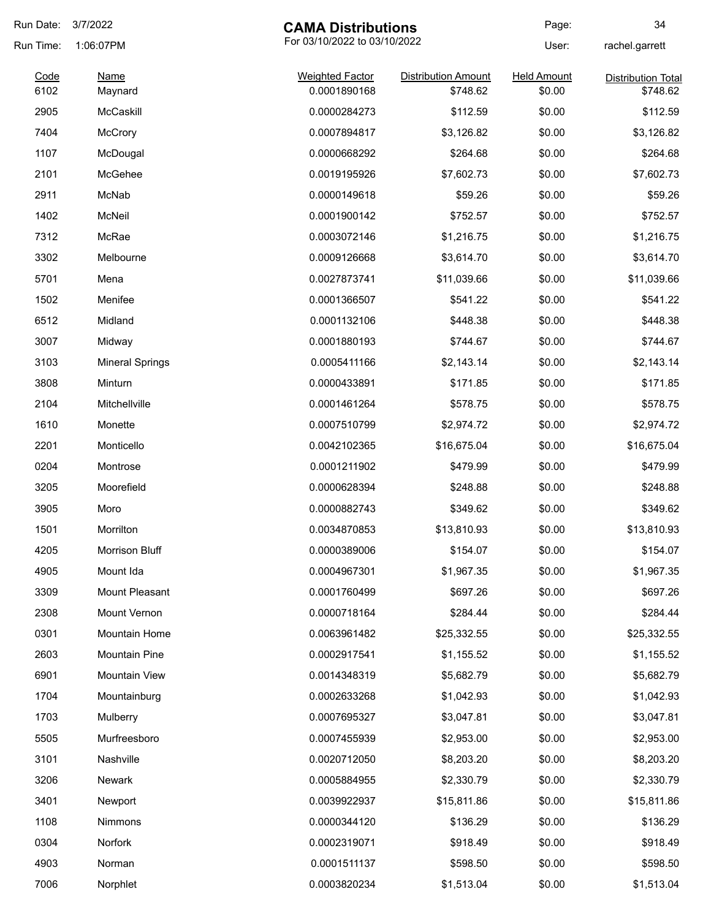| Run Date:    | 3/7/2022                                  | <b>CAMA Distributions</b>              |                                        | Page:                        | 34                                    |
|--------------|-------------------------------------------|----------------------------------------|----------------------------------------|------------------------------|---------------------------------------|
| Run Time:    | For 03/10/2022 to 03/10/2022<br>1:06:07PM |                                        |                                        | User:                        | rachel.garrett                        |
| Code<br>6102 | <b>Name</b><br>Maynard                    | <b>Weighted Factor</b><br>0.0001890168 | <b>Distribution Amount</b><br>\$748.62 | <b>Held Amount</b><br>\$0.00 | <b>Distribution Total</b><br>\$748.62 |
| 2905         | McCaskill                                 | 0.0000284273                           | \$112.59                               | \$0.00                       | \$112.59                              |
| 7404         | McCrory                                   | 0.0007894817                           | \$3,126.82                             | \$0.00                       | \$3,126.82                            |
| 1107         | McDougal                                  | 0.0000668292                           | \$264.68                               | \$0.00                       | \$264.68                              |
| 2101         | McGehee                                   | 0.0019195926                           | \$7,602.73                             | \$0.00                       | \$7,602.73                            |
| 2911         | McNab                                     | 0.0000149618                           | \$59.26                                | \$0.00                       | \$59.26                               |
| 1402         | McNeil                                    | 0.0001900142                           | \$752.57                               | \$0.00                       | \$752.57                              |
| 7312         | McRae                                     | 0.0003072146                           | \$1,216.75                             | \$0.00                       | \$1,216.75                            |
| 3302         | Melbourne                                 | 0.0009126668                           | \$3,614.70                             | \$0.00                       | \$3,614.70                            |
| 5701         | Mena                                      | 0.0027873741                           | \$11,039.66                            | \$0.00                       | \$11,039.66                           |
| 1502         | Menifee                                   | 0.0001366507                           | \$541.22                               | \$0.00                       | \$541.22                              |
| 6512         | Midland                                   | 0.0001132106                           | \$448.38                               | \$0.00                       | \$448.38                              |
| 3007         | Midway                                    | 0.0001880193                           | \$744.67                               | \$0.00                       | \$744.67                              |
| 3103         | <b>Mineral Springs</b>                    | 0.0005411166                           | \$2,143.14                             | \$0.00                       | \$2,143.14                            |
| 3808         | Minturn                                   | 0.0000433891                           | \$171.85                               | \$0.00                       | \$171.85                              |
| 2104         | Mitchellville                             | 0.0001461264                           | \$578.75                               | \$0.00                       | \$578.75                              |
| 1610         | Monette                                   | 0.0007510799                           | \$2,974.72                             | \$0.00                       | \$2,974.72                            |
| 2201         | Monticello                                | 0.0042102365                           | \$16,675.04                            | \$0.00                       | \$16,675.04                           |
| 0204         | Montrose                                  | 0.0001211902                           | \$479.99                               | \$0.00                       | \$479.99                              |
| 3205         | Moorefield                                | 0.0000628394                           | \$248.88                               | \$0.00                       | \$248.88                              |
| 3905         | Moro                                      | 0.0000882743                           | \$349.62                               | \$0.00                       | \$349.62                              |
| 1501         | Morrilton                                 | 0.0034870853                           | \$13,810.93                            | \$0.00                       | \$13,810.93                           |
| 4205         | Morrison Bluff                            | 0.0000389006                           | \$154.07                               | \$0.00                       | \$154.07                              |
| 4905         | Mount Ida                                 | 0.0004967301                           | \$1,967.35                             | \$0.00                       | \$1,967.35                            |
| 3309         | Mount Pleasant                            | 0.0001760499                           | \$697.26                               | \$0.00                       | \$697.26                              |
| 2308         | Mount Vernon                              | 0.0000718164                           | \$284.44                               | \$0.00                       | \$284.44                              |
| 0301         | Mountain Home                             | 0.0063961482                           | \$25,332.55                            | \$0.00                       | \$25,332.55                           |
| 2603         | <b>Mountain Pine</b>                      | 0.0002917541                           | \$1,155.52                             | \$0.00                       | \$1,155.52                            |
| 6901         | Mountain View                             | 0.0014348319                           | \$5,682.79                             | \$0.00                       | \$5,682.79                            |
| 1704         | Mountainburg                              | 0.0002633268                           | \$1,042.93                             | \$0.00                       | \$1,042.93                            |
| 1703         | Mulberry                                  | 0.0007695327                           | \$3,047.81                             | \$0.00                       | \$3,047.81                            |
| 5505         | Murfreesboro                              | 0.0007455939                           | \$2,953.00                             | \$0.00                       | \$2,953.00                            |
| 3101         | Nashville                                 | 0.0020712050                           | \$8,203.20                             | \$0.00                       | \$8,203.20                            |
| 3206         | <b>Newark</b>                             | 0.0005884955                           | \$2,330.79                             | \$0.00                       | \$2,330.79                            |
| 3401         | Newport                                   | 0.0039922937                           | \$15,811.86                            | \$0.00                       | \$15,811.86                           |
| 1108         | <b>Nimmons</b>                            | 0.0000344120                           | \$136.29                               | \$0.00                       | \$136.29                              |
| 0304         | Norfork                                   | 0.0002319071                           | \$918.49                               | \$0.00                       | \$918.49                              |
| 4903         | Norman                                    | 0.0001511137                           | \$598.50                               | \$0.00                       | \$598.50                              |
| 7006         | Norphlet                                  | 0.0003820234                           | \$1,513.04                             | \$0.00                       | \$1,513.04                            |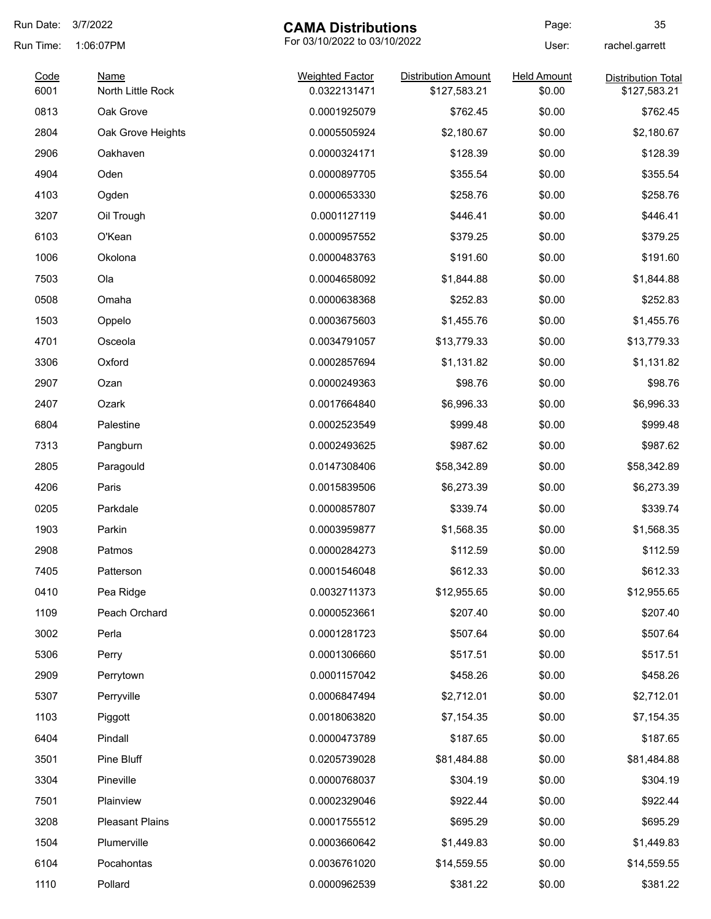| Run Date:    | 3/7/2022<br><b>CAMA Distributions</b>     |                                        | Page:                                      | 35                           |                                           |
|--------------|-------------------------------------------|----------------------------------------|--------------------------------------------|------------------------------|-------------------------------------------|
| Run Time:    | For 03/10/2022 to 03/10/2022<br>1:06:07PM |                                        |                                            | User:                        | rachel.garrett                            |
| Code<br>6001 | <b>Name</b><br>North Little Rock          | <b>Weighted Factor</b><br>0.0322131471 | <b>Distribution Amount</b><br>\$127,583.21 | <b>Held Amount</b><br>\$0.00 | <b>Distribution Total</b><br>\$127,583.21 |
| 0813         | Oak Grove                                 | 0.0001925079                           | \$762.45                                   | \$0.00                       | \$762.45                                  |
| 2804         | Oak Grove Heights                         | 0.0005505924                           | \$2,180.67                                 | \$0.00                       | \$2,180.67                                |
| 2906         | Oakhaven                                  | 0.0000324171                           | \$128.39                                   | \$0.00                       | \$128.39                                  |
| 4904         | Oden                                      | 0.0000897705                           | \$355.54                                   | \$0.00                       | \$355.54                                  |
| 4103         | Ogden                                     | 0.0000653330                           | \$258.76                                   | \$0.00                       | \$258.76                                  |
| 3207         | Oil Trough                                | 0.0001127119                           | \$446.41                                   | \$0.00                       | \$446.41                                  |
| 6103         | O'Kean                                    | 0.0000957552                           | \$379.25                                   | \$0.00                       | \$379.25                                  |
| 1006         | Okolona                                   | 0.0000483763                           | \$191.60                                   | \$0.00                       | \$191.60                                  |
| 7503         | Ola                                       | 0.0004658092                           | \$1,844.88                                 | \$0.00                       | \$1,844.88                                |
| 0508         | Omaha                                     | 0.0000638368                           | \$252.83                                   | \$0.00                       | \$252.83                                  |
| 1503         | Oppelo                                    | 0.0003675603                           | \$1,455.76                                 | \$0.00                       | \$1,455.76                                |
| 4701         | Osceola                                   | 0.0034791057                           | \$13,779.33                                | \$0.00                       | \$13,779.33                               |
| 3306         | Oxford                                    | 0.0002857694                           | \$1,131.82                                 | \$0.00                       | \$1,131.82                                |
| 2907         | Ozan                                      | 0.0000249363                           | \$98.76                                    | \$0.00                       | \$98.76                                   |
| 2407         | Ozark                                     | 0.0017664840                           | \$6,996.33                                 | \$0.00                       | \$6,996.33                                |
| 6804         | Palestine                                 | 0.0002523549                           | \$999.48                                   | \$0.00                       | \$999.48                                  |
| 7313         | Pangburn                                  | 0.0002493625                           | \$987.62                                   | \$0.00                       | \$987.62                                  |
| 2805         | Paragould                                 | 0.0147308406                           | \$58,342.89                                | \$0.00                       | \$58,342.89                               |
| 4206         | Paris                                     | 0.0015839506                           | \$6,273.39                                 | \$0.00                       | \$6,273.39                                |
| 0205         | Parkdale                                  | 0.0000857807                           | \$339.74                                   | \$0.00                       | \$339.74                                  |
| 1903         | Parkin                                    | 0.0003959877                           | \$1,568.35                                 | \$0.00                       | \$1,568.35                                |
| 2908         | Patmos                                    | 0.0000284273                           | \$112.59                                   | \$0.00                       | \$112.59                                  |
| 7405         | Patterson                                 | 0.0001546048                           | \$612.33                                   | \$0.00                       | \$612.33                                  |
| 0410         | Pea Ridge                                 | 0.0032711373                           | \$12,955.65                                | \$0.00                       | \$12,955.65                               |
| 1109         | Peach Orchard                             | 0.0000523661                           | \$207.40                                   | \$0.00                       | \$207.40                                  |
| 3002         | Perla                                     | 0.0001281723                           | \$507.64                                   | \$0.00                       | \$507.64                                  |
| 5306         | Perry                                     | 0.0001306660                           | \$517.51                                   | \$0.00                       | \$517.51                                  |
| 2909         | Perrytown                                 | 0.0001157042                           | \$458.26                                   | \$0.00                       | \$458.26                                  |
| 5307         | Perryville                                | 0.0006847494                           | \$2,712.01                                 | \$0.00                       | \$2,712.01                                |
| 1103         | Piggott                                   | 0.0018063820                           | \$7,154.35                                 | \$0.00                       | \$7,154.35                                |
| 6404         | Pindall                                   | 0.0000473789                           | \$187.65                                   | \$0.00                       | \$187.65                                  |
| 3501         | Pine Bluff                                | 0.0205739028                           | \$81,484.88                                | \$0.00                       | \$81,484.88                               |
| 3304         | Pineville                                 | 0.0000768037                           | \$304.19                                   | \$0.00                       | \$304.19                                  |
| 7501         | Plainview                                 | 0.0002329046                           | \$922.44                                   | \$0.00                       | \$922.44                                  |
| 3208         | <b>Pleasant Plains</b>                    | 0.0001755512                           | \$695.29                                   | \$0.00                       | \$695.29                                  |
| 1504         | Plumerville                               | 0.0003660642                           | \$1,449.83                                 | \$0.00                       | \$1,449.83                                |
| 6104         | Pocahontas                                | 0.0036761020                           | \$14,559.55                                | \$0.00                       | \$14,559.55                               |
| 1110         | Pollard                                   | 0.0000962539                           | \$381.22                                   | \$0.00                       | \$381.22                                  |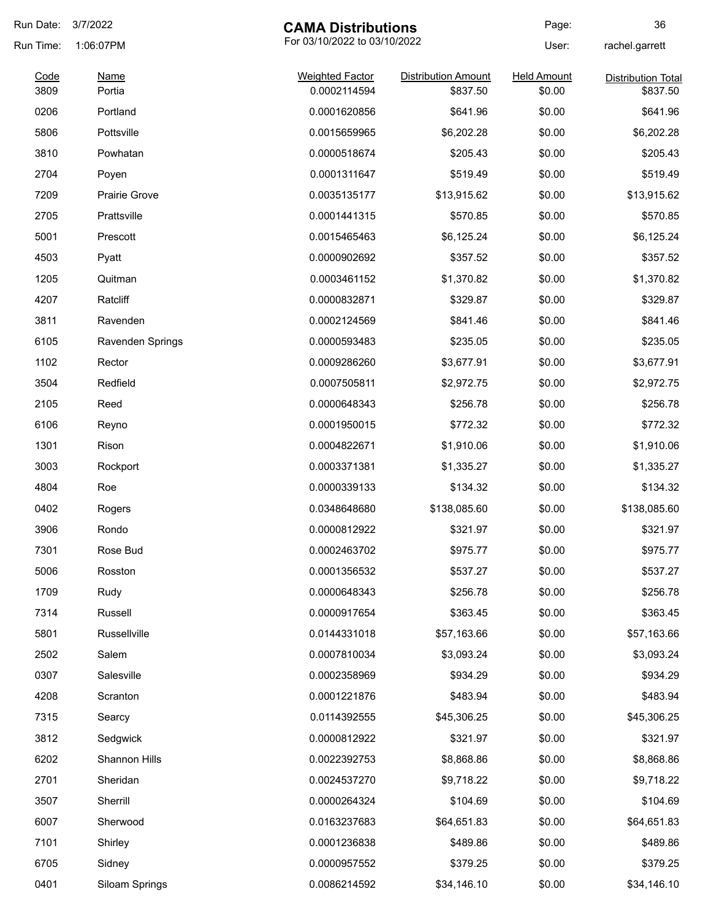| Run Date:    | 3/7/2022                                  | <b>CAMA Distributions</b>              |                                        | Page:                        | 36                                    |
|--------------|-------------------------------------------|----------------------------------------|----------------------------------------|------------------------------|---------------------------------------|
| Run Time:    | For 03/10/2022 to 03/10/2022<br>1:06:07PM |                                        |                                        | User:                        | rachel.garrett                        |
| Code<br>3809 | <b>Name</b><br>Portia                     | <b>Weighted Factor</b><br>0.0002114594 | <b>Distribution Amount</b><br>\$837.50 | <b>Held Amount</b><br>\$0.00 | <b>Distribution Total</b><br>\$837.50 |
| 0206         | Portland                                  | 0.0001620856                           | \$641.96                               | \$0.00                       | \$641.96                              |
| 5806         | Pottsville                                | 0.0015659965                           | \$6,202.28                             | \$0.00                       | \$6,202.28                            |
| 3810         | Powhatan                                  | 0.0000518674                           | \$205.43                               | \$0.00                       | \$205.43                              |
| 2704         | Poyen                                     | 0.0001311647                           | \$519.49                               | \$0.00                       | \$519.49                              |
| 7209         | <b>Prairie Grove</b>                      | 0.0035135177                           | \$13,915.62                            | \$0.00                       | \$13,915.62                           |
| 2705         | Prattsville                               | 0.0001441315                           | \$570.85                               | \$0.00                       | \$570.85                              |
| 5001         | Prescott                                  | 0.0015465463                           | \$6,125.24                             | \$0.00                       | \$6,125.24                            |
| 4503         | Pyatt                                     | 0.0000902692                           | \$357.52                               | \$0.00                       | \$357.52                              |
| 1205         | Quitman                                   | 0.0003461152                           | \$1,370.82                             | \$0.00                       | \$1,370.82                            |
| 4207         | Ratcliff                                  | 0.0000832871                           | \$329.87                               | \$0.00                       | \$329.87                              |
| 3811         | Ravenden                                  | 0.0002124569                           | \$841.46                               | \$0.00                       | \$841.46                              |
| 6105         | Ravenden Springs                          | 0.0000593483                           | \$235.05                               | \$0.00                       | \$235.05                              |
| 1102         | Rector                                    | 0.0009286260                           | \$3,677.91                             | \$0.00                       | \$3,677.91                            |
| 3504         | Redfield                                  | 0.0007505811                           | \$2,972.75                             | \$0.00                       | \$2,972.75                            |
| 2105         | Reed                                      | 0.0000648343                           | \$256.78                               | \$0.00                       | \$256.78                              |
| 6106         | Reyno                                     | 0.0001950015                           | \$772.32                               | \$0.00                       | \$772.32                              |
| 1301         | Rison                                     | 0.0004822671                           | \$1,910.06                             | \$0.00                       | \$1,910.06                            |
| 3003         | Rockport                                  | 0.0003371381                           | \$1,335.27                             | \$0.00                       | \$1,335.27                            |
| 4804         | Roe                                       | 0.0000339133                           | \$134.32                               | \$0.00                       | \$134.32                              |
| 0402         | Rogers                                    | 0.0348648680                           | \$138,085.60                           | \$0.00                       | \$138,085.60                          |
| 3906         | Rondo                                     | 0.0000812922                           | \$321.97                               | \$0.00                       | \$321.97                              |
| 7301         | Rose Bud                                  | 0.0002463702                           | \$975.77                               | \$0.00                       | \$975.77                              |
| 5006         | Rosston                                   | 0.0001356532                           | \$537.27                               | \$0.00                       | \$537.27                              |
| 1709         | Rudy                                      | 0.0000648343                           | \$256.78                               | \$0.00                       | \$256.78                              |
| 7314         | Russell                                   | 0.0000917654                           | \$363.45                               | \$0.00                       | \$363.45                              |
| 5801         | Russellville                              | 0.0144331018                           | \$57,163.66                            | \$0.00                       | \$57,163.66                           |
| 2502         | Salem                                     | 0.0007810034                           | \$3,093.24                             | \$0.00                       | \$3,093.24                            |
| 0307         | Salesville                                | 0.0002358969                           | \$934.29                               | \$0.00                       | \$934.29                              |
| 4208         | Scranton                                  | 0.0001221876                           | \$483.94                               | \$0.00                       | \$483.94                              |
| 7315         | Searcy                                    | 0.0114392555                           | \$45,306.25                            | \$0.00                       | \$45,306.25                           |
| 3812         | Sedgwick                                  | 0.0000812922                           | \$321.97                               | \$0.00                       | \$321.97                              |
| 6202         | Shannon Hills                             | 0.0022392753                           | \$8,868.86                             | \$0.00                       | \$8,868.86                            |
| 2701         | Sheridan                                  | 0.0024537270                           | \$9,718.22                             | \$0.00                       | \$9,718.22                            |
| 3507         | Sherrill                                  | 0.0000264324                           | \$104.69                               | \$0.00                       | \$104.69                              |
| 6007         | Sherwood                                  | 0.0163237683                           | \$64,651.83                            | \$0.00                       | \$64,651.83                           |
| 7101         | Shirley                                   | 0.0001236838                           | \$489.86                               | \$0.00                       | \$489.86                              |
| 6705         | Sidney                                    | 0.0000957552                           | \$379.25                               | \$0.00                       | \$379.25                              |
| 0401         | Siloam Springs                            | 0.0086214592                           | \$34,146.10                            | \$0.00                       | \$34,146.10                           |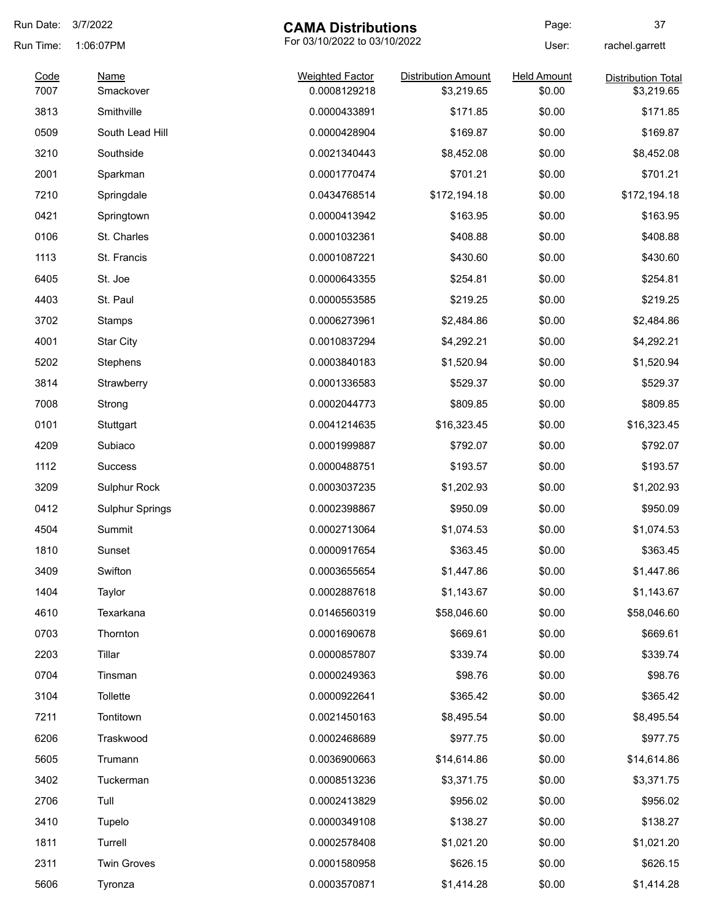| Run Date:    | 3/7/2022<br><b>CAMA Distributions</b> |                                        | Page:                                    | 37                           |                                         |
|--------------|---------------------------------------|----------------------------------------|------------------------------------------|------------------------------|-----------------------------------------|
| Run Time:    | 1:06:07PM                             |                                        | For 03/10/2022 to 03/10/2022             |                              | rachel.garrett                          |
| Code<br>7007 | <b>Name</b><br>Smackover              | <b>Weighted Factor</b><br>0.0008129218 | <b>Distribution Amount</b><br>\$3,219.65 | <b>Held Amount</b><br>\$0.00 | <b>Distribution Total</b><br>\$3,219.65 |
| 3813         | Smithville                            | 0.0000433891                           | \$171.85                                 | \$0.00                       | \$171.85                                |
| 0509         | South Lead Hill                       | 0.0000428904                           | \$169.87                                 | \$0.00                       | \$169.87                                |
| 3210         | Southside                             | 0.0021340443                           | \$8,452.08                               | \$0.00                       | \$8,452.08                              |
| 2001         | Sparkman                              | 0.0001770474                           | \$701.21                                 | \$0.00                       | \$701.21                                |
| 7210         | Springdale                            | 0.0434768514                           | \$172,194.18                             | \$0.00                       | \$172,194.18                            |
| 0421         | Springtown                            | 0.0000413942                           | \$163.95                                 | \$0.00                       | \$163.95                                |
| 0106         | St. Charles                           | 0.0001032361                           | \$408.88                                 | \$0.00                       | \$408.88                                |
| 1113         | St. Francis                           | 0.0001087221                           | \$430.60                                 | \$0.00                       | \$430.60                                |
| 6405         | St. Joe                               | 0.0000643355                           | \$254.81                                 | \$0.00                       | \$254.81                                |
| 4403         | St. Paul                              | 0.0000553585                           | \$219.25                                 | \$0.00                       | \$219.25                                |
| 3702         | Stamps                                | 0.0006273961                           | \$2,484.86                               | \$0.00                       | \$2,484.86                              |
| 4001         | <b>Star City</b>                      | 0.0010837294                           | \$4,292.21                               | \$0.00                       | \$4,292.21                              |
| 5202         | Stephens                              | 0.0003840183                           | \$1,520.94                               | \$0.00                       | \$1,520.94                              |
| 3814         | Strawberry                            | 0.0001336583                           | \$529.37                                 | \$0.00                       | \$529.37                                |
| 7008         | Strong                                | 0.0002044773                           | \$809.85                                 | \$0.00                       | \$809.85                                |
| 0101         | Stuttgart                             | 0.0041214635                           | \$16,323.45                              | \$0.00                       | \$16,323.45                             |
| 4209         | Subiaco                               | 0.0001999887                           | \$792.07                                 | \$0.00                       | \$792.07                                |
| 1112         | <b>Success</b>                        | 0.0000488751                           | \$193.57                                 | \$0.00                       | \$193.57                                |
| 3209         | Sulphur Rock                          | 0.0003037235                           | \$1,202.93                               | \$0.00                       | \$1,202.93                              |
| 0412         | <b>Sulphur Springs</b>                | 0.0002398867                           | \$950.09                                 | \$0.00                       | \$950.09                                |
| 4504         | Summit                                | 0.0002713064                           | \$1,074.53                               | \$0.00                       | \$1,074.53                              |
| 1810         | Sunset                                | 0.0000917654                           | \$363.45                                 | \$0.00                       | \$363.45                                |
| 3409         | Swifton                               | 0.0003655654                           | \$1,447.86                               | \$0.00                       | \$1,447.86                              |
| 1404         | Taylor                                | 0.0002887618                           | \$1,143.67                               | \$0.00                       | \$1,143.67                              |
| 4610         | Texarkana                             | 0.0146560319                           | \$58,046.60                              | \$0.00                       | \$58,046.60                             |
| 0703         | Thornton                              | 0.0001690678                           | \$669.61                                 | \$0.00                       | \$669.61                                |
| 2203         | Tillar                                | 0.0000857807                           | \$339.74                                 | \$0.00                       | \$339.74                                |
| 0704         | Tinsman                               | 0.0000249363                           | \$98.76                                  | \$0.00                       | \$98.76                                 |
| 3104         | Tollette                              | 0.0000922641                           | \$365.42                                 | \$0.00                       | \$365.42                                |
| 7211         | Tontitown                             | 0.0021450163                           | \$8,495.54                               | \$0.00                       | \$8,495.54                              |
| 6206         | Traskwood                             | 0.0002468689                           | \$977.75                                 | \$0.00                       | \$977.75                                |
| 5605         | Trumann                               | 0.0036900663                           | \$14,614.86                              | \$0.00                       | \$14,614.86                             |
| 3402         | Tuckerman                             | 0.0008513236                           | \$3,371.75                               | \$0.00                       | \$3,371.75                              |
| 2706         | Tull                                  | 0.0002413829                           | \$956.02                                 | \$0.00                       | \$956.02                                |
| 3410         | Tupelo                                | 0.0000349108                           | \$138.27                                 | \$0.00                       | \$138.27                                |
| 1811         | Turrell                               | 0.0002578408                           | \$1,021.20                               | \$0.00                       | \$1,021.20                              |
| 2311         | <b>Twin Groves</b>                    | 0.0001580958                           | \$626.15                                 | \$0.00                       | \$626.15                                |
| 5606         | Tyronza                               | 0.0003570871                           | \$1,414.28                               | \$0.00                       | \$1,414.28                              |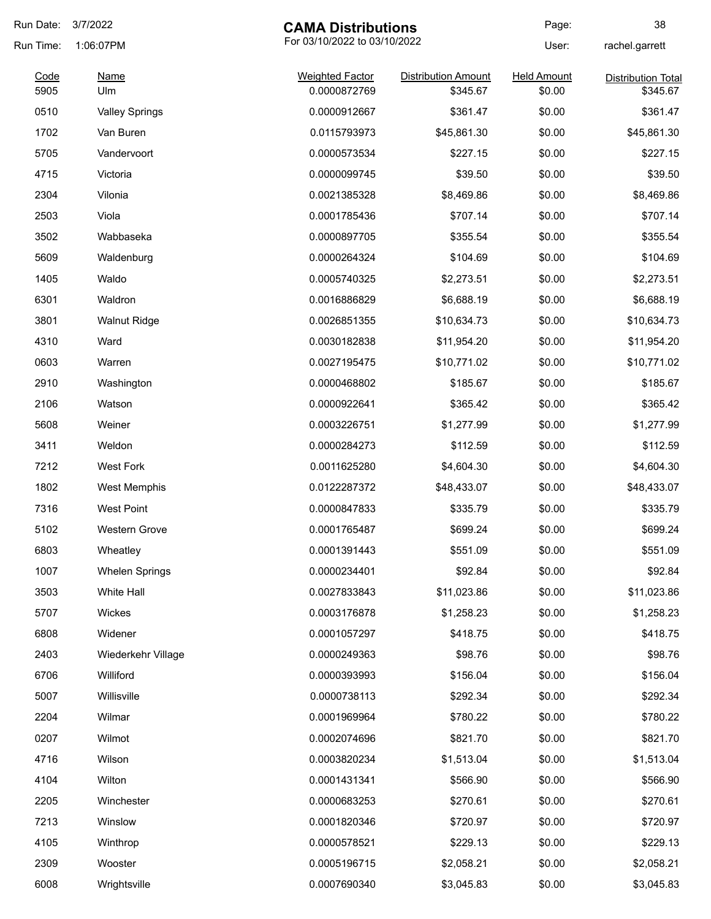| Run Date: | 3/7/2022              | <b>CAMA Distributions</b>              |                            | Page:              | 38                        |
|-----------|-----------------------|----------------------------------------|----------------------------|--------------------|---------------------------|
| Run Time: | 1:06:07PM             | For 03/10/2022 to 03/10/2022           |                            | User:              | rachel.garrett            |
| Code      | <b>Name</b>           | <b>Weighted Factor</b><br>0.0000872769 | <b>Distribution Amount</b> | <b>Held Amount</b> | <b>Distribution Total</b> |
| 5905      | Ulm                   |                                        | \$345.67                   | \$0.00             | \$345.67                  |
| 0510      | <b>Valley Springs</b> | 0.0000912667                           | \$361.47                   | \$0.00             | \$361.47                  |
| 1702      | Van Buren             | 0.0115793973                           | \$45,861.30                | \$0.00             | \$45,861.30               |
| 5705      | Vandervoort           | 0.0000573534                           | \$227.15                   | \$0.00             | \$227.15                  |
| 4715      | Victoria              | 0.0000099745                           | \$39.50                    | \$0.00             | \$39.50                   |
| 2304      | Vilonia               | 0.0021385328                           | \$8,469.86                 | \$0.00             | \$8,469.86                |
| 2503      | Viola                 | 0.0001785436                           | \$707.14                   | \$0.00             | \$707.14                  |
| 3502      | Wabbaseka             | 0.0000897705                           | \$355.54                   | \$0.00             | \$355.54                  |
| 5609      | Waldenburg            | 0.0000264324                           | \$104.69                   | \$0.00             | \$104.69                  |
| 1405      | Waldo                 | 0.0005740325                           | \$2,273.51                 | \$0.00             | \$2,273.51                |
| 6301      | Waldron               | 0.0016886829                           | \$6,688.19                 | \$0.00             | \$6,688.19                |
| 3801      | <b>Walnut Ridge</b>   | 0.0026851355                           | \$10,634.73                | \$0.00             | \$10,634.73               |
| 4310      | Ward                  | 0.0030182838                           | \$11,954.20                | \$0.00             | \$11,954.20               |
| 0603      | Warren                | 0.0027195475                           | \$10,771.02                | \$0.00             | \$10,771.02               |
| 2910      | Washington            | 0.0000468802                           | \$185.67                   | \$0.00             | \$185.67                  |
| 2106      | Watson                | 0.0000922641                           | \$365.42                   | \$0.00             | \$365.42                  |
| 5608      | Weiner                | 0.0003226751                           | \$1,277.99                 | \$0.00             | \$1,277.99                |
| 3411      | Weldon                | 0.0000284273                           | \$112.59                   | \$0.00             | \$112.59                  |
| 7212      | <b>West Fork</b>      | 0.0011625280                           | \$4,604.30                 | \$0.00             | \$4,604.30                |
| 1802      | West Memphis          | 0.0122287372                           | \$48,433.07                | \$0.00             | \$48,433.07               |
| 7316      | <b>West Point</b>     | 0.0000847833                           | \$335.79                   | \$0.00             | \$335.79                  |
| 5102      | <b>Western Grove</b>  | 0.0001765487                           | \$699.24                   | \$0.00             | \$699.24                  |
| 6803      | Wheatley              | 0.0001391443                           | \$551.09                   | \$0.00             | \$551.09                  |
| 1007      | <b>Whelen Springs</b> | 0.0000234401                           | \$92.84                    | \$0.00             | \$92.84                   |
| 3503      | White Hall            | 0.0027833843                           | \$11,023.86                | \$0.00             | \$11,023.86               |
| 5707      | Wickes                | 0.0003176878                           | \$1,258.23                 | \$0.00             | \$1,258.23                |
| 6808      | Widener               | 0.0001057297                           | \$418.75                   | \$0.00             | \$418.75                  |
| 2403      | Wiederkehr Village    | 0.0000249363                           | \$98.76                    | \$0.00             | \$98.76                   |
| 6706      | Williford             | 0.0000393993                           | \$156.04                   | \$0.00             | \$156.04                  |
| 5007      | Willisville           | 0.0000738113                           | \$292.34                   | \$0.00             | \$292.34                  |
| 2204      | Wilmar                | 0.0001969964                           | \$780.22                   | \$0.00             | \$780.22                  |
| 0207      | Wilmot                | 0.0002074696                           | \$821.70                   | \$0.00             | \$821.70                  |
| 4716      | Wilson                | 0.0003820234                           | \$1,513.04                 | \$0.00             | \$1,513.04                |
|           |                       |                                        |                            |                    |                           |
| 4104      | Wilton                | 0.0001431341                           | \$566.90                   | \$0.00             | \$566.90                  |
| 2205      | Winchester            | 0.0000683253                           | \$270.61                   | \$0.00             | \$270.61                  |
| 7213      | Winslow               | 0.0001820346                           | \$720.97                   | \$0.00             | \$720.97                  |
| 4105      | Winthrop              | 0.0000578521                           | \$229.13                   | \$0.00             | \$229.13                  |
| 2309      | Wooster               | 0.0005196715                           | \$2,058.21                 | \$0.00             | \$2,058.21                |
| 6008      | Wrightsville          | 0.0007690340                           | \$3,045.83                 | \$0.00             | \$3,045.83                |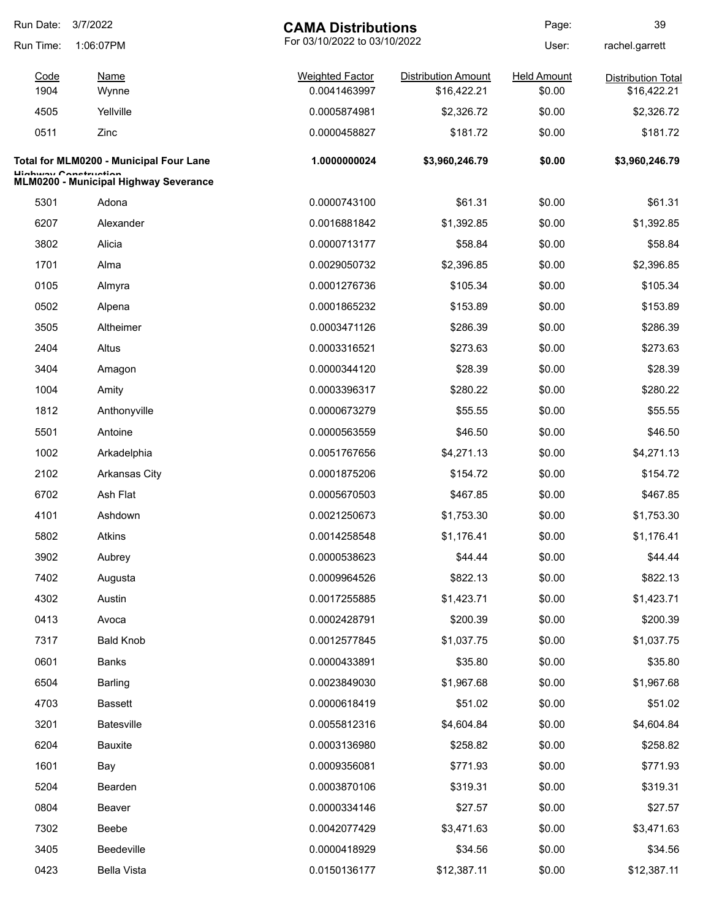| Run Date:    | 3/7/2022<br><b>CAMA Distributions</b>                          |                                        | Page:                                     | 39                           |                                          |
|--------------|----------------------------------------------------------------|----------------------------------------|-------------------------------------------|------------------------------|------------------------------------------|
| Run Time:    | 1:06:07PM                                                      | For 03/10/2022 to 03/10/2022           |                                           | User:                        | rachel.garrett                           |
| Code<br>1904 | Name<br>Wynne                                                  | <b>Weighted Factor</b><br>0.0041463997 | <b>Distribution Amount</b><br>\$16,422.21 | <b>Held Amount</b><br>\$0.00 | <b>Distribution Total</b><br>\$16,422.21 |
| 4505         | Yellville                                                      | 0.0005874981                           | \$2,326.72                                | \$0.00                       | \$2,326.72                               |
| 0511         | Zinc                                                           | 0.0000458827                           | \$181.72                                  | \$0.00                       | \$181.72                                 |
|              | Total for MLM0200 - Municipal Four Lane                        | 1.0000000024                           | \$3,960,246.79                            | \$0.00                       | \$3,960,246.79                           |
|              | Llinhway Canatruatian<br>MLM0200 - Municipal Highway Severance |                                        |                                           |                              |                                          |
| 5301         | Adona                                                          | 0.0000743100                           | \$61.31                                   | \$0.00                       | \$61.31                                  |
| 6207         | Alexander                                                      | 0.0016881842                           | \$1,392.85                                | \$0.00                       | \$1,392.85                               |
| 3802         | Alicia                                                         | 0.0000713177                           | \$58.84                                   | \$0.00                       | \$58.84                                  |
| 1701         | Alma                                                           | 0.0029050732                           | \$2,396.85                                | \$0.00                       | \$2,396.85                               |
| 0105         | Almyra                                                         | 0.0001276736                           | \$105.34                                  | \$0.00                       | \$105.34                                 |
| 0502         | Alpena                                                         | 0.0001865232                           | \$153.89                                  | \$0.00                       | \$153.89                                 |
| 3505         | Altheimer                                                      | 0.0003471126                           | \$286.39                                  | \$0.00                       | \$286.39                                 |
| 2404         | Altus                                                          | 0.0003316521                           | \$273.63                                  | \$0.00                       | \$273.63                                 |
| 3404         | Amagon                                                         | 0.0000344120                           | \$28.39                                   | \$0.00                       | \$28.39                                  |
| 1004         | Amity                                                          | 0.0003396317                           | \$280.22                                  | \$0.00                       | \$280.22                                 |
| 1812         | Anthonyville                                                   | 0.0000673279                           | \$55.55                                   | \$0.00                       | \$55.55                                  |
| 5501         | Antoine                                                        | 0.0000563559                           | \$46.50                                   | \$0.00                       | \$46.50                                  |
| 1002         | Arkadelphia                                                    | 0.0051767656                           | \$4,271.13                                | \$0.00                       | \$4,271.13                               |
| 2102         | <b>Arkansas City</b>                                           | 0.0001875206                           | \$154.72                                  | \$0.00                       | \$154.72                                 |
| 6702         | Ash Flat                                                       | 0.0005670503                           | \$467.85                                  | \$0.00                       | \$467.85                                 |
| 4101         | Ashdown                                                        | 0.0021250673                           | \$1,753.30                                | \$0.00                       | \$1,753.30                               |
| 5802         | Atkins                                                         | 0.0014258548                           | \$1,176.41                                | \$0.00                       | \$1,176.41                               |
| 3902         | Aubrey                                                         | 0.0000538623                           | \$44.44                                   | \$0.00                       | \$44.44                                  |
| 7402         | Augusta                                                        | 0.0009964526                           | \$822.13                                  | \$0.00                       | \$822.13                                 |
| 4302         | Austin                                                         | 0.0017255885                           | \$1,423.71                                | \$0.00                       | \$1,423.71                               |
| 0413         | Avoca                                                          | 0.0002428791                           | \$200.39                                  | \$0.00                       | \$200.39                                 |
| 7317         | <b>Bald Knob</b>                                               | 0.0012577845                           | \$1,037.75                                | \$0.00                       | \$1,037.75                               |
| 0601         | <b>Banks</b>                                                   | 0.0000433891                           | \$35.80                                   | \$0.00                       | \$35.80                                  |
| 6504         | <b>Barling</b>                                                 | 0.0023849030                           | \$1,967.68                                | \$0.00                       | \$1,967.68                               |
| 4703         | <b>Bassett</b>                                                 | 0.0000618419                           | \$51.02                                   | \$0.00                       | \$51.02                                  |
| 3201         | <b>Batesville</b>                                              | 0.0055812316                           | \$4,604.84                                | \$0.00                       | \$4,604.84                               |
| 6204         | <b>Bauxite</b>                                                 | 0.0003136980                           | \$258.82                                  | \$0.00                       | \$258.82                                 |
| 1601         | Bay                                                            | 0.0009356081                           | \$771.93                                  | \$0.00                       | \$771.93                                 |
| 5204         | Bearden                                                        | 0.0003870106                           | \$319.31                                  | \$0.00                       | \$319.31                                 |
| 0804         | Beaver                                                         | 0.0000334146                           | \$27.57                                   | \$0.00                       | \$27.57                                  |
| 7302         | Beebe                                                          | 0.0042077429                           | \$3,471.63                                | \$0.00                       | \$3,471.63                               |
| 3405         | Beedeville                                                     | 0.0000418929                           | \$34.56                                   | \$0.00                       | \$34.56                                  |
| 0423         | <b>Bella Vista</b>                                             | 0.0150136177                           | \$12,387.11                               | \$0.00                       | \$12,387.11                              |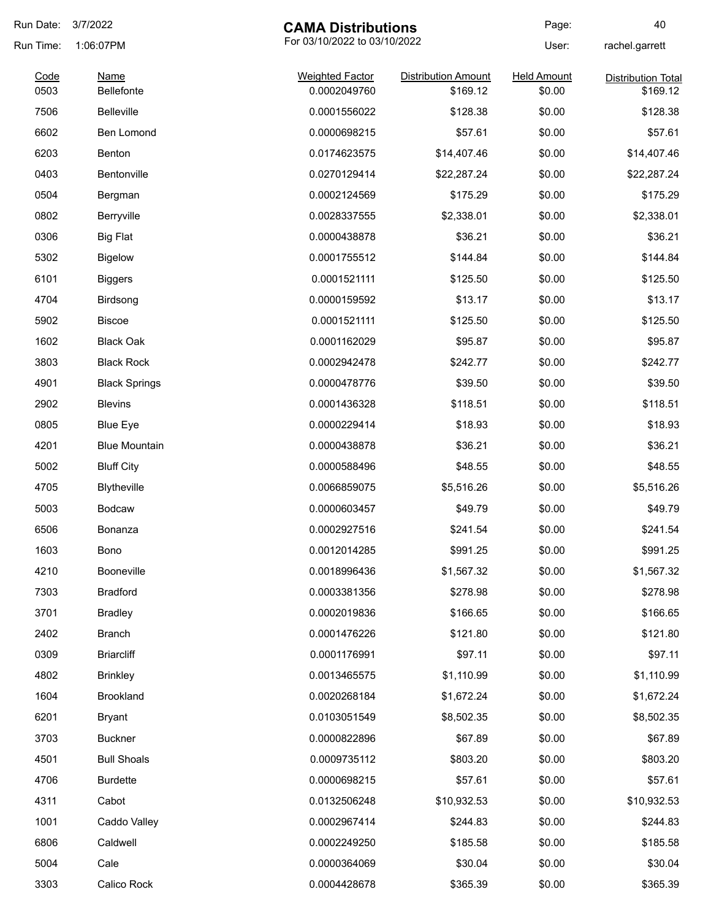| Run Date:    | 3/7/2022<br><b>CAMA Distributions</b>     |                                        | Page:                                  | 40                           |                           |
|--------------|-------------------------------------------|----------------------------------------|----------------------------------------|------------------------------|---------------------------|
| Run Time:    | For 03/10/2022 to 03/10/2022<br>1:06:07PM |                                        |                                        | User:                        | rachel.garrett            |
| Code<br>0503 | <b>Name</b><br>Bellefonte                 | <b>Weighted Factor</b><br>0.0002049760 | <b>Distribution Amount</b><br>\$169.12 | <b>Held Amount</b><br>\$0.00 | <b>Distribution Total</b> |
| 7506         | <b>Belleville</b>                         | 0.0001556022                           | \$128.38                               | \$0.00                       | \$169.12<br>\$128.38      |
|              | <b>Ben Lomond</b>                         |                                        | \$57.61                                | \$0.00                       | \$57.61                   |
| 6602<br>6203 |                                           | 0.0000698215                           | \$14,407.46                            | \$0.00                       |                           |
|              | Benton                                    | 0.0174623575                           |                                        |                              | \$14,407.46               |
| 0403         | Bentonville                               | 0.0270129414                           | \$22,287.24                            | \$0.00                       | \$22,287.24               |
| 0504         | Bergman                                   | 0.0002124569                           | \$175.29                               | \$0.00                       | \$175.29                  |
| 0802         | Berryville                                | 0.0028337555                           | \$2,338.01                             | \$0.00                       | \$2,338.01                |
| 0306         | <b>Big Flat</b>                           | 0.0000438878                           | \$36.21                                | \$0.00                       | \$36.21                   |
| 5302         | <b>Bigelow</b>                            | 0.0001755512                           | \$144.84                               | \$0.00                       | \$144.84                  |
| 6101         | <b>Biggers</b>                            | 0.0001521111                           | \$125.50                               | \$0.00                       | \$125.50                  |
| 4704         | Birdsong                                  | 0.0000159592                           | \$13.17                                | \$0.00                       | \$13.17                   |
| 5902         | <b>Biscoe</b>                             | 0.0001521111                           | \$125.50                               | \$0.00                       | \$125.50                  |
| 1602         | <b>Black Oak</b>                          | 0.0001162029                           | \$95.87                                | \$0.00                       | \$95.87                   |
| 3803         | <b>Black Rock</b>                         | 0.0002942478                           | \$242.77                               | \$0.00                       | \$242.77                  |
| 4901         | <b>Black Springs</b>                      | 0.0000478776                           | \$39.50                                | \$0.00                       | \$39.50                   |
| 2902         | <b>Blevins</b>                            | 0.0001436328                           | \$118.51                               | \$0.00                       | \$118.51                  |
| 0805         | <b>Blue Eye</b>                           | 0.0000229414                           | \$18.93                                | \$0.00                       | \$18.93                   |
| 4201         | <b>Blue Mountain</b>                      | 0.0000438878                           | \$36.21                                | \$0.00                       | \$36.21                   |
| 5002         | <b>Bluff City</b>                         | 0.0000588496                           | \$48.55                                | \$0.00                       | \$48.55                   |
| 4705         | Blytheville                               | 0.0066859075                           | \$5,516.26                             | \$0.00                       | \$5,516.26                |
| 5003         | <b>Bodcaw</b>                             | 0.0000603457                           | \$49.79                                | \$0.00                       | \$49.79                   |
| 6506         | Bonanza                                   | 0.0002927516                           | \$241.54                               | \$0.00                       | \$241.54                  |
| 1603         | Bono                                      | 0.0012014285                           | \$991.25                               | \$0.00                       | \$991.25                  |
| 4210         | Booneville                                | 0.0018996436                           | \$1,567.32                             | \$0.00                       | \$1,567.32                |
| 7303         | <b>Bradford</b>                           | 0.0003381356                           | \$278.98                               | \$0.00                       | \$278.98                  |
| 3701         | <b>Bradley</b>                            | 0.0002019836                           | \$166.65                               | \$0.00                       | \$166.65                  |
| 2402         | <b>Branch</b>                             | 0.0001476226                           | \$121.80                               | \$0.00                       | \$121.80                  |
| 0309         | <b>Briarcliff</b>                         | 0.0001176991                           | \$97.11                                | \$0.00                       | \$97.11                   |
| 4802         | <b>Brinkley</b>                           | 0.0013465575                           | \$1,110.99                             | \$0.00                       | \$1,110.99                |
| 1604         | <b>Brookland</b>                          | 0.0020268184                           | \$1,672.24                             | \$0.00                       | \$1,672.24                |
| 6201         | <b>Bryant</b>                             | 0.0103051549                           | \$8,502.35                             | \$0.00                       | \$8,502.35                |
| 3703         | <b>Buckner</b>                            | 0.0000822896                           | \$67.89                                | \$0.00                       | \$67.89                   |
|              | <b>Bull Shoals</b>                        |                                        |                                        |                              |                           |
| 4501         |                                           | 0.0009735112                           | \$803.20                               | \$0.00                       | \$803.20                  |
| 4706         | <b>Burdette</b>                           | 0.0000698215                           | \$57.61                                | \$0.00                       | \$57.61                   |
| 4311         | Cabot                                     | 0.0132506248                           | \$10,932.53                            | \$0.00                       | \$10,932.53               |
| 1001         | Caddo Valley                              | 0.0002967414                           | \$244.83                               | \$0.00                       | \$244.83                  |
| 6806         | Caldwell                                  | 0.0002249250                           | \$185.58                               | \$0.00                       | \$185.58                  |
| 5004         | Cale                                      | 0.0000364069                           | \$30.04                                | \$0.00                       | \$30.04                   |
| 3303         | Calico Rock                               | 0.0004428678                           | \$365.39                               | \$0.00                       | \$365.39                  |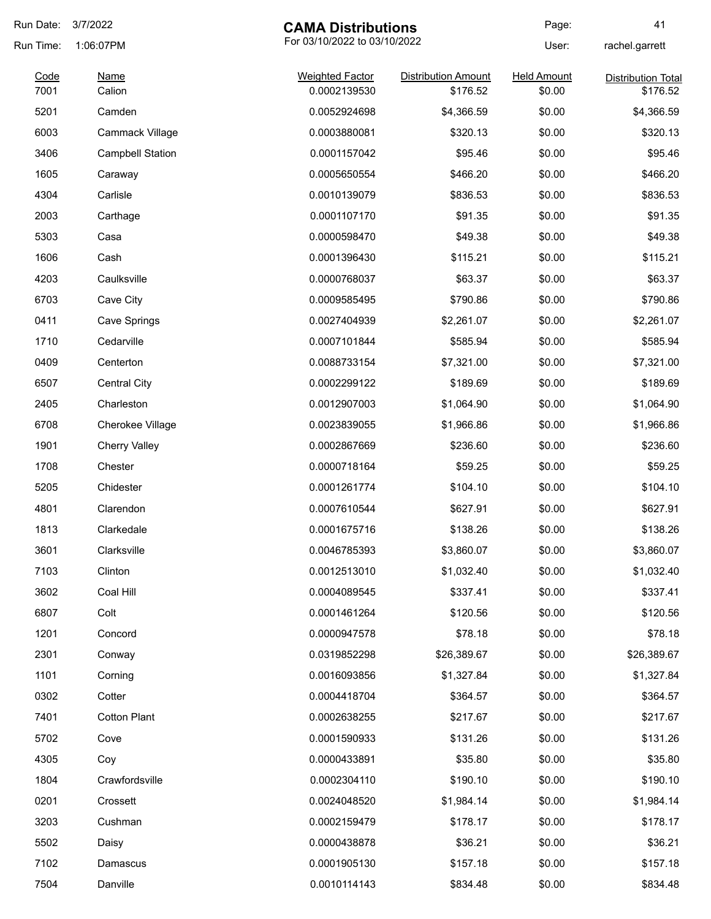| Run Date:    | 3/7/2022                | <b>CAMA Distributions</b>              |                                        | Page:                        | 41                                    |
|--------------|-------------------------|----------------------------------------|----------------------------------------|------------------------------|---------------------------------------|
| Run Time:    | 1:06:07PM               | For 03/10/2022 to 03/10/2022           |                                        | User:                        | rachel.garrett                        |
| Code<br>7001 | <b>Name</b><br>Calion   | <b>Weighted Factor</b><br>0.0002139530 | <b>Distribution Amount</b><br>\$176.52 | <b>Held Amount</b><br>\$0.00 | <b>Distribution Total</b><br>\$176.52 |
| 5201         | Camden                  | 0.0052924698                           | \$4,366.59                             | \$0.00                       | \$4,366.59                            |
| 6003         | Cammack Village         | 0.0003880081                           | \$320.13                               | \$0.00                       | \$320.13                              |
| 3406         | <b>Campbell Station</b> | 0.0001157042                           | \$95.46                                | \$0.00                       | \$95.46                               |
| 1605         | Caraway                 | 0.0005650554                           | \$466.20                               | \$0.00                       | \$466.20                              |
| 4304         | Carlisle                | 0.0010139079                           | \$836.53                               | \$0.00                       | \$836.53                              |
| 2003         | Carthage                | 0.0001107170                           | \$91.35                                | \$0.00                       | \$91.35                               |
| 5303         | Casa                    | 0.0000598470                           | \$49.38                                | \$0.00                       | \$49.38                               |
| 1606         | Cash                    | 0.0001396430                           | \$115.21                               | \$0.00                       | \$115.21                              |
| 4203         | Caulksville             | 0.0000768037                           | \$63.37                                | \$0.00                       | \$63.37                               |
| 6703         | Cave City               | 0.0009585495                           | \$790.86                               | \$0.00                       | \$790.86                              |
| 0411         | Cave Springs            | 0.0027404939                           | \$2,261.07                             | \$0.00                       | \$2,261.07                            |
| 1710         | Cedarville              | 0.0007101844                           | \$585.94                               | \$0.00                       | \$585.94                              |
| 0409         | Centerton               | 0.0088733154                           | \$7,321.00                             | \$0.00                       | \$7,321.00                            |
| 6507         | <b>Central City</b>     | 0.0002299122                           | \$189.69                               | \$0.00                       | \$189.69                              |
| 2405         | Charleston              | 0.0012907003                           | \$1,064.90                             | \$0.00                       | \$1,064.90                            |
| 6708         | <b>Cherokee Village</b> | 0.0023839055                           | \$1,966.86                             | \$0.00                       | \$1,966.86                            |
| 1901         | <b>Cherry Valley</b>    | 0.0002867669                           | \$236.60                               | \$0.00                       | \$236.60                              |
| 1708         | Chester                 | 0.0000718164                           | \$59.25                                | \$0.00                       | \$59.25                               |
| 5205         | Chidester               | 0.0001261774                           | \$104.10                               | \$0.00                       | \$104.10                              |
| 4801         | Clarendon               | 0.0007610544                           | \$627.91                               | \$0.00                       | \$627.91                              |
| 1813         | Clarkedale              | 0.0001675716                           | \$138.26                               | \$0.00                       | \$138.26                              |
| 3601         | Clarksville             | 0.0046785393                           | \$3,860.07                             | \$0.00                       | \$3,860.07                            |
| 7103         | Clinton                 | 0.0012513010                           | \$1,032.40                             | \$0.00                       | \$1,032.40                            |
| 3602         | Coal Hill               | 0.0004089545                           | \$337.41                               | \$0.00                       | \$337.41                              |
| 6807         | Colt                    | 0.0001461264                           | \$120.56                               | \$0.00                       | \$120.56                              |
| 1201         | Concord                 | 0.0000947578                           | \$78.18                                | \$0.00                       | \$78.18                               |
| 2301         | Conway                  | 0.0319852298                           | \$26,389.67                            | \$0.00                       | \$26,389.67                           |
| 1101         | Corning                 | 0.0016093856                           | \$1,327.84                             | \$0.00                       | \$1,327.84                            |
| 0302         | Cotter                  | 0.0004418704                           | \$364.57                               | \$0.00                       | \$364.57                              |
| 7401         | <b>Cotton Plant</b>     | 0.0002638255                           | \$217.67                               | \$0.00                       | \$217.67                              |
| 5702         | Cove                    | 0.0001590933                           | \$131.26                               | \$0.00                       | \$131.26                              |
| 4305         | Coy                     | 0.0000433891                           | \$35.80                                | \$0.00                       | \$35.80                               |
| 1804         | Crawfordsville          | 0.0002304110                           | \$190.10                               | \$0.00                       | \$190.10                              |
| 0201         | Crossett                | 0.0024048520                           | \$1,984.14                             | \$0.00                       | \$1,984.14                            |
| 3203         | Cushman                 | 0.0002159479                           | \$178.17                               | \$0.00                       | \$178.17                              |
| 5502         | Daisy                   | 0.0000438878                           | \$36.21                                | \$0.00                       | \$36.21                               |
| 7102         | Damascus                | 0.0001905130                           | \$157.18                               | \$0.00                       | \$157.18                              |
| 7504         | Danville                | 0.0010114143                           | \$834.48                               | \$0.00                       | \$834.48                              |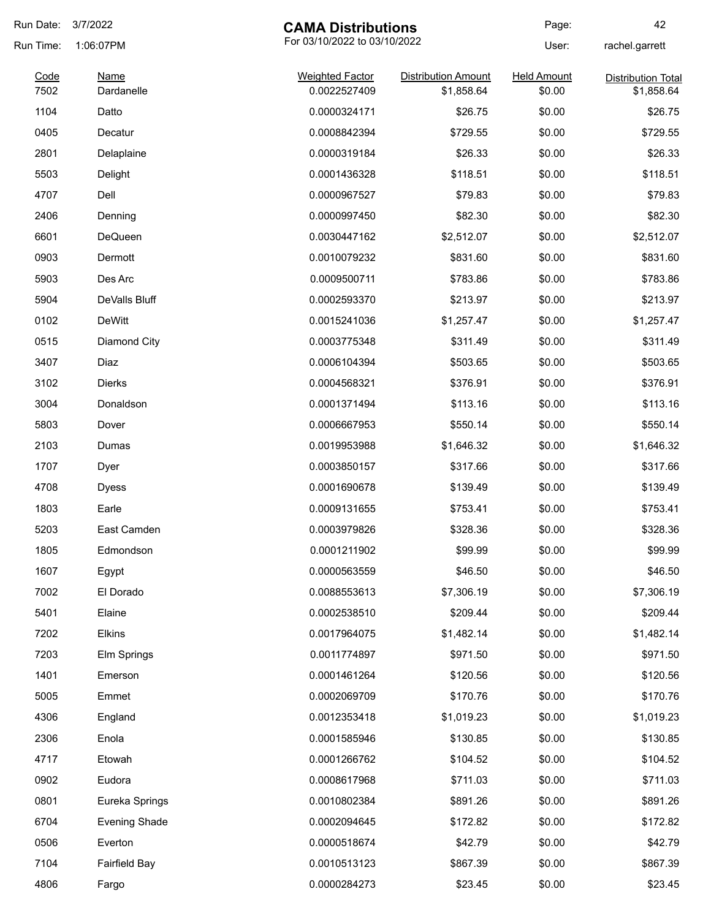| Run Date:    | 3/7/2022                  | <b>CAMA Distributions</b>              |                                          | Page:                        | 42                                      |
|--------------|---------------------------|----------------------------------------|------------------------------------------|------------------------------|-----------------------------------------|
| Run Time:    | 1:06:07PM                 | For 03/10/2022 to 03/10/2022           |                                          | User:                        | rachel.garrett                          |
| Code<br>7502 | <b>Name</b><br>Dardanelle | <b>Weighted Factor</b><br>0.0022527409 | <b>Distribution Amount</b><br>\$1,858.64 | <b>Held Amount</b><br>\$0.00 | <b>Distribution Total</b><br>\$1,858.64 |
| 1104         | Datto                     | 0.0000324171                           | \$26.75                                  | \$0.00                       | \$26.75                                 |
| 0405         | Decatur                   | 0.0008842394                           | \$729.55                                 | \$0.00                       | \$729.55                                |
| 2801         | Delaplaine                | 0.0000319184                           | \$26.33                                  | \$0.00                       | \$26.33                                 |
| 5503         | Delight                   | 0.0001436328                           | \$118.51                                 | \$0.00                       | \$118.51                                |
| 4707         | Dell                      | 0.0000967527                           | \$79.83                                  | \$0.00                       | \$79.83                                 |
| 2406         | Denning                   | 0.0000997450                           | \$82.30                                  | \$0.00                       | \$82.30                                 |
| 6601         | DeQueen                   | 0.0030447162                           | \$2,512.07                               | \$0.00                       | \$2,512.07                              |
| 0903         | Dermott                   | 0.0010079232                           | \$831.60                                 | \$0.00                       | \$831.60                                |
| 5903         | Des Arc                   | 0.0009500711                           | \$783.86                                 | \$0.00                       | \$783.86                                |
| 5904         | DeValls Bluff             | 0.0002593370                           | \$213.97                                 | \$0.00                       | \$213.97                                |
| 0102         | <b>DeWitt</b>             | 0.0015241036                           | \$1,257.47                               | \$0.00                       | \$1,257.47                              |
| 0515         | Diamond City              | 0.0003775348                           | \$311.49                                 | \$0.00                       | \$311.49                                |
| 3407         | Diaz                      | 0.0006104394                           | \$503.65                                 | \$0.00                       | \$503.65                                |
| 3102         | <b>Dierks</b>             | 0.0004568321                           | \$376.91                                 | \$0.00                       | \$376.91                                |
| 3004         | Donaldson                 | 0.0001371494                           | \$113.16                                 | \$0.00                       | \$113.16                                |
| 5803         | Dover                     | 0.0006667953                           | \$550.14                                 | \$0.00                       | \$550.14                                |
| 2103         | Dumas                     | 0.0019953988                           | \$1,646.32                               | \$0.00                       | \$1,646.32                              |
| 1707         | Dyer                      | 0.0003850157                           | \$317.66                                 | \$0.00                       | \$317.66                                |
| 4708         | <b>Dyess</b>              | 0.0001690678                           | \$139.49                                 | \$0.00                       | \$139.49                                |
| 1803         | Earle                     | 0.0009131655                           | \$753.41                                 | \$0.00                       | \$753.41                                |
| 5203         | East Camden               | 0.0003979826                           | \$328.36                                 | \$0.00                       | \$328.36                                |
| 1805         | Edmondson                 | 0.0001211902                           | \$99.99                                  | \$0.00                       | \$99.99                                 |
| 1607         | Egypt                     | 0.0000563559                           | \$46.50                                  | \$0.00                       | \$46.50                                 |
| 7002         | El Dorado                 | 0.0088553613                           | \$7,306.19                               | \$0.00                       | \$7,306.19                              |
| 5401         | Elaine                    | 0.0002538510                           | \$209.44                                 | \$0.00                       | \$209.44                                |
| 7202         | <b>Elkins</b>             | 0.0017964075                           | \$1,482.14                               | \$0.00                       | \$1,482.14                              |
| 7203         | Elm Springs               | 0.0011774897                           | \$971.50                                 | \$0.00                       | \$971.50                                |
| 1401         | Emerson                   | 0.0001461264                           | \$120.56                                 | \$0.00                       | \$120.56                                |
| 5005         | Emmet                     | 0.0002069709                           | \$170.76                                 | \$0.00                       | \$170.76                                |
| 4306         | England                   | 0.0012353418                           | \$1,019.23                               | \$0.00                       | \$1,019.23                              |
| 2306         | Enola                     | 0.0001585946                           | \$130.85                                 | \$0.00                       | \$130.85                                |
| 4717         | Etowah                    | 0.0001266762                           | \$104.52                                 | \$0.00                       | \$104.52                                |
| 0902         | Eudora                    | 0.0008617968                           | \$711.03                                 | \$0.00                       | \$711.03                                |
| 0801         | Eureka Springs            | 0.0010802384                           | \$891.26                                 | \$0.00                       | \$891.26                                |
| 6704         | <b>Evening Shade</b>      | 0.0002094645                           | \$172.82                                 | \$0.00                       | \$172.82                                |
| 0506         | Everton                   | 0.0000518674                           | \$42.79                                  | \$0.00                       | \$42.79                                 |
| 7104         | <b>Fairfield Bay</b>      | 0.0010513123                           | \$867.39                                 | \$0.00                       | \$867.39                                |
| 4806         | Fargo                     | 0.0000284273                           | \$23.45                                  | \$0.00                       | \$23.45                                 |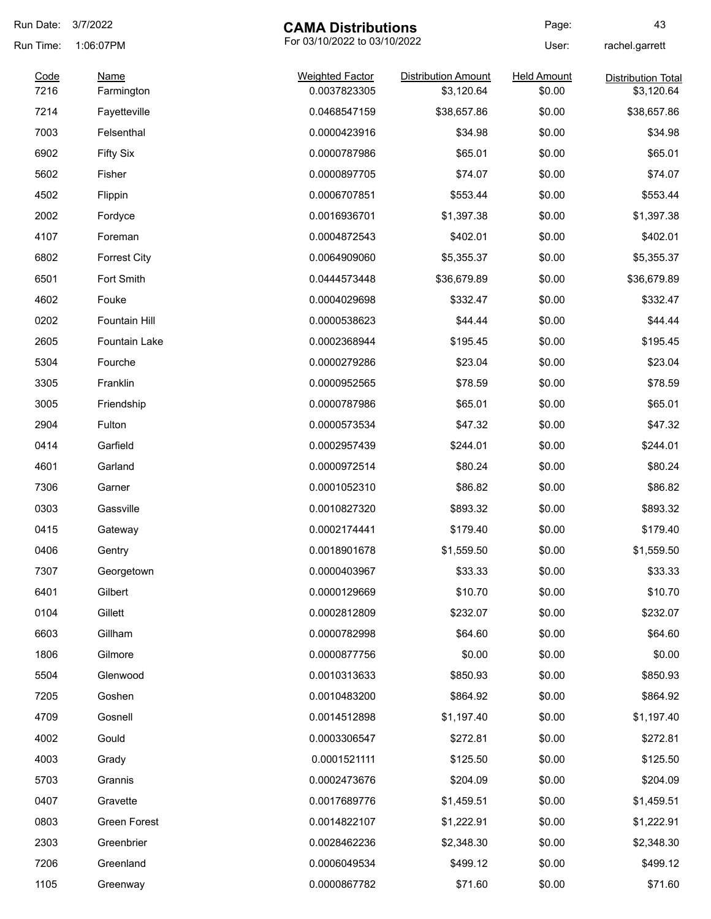| Run Date:    | 3/7/2022                  | <b>CAMA Distributions</b>              |                                          | Page:                        | 43                                      |
|--------------|---------------------------|----------------------------------------|------------------------------------------|------------------------------|-----------------------------------------|
| Run Time:    | 1:06:07PM                 | For 03/10/2022 to 03/10/2022           |                                          | User:                        | rachel.garrett                          |
| Code<br>7216 | <b>Name</b><br>Farmington | <b>Weighted Factor</b><br>0.0037823305 | <b>Distribution Amount</b><br>\$3,120.64 | <b>Held Amount</b><br>\$0.00 | <b>Distribution Total</b><br>\$3,120.64 |
| 7214         | Fayetteville              | 0.0468547159                           | \$38,657.86                              | \$0.00                       | \$38,657.86                             |
| 7003         | Felsenthal                | 0.0000423916                           | \$34.98                                  | \$0.00                       | \$34.98                                 |
| 6902         | <b>Fifty Six</b>          | 0.0000787986                           | \$65.01                                  | \$0.00                       | \$65.01                                 |
| 5602         | Fisher                    | 0.0000897705                           | \$74.07                                  | \$0.00                       | \$74.07                                 |
| 4502         | Flippin                   | 0.0006707851                           | \$553.44                                 | \$0.00                       | \$553.44                                |
| 2002         | Fordyce                   | 0.0016936701                           | \$1,397.38                               | \$0.00                       | \$1,397.38                              |
| 4107         | Foreman                   | 0.0004872543                           | \$402.01                                 | \$0.00                       | \$402.01                                |
| 6802         | <b>Forrest City</b>       | 0.0064909060                           | \$5,355.37                               | \$0.00                       | \$5,355.37                              |
| 6501         | Fort Smith                | 0.0444573448                           | \$36,679.89                              | \$0.00                       | \$36,679.89                             |
| 4602         | Fouke                     | 0.0004029698                           | \$332.47                                 | \$0.00                       | \$332.47                                |
| 0202         | Fountain Hill             | 0.0000538623                           | \$44.44                                  | \$0.00                       | \$44.44                                 |
| 2605         | <b>Fountain Lake</b>      | 0.0002368944                           | \$195.45                                 | \$0.00                       | \$195.45                                |
| 5304         | Fourche                   | 0.0000279286                           | \$23.04                                  | \$0.00                       | \$23.04                                 |
| 3305         | Franklin                  | 0.0000952565                           | \$78.59                                  | \$0.00                       | \$78.59                                 |
| 3005         | Friendship                | 0.0000787986                           | \$65.01                                  | \$0.00                       | \$65.01                                 |
| 2904         | Fulton                    | 0.0000573534                           | \$47.32                                  | \$0.00                       | \$47.32                                 |
| 0414         | Garfield                  | 0.0002957439                           | \$244.01                                 | \$0.00                       | \$244.01                                |
| 4601         | Garland                   | 0.0000972514                           | \$80.24                                  | \$0.00                       | \$80.24                                 |
| 7306         | Garner                    | 0.0001052310                           | \$86.82                                  | \$0.00                       | \$86.82                                 |
| 0303         | Gassville                 | 0.0010827320                           | \$893.32                                 | \$0.00                       | \$893.32                                |
| 0415         | Gateway                   | 0.0002174441                           | \$179.40                                 | \$0.00                       | \$179.40                                |
| 0406         | Gentry                    | 0.0018901678                           | \$1,559.50                               | \$0.00                       | \$1,559.50                              |
| 7307         | Georgetown                | 0.0000403967                           | \$33.33                                  | \$0.00                       | \$33.33                                 |
| 6401         | Gilbert                   | 0.0000129669                           | \$10.70                                  | \$0.00                       | \$10.70                                 |
| 0104         | Gillett                   | 0.0002812809                           | \$232.07                                 | \$0.00                       | \$232.07                                |
| 6603         | Gillham                   | 0.0000782998                           | \$64.60                                  | \$0.00                       | \$64.60                                 |
| 1806         | Gilmore                   | 0.0000877756                           | \$0.00                                   | \$0.00                       | \$0.00                                  |
| 5504         | Glenwood                  | 0.0010313633                           | \$850.93                                 | \$0.00                       | \$850.93                                |
| 7205         | Goshen                    | 0.0010483200                           | \$864.92                                 | \$0.00                       | \$864.92                                |
| 4709         | Gosnell                   | 0.0014512898                           | \$1,197.40                               | \$0.00                       | \$1,197.40                              |
| 4002         | Gould                     | 0.0003306547                           | \$272.81                                 | \$0.00                       | \$272.81                                |
| 4003         | Grady                     | 0.0001521111                           | \$125.50                                 | \$0.00                       | \$125.50                                |
| 5703         | Grannis                   | 0.0002473676                           | \$204.09                                 | \$0.00                       | \$204.09                                |
| 0407         | Gravette                  | 0.0017689776                           | \$1,459.51                               | \$0.00                       | \$1,459.51                              |
| 0803         | Green Forest              | 0.0014822107                           | \$1,222.91                               | \$0.00                       | \$1,222.91                              |
| 2303         | Greenbrier                | 0.0028462236                           | \$2,348.30                               | \$0.00                       | \$2,348.30                              |
| 7206         | Greenland                 | 0.0006049534                           | \$499.12                                 | \$0.00                       | \$499.12                                |
| 1105         | Greenway                  | 0.0000867782                           | \$71.60                                  | \$0.00                       | \$71.60                                 |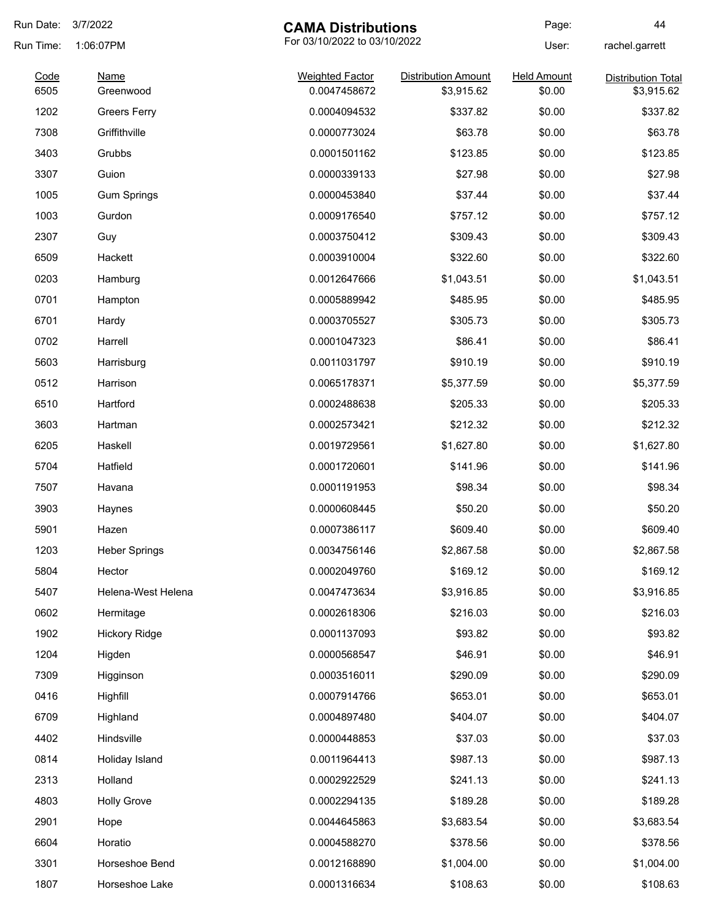| Run Date:    | 3/7/2022<br><b>CAMA Distributions</b> |                                        | Page:                        | 44                           |                                         |
|--------------|---------------------------------------|----------------------------------------|------------------------------|------------------------------|-----------------------------------------|
| Run Time:    | 1:06:07PM                             |                                        | For 03/10/2022 to 03/10/2022 |                              | rachel.garrett                          |
| Code<br>6505 | Name<br>Greenwood                     | <b>Weighted Factor</b><br>0.0047458672 | <b>Distribution Amount</b>   | <b>Held Amount</b><br>\$0.00 | <b>Distribution Total</b><br>\$3,915.62 |
| 1202         |                                       | 0.0004094532                           | \$3,915.62<br>\$337.82       | \$0.00                       | \$337.82                                |
|              | <b>Greers Ferry</b>                   |                                        |                              |                              |                                         |
| 7308         | Griffithville                         | 0.0000773024                           | \$63.78                      | \$0.00                       | \$63.78                                 |
| 3403         | Grubbs                                | 0.0001501162                           | \$123.85                     | \$0.00                       | \$123.85                                |
| 3307         | Guion                                 | 0.0000339133                           | \$27.98                      | \$0.00                       | \$27.98                                 |
| 1005         | <b>Gum Springs</b>                    | 0.0000453840                           | \$37.44                      | \$0.00                       | \$37.44                                 |
| 1003         | Gurdon                                | 0.0009176540                           | \$757.12                     | \$0.00                       | \$757.12                                |
| 2307         | Guy                                   | 0.0003750412                           | \$309.43                     | \$0.00                       | \$309.43                                |
| 6509         | Hackett                               | 0.0003910004                           | \$322.60                     | \$0.00                       | \$322.60                                |
| 0203         | Hamburg                               | 0.0012647666                           | \$1,043.51                   | \$0.00                       | \$1,043.51                              |
| 0701         | Hampton                               | 0.0005889942                           | \$485.95                     | \$0.00                       | \$485.95                                |
| 6701         | Hardy                                 | 0.0003705527                           | \$305.73                     | \$0.00                       | \$305.73                                |
| 0702         | Harrell                               | 0.0001047323                           | \$86.41                      | \$0.00                       | \$86.41                                 |
| 5603         | Harrisburg                            | 0.0011031797                           | \$910.19                     | \$0.00                       | \$910.19                                |
| 0512         | Harrison                              | 0.0065178371                           | \$5,377.59                   | \$0.00                       | \$5,377.59                              |
| 6510         | Hartford                              | 0.0002488638                           | \$205.33                     | \$0.00                       | \$205.33                                |
| 3603         | Hartman                               | 0.0002573421                           | \$212.32                     | \$0.00                       | \$212.32                                |
| 6205         | Haskell                               | 0.0019729561                           | \$1,627.80                   | \$0.00                       | \$1,627.80                              |
| 5704         | Hatfield                              | 0.0001720601                           | \$141.96                     | \$0.00                       | \$141.96                                |
| 7507         | Havana                                | 0.0001191953                           | \$98.34                      | \$0.00                       | \$98.34                                 |
| 3903         | Haynes                                | 0.0000608445                           | \$50.20                      | \$0.00                       | \$50.20                                 |
| 5901         | Hazen                                 | 0.0007386117                           | \$609.40                     | \$0.00                       | \$609.40                                |
| 1203         | <b>Heber Springs</b>                  | 0.0034756146                           | \$2,867.58                   | \$0.00                       | \$2,867.58                              |
| 5804         | Hector                                | 0.0002049760                           | \$169.12                     | \$0.00                       | \$169.12                                |
| 5407         | Helena-West Helena                    | 0.0047473634                           | \$3,916.85                   | \$0.00                       | \$3,916.85                              |
| 0602         | Hermitage                             | 0.0002618306                           | \$216.03                     | \$0.00                       | \$216.03                                |
| 1902         | <b>Hickory Ridge</b>                  | 0.0001137093                           | \$93.82                      | \$0.00                       | \$93.82                                 |
| 1204         | Higden                                | 0.0000568547                           | \$46.91                      | \$0.00                       | \$46.91                                 |
| 7309         | Higginson                             | 0.0003516011                           | \$290.09                     | \$0.00                       | \$290.09                                |
| 0416         | Highfill                              | 0.0007914766                           | \$653.01                     | \$0.00                       | \$653.01                                |
| 6709         | Highland                              | 0.0004897480                           | \$404.07                     | \$0.00                       | \$404.07                                |
| 4402         | Hindsville                            | 0.0000448853                           | \$37.03                      | \$0.00                       | \$37.03                                 |
| 0814         | Holiday Island                        | 0.0011964413                           | \$987.13                     | \$0.00                       | \$987.13                                |
| 2313         | Holland                               | 0.0002922529                           | \$241.13                     | \$0.00                       | \$241.13                                |
| 4803         | <b>Holly Grove</b>                    | 0.0002294135                           | \$189.28                     | \$0.00                       | \$189.28                                |
| 2901         | Hope                                  | 0.0044645863                           | \$3,683.54                   | \$0.00                       | \$3,683.54                              |
| 6604         | Horatio                               | 0.0004588270                           | \$378.56                     | \$0.00                       | \$378.56                                |
| 3301         | Horseshoe Bend                        | 0.0012168890                           | \$1,004.00                   | \$0.00                       | \$1,004.00                              |
| 1807         | Horseshoe Lake                        | 0.0001316634                           | \$108.63                     | \$0.00                       | \$108.63                                |
|              |                                       |                                        |                              |                              |                                         |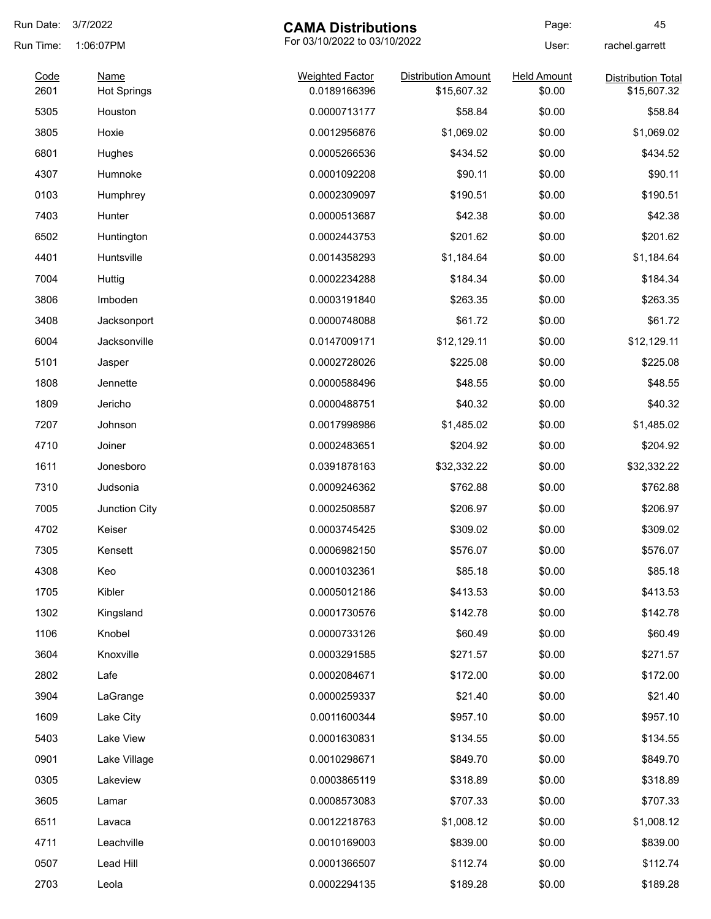| Run Date:    | 3/7/2022                          | <b>CAMA Distributions</b>              |                                           | Page:                        | 45                                       |
|--------------|-----------------------------------|----------------------------------------|-------------------------------------------|------------------------------|------------------------------------------|
| Run Time:    | 1:06:07PM                         | For 03/10/2022 to 03/10/2022           |                                           | User:                        | rachel.garrett                           |
| Code<br>2601 | <b>Name</b><br><b>Hot Springs</b> | <b>Weighted Factor</b><br>0.0189166396 | <b>Distribution Amount</b><br>\$15,607.32 | <b>Held Amount</b><br>\$0.00 | <b>Distribution Total</b><br>\$15,607.32 |
| 5305         | Houston                           | 0.0000713177                           | \$58.84                                   | \$0.00                       | \$58.84                                  |
| 3805         | Hoxie                             | 0.0012956876                           | \$1,069.02                                | \$0.00                       | \$1,069.02                               |
| 6801         | Hughes                            | 0.0005266536                           | \$434.52                                  | \$0.00                       | \$434.52                                 |
| 4307         | Humnoke                           | 0.0001092208                           | \$90.11                                   | \$0.00                       | \$90.11                                  |
| 0103         | Humphrey                          | 0.0002309097                           | \$190.51                                  | \$0.00                       | \$190.51                                 |
| 7403         | Hunter                            | 0.0000513687                           | \$42.38                                   | \$0.00                       | \$42.38                                  |
| 6502         | Huntington                        | 0.0002443753                           | \$201.62                                  | \$0.00                       | \$201.62                                 |
| 4401         | Huntsville                        | 0.0014358293                           | \$1,184.64                                | \$0.00                       | \$1,184.64                               |
| 7004         | Huttig                            | 0.0002234288                           | \$184.34                                  | \$0.00                       | \$184.34                                 |
| 3806         | Imboden                           | 0.0003191840                           | \$263.35                                  | \$0.00                       | \$263.35                                 |
| 3408         | Jacksonport                       | 0.0000748088                           | \$61.72                                   | \$0.00                       | \$61.72                                  |
| 6004         | Jacksonville                      | 0.0147009171                           | \$12,129.11                               | \$0.00                       | \$12,129.11                              |
| 5101         | Jasper                            | 0.0002728026                           | \$225.08                                  | \$0.00                       | \$225.08                                 |
| 1808         | Jennette                          | 0.0000588496                           | \$48.55                                   | \$0.00                       | \$48.55                                  |
| 1809         | Jericho                           | 0.0000488751                           | \$40.32                                   | \$0.00                       | \$40.32                                  |
| 7207         | Johnson                           | 0.0017998986                           | \$1,485.02                                | \$0.00                       | \$1,485.02                               |
| 4710         | Joiner                            | 0.0002483651                           | \$204.92                                  | \$0.00                       | \$204.92                                 |
| 1611         | Jonesboro                         | 0.0391878163                           | \$32,332.22                               | \$0.00                       | \$32,332.22                              |
| 7310         | Judsonia                          | 0.0009246362                           | \$762.88                                  | \$0.00                       | \$762.88                                 |
| 7005         | Junction City                     | 0.0002508587                           | \$206.97                                  | \$0.00                       | \$206.97                                 |
| 4702         | Keiser                            | 0.0003745425                           | \$309.02                                  | \$0.00                       | \$309.02                                 |
| 7305         | Kensett                           | 0.0006982150                           | \$576.07                                  | \$0.00                       | \$576.07                                 |
| 4308         | Keo                               | 0.0001032361                           | \$85.18                                   | \$0.00                       | \$85.18                                  |
| 1705         | Kibler                            | 0.0005012186                           | \$413.53                                  | \$0.00                       | \$413.53                                 |
| 1302         | Kingsland                         | 0.0001730576                           | \$142.78                                  | \$0.00                       | \$142.78                                 |
| 1106         | Knobel                            | 0.0000733126                           | \$60.49                                   | \$0.00                       | \$60.49                                  |
| 3604         | Knoxville                         | 0.0003291585                           | \$271.57                                  | \$0.00                       | \$271.57                                 |
| 2802         | Lafe                              | 0.0002084671                           | \$172.00                                  | \$0.00                       | \$172.00                                 |
| 3904         | LaGrange                          | 0.0000259337                           | \$21.40                                   | \$0.00                       | \$21.40                                  |
| 1609         | Lake City                         | 0.0011600344                           | \$957.10                                  | \$0.00                       | \$957.10                                 |
| 5403         | Lake View                         | 0.0001630831                           | \$134.55                                  | \$0.00                       | \$134.55                                 |
| 0901         | Lake Village                      | 0.0010298671                           | \$849.70                                  | \$0.00                       | \$849.70                                 |
| 0305         | Lakeview                          | 0.0003865119                           | \$318.89                                  | \$0.00                       | \$318.89                                 |
| 3605         | Lamar                             | 0.0008573083                           | \$707.33                                  | \$0.00                       | \$707.33                                 |
| 6511         | Lavaca                            | 0.0012218763                           | \$1,008.12                                | \$0.00                       | \$1,008.12                               |
| 4711         | Leachville                        | 0.0010169003                           | \$839.00                                  | \$0.00                       | \$839.00                                 |
| 0507         | Lead Hill                         | 0.0001366507                           | \$112.74                                  | \$0.00                       | \$112.74                                 |
| 2703         | Leola                             | 0.0002294135                           | \$189.28                                  | \$0.00                       | \$189.28                                 |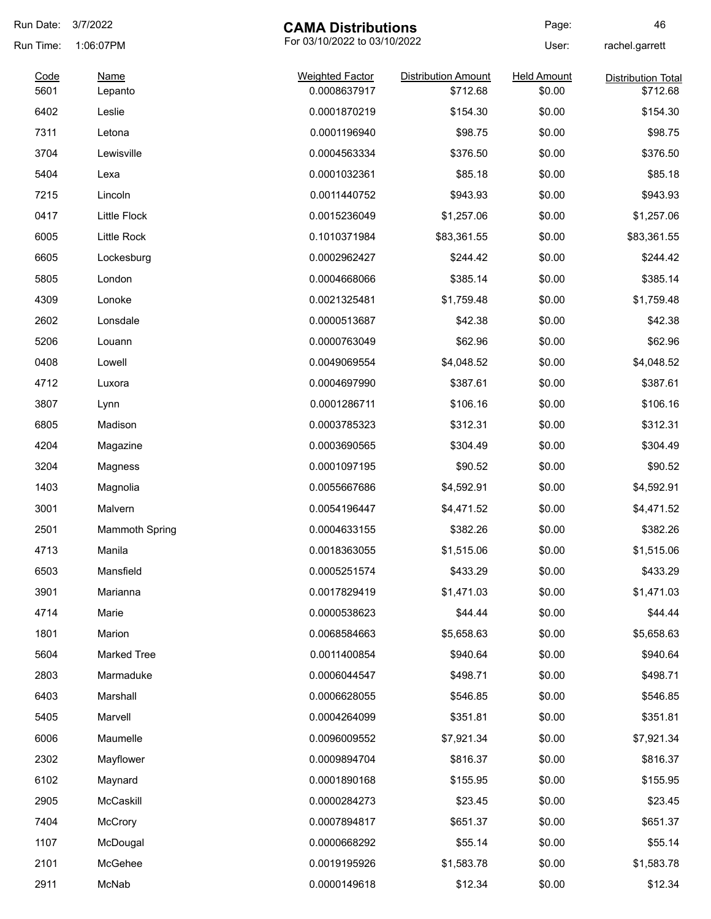| Run Date: | 3/7/2022<br><b>CAMA Distributions</b> |                              | Page:                      | 46                 |                           |
|-----------|---------------------------------------|------------------------------|----------------------------|--------------------|---------------------------|
| Run Time: | 1:06:07PM                             | For 03/10/2022 to 03/10/2022 |                            | User:              | rachel.garrett            |
| Code      | <b>Name</b>                           | <b>Weighted Factor</b>       | <b>Distribution Amount</b> | <b>Held Amount</b> | <b>Distribution Total</b> |
| 5601      | Lepanto                               | 0.0008637917                 | \$712.68                   | \$0.00             | \$712.68                  |
| 6402      | Leslie                                | 0.0001870219                 | \$154.30                   | \$0.00             | \$154.30                  |
| 7311      | Letona                                | 0.0001196940                 | \$98.75                    | \$0.00             | \$98.75                   |
| 3704      | Lewisville                            | 0.0004563334                 | \$376.50                   | \$0.00             | \$376.50                  |
| 5404      | Lexa                                  | 0.0001032361                 | \$85.18                    | \$0.00             | \$85.18                   |
| 7215      | Lincoln                               | 0.0011440752                 | \$943.93                   | \$0.00             | \$943.93                  |
| 0417      | <b>Little Flock</b>                   | 0.0015236049                 | \$1,257.06                 | \$0.00             | \$1,257.06                |
| 6005      | Little Rock                           | 0.1010371984                 | \$83,361.55                | \$0.00             | \$83,361.55               |
| 6605      | Lockesburg                            | 0.0002962427                 | \$244.42                   | \$0.00             | \$244.42                  |
| 5805      | London                                | 0.0004668066                 | \$385.14                   | \$0.00             | \$385.14                  |
| 4309      | Lonoke                                | 0.0021325481                 | \$1,759.48                 | \$0.00             | \$1,759.48                |
| 2602      | Lonsdale                              | 0.0000513687                 | \$42.38                    | \$0.00             | \$42.38                   |
| 5206      | Louann                                | 0.0000763049                 | \$62.96                    | \$0.00             | \$62.96                   |
| 0408      | Lowell                                | 0.0049069554                 | \$4,048.52                 | \$0.00             | \$4,048.52                |
| 4712      | Luxora                                | 0.0004697990                 | \$387.61                   | \$0.00             | \$387.61                  |
| 3807      | Lynn                                  | 0.0001286711                 | \$106.16                   | \$0.00             | \$106.16                  |
| 6805      | Madison                               | 0.0003785323                 | \$312.31                   | \$0.00             | \$312.31                  |
| 4204      | Magazine                              | 0.0003690565                 | \$304.49                   | \$0.00             | \$304.49                  |
| 3204      | Magness                               | 0.0001097195                 | \$90.52                    | \$0.00             | \$90.52                   |
| 1403      | Magnolia                              | 0.0055667686                 | \$4,592.91                 | \$0.00             | \$4,592.91                |
| 3001      | Malvern                               | 0.0054196447                 | \$4,471.52                 | \$0.00             | \$4,471.52                |
| 2501      | <b>Mammoth Spring</b>                 | 0.0004633155                 | \$382.26                   | \$0.00             | \$382.26                  |
| 4713      | Manila                                | 0.0018363055                 | \$1,515.06                 | \$0.00             | \$1,515.06                |
| 6503      | Mansfield                             | 0.0005251574                 | \$433.29                   | \$0.00             | \$433.29                  |
| 3901      | Marianna                              | 0.0017829419                 | \$1,471.03                 | \$0.00             | \$1,471.03                |
| 4714      | Marie                                 | 0.0000538623                 | \$44.44                    | \$0.00             | \$44.44                   |
| 1801      | Marion                                | 0.0068584663                 | \$5,658.63                 | \$0.00             | \$5,658.63                |
| 5604      | <b>Marked Tree</b>                    | 0.0011400854                 | \$940.64                   | \$0.00             | \$940.64                  |
| 2803      | Marmaduke                             | 0.0006044547                 | \$498.71                   | \$0.00             | \$498.71                  |
|           |                                       |                              |                            |                    |                           |
| 6403      | Marshall                              | 0.0006628055                 | \$546.85                   | \$0.00             | \$546.85                  |
| 5405      | Marvell                               | 0.0004264099                 | \$351.81                   | \$0.00             | \$351.81                  |
| 6006      | Maumelle                              | 0.0096009552                 | \$7,921.34                 | \$0.00             | \$7,921.34                |
| 2302      | Mayflower                             | 0.0009894704                 | \$816.37                   | \$0.00             | \$816.37                  |
| 6102      | Maynard                               | 0.0001890168                 | \$155.95                   | \$0.00             | \$155.95                  |
| 2905      | McCaskill                             | 0.0000284273                 | \$23.45                    | \$0.00             | \$23.45                   |
| 7404      | <b>McCrory</b>                        | 0.0007894817                 | \$651.37                   | \$0.00             | \$651.37                  |
| 1107      | McDougal                              | 0.0000668292                 | \$55.14                    | \$0.00             | \$55.14                   |
| 2101      | McGehee                               | 0.0019195926                 | \$1,583.78                 | \$0.00             | \$1,583.78                |
| 2911      | McNab                                 | 0.0000149618                 | \$12.34                    | \$0.00             | \$12.34                   |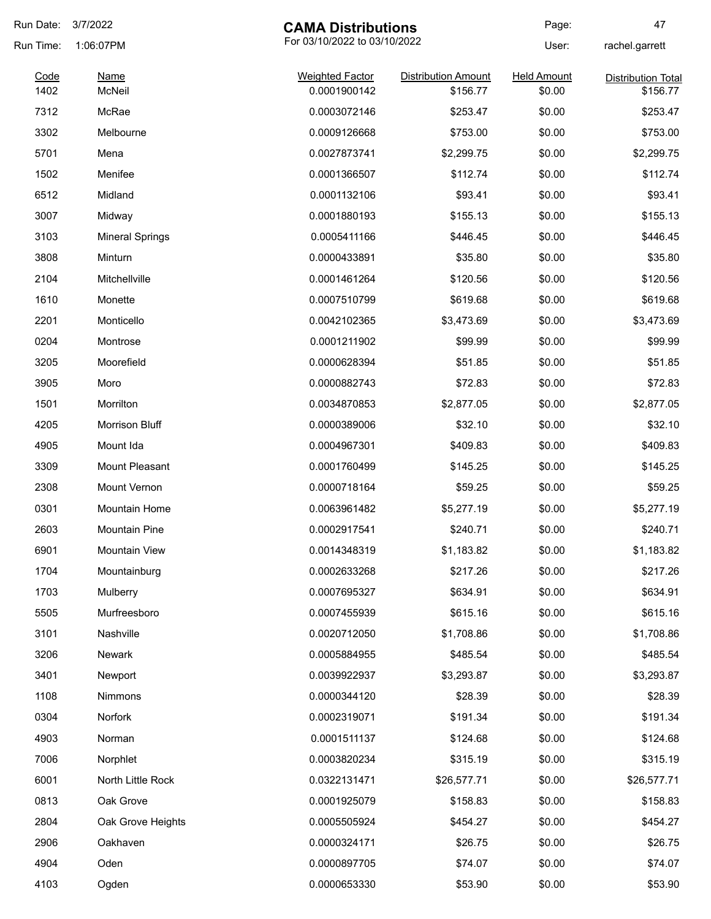| Run Date:    | 3/7/2022<br><b>CAMA Distributions</b> |                                        | Page:                        | 47                           |                                       |
|--------------|---------------------------------------|----------------------------------------|------------------------------|------------------------------|---------------------------------------|
| Run Time:    | 1:06:07PM                             |                                        | For 03/10/2022 to 03/10/2022 |                              | rachel.garrett                        |
| Code<br>1402 | <b>Name</b><br>McNeil                 | <b>Weighted Factor</b><br>0.0001900142 | <b>Distribution Amount</b>   | <b>Held Amount</b><br>\$0.00 | <b>Distribution Total</b><br>\$156.77 |
| 7312         | McRae                                 |                                        | \$156.77                     |                              | \$253.47                              |
|              | Melbourne                             | 0.0003072146<br>0.0009126668           | \$253.47                     | \$0.00                       | \$753.00                              |
| 3302         |                                       |                                        | \$753.00                     | \$0.00                       |                                       |
| 5701         | Mena                                  | 0.0027873741                           | \$2,299.75                   | \$0.00                       | \$2,299.75                            |
| 1502         | Menifee                               | 0.0001366507                           | \$112.74                     | \$0.00                       | \$112.74                              |
| 6512         | Midland                               | 0.0001132106                           | \$93.41                      | \$0.00                       | \$93.41                               |
| 3007         | Midway                                | 0.0001880193                           | \$155.13                     | \$0.00                       | \$155.13                              |
| 3103         | <b>Mineral Springs</b>                | 0.0005411166                           | \$446.45                     | \$0.00                       | \$446.45                              |
| 3808         | Minturn                               | 0.0000433891                           | \$35.80                      | \$0.00                       | \$35.80                               |
| 2104         | Mitchellville                         | 0.0001461264                           | \$120.56                     | \$0.00                       | \$120.56                              |
| 1610         | Monette                               | 0.0007510799                           | \$619.68                     | \$0.00                       | \$619.68                              |
| 2201         | Monticello                            | 0.0042102365                           | \$3,473.69                   | \$0.00                       | \$3,473.69                            |
| 0204         | Montrose                              | 0.0001211902                           | \$99.99                      | \$0.00                       | \$99.99                               |
| 3205         | Moorefield                            | 0.0000628394                           | \$51.85                      | \$0.00                       | \$51.85                               |
| 3905         | Moro                                  | 0.0000882743                           | \$72.83                      | \$0.00                       | \$72.83                               |
| 1501         | Morrilton                             | 0.0034870853                           | \$2,877.05                   | \$0.00                       | \$2,877.05                            |
| 4205         | <b>Morrison Bluff</b>                 | 0.0000389006                           | \$32.10                      | \$0.00                       | \$32.10                               |
| 4905         | Mount Ida                             | 0.0004967301                           | \$409.83                     | \$0.00                       | \$409.83                              |
| 3309         | Mount Pleasant                        | 0.0001760499                           | \$145.25                     | \$0.00                       | \$145.25                              |
| 2308         | Mount Vernon                          | 0.0000718164                           | \$59.25                      | \$0.00                       | \$59.25                               |
| 0301         | <b>Mountain Home</b>                  | 0.0063961482                           | \$5,277.19                   | \$0.00                       | \$5,277.19                            |
| 2603         | <b>Mountain Pine</b>                  | 0.0002917541                           | \$240.71                     | \$0.00                       | \$240.71                              |
| 6901         | Mountain View                         | 0.0014348319                           | \$1,183.82                   | \$0.00                       | \$1,183.82                            |
| 1704         | Mountainburg                          | 0.0002633268                           | \$217.26                     | \$0.00                       | \$217.26                              |
| 1703         | Mulberry                              | 0.0007695327                           | \$634.91                     | \$0.00                       | \$634.91                              |
| 5505         | Murfreesboro                          | 0.0007455939                           | \$615.16                     | \$0.00                       | \$615.16                              |
| 3101         | Nashville                             | 0.0020712050                           | \$1,708.86                   | \$0.00                       | \$1,708.86                            |
| 3206         | <b>Newark</b>                         | 0.0005884955                           | \$485.54                     | \$0.00                       | \$485.54                              |
| 3401         | Newport                               | 0.0039922937                           | \$3,293.87                   | \$0.00                       | \$3,293.87                            |
| 1108         | <b>Nimmons</b>                        | 0.0000344120                           | \$28.39                      | \$0.00                       | \$28.39                               |
| 0304         | Norfork                               | 0.0002319071                           | \$191.34                     | \$0.00                       | \$191.34                              |
| 4903         | Norman                                | 0.0001511137                           | \$124.68                     | \$0.00                       | \$124.68                              |
| 7006         | Norphlet                              | 0.0003820234                           | \$315.19                     | \$0.00                       | \$315.19                              |
| 6001         | North Little Rock                     | 0.0322131471                           | \$26,577.71                  | \$0.00                       | \$26,577.71                           |
| 0813         | Oak Grove                             | 0.0001925079                           | \$158.83                     | \$0.00                       | \$158.83                              |
| 2804         | Oak Grove Heights                     | 0.0005505924                           | \$454.27                     | \$0.00                       | \$454.27                              |
| 2906         | Oakhaven                              | 0.0000324171                           | \$26.75                      | \$0.00                       | \$26.75                               |
| 4904         |                                       |                                        | \$74.07                      | \$0.00                       | \$74.07                               |
|              | Oden                                  | 0.0000897705                           |                              |                              |                                       |
| 4103         | Ogden                                 | 0.0000653330                           | \$53.90                      | \$0.00                       | \$53.90                               |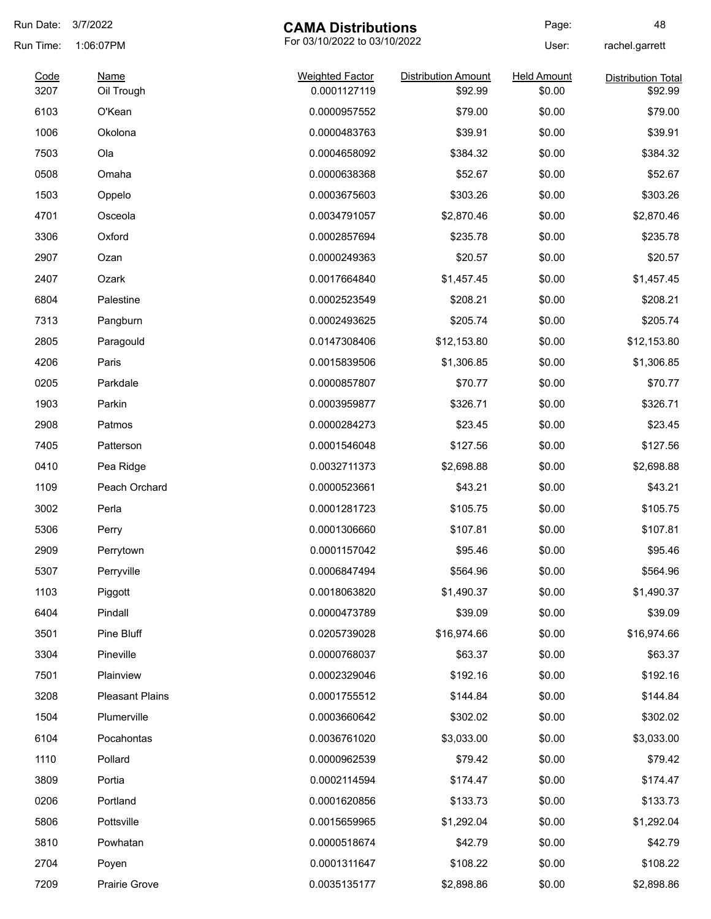| Run Date:    | 3/7/2022                  | <b>CAMA Distributions</b>              |                                       | Page:                        | 48                                   |
|--------------|---------------------------|----------------------------------------|---------------------------------------|------------------------------|--------------------------------------|
| Run Time:    | 1:06:07PM                 | For 03/10/2022 to 03/10/2022           |                                       | User:                        | rachel.garrett                       |
| Code<br>3207 | <b>Name</b><br>Oil Trough | <b>Weighted Factor</b><br>0.0001127119 | <b>Distribution Amount</b><br>\$92.99 | <b>Held Amount</b><br>\$0.00 | <b>Distribution Total</b><br>\$92.99 |
| 6103         | O'Kean                    | 0.0000957552                           | \$79.00                               | \$0.00                       | \$79.00                              |
| 1006         | Okolona                   | 0.0000483763                           | \$39.91                               | \$0.00                       | \$39.91                              |
| 7503         | Ola                       | 0.0004658092                           | \$384.32                              | \$0.00                       | \$384.32                             |
| 0508         | Omaha                     | 0.0000638368                           | \$52.67                               | \$0.00                       | \$52.67                              |
| 1503         | Oppelo                    | 0.0003675603                           | \$303.26                              | \$0.00                       | \$303.26                             |
| 4701         | Osceola                   | 0.0034791057                           | \$2,870.46                            | \$0.00                       | \$2,870.46                           |
| 3306         | Oxford                    | 0.0002857694                           | \$235.78                              | \$0.00                       | \$235.78                             |
| 2907         | Ozan                      | 0.0000249363                           | \$20.57                               | \$0.00                       | \$20.57                              |
| 2407         | Ozark                     | 0.0017664840                           | \$1,457.45                            | \$0.00                       | \$1,457.45                           |
| 6804         | Palestine                 | 0.0002523549                           | \$208.21                              | \$0.00                       | \$208.21                             |
| 7313         | Pangburn                  | 0.0002493625                           | \$205.74                              | \$0.00                       | \$205.74                             |
| 2805         | Paragould                 | 0.0147308406                           | \$12,153.80                           | \$0.00                       | \$12,153.80                          |
| 4206         | Paris                     | 0.0015839506                           | \$1,306.85                            | \$0.00                       | \$1,306.85                           |
| 0205         | Parkdale                  | 0.0000857807                           | \$70.77                               | \$0.00                       | \$70.77                              |
| 1903         | Parkin                    | 0.0003959877                           | \$326.71                              | \$0.00                       | \$326.71                             |
| 2908         | Patmos                    | 0.0000284273                           | \$23.45                               | \$0.00                       | \$23.45                              |
| 7405         | Patterson                 | 0.0001546048                           | \$127.56                              | \$0.00                       | \$127.56                             |
| 0410         | Pea Ridge                 | 0.0032711373                           | \$2,698.88                            | \$0.00                       | \$2,698.88                           |
| 1109         | Peach Orchard             | 0.0000523661                           | \$43.21                               | \$0.00                       | \$43.21                              |
| 3002         | Perla                     | 0.0001281723                           | \$105.75                              | \$0.00                       | \$105.75                             |
| 5306         | Perry                     | 0.0001306660                           | \$107.81                              | \$0.00                       | \$107.81                             |
| 2909         | Perrytown                 | 0.0001157042                           | \$95.46                               | \$0.00                       | \$95.46                              |
| 5307         | Perryville                | 0.0006847494                           | \$564.96                              | \$0.00                       | \$564.96                             |
| 1103         | Piggott                   | 0.0018063820                           | \$1,490.37                            | \$0.00                       | \$1,490.37                           |
| 6404         | Pindall                   | 0.0000473789                           | \$39.09                               | \$0.00                       | \$39.09                              |
| 3501         | Pine Bluff                | 0.0205739028                           | \$16,974.66                           | \$0.00                       | \$16,974.66                          |
| 3304         | Pineville                 | 0.0000768037                           | \$63.37                               | \$0.00                       | \$63.37                              |
| 7501         | Plainview                 | 0.0002329046                           | \$192.16                              | \$0.00                       | \$192.16                             |
| 3208         | <b>Pleasant Plains</b>    | 0.0001755512                           | \$144.84                              | \$0.00                       | \$144.84                             |
| 1504         | Plumerville               | 0.0003660642                           | \$302.02                              | \$0.00                       | \$302.02                             |
| 6104         | Pocahontas                | 0.0036761020                           | \$3,033.00                            | \$0.00                       | \$3,033.00                           |
| 1110         | Pollard                   | 0.0000962539                           | \$79.42                               | \$0.00                       | \$79.42                              |
| 3809         | Portia                    | 0.0002114594                           | \$174.47                              | \$0.00                       | \$174.47                             |
| 0206         | Portland                  | 0.0001620856                           | \$133.73                              | \$0.00                       | \$133.73                             |
| 5806         | Pottsville                | 0.0015659965                           | \$1,292.04                            | \$0.00                       | \$1,292.04                           |
| 3810         | Powhatan                  | 0.0000518674                           | \$42.79                               | \$0.00                       | \$42.79                              |
| 2704         | Poyen                     | 0.0001311647                           | \$108.22                              | \$0.00                       | \$108.22                             |
| 7209         | Prairie Grove             | 0.0035135177                           | \$2,898.86                            | \$0.00                       | \$2,898.86                           |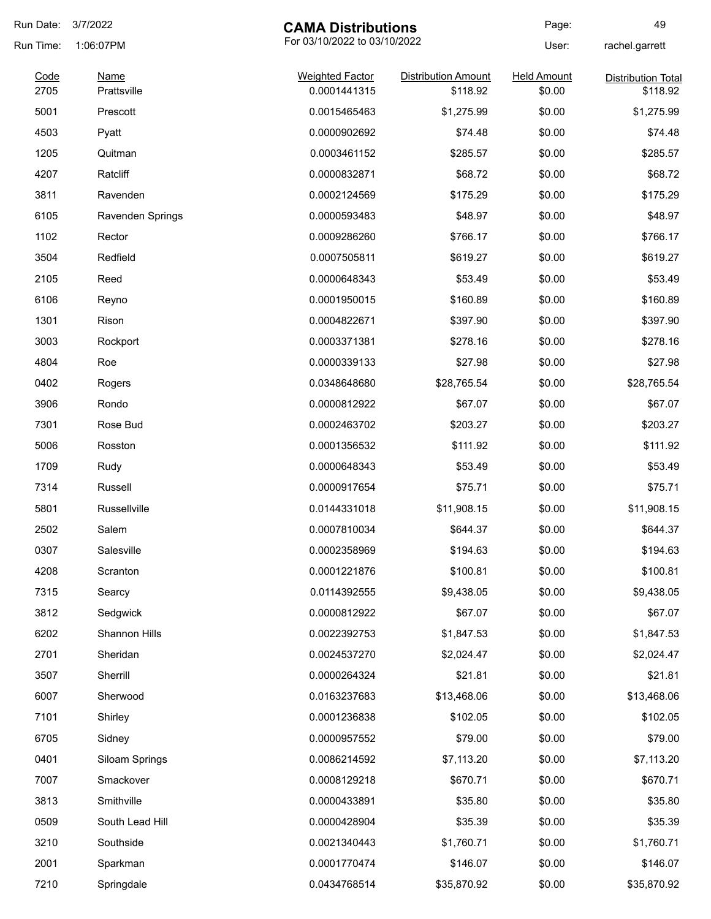| Run Date: | 3/7/2022<br><b>CAMA Distributions</b> |                              | Page:                      | 49                 |                           |
|-----------|---------------------------------------|------------------------------|----------------------------|--------------------|---------------------------|
| Run Time: | 1:06:07PM                             | For 03/10/2022 to 03/10/2022 |                            | User:              | rachel.garrett            |
| Code      | <b>Name</b>                           | <b>Weighted Factor</b>       | <b>Distribution Amount</b> | <b>Held Amount</b> | <b>Distribution Total</b> |
| 2705      | Prattsville                           | 0.0001441315                 | \$118.92                   | \$0.00             | \$118.92                  |
| 5001      | Prescott                              | 0.0015465463                 | \$1,275.99                 | \$0.00             | \$1,275.99                |
| 4503      | Pyatt                                 | 0.0000902692                 | \$74.48                    | \$0.00             | \$74.48                   |
| 1205      | Quitman                               | 0.0003461152                 | \$285.57                   | \$0.00             | \$285.57                  |
| 4207      | Ratcliff                              | 0.0000832871                 | \$68.72                    | \$0.00             | \$68.72                   |
| 3811      | Ravenden                              | 0.0002124569                 | \$175.29                   | \$0.00             | \$175.29                  |
| 6105      | <b>Ravenden Springs</b>               | 0.0000593483                 | \$48.97                    | \$0.00             | \$48.97                   |
| 1102      | Rector                                | 0.0009286260                 | \$766.17                   | \$0.00             | \$766.17                  |
| 3504      | Redfield                              | 0.0007505811                 | \$619.27                   | \$0.00             | \$619.27                  |
| 2105      | Reed                                  | 0.0000648343                 | \$53.49                    | \$0.00             | \$53.49                   |
| 6106      | Reyno                                 | 0.0001950015                 | \$160.89                   | \$0.00             | \$160.89                  |
| 1301      | Rison                                 | 0.0004822671                 | \$397.90                   | \$0.00             | \$397.90                  |
| 3003      | Rockport                              | 0.0003371381                 | \$278.16                   | \$0.00             | \$278.16                  |
| 4804      | Roe                                   | 0.0000339133                 | \$27.98                    | \$0.00             | \$27.98                   |
| 0402      | Rogers                                | 0.0348648680                 | \$28,765.54                | \$0.00             | \$28,765.54               |
| 3906      | Rondo                                 | 0.0000812922                 | \$67.07                    | \$0.00             | \$67.07                   |
| 7301      | Rose Bud                              | 0.0002463702                 | \$203.27                   | \$0.00             | \$203.27                  |
| 5006      | Rosston                               | 0.0001356532                 | \$111.92                   | \$0.00             | \$111.92                  |
| 1709      | Rudy                                  | 0.0000648343                 | \$53.49                    | \$0.00             | \$53.49                   |
| 7314      | Russell                               | 0.0000917654                 | \$75.71                    | \$0.00             | \$75.71                   |
| 5801      | Russellville                          | 0.0144331018                 | \$11,908.15                | \$0.00             | \$11,908.15               |
| 2502      | Salem                                 | 0.0007810034                 | \$644.37                   | \$0.00             | \$644.37                  |
| 0307      | Salesville                            | 0.0002358969                 | \$194.63                   | \$0.00             | \$194.63                  |
| 4208      | Scranton                              | 0.0001221876                 | \$100.81                   | \$0.00             | \$100.81                  |
| 7315      | Searcy                                | 0.0114392555                 | \$9,438.05                 | \$0.00             | \$9,438.05                |
| 3812      | Sedgwick                              | 0.0000812922                 | \$67.07                    | \$0.00             | \$67.07                   |
| 6202      | Shannon Hills                         | 0.0022392753                 | \$1,847.53                 | \$0.00             | \$1,847.53                |
| 2701      | Sheridan                              | 0.0024537270                 | \$2,024.47                 | \$0.00             | \$2,024.47                |
| 3507      | Sherrill                              | 0.0000264324                 | \$21.81                    | \$0.00             | \$21.81                   |
| 6007      | Sherwood                              | 0.0163237683                 | \$13,468.06                | \$0.00             | \$13,468.06               |
| 7101      | Shirley                               | 0.0001236838                 | \$102.05                   | \$0.00             | \$102.05                  |
| 6705      | Sidney                                | 0.0000957552                 | \$79.00                    | \$0.00             | \$79.00                   |
| 0401      | Siloam Springs                        | 0.0086214592                 | \$7,113.20                 | \$0.00             | \$7,113.20                |
| 7007      | Smackover                             | 0.0008129218                 | \$670.71                   | \$0.00             | \$670.71                  |
| 3813      | Smithville                            | 0.0000433891                 | \$35.80                    | \$0.00             | \$35.80                   |
| 0509      | South Lead Hill                       | 0.0000428904                 | \$35.39                    | \$0.00             | \$35.39                   |
| 3210      | Southside                             | 0.0021340443                 | \$1,760.71                 | \$0.00             | \$1,760.71                |
| 2001      | Sparkman                              | 0.0001770474                 | \$146.07                   | \$0.00             | \$146.07                  |
| 7210      | Springdale                            | 0.0434768514                 | \$35,870.92                | \$0.00             | \$35,870.92               |
|           |                                       |                              |                            |                    |                           |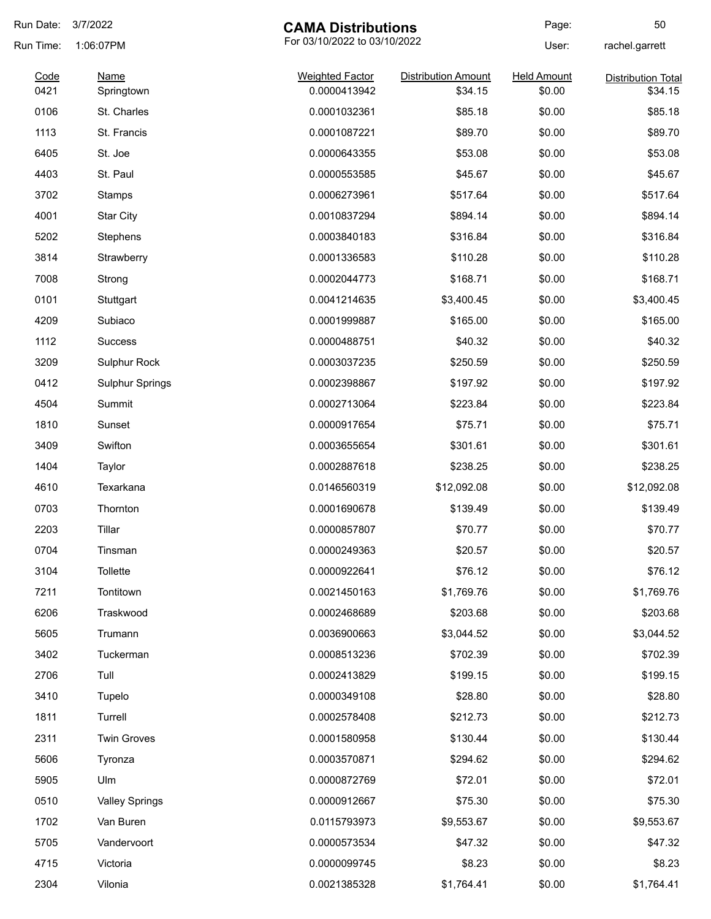| Run Date: | 3/7/2022<br><b>CAMA Distributions</b> |                              | Page:                      | 50                 |                           |
|-----------|---------------------------------------|------------------------------|----------------------------|--------------------|---------------------------|
| Run Time: | 1:06:07PM                             | For 03/10/2022 to 03/10/2022 |                            | User:              | rachel.garrett            |
| Code      | <b>Name</b>                           | <b>Weighted Factor</b>       | <b>Distribution Amount</b> | <b>Held Amount</b> | <b>Distribution Total</b> |
| 0421      | Springtown                            | 0.0000413942                 | \$34.15                    | \$0.00             | \$34.15                   |
| 0106      | St. Charles                           | 0.0001032361                 | \$85.18                    | \$0.00             | \$85.18                   |
| 1113      | St. Francis                           | 0.0001087221                 | \$89.70                    | \$0.00             | \$89.70                   |
| 6405      | St. Joe                               | 0.0000643355                 | \$53.08                    | \$0.00             | \$53.08                   |
| 4403      | St. Paul                              | 0.0000553585                 | \$45.67                    | \$0.00             | \$45.67                   |
| 3702      | Stamps                                | 0.0006273961                 | \$517.64                   | \$0.00             | \$517.64                  |
| 4001      | <b>Star City</b>                      | 0.0010837294                 | \$894.14                   | \$0.00             | \$894.14                  |
| 5202      | Stephens                              | 0.0003840183                 | \$316.84                   | \$0.00             | \$316.84                  |
| 3814      | Strawberry                            | 0.0001336583                 | \$110.28                   | \$0.00             | \$110.28                  |
| 7008      | Strong                                | 0.0002044773                 | \$168.71                   | \$0.00             | \$168.71                  |
| 0101      | Stuttgart                             | 0.0041214635                 | \$3,400.45                 | \$0.00             | \$3,400.45                |
| 4209      | Subiaco                               | 0.0001999887                 | \$165.00                   | \$0.00             | \$165.00                  |
| 1112      | <b>Success</b>                        | 0.0000488751                 | \$40.32                    | \$0.00             | \$40.32                   |
| 3209      | Sulphur Rock                          | 0.0003037235                 | \$250.59                   | \$0.00             | \$250.59                  |
| 0412      | <b>Sulphur Springs</b>                | 0.0002398867                 | \$197.92                   | \$0.00             | \$197.92                  |
| 4504      | Summit                                | 0.0002713064                 | \$223.84                   | \$0.00             | \$223.84                  |
| 1810      | Sunset                                | 0.0000917654                 | \$75.71                    | \$0.00             | \$75.71                   |
| 3409      | Swifton                               | 0.0003655654                 | \$301.61                   | \$0.00             | \$301.61                  |
| 1404      | Taylor                                | 0.0002887618                 | \$238.25                   | \$0.00             | \$238.25                  |
| 4610      | Texarkana                             | 0.0146560319                 | \$12,092.08                | \$0.00             | \$12,092.08               |
| 0703      | Thornton                              | 0.0001690678                 | \$139.49                   | \$0.00             | \$139.49                  |
| 2203      | Tillar                                | 0.0000857807                 | \$70.77                    | \$0.00             | \$70.77                   |
| 0704      | Tinsman                               | 0.0000249363                 | \$20.57                    | \$0.00             | \$20.57                   |
| 3104      | Tollette                              | 0.0000922641                 | \$76.12                    | \$0.00             | \$76.12                   |
| 7211      | Tontitown                             | 0.0021450163                 | \$1,769.76                 | \$0.00             | \$1,769.76                |
| 6206      | Traskwood                             | 0.0002468689                 | \$203.68                   | \$0.00             | \$203.68                  |
| 5605      | Trumann                               | 0.0036900663                 | \$3,044.52                 | \$0.00             | \$3,044.52                |
| 3402      | Tuckerman                             | 0.0008513236                 | \$702.39                   | \$0.00             | \$702.39                  |
| 2706      | Tull                                  | 0.0002413829                 | \$199.15                   | \$0.00             | \$199.15                  |
| 3410      | Tupelo                                | 0.0000349108                 | \$28.80                    | \$0.00             | \$28.80                   |
| 1811      | Turrell                               | 0.0002578408                 | \$212.73                   | \$0.00             | \$212.73                  |
| 2311      | <b>Twin Groves</b>                    | 0.0001580958                 | \$130.44                   | \$0.00             | \$130.44                  |
| 5606      | Tyronza                               | 0.0003570871                 | \$294.62                   | \$0.00             | \$294.62                  |
| 5905      | Ulm                                   | 0.0000872769                 | \$72.01                    | \$0.00             | \$72.01                   |
| 0510      | <b>Valley Springs</b>                 | 0.0000912667                 | \$75.30                    | \$0.00             | \$75.30                   |
| 1702      | Van Buren                             | 0.0115793973                 | \$9,553.67                 | \$0.00             | \$9,553.67                |
|           |                                       |                              |                            |                    |                           |
| 5705      | Vandervoort                           | 0.0000573534                 | \$47.32                    | \$0.00             | \$47.32                   |
| 4715      | Victoria                              | 0.0000099745                 | \$8.23                     | \$0.00             | \$8.23                    |
| 2304      | Vilonia                               | 0.0021385328                 | \$1,764.41                 | \$0.00             | \$1,764.41                |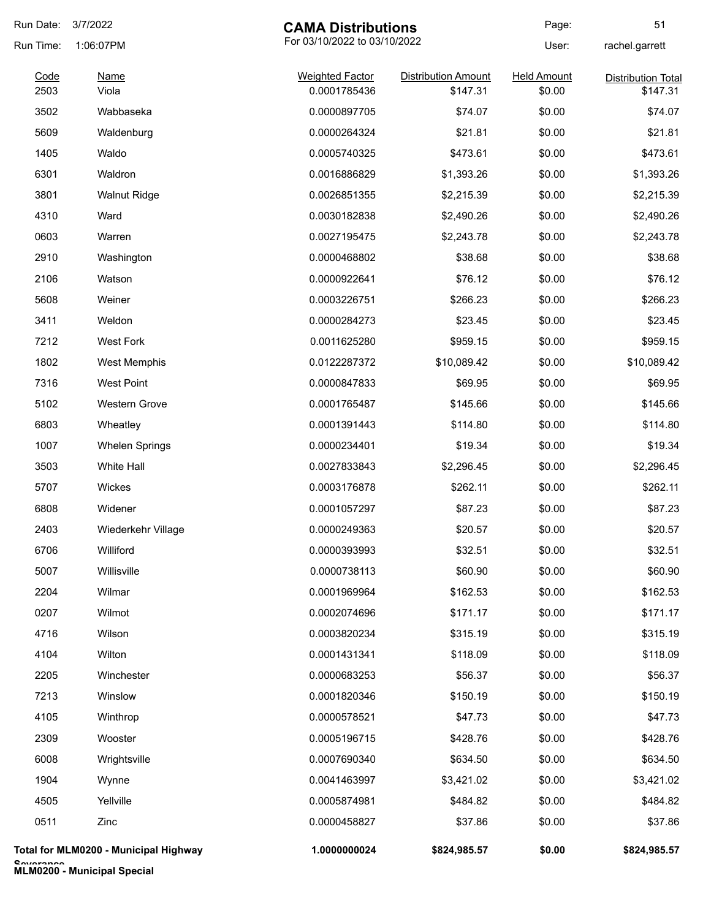| Run Date: | 3/7/2022                              | <b>CAMA Distributions</b> |                              | Page:              | 51                 |
|-----------|---------------------------------------|---------------------------|------------------------------|--------------------|--------------------|
| Run Time: | 1:06:07PM                             |                           | For 03/10/2022 to 03/10/2022 |                    | rachel.garrett     |
| Code      | <b>Name</b>                           | <b>Weighted Factor</b>    | <b>Distribution Amount</b>   | <b>Held Amount</b> | Distribution Total |
| 2503      | Viola                                 | 0.0001785436              | \$147.31                     | \$0.00             | \$147.31           |
| 3502      | Wabbaseka                             | 0.0000897705              | \$74.07                      | \$0.00             | \$74.07            |
| 5609      | Waldenburg                            | 0.0000264324              | \$21.81                      | \$0.00             | \$21.81            |
| 1405      | Waldo                                 | 0.0005740325              | \$473.61                     | \$0.00             | \$473.61           |
| 6301      | Waldron                               | 0.0016886829              | \$1,393.26                   | \$0.00             | \$1,393.26         |
| 3801      | <b>Walnut Ridge</b>                   | 0.0026851355              | \$2,215.39                   | \$0.00             | \$2,215.39         |
| 4310      | Ward                                  | 0.0030182838              | \$2,490.26                   | \$0.00             | \$2,490.26         |
| 0603      | Warren                                | 0.0027195475              | \$2,243.78                   | \$0.00             | \$2,243.78         |
| 2910      | Washington                            | 0.0000468802              | \$38.68                      | \$0.00             | \$38.68            |
| 2106      | Watson                                | 0.0000922641              | \$76.12                      | \$0.00             | \$76.12            |
| 5608      | Weiner                                | 0.0003226751              | \$266.23                     | \$0.00             | \$266.23           |
| 3411      | Weldon                                | 0.0000284273              | \$23.45                      | \$0.00             | \$23.45            |
| 7212      | <b>West Fork</b>                      | 0.0011625280              | \$959.15                     | \$0.00             | \$959.15           |
| 1802      | <b>West Memphis</b>                   | 0.0122287372              | \$10,089.42                  | \$0.00             | \$10,089.42        |
| 7316      | <b>West Point</b>                     | 0.0000847833              | \$69.95                      | \$0.00             | \$69.95            |
| 5102      | <b>Western Grove</b>                  | 0.0001765487              | \$145.66                     | \$0.00             | \$145.66           |
| 6803      | Wheatley                              | 0.0001391443              | \$114.80                     | \$0.00             | \$114.80           |
| 1007      | <b>Whelen Springs</b>                 | 0.0000234401              | \$19.34                      | \$0.00             | \$19.34            |
| 3503      | White Hall                            | 0.0027833843              | \$2,296.45                   | \$0.00             | \$2,296.45         |
| 5707      | Wickes                                | 0.0003176878              | \$262.11                     | \$0.00             | \$262.11           |
| 6808      | Widener                               | 0.0001057297              | \$87.23                      | \$0.00             | \$87.23            |
| 2403      | Wiederkehr Village                    | 0.0000249363              | \$20.57                      | \$0.00             | \$20.57            |
| 6706      | Williford                             | 0.0000393993              | \$32.51                      | \$0.00             | \$32.51            |
| 5007      | Willisville                           | 0.0000738113              | \$60.90                      | \$0.00             | \$60.90            |
| 2204      | Wilmar                                | 0.0001969964              | \$162.53                     | \$0.00             | \$162.53           |
| 0207      | Wilmot                                | 0.0002074696              | \$171.17                     | \$0.00             | \$171.17           |
| 4716      | Wilson                                | 0.0003820234              | \$315.19                     | \$0.00             | \$315.19           |
| 4104      | Wilton                                | 0.0001431341              | \$118.09                     | \$0.00             | \$118.09           |
| 2205      | Winchester                            | 0.0000683253              | \$56.37                      | \$0.00             | \$56.37            |
| 7213      | Winslow                               | 0.0001820346              | \$150.19                     | \$0.00             | \$150.19           |
| 4105      | Winthrop                              | 0.0000578521              | \$47.73                      | \$0.00             | \$47.73            |
| 2309      | Wooster                               | 0.0005196715              | \$428.76                     | \$0.00             | \$428.76           |
| 6008      | Wrightsville                          | 0.0007690340              | \$634.50                     | \$0.00             | \$634.50           |
| 1904      | Wynne                                 | 0.0041463997              | \$3,421.02                   | \$0.00             | \$3,421.02         |
| 4505      | Yellville                             | 0.0005874981              | \$484.82                     | \$0.00             | \$484.82           |
| 0511      | Zinc                                  | 0.0000458827              | \$37.86                      | \$0.00             | \$37.86            |
|           | Total for MLM0200 - Municipal Highway | 1.0000000024              | \$824,985.57                 | \$0.00             | \$824,985.57       |

**Severance MLM0200 - Municipal Special**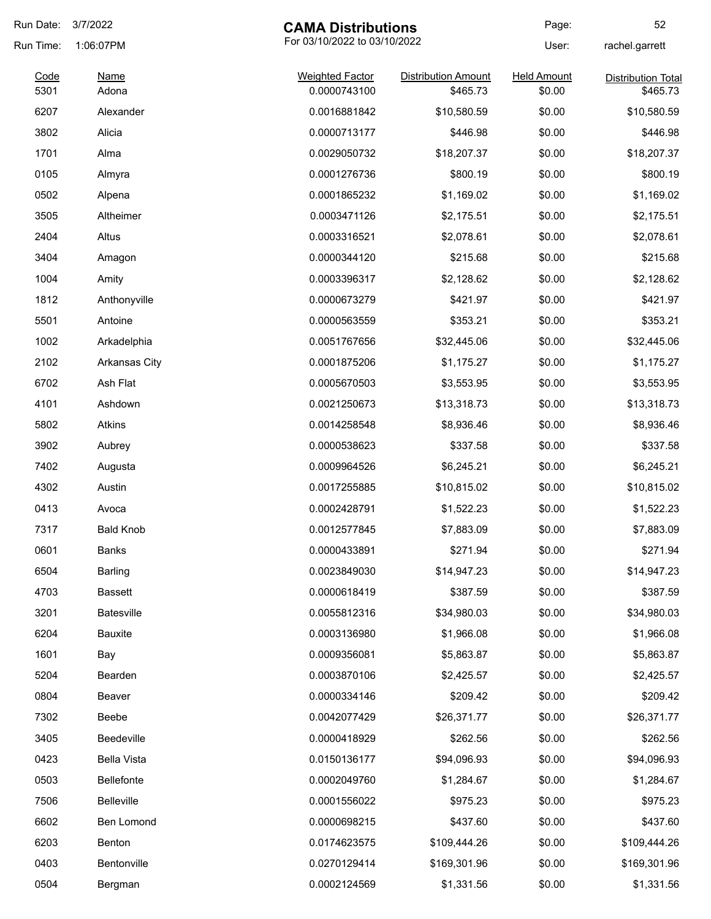| Run Date:    | 3/7/2022<br><b>CAMA Distributions</b> |                                        | Page:                                  | 52                           |                                       |
|--------------|---------------------------------------|----------------------------------------|----------------------------------------|------------------------------|---------------------------------------|
| Run Time:    | 1:06:07PM                             | For 03/10/2022 to 03/10/2022           |                                        | User:                        | rachel.garrett                        |
| Code<br>5301 | Name<br>Adona                         | <b>Weighted Factor</b><br>0.0000743100 | <b>Distribution Amount</b><br>\$465.73 | <b>Held Amount</b><br>\$0.00 | <b>Distribution Total</b><br>\$465.73 |
| 6207         | Alexander                             | 0.0016881842                           | \$10,580.59                            | \$0.00                       | \$10,580.59                           |
| 3802         | Alicia                                | 0.0000713177                           | \$446.98                               | \$0.00                       | \$446.98                              |
| 1701         | Alma                                  | 0.0029050732                           | \$18,207.37                            | \$0.00                       | \$18,207.37                           |
| 0105         | Almyra                                | 0.0001276736                           | \$800.19                               | \$0.00                       | \$800.19                              |
| 0502         | Alpena                                | 0.0001865232                           | \$1,169.02                             | \$0.00                       | \$1,169.02                            |
| 3505         | Altheimer                             | 0.0003471126                           | \$2,175.51                             | \$0.00                       | \$2,175.51                            |
| 2404         | Altus                                 | 0.0003316521                           | \$2,078.61                             | \$0.00                       | \$2,078.61                            |
| 3404         | Amagon                                | 0.0000344120                           | \$215.68                               | \$0.00                       | \$215.68                              |
| 1004         | Amity                                 | 0.0003396317                           | \$2,128.62                             | \$0.00                       | \$2,128.62                            |
| 1812         | Anthonyville                          | 0.0000673279                           | \$421.97                               | \$0.00                       | \$421.97                              |
| 5501         | Antoine                               | 0.0000563559                           | \$353.21                               | \$0.00                       | \$353.21                              |
| 1002         | Arkadelphia                           | 0.0051767656                           | \$32,445.06                            | \$0.00                       | \$32,445.06                           |
| 2102         | Arkansas City                         | 0.0001875206                           | \$1,175.27                             | \$0.00                       | \$1,175.27                            |
| 6702         | Ash Flat                              | 0.0005670503                           | \$3,553.95                             | \$0.00                       | \$3,553.95                            |
| 4101         | Ashdown                               | 0.0021250673                           | \$13,318.73                            | \$0.00                       | \$13,318.73                           |
| 5802         | <b>Atkins</b>                         | 0.0014258548                           | \$8,936.46                             | \$0.00                       | \$8,936.46                            |
| 3902         | Aubrey                                | 0.0000538623                           | \$337.58                               | \$0.00                       | \$337.58                              |
| 7402         | Augusta                               | 0.0009964526                           | \$6,245.21                             | \$0.00                       | \$6,245.21                            |
| 4302         | Austin                                | 0.0017255885                           | \$10,815.02                            | \$0.00                       | \$10,815.02                           |
| 0413         | Avoca                                 | 0.0002428791                           | \$1,522.23                             | \$0.00                       | \$1,522.23                            |
| 7317         | <b>Bald Knob</b>                      | 0.0012577845                           | \$7,883.09                             | \$0.00                       | \$7,883.09                            |
| 0601         | <b>Banks</b>                          | 0.0000433891                           | \$271.94                               | \$0.00                       | \$271.94                              |
| 6504         | Barling                               | 0.0023849030                           | \$14,947.23                            | \$0.00                       | \$14,947.23                           |
| 4703         | <b>Bassett</b>                        | 0.0000618419                           | \$387.59                               | \$0.00                       | \$387.59                              |
| 3201         | <b>Batesville</b>                     | 0.0055812316                           | \$34,980.03                            | \$0.00                       | \$34,980.03                           |
| 6204         | Bauxite                               | 0.0003136980                           | \$1,966.08                             | \$0.00                       | \$1,966.08                            |
| 1601         | Bay                                   | 0.0009356081                           | \$5,863.87                             | \$0.00                       | \$5,863.87                            |
| 5204         | Bearden                               | 0.0003870106                           | \$2,425.57                             | \$0.00                       | \$2,425.57                            |
| 0804         | Beaver                                | 0.0000334146                           | \$209.42                               | \$0.00                       | \$209.42                              |
| 7302         | Beebe                                 | 0.0042077429                           | \$26,371.77                            | \$0.00                       | \$26,371.77                           |
| 3405         | Beedeville                            | 0.0000418929                           | \$262.56                               | \$0.00                       | \$262.56                              |
| 0423         | Bella Vista                           | 0.0150136177                           | \$94,096.93                            | \$0.00                       | \$94,096.93                           |
| 0503         | Bellefonte                            | 0.0002049760                           | \$1,284.67                             | \$0.00                       | \$1,284.67                            |
| 7506         | Belleville                            | 0.0001556022                           | \$975.23                               | \$0.00                       | \$975.23                              |
| 6602         | Ben Lomond                            | 0.0000698215                           | \$437.60                               | \$0.00                       | \$437.60                              |
| 6203         | Benton                                | 0.0174623575                           | \$109,444.26                           | \$0.00                       | \$109,444.26                          |
| 0403         | Bentonville                           | 0.0270129414                           | \$169,301.96                           | \$0.00                       | \$169,301.96                          |
| 0504         | Bergman                               | 0.0002124569                           | \$1,331.56                             | \$0.00                       | \$1,331.56                            |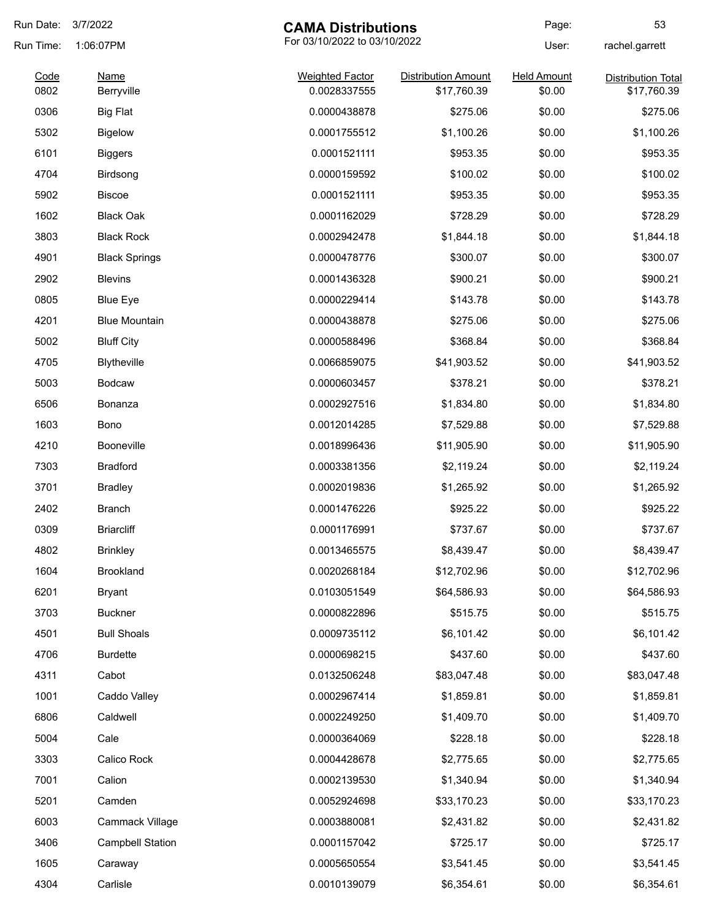| Run Date:    | 3/7/2022                  | <b>CAMA Distributions</b>              |                                           | Page:                        | 53                                       |
|--------------|---------------------------|----------------------------------------|-------------------------------------------|------------------------------|------------------------------------------|
| Run Time:    | 1:06:07PM                 | For 03/10/2022 to 03/10/2022           |                                           | User:                        | rachel.garrett                           |
| Code<br>0802 | <b>Name</b><br>Berryville | <b>Weighted Factor</b><br>0.0028337555 | <b>Distribution Amount</b><br>\$17,760.39 | <b>Held Amount</b><br>\$0.00 | <b>Distribution Total</b><br>\$17,760.39 |
| 0306         | <b>Big Flat</b>           | 0.0000438878                           | \$275.06                                  | \$0.00                       | \$275.06                                 |
| 5302         | <b>Bigelow</b>            | 0.0001755512                           | \$1,100.26                                | \$0.00                       | \$1,100.26                               |
| 6101         | <b>Biggers</b>            | 0.0001521111                           | \$953.35                                  | \$0.00                       | \$953.35                                 |
| 4704         | Birdsong                  | 0.0000159592                           | \$100.02                                  | \$0.00                       | \$100.02                                 |
| 5902         | <b>Biscoe</b>             | 0.0001521111                           | \$953.35                                  | \$0.00                       | \$953.35                                 |
| 1602         | <b>Black Oak</b>          | 0.0001162029                           | \$728.29                                  | \$0.00                       | \$728.29                                 |
| 3803         | <b>Black Rock</b>         | 0.0002942478                           | \$1,844.18                                | \$0.00                       | \$1,844.18                               |
| 4901         | <b>Black Springs</b>      | 0.0000478776                           | \$300.07                                  | \$0.00                       | \$300.07                                 |
| 2902         | <b>Blevins</b>            | 0.0001436328                           | \$900.21                                  | \$0.00                       | \$900.21                                 |
| 0805         | <b>Blue Eye</b>           | 0.0000229414                           | \$143.78                                  | \$0.00                       | \$143.78                                 |
| 4201         | <b>Blue Mountain</b>      | 0.0000438878                           | \$275.06                                  | \$0.00                       | \$275.06                                 |
| 5002         | <b>Bluff City</b>         | 0.0000588496                           | \$368.84                                  | \$0.00                       | \$368.84                                 |
| 4705         | <b>Blytheville</b>        | 0.0066859075                           | \$41,903.52                               | \$0.00                       | \$41,903.52                              |
| 5003         | <b>Bodcaw</b>             | 0.0000603457                           | \$378.21                                  | \$0.00                       | \$378.21                                 |
| 6506         | Bonanza                   | 0.0002927516                           | \$1,834.80                                | \$0.00                       | \$1,834.80                               |
| 1603         | Bono                      | 0.0012014285                           | \$7,529.88                                | \$0.00                       | \$7,529.88                               |
| 4210         | Booneville                | 0.0018996436                           | \$11,905.90                               | \$0.00                       | \$11,905.90                              |
| 7303         | <b>Bradford</b>           | 0.0003381356                           | \$2,119.24                                | \$0.00                       | \$2,119.24                               |
| 3701         | <b>Bradley</b>            | 0.0002019836                           | \$1,265.92                                | \$0.00                       | \$1,265.92                               |
| 2402         | <b>Branch</b>             | 0.0001476226                           | \$925.22                                  | \$0.00                       | \$925.22                                 |
| 0309         | <b>Briarcliff</b>         | 0.0001176991                           | \$737.67                                  | \$0.00                       | \$737.67                                 |
| 4802         | <b>Brinkley</b>           | 0.0013465575                           | \$8,439.47                                | \$0.00                       | \$8,439.47                               |
| 1604         | <b>Brookland</b>          | 0.0020268184                           | \$12,702.96                               | \$0.00                       | \$12,702.96                              |
| 6201         | <b>Bryant</b>             | 0.0103051549                           | \$64,586.93                               | \$0.00                       | \$64,586.93                              |
| 3703         | <b>Buckner</b>            | 0.0000822896                           | \$515.75                                  | \$0.00                       | \$515.75                                 |
| 4501         | <b>Bull Shoals</b>        | 0.0009735112                           | \$6,101.42                                | \$0.00                       | \$6,101.42                               |
| 4706         | <b>Burdette</b>           | 0.0000698215                           | \$437.60                                  | \$0.00                       | \$437.60                                 |
| 4311         | Cabot                     | 0.0132506248                           | \$83,047.48                               | \$0.00                       | \$83,047.48                              |
| 1001         | Caddo Valley              | 0.0002967414                           | \$1,859.81                                | \$0.00                       | \$1,859.81                               |
| 6806         | Caldwell                  | 0.0002249250                           | \$1,409.70                                | \$0.00                       | \$1,409.70                               |
| 5004         | Cale                      | 0.0000364069                           | \$228.18                                  | \$0.00                       | \$228.18                                 |
| 3303         | Calico Rock               | 0.0004428678                           | \$2,775.65                                | \$0.00                       | \$2,775.65                               |
| 7001         | Calion                    | 0.0002139530                           | \$1,340.94                                | \$0.00                       | \$1,340.94                               |
| 5201         | Camden                    | 0.0052924698                           | \$33,170.23                               | \$0.00                       | \$33,170.23                              |
| 6003         | Cammack Village           | 0.0003880081                           | \$2,431.82                                | \$0.00                       | \$2,431.82                               |
| 3406         | <b>Campbell Station</b>   | 0.0001157042                           | \$725.17                                  | \$0.00                       | \$725.17                                 |
| 1605         | Caraway                   | 0.0005650554                           | \$3,541.45                                | \$0.00                       | \$3,541.45                               |
| 4304         | Carlisle                  | 0.0010139079                           | \$6,354.61                                | \$0.00                       | \$6,354.61                               |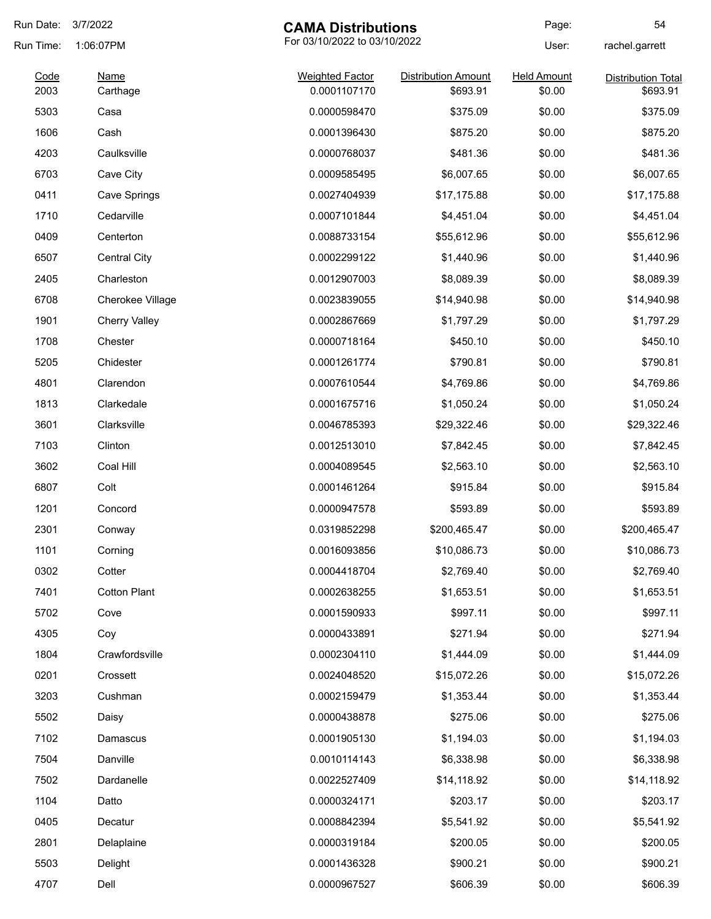| Run Date:    | 3/7/2022<br><b>CAMA Distributions</b> |                                        | Page:                                  | 54                           |                                       |
|--------------|---------------------------------------|----------------------------------------|----------------------------------------|------------------------------|---------------------------------------|
| Run Time:    | 1:06:07PM                             | For 03/10/2022 to 03/10/2022           |                                        | User:                        | rachel.garrett                        |
| Code<br>2003 | <b>Name</b><br>Carthage               | <b>Weighted Factor</b><br>0.0001107170 | <b>Distribution Amount</b><br>\$693.91 | <b>Held Amount</b><br>\$0.00 | <b>Distribution Total</b><br>\$693.91 |
| 5303         |                                       | 0.0000598470                           | \$375.09                               | \$0.00                       | \$375.09                              |
|              | Casa                                  |                                        |                                        |                              |                                       |
| 1606         | Cash                                  | 0.0001396430                           | \$875.20                               | \$0.00                       | \$875.20                              |
| 4203         | Caulksville                           | 0.0000768037                           | \$481.36                               | \$0.00                       | \$481.36                              |
| 6703         | Cave City                             | 0.0009585495                           | \$6,007.65                             | \$0.00                       | \$6,007.65                            |
| 0411         | Cave Springs                          | 0.0027404939                           | \$17,175.88                            | \$0.00                       | \$17,175.88                           |
| 1710         | Cedarville                            | 0.0007101844                           | \$4,451.04                             | \$0.00                       | \$4,451.04                            |
| 0409         | Centerton                             | 0.0088733154                           | \$55,612.96                            | \$0.00                       | \$55,612.96                           |
| 6507         | <b>Central City</b>                   | 0.0002299122                           | \$1,440.96                             | \$0.00                       | \$1,440.96                            |
| 2405         | Charleston                            | 0.0012907003                           | \$8,089.39                             | \$0.00                       | \$8,089.39                            |
| 6708         | Cherokee Village                      | 0.0023839055                           | \$14,940.98                            | \$0.00                       | \$14,940.98                           |
| 1901         | <b>Cherry Valley</b>                  | 0.0002867669                           | \$1,797.29                             | \$0.00                       | \$1,797.29                            |
| 1708         | Chester                               | 0.0000718164                           | \$450.10                               | \$0.00                       | \$450.10                              |
| 5205         | Chidester                             | 0.0001261774                           | \$790.81                               | \$0.00                       | \$790.81                              |
| 4801         | Clarendon                             | 0.0007610544                           | \$4,769.86                             | \$0.00                       | \$4,769.86                            |
| 1813         | Clarkedale                            | 0.0001675716                           | \$1,050.24                             | \$0.00                       | \$1,050.24                            |
| 3601         | Clarksville                           | 0.0046785393                           | \$29,322.46                            | \$0.00                       | \$29,322.46                           |
| 7103         | Clinton                               | 0.0012513010                           | \$7,842.45                             | \$0.00                       | \$7,842.45                            |
| 3602         | Coal Hill                             | 0.0004089545                           | \$2,563.10                             | \$0.00                       | \$2,563.10                            |
| 6807         | Colt                                  | 0.0001461264                           | \$915.84                               | \$0.00                       | \$915.84                              |
| 1201         | Concord                               | 0.0000947578                           | \$593.89                               | \$0.00                       | \$593.89                              |
| 2301         | Conway                                | 0.0319852298                           | \$200.465.47                           | \$0.00                       | \$200,465.47                          |
| 1101         | Corning                               | 0.0016093856                           | \$10,086.73                            | \$0.00                       | \$10,086.73                           |
| 0302         | Cotter                                | 0.0004418704                           | \$2,769.40                             | \$0.00                       | \$2,769.40                            |
| 7401         | <b>Cotton Plant</b>                   | 0.0002638255                           | \$1,653.51                             | \$0.00                       | \$1,653.51                            |
| 5702         | Cove                                  | 0.0001590933                           | \$997.11                               | \$0.00                       | \$997.11                              |
| 4305         | Coy                                   | 0.0000433891                           | \$271.94                               | \$0.00                       | \$271.94                              |
| 1804         | Crawfordsville                        | 0.0002304110                           | \$1,444.09                             | \$0.00                       | \$1,444.09                            |
| 0201         | Crossett                              | 0.0024048520                           | \$15,072.26                            | \$0.00                       | \$15,072.26                           |
| 3203         | Cushman                               | 0.0002159479                           | \$1,353.44                             | \$0.00                       | \$1,353.44                            |
| 5502         | Daisy                                 | 0.0000438878                           | \$275.06                               | \$0.00                       | \$275.06                              |
| 7102         | Damascus                              | 0.0001905130                           | \$1,194.03                             | \$0.00                       | \$1,194.03                            |
| 7504         | Danville                              | 0.0010114143                           | \$6,338.98                             | \$0.00                       | \$6,338.98                            |
| 7502         | Dardanelle                            | 0.0022527409                           | \$14,118.92                            | \$0.00                       | \$14,118.92                           |
| 1104         | Datto                                 | 0.0000324171                           | \$203.17                               | \$0.00                       | \$203.17                              |
| 0405         | Decatur                               | 0.0008842394                           | \$5,541.92                             | \$0.00                       | \$5,541.92                            |
| 2801         | Delaplaine                            | 0.0000319184                           | \$200.05                               | \$0.00                       | \$200.05                              |
| 5503         | Delight                               | 0.0001436328                           | \$900.21                               | \$0.00                       | \$900.21                              |
| 4707         | Dell                                  | 0.0000967527                           | \$606.39                               | \$0.00                       | \$606.39                              |
|              |                                       |                                        |                                        |                              |                                       |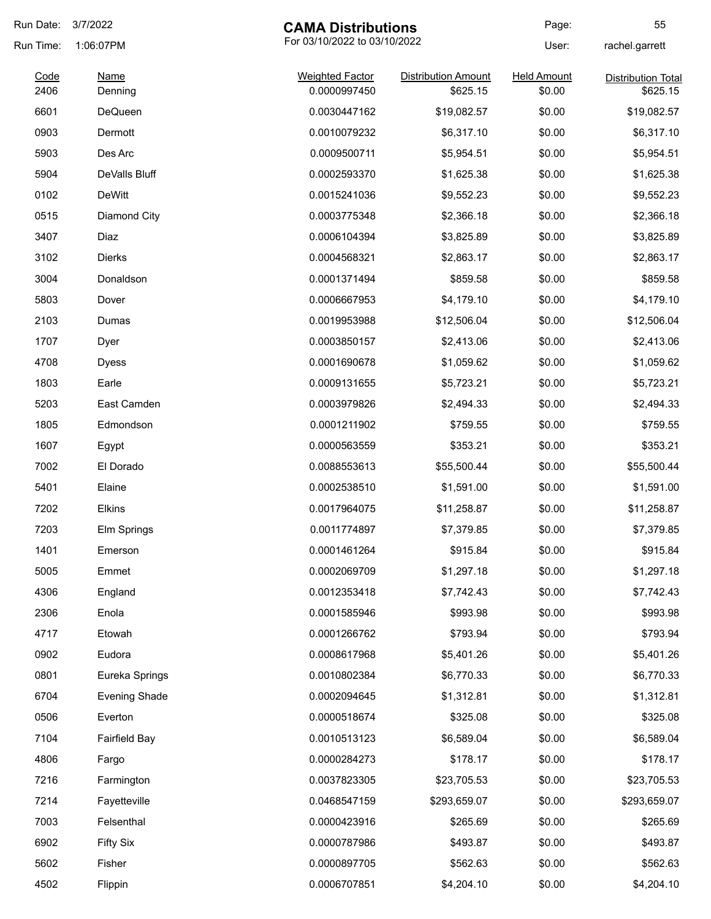| Run Date:    | 3/7/2022               | <b>CAMA Distributions</b>              |                                        | Page:                        | 55                                    |
|--------------|------------------------|----------------------------------------|----------------------------------------|------------------------------|---------------------------------------|
| Run Time:    | 1:06:07PM              |                                        | For 03/10/2022 to 03/10/2022           |                              | rachel.garrett                        |
| Code<br>2406 | <b>Name</b><br>Denning | <b>Weighted Factor</b><br>0.0000997450 | <b>Distribution Amount</b><br>\$625.15 | <b>Held Amount</b><br>\$0.00 | <b>Distribution Total</b><br>\$625.15 |
| 6601         | <b>DeQueen</b>         | 0.0030447162                           | \$19,082.57                            | \$0.00                       | \$19,082.57                           |
| 0903         | Dermott                | 0.0010079232                           | \$6,317.10                             | \$0.00                       | \$6,317.10                            |
| 5903         | Des Arc                | 0.0009500711                           | \$5,954.51                             | \$0.00                       | \$5,954.51                            |
| 5904         | DeValls Bluff          | 0.0002593370                           | \$1,625.38                             | \$0.00                       | \$1,625.38                            |
| 0102         | <b>DeWitt</b>          | 0.0015241036                           | \$9,552.23                             | \$0.00                       | \$9,552.23                            |
| 0515         | Diamond City           | 0.0003775348                           | \$2,366.18                             | \$0.00                       | \$2,366.18                            |
| 3407         | Diaz                   | 0.0006104394                           | \$3,825.89                             | \$0.00                       | \$3,825.89                            |
| 3102         | <b>Dierks</b>          | 0.0004568321                           | \$2,863.17                             | \$0.00                       | \$2,863.17                            |
| 3004         | Donaldson              | 0.0001371494                           | \$859.58                               | \$0.00                       | \$859.58                              |
| 5803         | Dover                  | 0.0006667953                           | \$4,179.10                             | \$0.00                       | \$4,179.10                            |
| 2103         | Dumas                  | 0.0019953988                           | \$12,506.04                            | \$0.00                       | \$12,506.04                           |
| 1707         | Dyer                   | 0.0003850157                           | \$2,413.06                             | \$0.00                       | \$2,413.06                            |
| 4708         | Dyess                  | 0.0001690678                           | \$1,059.62                             | \$0.00                       | \$1,059.62                            |
| 1803         | Earle                  | 0.0009131655                           | \$5,723.21                             | \$0.00                       | \$5,723.21                            |
| 5203         | East Camden            | 0.0003979826                           | \$2,494.33                             | \$0.00                       | \$2,494.33                            |
| 1805         | Edmondson              | 0.0001211902                           | \$759.55                               | \$0.00                       | \$759.55                              |
| 1607         | Egypt                  | 0.0000563559                           | \$353.21                               | \$0.00                       | \$353.21                              |
| 7002         | El Dorado              | 0.0088553613                           | \$55,500.44                            | \$0.00                       | \$55,500.44                           |
| 5401         | Elaine                 | 0.0002538510                           | \$1,591.00                             | \$0.00                       | \$1,591.00                            |
| 7202         | <b>Elkins</b>          | 0.0017964075                           | \$11,258.87                            | \$0.00                       | \$11,258.87                           |
| 7203         | Elm Springs            | 0.0011774897                           | \$7,379.85                             | \$0.00                       | \$7,379.85                            |
| 1401         | Emerson                | 0.0001461264                           | \$915.84                               | \$0.00                       | \$915.84                              |
| 5005         | Emmet                  | 0.0002069709                           | \$1,297.18                             | \$0.00                       | \$1,297.18                            |
| 4306         | England                | 0.0012353418                           | \$7,742.43                             | \$0.00                       | \$7,742.43                            |
| 2306         | Enola                  | 0.0001585946                           | \$993.98                               | \$0.00                       | \$993.98                              |
| 4717         | Etowah                 | 0.0001266762                           | \$793.94                               | \$0.00                       | \$793.94                              |
| 0902         | Eudora                 | 0.0008617968                           | \$5,401.26                             | \$0.00                       | \$5,401.26                            |
| 0801         | Eureka Springs         | 0.0010802384                           | \$6,770.33                             | \$0.00                       | \$6,770.33                            |
| 6704         | <b>Evening Shade</b>   | 0.0002094645                           | \$1,312.81                             | \$0.00                       | \$1,312.81                            |
| 0506         | Everton                | 0.0000518674                           | \$325.08                               | \$0.00                       | \$325.08                              |
| 7104         | <b>Fairfield Bay</b>   | 0.0010513123                           | \$6,589.04                             | \$0.00                       | \$6,589.04                            |
| 4806         | Fargo                  | 0.0000284273                           | \$178.17                               | \$0.00                       | \$178.17                              |
| 7216         | Farmington             | 0.0037823305                           | \$23,705.53                            | \$0.00                       | \$23,705.53                           |
| 7214         | Fayetteville           | 0.0468547159                           | \$293,659.07                           | \$0.00                       | \$293,659.07                          |
| 7003         | Felsenthal             | 0.0000423916                           | \$265.69                               | \$0.00                       | \$265.69                              |
| 6902         | <b>Fifty Six</b>       | 0.0000787986                           | \$493.87                               | \$0.00                       | \$493.87                              |
| 5602         | Fisher                 | 0.0000897705                           | \$562.63                               | \$0.00                       | \$562.63                              |
| 4502         | Flippin                | 0.0006707851                           | \$4,204.10                             | \$0.00                       | \$4,204.10                            |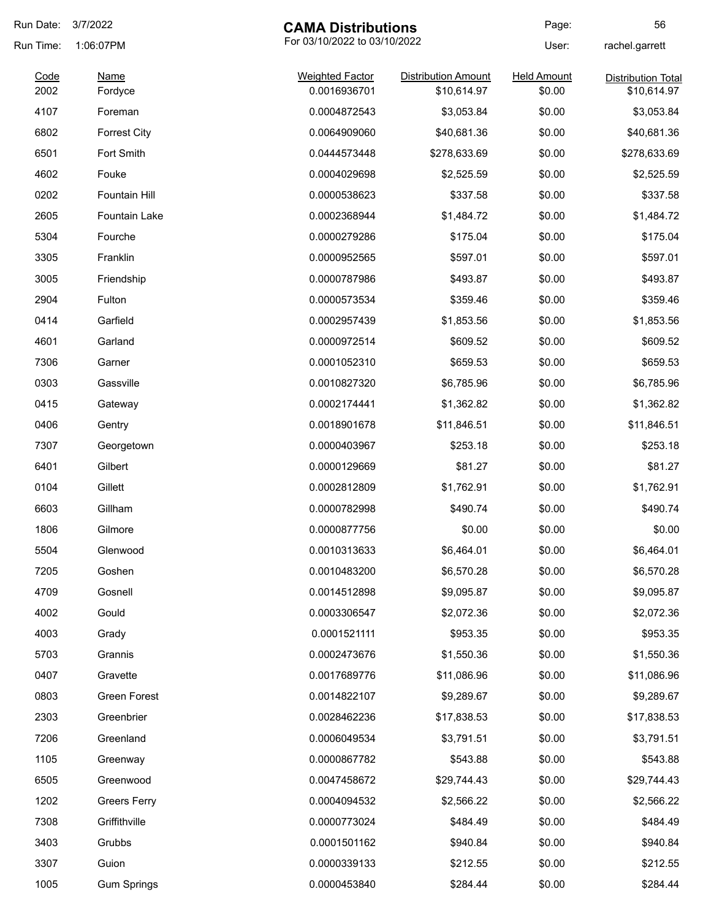| Run Date:    | 3/7/2022<br><b>CAMA Distributions</b> |                                        | Page:                                     | 56                           |                                          |
|--------------|---------------------------------------|----------------------------------------|-------------------------------------------|------------------------------|------------------------------------------|
| Run Time:    | 1:06:07PM                             | For 03/10/2022 to 03/10/2022           |                                           | User:                        | rachel.garrett                           |
| Code<br>2002 | <b>Name</b><br>Fordyce                | <b>Weighted Factor</b><br>0.0016936701 | <b>Distribution Amount</b><br>\$10,614.97 | <b>Held Amount</b><br>\$0.00 | <b>Distribution Total</b><br>\$10,614.97 |
| 4107         | Foreman                               | 0.0004872543                           | \$3,053.84                                | \$0.00                       | \$3,053.84                               |
| 6802         | <b>Forrest City</b>                   | 0.0064909060                           | \$40,681.36                               | \$0.00                       | \$40,681.36                              |
| 6501         | Fort Smith                            | 0.0444573448                           | \$278,633.69                              | \$0.00                       | \$278,633.69                             |
| 4602         | Fouke                                 | 0.0004029698                           | \$2,525.59                                | \$0.00                       | \$2,525.59                               |
| 0202         | Fountain Hill                         | 0.0000538623                           | \$337.58                                  | \$0.00                       | \$337.58                                 |
| 2605         | <b>Fountain Lake</b>                  | 0.0002368944                           | \$1,484.72                                | \$0.00                       | \$1,484.72                               |
| 5304         | Fourche                               | 0.0000279286                           | \$175.04                                  | \$0.00                       | \$175.04                                 |
| 3305         | Franklin                              | 0.0000952565                           | \$597.01                                  | \$0.00                       | \$597.01                                 |
| 3005         | Friendship                            | 0.0000787986                           | \$493.87                                  | \$0.00                       | \$493.87                                 |
| 2904         | Fulton                                | 0.0000573534                           | \$359.46                                  | \$0.00                       | \$359.46                                 |
| 0414         | Garfield                              | 0.0002957439                           | \$1,853.56                                | \$0.00                       | \$1,853.56                               |
| 4601         | Garland                               | 0.0000972514                           | \$609.52                                  | \$0.00                       | \$609.52                                 |
| 7306         |                                       | 0.0001052310                           | \$659.53                                  | \$0.00                       | \$659.53                                 |
| 0303         | Garner<br>Gassville                   | 0.0010827320                           |                                           | \$0.00                       |                                          |
|              |                                       |                                        | \$6,785.96                                |                              | \$6,785.96                               |
| 0415         | Gateway                               | 0.0002174441                           | \$1,362.82                                | \$0.00                       | \$1,362.82                               |
| 0406         | Gentry                                | 0.0018901678                           | \$11,846.51                               | \$0.00                       | \$11,846.51                              |
| 7307         | Georgetown                            | 0.0000403967                           | \$253.18                                  | \$0.00                       | \$253.18                                 |
| 6401         | Gilbert                               | 0.0000129669                           | \$81.27                                   | \$0.00                       | \$81.27                                  |
| 0104         | Gillett                               | 0.0002812809                           | \$1,762.91                                | \$0.00                       | \$1,762.91                               |
| 6603         | Gillham                               | 0.0000782998                           | \$490.74                                  | \$0.00                       | \$490.74                                 |
| 1806         | Gilmore                               | 0.0000877756                           | \$0.00                                    | \$0.00                       | \$0.00                                   |
| 5504         | Glenwood                              | 0.0010313633                           | \$6,464.01                                | \$0.00                       | \$6,464.01                               |
| 7205         | Goshen                                | 0.0010483200                           | \$6,570.28                                | \$0.00                       | \$6,570.28                               |
| 4709         | Gosnell                               | 0.0014512898                           | \$9,095.87                                | \$0.00                       | \$9,095.87                               |
| 4002         | Gould                                 | 0.0003306547                           | \$2,072.36                                | \$0.00                       | \$2,072.36                               |
| 4003         | Grady                                 | 0.0001521111                           | \$953.35                                  | \$0.00                       | \$953.35                                 |
| 5703         | Grannis                               | 0.0002473676                           | \$1,550.36                                | \$0.00                       | \$1,550.36                               |
| 0407         | Gravette                              | 0.0017689776                           | \$11,086.96                               | \$0.00                       | \$11,086.96                              |
| 0803         | Green Forest                          | 0.0014822107                           | \$9,289.67                                | \$0.00                       | \$9,289.67                               |
| 2303         | Greenbrier                            | 0.0028462236                           | \$17,838.53                               | \$0.00                       | \$17,838.53                              |
| 7206         | Greenland                             | 0.0006049534                           | \$3,791.51                                | \$0.00                       | \$3,791.51                               |
| 1105         | Greenway                              | 0.0000867782                           | \$543.88                                  | \$0.00                       | \$543.88                                 |
| 6505         | Greenwood                             | 0.0047458672                           | \$29,744.43                               | \$0.00                       | \$29,744.43                              |
| 1202         | <b>Greers Ferry</b>                   | 0.0004094532                           | \$2,566.22                                | \$0.00                       | \$2,566.22                               |
| 7308         | Griffithville                         | 0.0000773024                           | \$484.49                                  | \$0.00                       | \$484.49                                 |
| 3403         | Grubbs                                | 0.0001501162                           | \$940.84                                  | \$0.00                       | \$940.84                                 |
| 3307         | Guion                                 | 0.0000339133                           | \$212.55                                  | \$0.00                       | \$212.55                                 |
| 1005         | <b>Gum Springs</b>                    | 0.0000453840                           | \$284.44                                  | \$0.00                       | \$284.44                                 |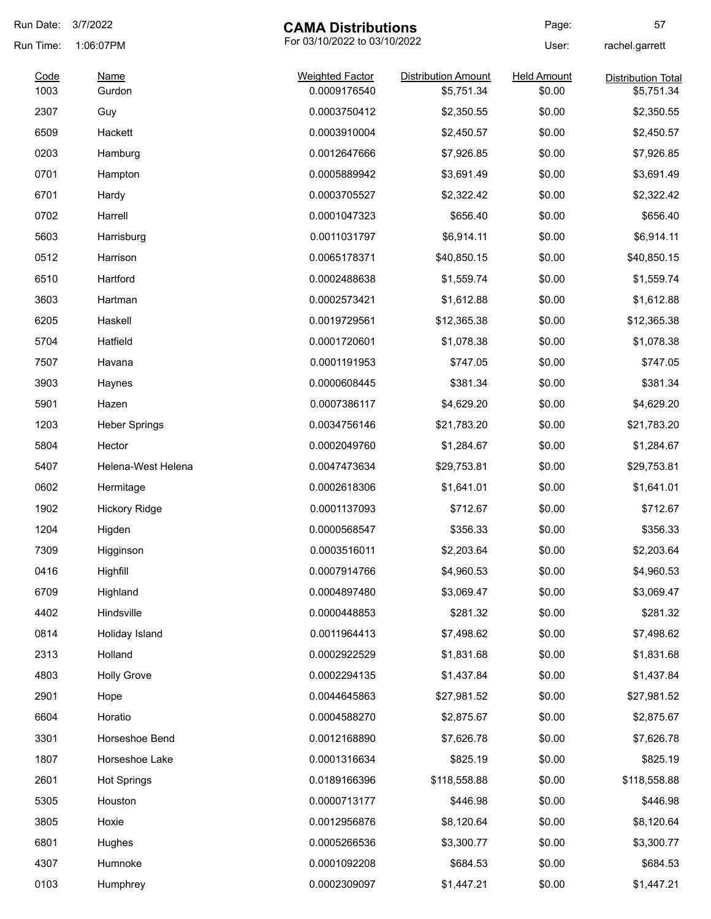| Run Date:    | 3/7/2022                                  | <b>CAMA Distributions</b>              |                                          | Page:                        | 57                                      |
|--------------|-------------------------------------------|----------------------------------------|------------------------------------------|------------------------------|-----------------------------------------|
| Run Time:    | For 03/10/2022 to 03/10/2022<br>1:06:07PM |                                        | User:                                    | rachel.garrett               |                                         |
| Code<br>1003 | Name<br>Gurdon                            | <b>Weighted Factor</b><br>0.0009176540 | <b>Distribution Amount</b><br>\$5,751.34 | <b>Held Amount</b><br>\$0.00 | <b>Distribution Total</b><br>\$5,751.34 |
| 2307         | Guy                                       | 0.0003750412                           | \$2,350.55                               | \$0.00                       | \$2,350.55                              |
| 6509         | Hackett                                   | 0.0003910004                           | \$2,450.57                               | \$0.00                       | \$2,450.57                              |
| 0203         | Hamburg                                   | 0.0012647666                           | \$7,926.85                               | \$0.00                       | \$7,926.85                              |
| 0701         | Hampton                                   | 0.0005889942                           | \$3,691.49                               | \$0.00                       | \$3,691.49                              |
| 6701         | Hardy                                     | 0.0003705527                           | \$2,322.42                               | \$0.00                       | \$2,322.42                              |
| 0702         | Harrell                                   | 0.0001047323                           | \$656.40                                 | \$0.00                       | \$656.40                                |
| 5603         | Harrisburg                                | 0.0011031797                           | \$6,914.11                               | \$0.00                       | \$6,914.11                              |
| 0512         | Harrison                                  | 0.0065178371                           | \$40,850.15                              | \$0.00                       | \$40,850.15                             |
| 6510         | Hartford                                  | 0.0002488638                           | \$1,559.74                               | \$0.00                       | \$1,559.74                              |
| 3603         | Hartman                                   | 0.0002573421                           | \$1,612.88                               | \$0.00                       | \$1,612.88                              |
| 6205         | Haskell                                   | 0.0019729561                           | \$12,365.38                              | \$0.00                       | \$12,365.38                             |
| 5704         | Hatfield                                  | 0.0001720601                           | \$1,078.38                               | \$0.00                       | \$1,078.38                              |
| 7507         | Havana                                    | 0.0001191953                           | \$747.05                                 | \$0.00                       | \$747.05                                |
| 3903         | Haynes                                    | 0.0000608445                           | \$381.34                                 | \$0.00                       | \$381.34                                |
| 5901         | Hazen                                     | 0.0007386117                           | \$4,629.20                               | \$0.00                       | \$4,629.20                              |
| 1203         | <b>Heber Springs</b>                      | 0.0034756146                           | \$21,783.20                              | \$0.00                       | \$21,783.20                             |
| 5804         | Hector                                    | 0.0002049760                           | \$1,284.67                               | \$0.00                       | \$1,284.67                              |
| 5407         | Helena-West Helena                        | 0.0047473634                           | \$29,753.81                              | \$0.00                       | \$29,753.81                             |
| 0602         | Hermitage                                 | 0.0002618306                           | \$1,641.01                               | \$0.00                       | \$1,641.01                              |
| 1902         | <b>Hickory Ridge</b>                      | 0.0001137093                           | \$712.67                                 | \$0.00                       | \$712.67                                |
| 1204         | Higden                                    | 0.0000568547                           | \$356.33                                 | \$0.00                       | \$356.33                                |
| 7309         | Higginson                                 | 0.0003516011                           | \$2,203.64                               | \$0.00                       | \$2,203.64                              |
| 0416         | Highfill                                  | 0.0007914766                           | \$4,960.53                               | \$0.00                       | \$4,960.53                              |
| 6709         | Highland                                  | 0.0004897480                           | \$3,069.47                               | \$0.00                       | \$3,069.47                              |
| 4402         | Hindsville                                | 0.0000448853                           | \$281.32                                 | \$0.00                       | \$281.32                                |
| 0814         | Holiday Island                            | 0.0011964413                           | \$7,498.62                               | \$0.00                       | \$7,498.62                              |
| 2313         | Holland                                   | 0.0002922529                           | \$1,831.68                               | \$0.00                       | \$1,831.68                              |
| 4803         | <b>Holly Grove</b>                        | 0.0002294135                           | \$1,437.84                               | \$0.00                       | \$1,437.84                              |
| 2901         | Hope                                      | 0.0044645863                           | \$27,981.52                              | \$0.00                       | \$27,981.52                             |
| 6604         | Horatio                                   | 0.0004588270                           | \$2,875.67                               | \$0.00                       | \$2,875.67                              |
| 3301         | Horseshoe Bend                            | 0.0012168890                           | \$7,626.78                               | \$0.00                       | \$7,626.78                              |
| 1807         | Horseshoe Lake                            | 0.0001316634                           | \$825.19                                 | \$0.00                       | \$825.19                                |
| 2601         | <b>Hot Springs</b>                        | 0.0189166396                           | \$118,558.88                             | \$0.00                       | \$118,558.88                            |
| 5305         | Houston                                   | 0.0000713177                           | \$446.98                                 | \$0.00                       | \$446.98                                |
| 3805         | Hoxie                                     | 0.0012956876                           | \$8,120.64                               | \$0.00                       | \$8,120.64                              |
| 6801         | Hughes                                    | 0.0005266536                           | \$3,300.77                               | \$0.00                       | \$3,300.77                              |
| 4307         | Humnoke                                   | 0.0001092208                           | \$684.53                                 | \$0.00                       | \$684.53                                |
| 0103         | Humphrey                                  | 0.0002309097                           | \$1,447.21                               | \$0.00                       | \$1,447.21                              |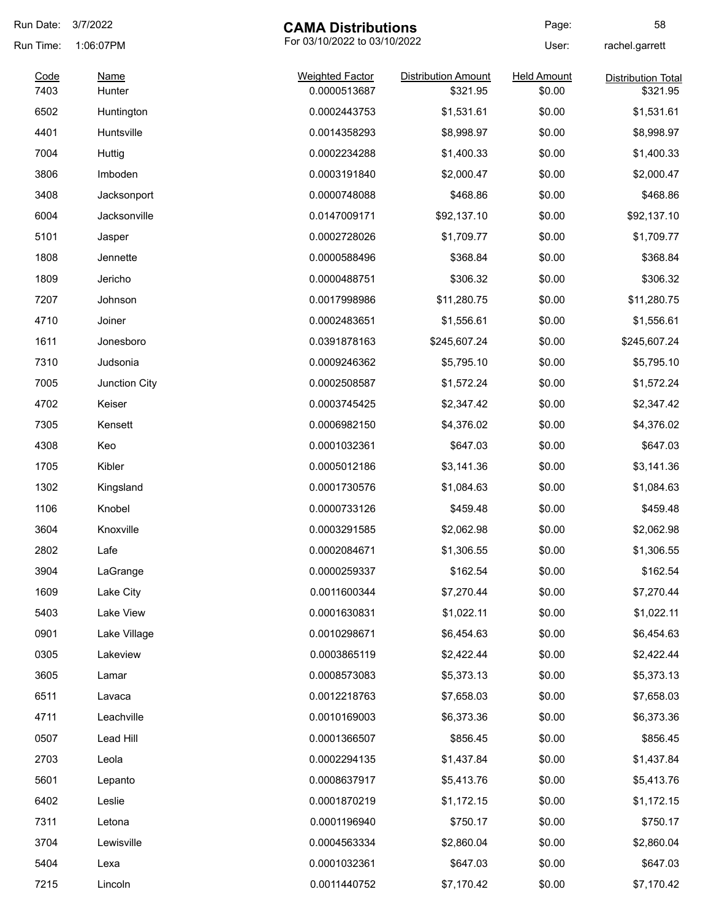| Run Date:    | 3/7/2022              | <b>CAMA Distributions</b>              |                                        | Page:                        | 58                                    |
|--------------|-----------------------|----------------------------------------|----------------------------------------|------------------------------|---------------------------------------|
| Run Time:    | 1:06:07PM             | For 03/10/2022 to 03/10/2022           |                                        | User:                        | rachel.garrett                        |
| Code<br>7403 | <b>Name</b><br>Hunter | <b>Weighted Factor</b><br>0.0000513687 | <b>Distribution Amount</b><br>\$321.95 | <b>Held Amount</b><br>\$0.00 | <b>Distribution Total</b><br>\$321.95 |
| 6502         | Huntington            | 0.0002443753                           | \$1,531.61                             | \$0.00                       | \$1,531.61                            |
| 4401         | Huntsville            | 0.0014358293                           | \$8,998.97                             | \$0.00                       | \$8,998.97                            |
| 7004         | Huttig                | 0.0002234288                           | \$1,400.33                             | \$0.00                       | \$1,400.33                            |
| 3806         | Imboden               | 0.0003191840                           | \$2,000.47                             | \$0.00                       | \$2,000.47                            |
| 3408         | Jacksonport           | 0.0000748088                           | \$468.86                               | \$0.00                       | \$468.86                              |
| 6004         | Jacksonville          | 0.0147009171                           | \$92,137.10                            | \$0.00                       | \$92,137.10                           |
| 5101         | Jasper                | 0.0002728026                           | \$1,709.77                             | \$0.00                       | \$1,709.77                            |
| 1808         | Jennette              | 0.0000588496                           | \$368.84                               | \$0.00                       | \$368.84                              |
| 1809         | Jericho               | 0.0000488751                           | \$306.32                               | \$0.00                       | \$306.32                              |
| 7207         | Johnson               | 0.0017998986                           | \$11,280.75                            | \$0.00                       | \$11,280.75                           |
| 4710         | Joiner                | 0.0002483651                           | \$1,556.61                             | \$0.00                       | \$1,556.61                            |
| 1611         | Jonesboro             | 0.0391878163                           | \$245,607.24                           | \$0.00                       | \$245,607.24                          |
| 7310         | Judsonia              | 0.0009246362                           | \$5,795.10                             | \$0.00                       | \$5,795.10                            |
| 7005         | Junction City         | 0.0002508587                           | \$1,572.24                             | \$0.00                       | \$1,572.24                            |
| 4702         | Keiser                | 0.0003745425                           | \$2,347.42                             | \$0.00                       | \$2,347.42                            |
| 7305         | Kensett               | 0.0006982150                           | \$4,376.02                             | \$0.00                       | \$4,376.02                            |
| 4308         | Keo                   | 0.0001032361                           | \$647.03                               | \$0.00                       | \$647.03                              |
| 1705         | Kibler                | 0.0005012186                           | \$3,141.36                             | \$0.00                       | \$3,141.36                            |
| 1302         | Kingsland             | 0.0001730576                           | \$1,084.63                             | \$0.00                       | \$1,084.63                            |
| 1106         | Knobel                | 0.0000733126                           | \$459.48                               | \$0.00                       | \$459.48                              |
| 3604         | Knoxville             | 0.0003291585                           | \$2,062.98                             | \$0.00                       | \$2,062.98                            |
| 2802         | Lafe                  | 0.0002084671                           | \$1,306.55                             | \$0.00                       | \$1,306.55                            |
| 3904         | LaGrange              | 0.0000259337                           | \$162.54                               | \$0.00                       | \$162.54                              |
| 1609         | Lake City             | 0.0011600344                           | \$7,270.44                             | \$0.00                       | \$7,270.44                            |
| 5403         | Lake View             | 0.0001630831                           | \$1,022.11                             | \$0.00                       | \$1,022.11                            |
| 0901         | Lake Village          | 0.0010298671                           | \$6,454.63                             | \$0.00                       | \$6,454.63                            |
| 0305         | Lakeview              | 0.0003865119                           | \$2,422.44                             | \$0.00                       | \$2,422.44                            |
| 3605         | Lamar                 | 0.0008573083                           | \$5,373.13                             | \$0.00                       | \$5,373.13                            |
| 6511         | Lavaca                | 0.0012218763                           | \$7,658.03                             | \$0.00                       | \$7,658.03                            |
| 4711         | Leachville            | 0.0010169003                           | \$6,373.36                             | \$0.00                       | \$6,373.36                            |
| 0507         | Lead Hill             | 0.0001366507                           | \$856.45                               | \$0.00                       | \$856.45                              |
| 2703         | Leola                 | 0.0002294135                           | \$1,437.84                             | \$0.00                       | \$1,437.84                            |
| 5601         | Lepanto               | 0.0008637917                           | \$5,413.76                             | \$0.00                       | \$5,413.76                            |
| 6402         | Leslie                | 0.0001870219                           | \$1,172.15                             | \$0.00                       | \$1,172.15                            |
| 7311         | Letona                | 0.0001196940                           | \$750.17                               | \$0.00                       | \$750.17                              |
| 3704         | Lewisville            | 0.0004563334                           | \$2,860.04                             | \$0.00                       | \$2,860.04                            |
| 5404         | Lexa                  | 0.0001032361                           | \$647.03                               | \$0.00                       | \$647.03                              |
| 7215         | Lincoln               | 0.0011440752                           | \$7,170.42                             | \$0.00                       | \$7,170.42                            |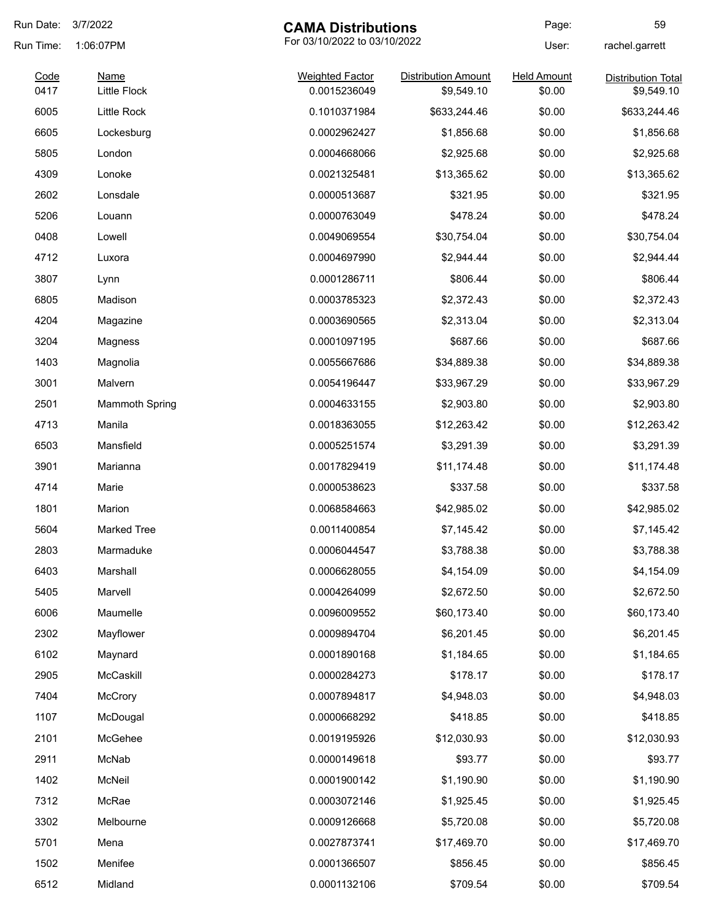| Run Date:    | 3/7/2022                           | <b>CAMA Distributions</b>              |                                          | Page:                        | 59                                      |
|--------------|------------------------------------|----------------------------------------|------------------------------------------|------------------------------|-----------------------------------------|
| Run Time:    | 1:06:07PM                          |                                        | For 03/10/2022 to 03/10/2022             |                              | rachel.garrett                          |
| Code<br>0417 | <b>Name</b><br><b>Little Flock</b> | <b>Weighted Factor</b><br>0.0015236049 | <b>Distribution Amount</b><br>\$9,549.10 | <b>Held Amount</b><br>\$0.00 | <b>Distribution Total</b><br>\$9,549.10 |
| 6005         | Little Rock                        | 0.1010371984                           | \$633,244.46                             | \$0.00                       | \$633,244.46                            |
| 6605         | Lockesburg                         | 0.0002962427                           | \$1,856.68                               | \$0.00                       | \$1,856.68                              |
| 5805         | London                             | 0.0004668066                           | \$2,925.68                               | \$0.00                       | \$2,925.68                              |
| 4309         | Lonoke                             | 0.0021325481                           | \$13,365.62                              | \$0.00                       | \$13,365.62                             |
| 2602         | Lonsdale                           | 0.0000513687                           | \$321.95                                 | \$0.00                       | \$321.95                                |
| 5206         | Louann                             | 0.0000763049                           | \$478.24                                 | \$0.00                       | \$478.24                                |
| 0408         | Lowell                             | 0.0049069554                           | \$30,754.04                              | \$0.00                       | \$30,754.04                             |
| 4712         | Luxora                             | 0.0004697990                           | \$2,944.44                               | \$0.00                       | \$2,944.44                              |
| 3807         | Lynn                               | 0.0001286711                           | \$806.44                                 | \$0.00                       | \$806.44                                |
| 6805         | Madison                            | 0.0003785323                           | \$2,372.43                               | \$0.00                       | \$2,372.43                              |
| 4204         | Magazine                           | 0.0003690565                           | \$2,313.04                               | \$0.00                       | \$2,313.04                              |
| 3204         | Magness                            | 0.0001097195                           | \$687.66                                 | \$0.00                       | \$687.66                                |
| 1403         | Magnolia                           | 0.0055667686                           | \$34,889.38                              | \$0.00                       | \$34,889.38                             |
| 3001         | Malvern                            | 0.0054196447                           | \$33,967.29                              | \$0.00                       | \$33,967.29                             |
| 2501         | <b>Mammoth Spring</b>              | 0.0004633155                           | \$2,903.80                               | \$0.00                       | \$2,903.80                              |
| 4713         | Manila                             | 0.0018363055                           | \$12,263.42                              | \$0.00                       | \$12,263.42                             |
| 6503         | Mansfield                          | 0.0005251574                           | \$3,291.39                               | \$0.00                       | \$3,291.39                              |
| 3901         | Marianna                           | 0.0017829419                           | \$11,174.48                              | \$0.00                       | \$11,174.48                             |
| 4714         | Marie                              | 0.0000538623                           | \$337.58                                 | \$0.00                       | \$337.58                                |
| 1801         | Marion                             | 0.0068584663                           | \$42,985.02                              | \$0.00                       | \$42,985.02                             |
| 5604         | Marked Tree                        | 0.0011400854                           | \$7,145.42                               | \$0.00                       | \$7,145.42                              |
| 2803         | Marmaduke                          | 0.0006044547                           | \$3,788.38                               | \$0.00                       | \$3,788.38                              |
| 6403         | Marshall                           | 0.0006628055                           | \$4,154.09                               | \$0.00                       | \$4,154.09                              |
| 5405         | Marvell                            | 0.0004264099                           | \$2,672.50                               | \$0.00                       | \$2,672.50                              |
| 6006         | Maumelle                           | 0.0096009552                           | \$60,173.40                              | \$0.00                       | \$60,173.40                             |
| 2302         | Mayflower                          | 0.0009894704                           | \$6,201.45                               | \$0.00                       | \$6,201.45                              |
| 6102         | Maynard                            | 0.0001890168                           | \$1,184.65                               | \$0.00                       | \$1,184.65                              |
| 2905         | McCaskill                          | 0.0000284273                           | \$178.17                                 | \$0.00                       | \$178.17                                |
| 7404         | McCrory                            | 0.0007894817                           | \$4,948.03                               | \$0.00                       | \$4,948.03                              |
| 1107         | McDougal                           | 0.0000668292                           | \$418.85                                 | \$0.00                       | \$418.85                                |
| 2101         | McGehee                            | 0.0019195926                           | \$12,030.93                              | \$0.00                       | \$12,030.93                             |
| 2911         | McNab                              | 0.0000149618                           | \$93.77                                  | \$0.00                       | \$93.77                                 |
| 1402         | McNeil                             | 0.0001900142                           | \$1,190.90                               | \$0.00                       | \$1,190.90                              |
| 7312         | McRae                              | 0.0003072146                           | \$1,925.45                               | \$0.00                       | \$1,925.45                              |
| 3302         | Melbourne                          | 0.0009126668                           | \$5,720.08                               | \$0.00                       | \$5,720.08                              |
| 5701         | Mena                               | 0.0027873741                           | \$17,469.70                              | \$0.00                       | \$17,469.70                             |
| 1502         | Menifee                            | 0.0001366507                           | \$856.45                                 | \$0.00                       | \$856.45                                |
| 6512         | Midland                            | 0.0001132106                           | \$709.54                                 | \$0.00                       | \$709.54                                |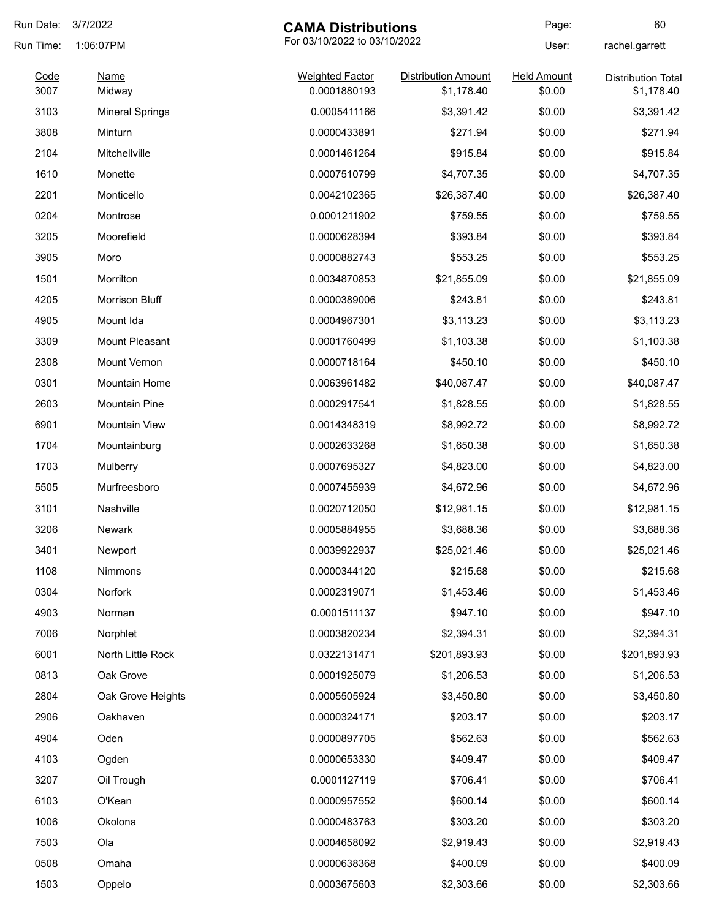| Run Date:    | 3/7/2022<br><b>CAMA Distributions</b>     |                                        | Page:                                    | 60                           |                                         |
|--------------|-------------------------------------------|----------------------------------------|------------------------------------------|------------------------------|-----------------------------------------|
| Run Time:    | For 03/10/2022 to 03/10/2022<br>1:06:07PM |                                        |                                          | User:                        | rachel.garrett                          |
| Code<br>3007 | <b>Name</b><br>Midway                     | <b>Weighted Factor</b><br>0.0001880193 | <b>Distribution Amount</b><br>\$1,178.40 | <b>Held Amount</b><br>\$0.00 | <b>Distribution Total</b><br>\$1,178.40 |
| 3103         | <b>Mineral Springs</b>                    | 0.0005411166                           | \$3,391.42                               | \$0.00                       | \$3,391.42                              |
| 3808         | Minturn                                   | 0.0000433891                           | \$271.94                                 | \$0.00                       | \$271.94                                |
| 2104         | Mitchellville                             | 0.0001461264                           | \$915.84                                 | \$0.00                       | \$915.84                                |
| 1610         | Monette                                   | 0.0007510799                           | \$4,707.35                               | \$0.00                       | \$4,707.35                              |
| 2201         | Monticello                                | 0.0042102365                           | \$26,387.40                              | \$0.00                       | \$26,387.40                             |
| 0204         | Montrose                                  | 0.0001211902                           | \$759.55                                 | \$0.00                       | \$759.55                                |
| 3205         | Moorefield                                | 0.0000628394                           | \$393.84                                 | \$0.00                       | \$393.84                                |
| 3905         | Moro                                      | 0.0000882743                           | \$553.25                                 | \$0.00                       | \$553.25                                |
| 1501         | Morrilton                                 | 0.0034870853                           | \$21,855.09                              | \$0.00                       | \$21,855.09                             |
| 4205         | Morrison Bluff                            | 0.0000389006                           | \$243.81                                 | \$0.00                       | \$243.81                                |
| 4905         | Mount Ida                                 | 0.0004967301                           | \$3,113.23                               | \$0.00                       | \$3,113.23                              |
| 3309         | Mount Pleasant                            | 0.0001760499                           | \$1,103.38                               | \$0.00                       | \$1,103.38                              |
| 2308         | Mount Vernon                              | 0.0000718164                           | \$450.10                                 | \$0.00                       | \$450.10                                |
| 0301         | <b>Mountain Home</b>                      | 0.0063961482                           | \$40,087.47                              | \$0.00                       | \$40,087.47                             |
| 2603         | Mountain Pine                             | 0.0002917541                           | \$1,828.55                               | \$0.00                       | \$1,828.55                              |
| 6901         | <b>Mountain View</b>                      | 0.0014348319                           | \$8,992.72                               | \$0.00                       | \$8,992.72                              |
| 1704         | Mountainburg                              | 0.0002633268                           | \$1,650.38                               | \$0.00                       | \$1,650.38                              |
| 1703         | Mulberry                                  | 0.0007695327                           | \$4,823.00                               | \$0.00                       | \$4,823.00                              |
| 5505         | Murfreesboro                              | 0.0007455939                           | \$4,672.96                               | \$0.00                       | \$4,672.96                              |
| 3101         | Nashville                                 | 0.0020712050                           | \$12,981.15                              | \$0.00                       | \$12,981.15                             |
| 3206         | <b>Newark</b>                             | 0.0005884955                           | \$3,688.36                               | \$0.00                       | \$3,688.36                              |
| 3401         | Newport                                   | 0.0039922937                           | \$25,021.46                              | \$0.00                       | \$25,021.46                             |
| 1108         | Nimmons                                   | 0.0000344120                           | \$215.68                                 | \$0.00                       | \$215.68                                |
| 0304         | Norfork                                   | 0.0002319071                           | \$1,453.46                               | \$0.00                       | \$1,453.46                              |
| 4903         | Norman                                    | 0.0001511137                           | \$947.10                                 | \$0.00                       | \$947.10                                |
| 7006         | Norphlet                                  | 0.0003820234                           | \$2,394.31                               | \$0.00                       | \$2,394.31                              |
| 6001         | North Little Rock                         | 0.0322131471                           | \$201,893.93                             | \$0.00                       | \$201,893.93                            |
| 0813         | Oak Grove                                 | 0.0001925079                           | \$1,206.53                               | \$0.00                       | \$1,206.53                              |
| 2804         | Oak Grove Heights                         | 0.0005505924                           | \$3,450.80                               | \$0.00                       | \$3,450.80                              |
| 2906         | Oakhaven                                  | 0.0000324171                           | \$203.17                                 | \$0.00                       | \$203.17                                |
| 4904         | Oden                                      | 0.0000897705                           | \$562.63                                 | \$0.00                       | \$562.63                                |
| 4103         | Ogden                                     | 0.0000653330                           | \$409.47                                 | \$0.00                       | \$409.47                                |
| 3207         | Oil Trough                                | 0.0001127119                           | \$706.41                                 | \$0.00                       | \$706.41                                |
| 6103         | O'Kean                                    | 0.0000957552                           | \$600.14                                 | \$0.00                       | \$600.14                                |
| 1006         | Okolona                                   | 0.0000483763                           | \$303.20                                 | \$0.00                       | \$303.20                                |
| 7503         | Ola                                       | 0.0004658092                           | \$2,919.43                               | \$0.00                       | \$2,919.43                              |
| 0508         | Omaha                                     | 0.0000638368                           | \$400.09                                 | \$0.00                       | \$400.09                                |
| 1503         | Oppelo                                    | 0.0003675603                           | \$2,303.66                               | \$0.00                       | \$2,303.66                              |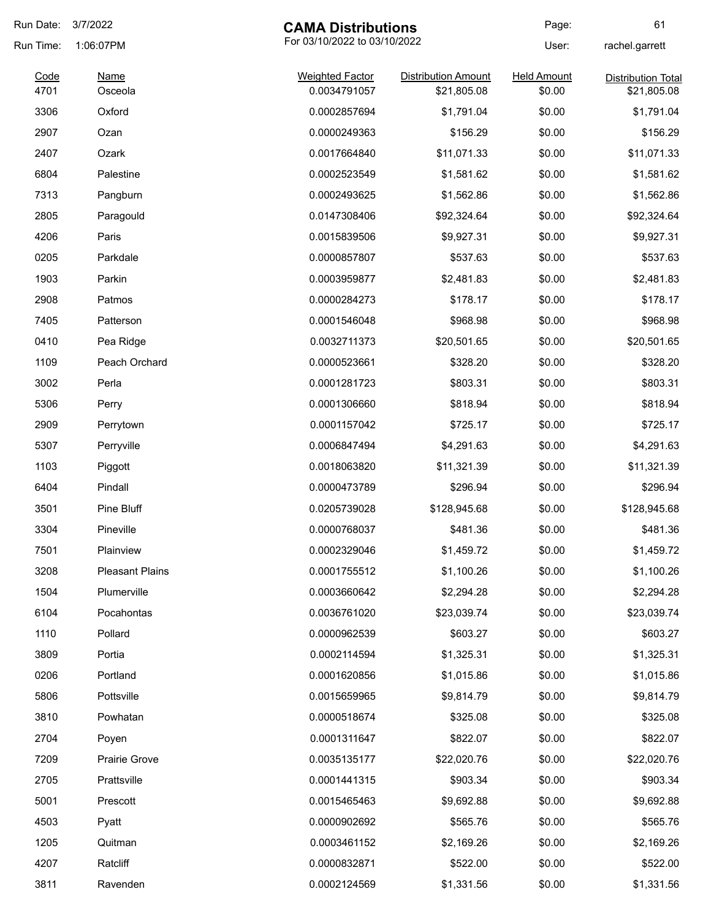| Run Date:    | 3/7/2022               | <b>CAMA Distributions</b>              |                            | Page:                        | 61                                       |
|--------------|------------------------|----------------------------------------|----------------------------|------------------------------|------------------------------------------|
| Run Time:    | 1:06:07PM              | For 03/10/2022 to 03/10/2022           |                            | User:                        | rachel.garrett                           |
| Code<br>4701 | Name<br>Osceola        | <b>Weighted Factor</b><br>0.0034791057 | <b>Distribution Amount</b> | <b>Held Amount</b><br>\$0.00 | <b>Distribution Total</b><br>\$21,805.08 |
| 3306         | Oxford                 | 0.0002857694                           | \$21,805.08<br>\$1,791.04  | \$0.00                       | \$1,791.04                               |
| 2907         |                        | 0.0000249363                           | \$156.29                   | \$0.00                       |                                          |
|              | Ozan                   |                                        | \$11,071.33                |                              | \$156.29                                 |
| 2407         | Ozark                  | 0.0017664840                           |                            | \$0.00                       | \$11,071.33                              |
| 6804         | Palestine              | 0.0002523549                           | \$1,581.62                 | \$0.00                       | \$1,581.62                               |
| 7313         | Pangburn               | 0.0002493625                           | \$1,562.86                 | \$0.00                       | \$1,562.86                               |
| 2805         | Paragould              | 0.0147308406                           | \$92,324.64                | \$0.00                       | \$92,324.64                              |
| 4206         | Paris                  | 0.0015839506                           | \$9,927.31                 | \$0.00                       | \$9,927.31                               |
| 0205         | Parkdale               | 0.0000857807                           | \$537.63                   | \$0.00                       | \$537.63                                 |
| 1903         | Parkin                 | 0.0003959877                           | \$2,481.83                 | \$0.00                       | \$2,481.83                               |
| 2908         | Patmos                 | 0.0000284273                           | \$178.17                   | \$0.00                       | \$178.17                                 |
| 7405         | Patterson              | 0.0001546048                           | \$968.98                   | \$0.00                       | \$968.98                                 |
| 0410         | Pea Ridge              | 0.0032711373                           | \$20,501.65                | \$0.00                       | \$20,501.65                              |
| 1109         | Peach Orchard          | 0.0000523661                           | \$328.20                   | \$0.00                       | \$328.20                                 |
| 3002         | Perla                  | 0.0001281723                           | \$803.31                   | \$0.00                       | \$803.31                                 |
| 5306         | Perry                  | 0.0001306660                           | \$818.94                   | \$0.00                       | \$818.94                                 |
| 2909         | Perrytown              | 0.0001157042                           | \$725.17                   | \$0.00                       | \$725.17                                 |
| 5307         | Perryville             | 0.0006847494                           | \$4,291.63                 | \$0.00                       | \$4,291.63                               |
| 1103         | Piggott                | 0.0018063820                           | \$11,321.39                | \$0.00                       | \$11,321.39                              |
| 6404         | Pindall                | 0.0000473789                           | \$296.94                   | \$0.00                       | \$296.94                                 |
| 3501         | Pine Bluff             | 0.0205739028                           | \$128,945.68               | \$0.00                       | \$128,945.68                             |
| 3304         | Pineville              | 0.0000768037                           | \$481.36                   | \$0.00                       | \$481.36                                 |
| 7501         | Plainview              | 0.0002329046                           | \$1,459.72                 | \$0.00                       | \$1,459.72                               |
| 3208         | <b>Pleasant Plains</b> | 0.0001755512                           | \$1,100.26                 | \$0.00                       | \$1,100.26                               |
| 1504         | Plumerville            | 0.0003660642                           | \$2,294.28                 | \$0.00                       | \$2,294.28                               |
| 6104         | Pocahontas             | 0.0036761020                           | \$23,039.74                | \$0.00                       | \$23,039.74                              |
| 1110         | Pollard                | 0.0000962539                           | \$603.27                   | \$0.00                       | \$603.27                                 |
| 3809         | Portia                 | 0.0002114594                           | \$1,325.31                 | \$0.00                       | \$1,325.31                               |
| 0206         | Portland               | 0.0001620856                           | \$1,015.86                 | \$0.00                       | \$1,015.86                               |
| 5806         | Pottsville             | 0.0015659965                           | \$9,814.79                 | \$0.00                       | \$9,814.79                               |
| 3810         | Powhatan               | 0.0000518674                           | \$325.08                   | \$0.00                       | \$325.08                                 |
| 2704         | Poyen                  | 0.0001311647                           | \$822.07                   | \$0.00                       | \$822.07                                 |
| 7209         | Prairie Grove          | 0.0035135177                           | \$22,020.76                | \$0.00                       | \$22,020.76                              |
| 2705         | Prattsville            | 0.0001441315                           | \$903.34                   | \$0.00                       | \$903.34                                 |
| 5001         | Prescott               | 0.0015465463                           | \$9,692.88                 | \$0.00                       | \$9,692.88                               |
| 4503         | Pyatt                  | 0.0000902692                           | \$565.76                   | \$0.00                       | \$565.76                                 |
| 1205         | Quitman                | 0.0003461152                           | \$2,169.26                 | \$0.00                       | \$2,169.26                               |
| 4207         | Ratcliff               | 0.0000832871                           | \$522.00                   | \$0.00                       | \$522.00                                 |
| 3811         | Ravenden               | 0.0002124569                           | \$1,331.56                 | \$0.00                       | \$1,331.56                               |
|              |                        |                                        |                            |                              |                                          |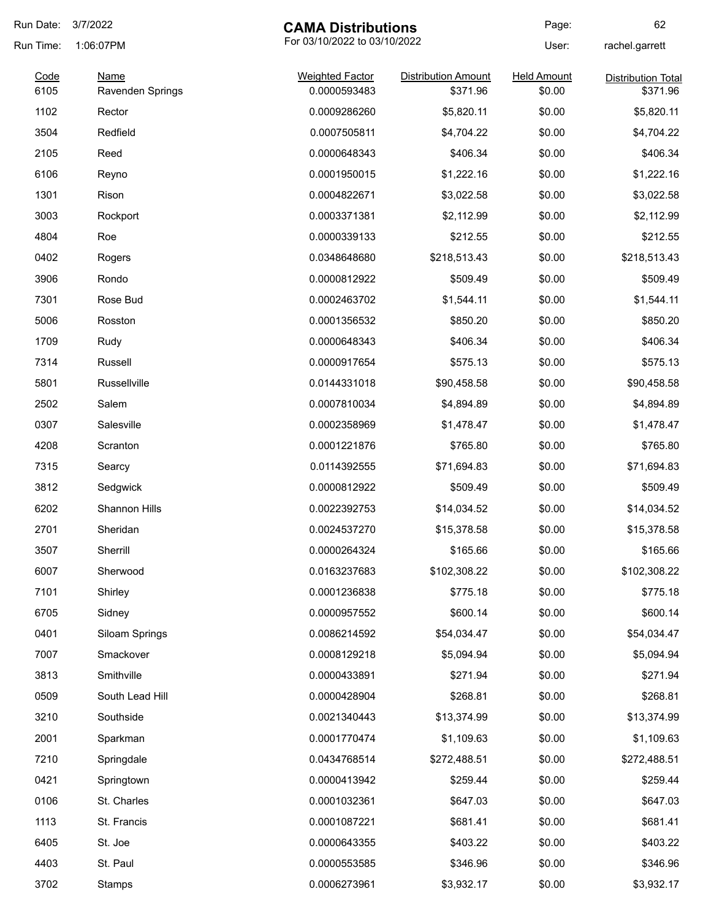| Run Date:    | 3/7/2022                 | <b>CAMA Distributions</b>              |                                        | Page:                        | 62                                    |
|--------------|--------------------------|----------------------------------------|----------------------------------------|------------------------------|---------------------------------------|
| Run Time:    | 1:06:07PM                | For 03/10/2022 to 03/10/2022           |                                        | User:                        | rachel.garrett                        |
| Code<br>6105 | Name<br>Ravenden Springs | <b>Weighted Factor</b><br>0.0000593483 | <b>Distribution Amount</b><br>\$371.96 | <b>Held Amount</b><br>\$0.00 | <b>Distribution Total</b><br>\$371.96 |
| 1102         | Rector                   | 0.0009286260                           | \$5,820.11                             | \$0.00                       | \$5,820.11                            |
| 3504         | Redfield                 | 0.0007505811                           | \$4,704.22                             | \$0.00                       | \$4,704.22                            |
| 2105         | Reed                     | 0.0000648343                           | \$406.34                               | \$0.00                       | \$406.34                              |
| 6106         | Reyno                    | 0.0001950015                           | \$1,222.16                             | \$0.00                       | \$1,222.16                            |
| 1301         | Rison                    | 0.0004822671                           | \$3,022.58                             | \$0.00                       | \$3,022.58                            |
| 3003         | Rockport                 | 0.0003371381                           | \$2,112.99                             | \$0.00                       | \$2,112.99                            |
| 4804         | Roe                      | 0.0000339133                           | \$212.55                               | \$0.00                       | \$212.55                              |
| 0402         | Rogers                   | 0.0348648680                           | \$218,513.43                           | \$0.00                       | \$218,513.43                          |
| 3906         | Rondo                    | 0.0000812922                           | \$509.49                               | \$0.00                       | \$509.49                              |
| 7301         | Rose Bud                 | 0.0002463702                           | \$1,544.11                             | \$0.00                       | \$1,544.11                            |
| 5006         | Rosston                  | 0.0001356532                           | \$850.20                               | \$0.00                       | \$850.20                              |
| 1709         | Rudy                     | 0.0000648343                           | \$406.34                               | \$0.00                       | \$406.34                              |
| 7314         | Russell                  | 0.0000917654                           | \$575.13                               | \$0.00                       | \$575.13                              |
| 5801         | Russellville             | 0.0144331018                           | \$90,458.58                            | \$0.00                       | \$90,458.58                           |
| 2502         | Salem                    | 0.0007810034                           | \$4,894.89                             | \$0.00                       | \$4,894.89                            |
| 0307         | Salesville               | 0.0002358969                           | \$1,478.47                             | \$0.00                       | \$1,478.47                            |
| 4208         | Scranton                 | 0.0001221876                           | \$765.80                               | \$0.00                       | \$765.80                              |
| 7315         | Searcy                   | 0.0114392555                           | \$71,694.83                            | \$0.00                       | \$71,694.83                           |
| 3812         | Sedgwick                 | 0.0000812922                           | \$509.49                               | \$0.00                       | \$509.49                              |
| 6202         | Shannon Hills            | 0.0022392753                           | \$14,034.52                            | \$0.00                       | \$14,034.52                           |
| 2701         | Sheridan                 | 0.0024537270                           | \$15,378.58                            | \$0.00                       | \$15,378.58                           |
| 3507         | Sherrill                 | 0.0000264324                           | \$165.66                               | \$0.00                       | \$165.66                              |
| 6007         | Sherwood                 | 0.0163237683                           | \$102,308.22                           | \$0.00                       | \$102,308.22                          |
| 7101         | Shirley                  | 0.0001236838                           | \$775.18                               | \$0.00                       | \$775.18                              |
| 6705         | Sidney                   | 0.0000957552                           | \$600.14                               | \$0.00                       | \$600.14                              |
| 0401         | Siloam Springs           | 0.0086214592                           | \$54,034.47                            | \$0.00                       | \$54,034.47                           |
| 7007         | Smackover                | 0.0008129218                           | \$5,094.94                             | \$0.00                       | \$5,094.94                            |
| 3813         | Smithville               | 0.0000433891                           | \$271.94                               | \$0.00                       | \$271.94                              |
| 0509         | South Lead Hill          | 0.0000428904                           | \$268.81                               | \$0.00                       | \$268.81                              |
| 3210         | Southside                | 0.0021340443                           | \$13,374.99                            | \$0.00                       | \$13,374.99                           |
| 2001         | Sparkman                 | 0.0001770474                           | \$1,109.63                             | \$0.00                       | \$1,109.63                            |
| 7210         | Springdale               | 0.0434768514                           | \$272,488.51                           | \$0.00                       | \$272,488.51                          |
| 0421         | Springtown               | 0.0000413942                           | \$259.44                               | \$0.00                       | \$259.44                              |
| 0106         | St. Charles              | 0.0001032361                           | \$647.03                               | \$0.00                       | \$647.03                              |
| 1113         | St. Francis              | 0.0001087221                           | \$681.41                               | \$0.00                       | \$681.41                              |
| 6405         | St. Joe                  | 0.0000643355                           | \$403.22                               | \$0.00                       | \$403.22                              |
| 4403         | St. Paul                 | 0.0000553585                           | \$346.96                               | \$0.00                       | \$346.96                              |
| 3702         | Stamps                   | 0.0006273961                           | \$3,932.17                             | \$0.00                       | \$3,932.17                            |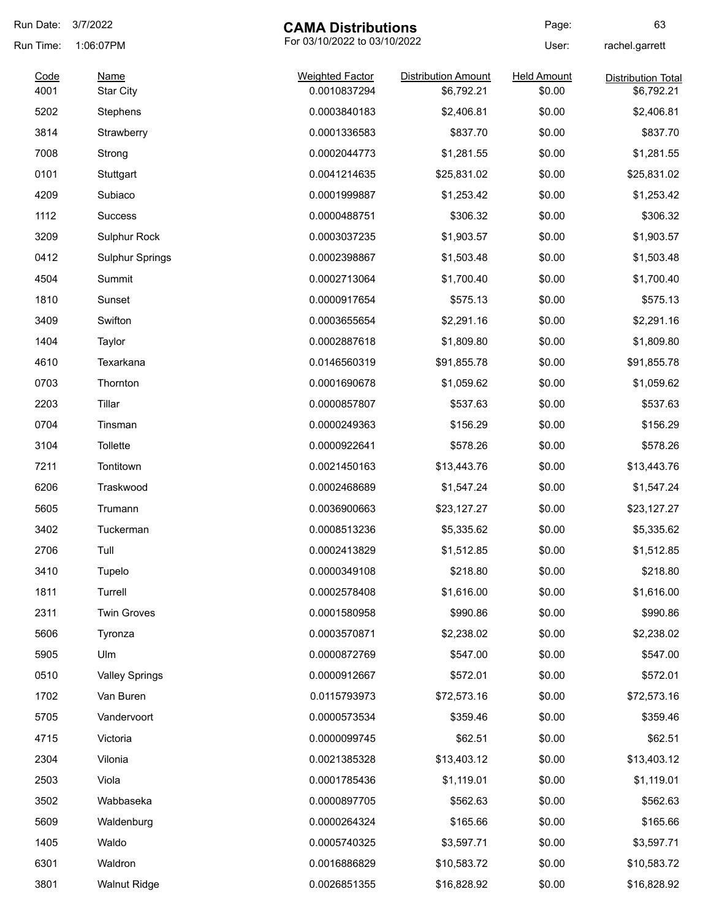| Run Date:    | 3/7/2022                        | <b>CAMA Distributions</b>              |                                          | Page:                        | 63                                      |
|--------------|---------------------------------|----------------------------------------|------------------------------------------|------------------------------|-----------------------------------------|
| Run Time:    | 1:06:07PM                       | For 03/10/2022 to 03/10/2022           |                                          | User:                        | rachel.garrett                          |
| Code<br>4001 | <b>Name</b><br><b>Star City</b> | <b>Weighted Factor</b><br>0.0010837294 | <b>Distribution Amount</b><br>\$6,792.21 | <b>Held Amount</b><br>\$0.00 | <b>Distribution Total</b><br>\$6,792.21 |
| 5202         | Stephens                        | 0.0003840183                           | \$2,406.81                               | \$0.00                       | \$2,406.81                              |
| 3814         | Strawberry                      | 0.0001336583                           | \$837.70                                 | \$0.00                       | \$837.70                                |
| 7008         | Strong                          | 0.0002044773                           | \$1,281.55                               | \$0.00                       | \$1,281.55                              |
| 0101         | Stuttgart                       | 0.0041214635                           | \$25,831.02                              | \$0.00                       | \$25,831.02                             |
| 4209         | Subiaco                         | 0.0001999887                           | \$1,253.42                               | \$0.00                       | \$1,253.42                              |
| 1112         | <b>Success</b>                  | 0.0000488751                           | \$306.32                                 | \$0.00                       | \$306.32                                |
| 3209         | Sulphur Rock                    | 0.0003037235                           | \$1,903.57                               | \$0.00                       | \$1,903.57                              |
| 0412         | <b>Sulphur Springs</b>          | 0.0002398867                           | \$1,503.48                               | \$0.00                       | \$1,503.48                              |
| 4504         | Summit                          | 0.0002713064                           | \$1,700.40                               | \$0.00                       | \$1,700.40                              |
| 1810         | Sunset                          | 0.0000917654                           | \$575.13                                 | \$0.00                       | \$575.13                                |
| 3409         | Swifton                         | 0.0003655654                           | \$2,291.16                               | \$0.00                       | \$2,291.16                              |
| 1404         | Taylor                          | 0.0002887618                           | \$1,809.80                               | \$0.00                       | \$1,809.80                              |
| 4610         | Texarkana                       | 0.0146560319                           | \$91,855.78                              | \$0.00                       | \$91,855.78                             |
| 0703         | Thornton                        | 0.0001690678                           | \$1,059.62                               | \$0.00                       | \$1,059.62                              |
| 2203         | Tillar                          | 0.0000857807                           | \$537.63                                 | \$0.00                       | \$537.63                                |
| 0704         | Tinsman                         | 0.0000249363                           | \$156.29                                 | \$0.00                       | \$156.29                                |
| 3104         | Tollette                        | 0.0000922641                           | \$578.26                                 | \$0.00                       | \$578.26                                |
| 7211         | Tontitown                       | 0.0021450163                           | \$13,443.76                              | \$0.00                       | \$13,443.76                             |
| 6206         | Traskwood                       | 0.0002468689                           | \$1,547.24                               | \$0.00                       | \$1,547.24                              |
| 5605         | Trumann                         | 0.0036900663                           | \$23,127.27                              | \$0.00                       | \$23,127.27                             |
| 3402         | Tuckerman                       | 0.0008513236                           | \$5,335.62                               | \$0.00                       | \$5,335.62                              |
| 2706         | Tull                            | 0.0002413829                           | \$1,512.85                               | \$0.00                       | \$1,512.85                              |
| 3410         | Tupelo                          | 0.0000349108                           | \$218.80                                 | \$0.00                       | \$218.80                                |
| 1811         | Turrell                         | 0.0002578408                           | \$1,616.00                               | \$0.00                       | \$1,616.00                              |
| 2311         | <b>Twin Groves</b>              | 0.0001580958                           | \$990.86                                 | \$0.00                       | \$990.86                                |
| 5606         | Tyronza                         | 0.0003570871                           | \$2,238.02                               | \$0.00                       | \$2,238.02                              |
| 5905         | Ulm                             | 0.0000872769                           | \$547.00                                 | \$0.00                       | \$547.00                                |
| 0510         | <b>Valley Springs</b>           | 0.0000912667                           | \$572.01                                 | \$0.00                       | \$572.01                                |
| 1702         | Van Buren                       | 0.0115793973                           | \$72,573.16                              | \$0.00                       | \$72,573.16                             |
| 5705         | Vandervoort                     | 0.0000573534                           | \$359.46                                 | \$0.00                       | \$359.46                                |
| 4715         | Victoria                        | 0.0000099745                           | \$62.51                                  | \$0.00                       | \$62.51                                 |
| 2304         | Vilonia                         | 0.0021385328                           | \$13,403.12                              | \$0.00                       | \$13,403.12                             |
| 2503         | Viola                           | 0.0001785436                           | \$1,119.01                               | \$0.00                       | \$1,119.01                              |
| 3502         | Wabbaseka                       | 0.0000897705                           | \$562.63                                 | \$0.00                       | \$562.63                                |
| 5609         | Waldenburg                      | 0.0000264324                           | \$165.66                                 | \$0.00                       | \$165.66                                |
| 1405         | Waldo                           | 0.0005740325                           | \$3,597.71                               | \$0.00                       | \$3,597.71                              |
| 6301         | Waldron                         | 0.0016886829                           | \$10,583.72                              | \$0.00                       | \$10,583.72                             |
| 3801         | <b>Walnut Ridge</b>             | 0.0026851355                           | \$16,828.92                              | \$0.00                       | \$16,828.92                             |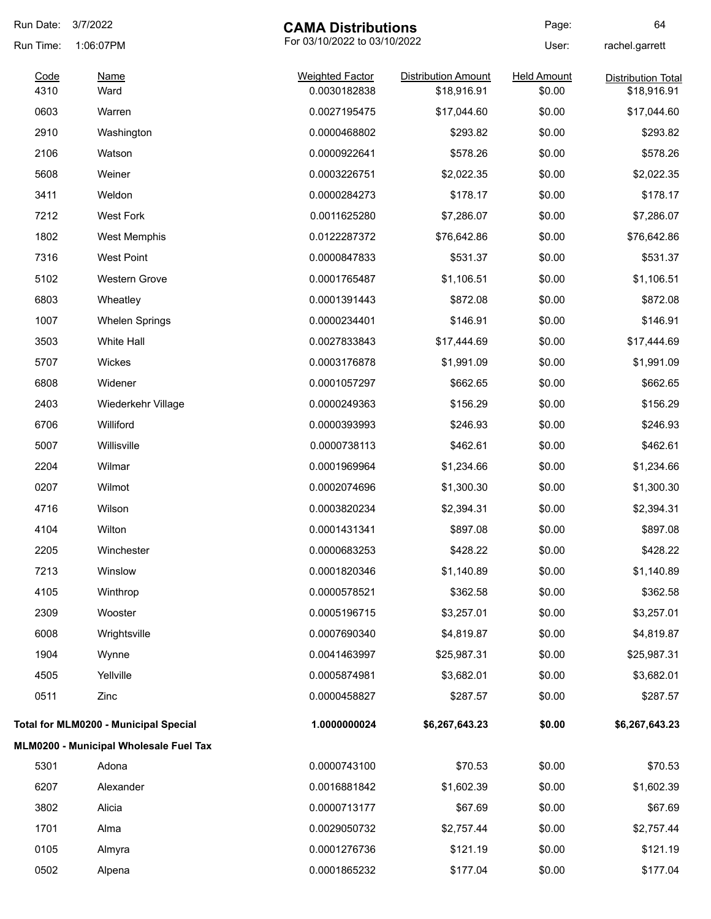| Run Date:    | 3/7/2022                                     | <b>CAMA Distributions</b>              |                                           | Page:                        | 64                                       |
|--------------|----------------------------------------------|----------------------------------------|-------------------------------------------|------------------------------|------------------------------------------|
| Run Time:    | 1:06:07PM                                    | For 03/10/2022 to 03/10/2022           |                                           | User:                        | rachel.garrett                           |
| Code<br>4310 | <b>Name</b><br>Ward                          | <b>Weighted Factor</b><br>0.0030182838 | <b>Distribution Amount</b><br>\$18,916.91 | <b>Held Amount</b><br>\$0.00 | <b>Distribution Total</b><br>\$18,916.91 |
| 0603         | Warren                                       | 0.0027195475                           | \$17,044.60                               | \$0.00                       | \$17,044.60                              |
| 2910         | Washington                                   | 0.0000468802                           | \$293.82                                  | \$0.00                       | \$293.82                                 |
| 2106         | Watson                                       | 0.0000922641                           | \$578.26                                  | \$0.00                       | \$578.26                                 |
| 5608         | Weiner                                       | 0.0003226751                           | \$2,022.35                                | \$0.00                       | \$2,022.35                               |
| 3411         | Weldon                                       | 0.0000284273                           | \$178.17                                  | \$0.00                       | \$178.17                                 |
| 7212         | <b>West Fork</b>                             | 0.0011625280                           | \$7,286.07                                | \$0.00                       | \$7,286.07                               |
| 1802         | West Memphis                                 | 0.0122287372                           | \$76,642.86                               | \$0.00                       | \$76,642.86                              |
| 7316         | <b>West Point</b>                            | 0.0000847833                           | \$531.37                                  | \$0.00                       | \$531.37                                 |
| 5102         | Western Grove                                | 0.0001765487                           | \$1,106.51                                | \$0.00                       | \$1,106.51                               |
| 6803         | Wheatley                                     | 0.0001391443                           | \$872.08                                  | \$0.00                       | \$872.08                                 |
| 1007         | <b>Whelen Springs</b>                        | 0.0000234401                           | \$146.91                                  | \$0.00                       | \$146.91                                 |
| 3503         | White Hall                                   | 0.0027833843                           | \$17,444.69                               | \$0.00                       | \$17,444.69                              |
| 5707         | Wickes                                       | 0.0003176878                           | \$1,991.09                                | \$0.00                       | \$1,991.09                               |
| 6808         | Widener                                      | 0.0001057297                           | \$662.65                                  | \$0.00                       | \$662.65                                 |
| 2403         | Wiederkehr Village                           | 0.0000249363                           | \$156.29                                  | \$0.00                       | \$156.29                                 |
| 6706         | Williford                                    | 0.0000393993                           | \$246.93                                  | \$0.00                       | \$246.93                                 |
| 5007         | Willisville                                  | 0.0000738113                           | \$462.61                                  | \$0.00                       | \$462.61                                 |
| 2204         | Wilmar                                       | 0.0001969964                           | \$1,234.66                                | \$0.00                       | \$1,234.66                               |
| 0207         | Wilmot                                       | 0.0002074696                           | \$1,300.30                                | \$0.00                       | \$1,300.30                               |
| 4716         | Wilson                                       | 0.0003820234                           | \$2,394.31                                | \$0.00                       | \$2,394.31                               |
| 4104         | Wilton                                       | 0.0001431341                           | \$897.08                                  | \$0.00                       | \$897.08                                 |
| 2205         | Winchester                                   | 0.0000683253                           | \$428.22                                  | \$0.00                       | \$428.22                                 |
| 7213         | Winslow                                      | 0.0001820346                           | \$1,140.89                                | \$0.00                       | \$1,140.89                               |
| 4105         | Winthrop                                     | 0.0000578521                           | \$362.58                                  | \$0.00                       | \$362.58                                 |
| 2309         | Wooster                                      | 0.0005196715                           | \$3,257.01                                | \$0.00                       | \$3,257.01                               |
| 6008         | Wrightsville                                 | 0.0007690340                           | \$4,819.87                                | \$0.00                       | \$4,819.87                               |
| 1904         | Wynne                                        | 0.0041463997                           | \$25,987.31                               | \$0.00                       | \$25,987.31                              |
| 4505         | Yellville                                    | 0.0005874981                           | \$3,682.01                                | \$0.00                       | \$3,682.01                               |
| 0511         | Zinc                                         | 0.0000458827                           | \$287.57                                  | \$0.00                       | \$287.57                                 |
|              | <b>Total for MLM0200 - Municipal Special</b> | 1.0000000024                           | \$6,267,643.23                            | \$0.00                       | \$6,267,643.23                           |
|              | MLM0200 - Municipal Wholesale Fuel Tax       |                                        |                                           |                              |                                          |
| 5301         | Adona                                        | 0.0000743100                           | \$70.53                                   | \$0.00                       | \$70.53                                  |
| 6207         | Alexander                                    | 0.0016881842                           | \$1,602.39                                | \$0.00                       | \$1,602.39                               |
| 3802         | Alicia                                       | 0.0000713177                           | \$67.69                                   | \$0.00                       | \$67.69                                  |
| 1701         | Alma                                         | 0.0029050732                           | \$2,757.44                                | \$0.00                       | \$2,757.44                               |
| 0105         | Almyra                                       | 0.0001276736                           | \$121.19                                  | \$0.00                       | \$121.19                                 |
| 0502         | Alpena                                       | 0.0001865232                           | \$177.04                                  | \$0.00                       | \$177.04                                 |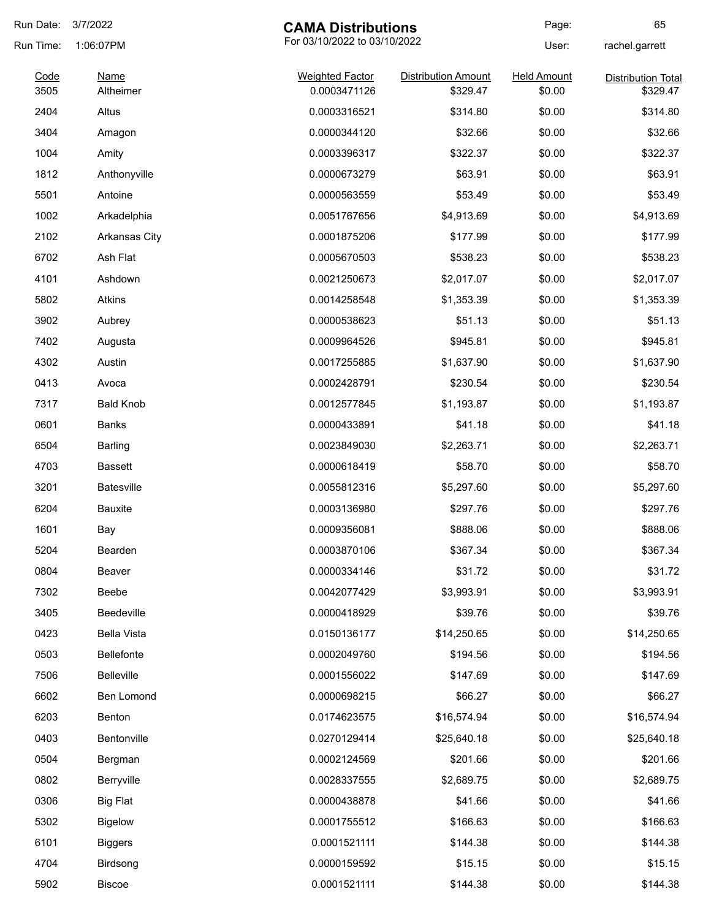| Run Date: | 3/7/2022                 | <b>CAMA Distributions</b>    |                            | Page:              | 65                        |
|-----------|--------------------------|------------------------------|----------------------------|--------------------|---------------------------|
| Run Time: | 1:06:07PM                | For 03/10/2022 to 03/10/2022 |                            | User:              | rachel.garrett            |
| Code      | <b>Name</b><br>Altheimer | <b>Weighted Factor</b>       | <b>Distribution Amount</b> | <b>Held Amount</b> | <b>Distribution Total</b> |
| 3505      |                          | 0.0003471126                 | \$329.47                   | \$0.00             | \$329.47                  |
| 2404      | Altus                    | 0.0003316521                 | \$314.80                   | \$0.00             | \$314.80                  |
| 3404      | Amagon                   | 0.0000344120                 | \$32.66                    | \$0.00             | \$32.66                   |
| 1004      | Amity                    | 0.0003396317                 | \$322.37                   | \$0.00             | \$322.37                  |
| 1812      | Anthonyville             | 0.0000673279                 | \$63.91                    | \$0.00             | \$63.91                   |
| 5501      | Antoine                  | 0.0000563559                 | \$53.49                    | \$0.00             | \$53.49                   |
| 1002      | Arkadelphia              | 0.0051767656                 | \$4,913.69                 | \$0.00             | \$4,913.69                |
| 2102      | Arkansas City            | 0.0001875206                 | \$177.99                   | \$0.00             | \$177.99                  |
| 6702      | Ash Flat                 | 0.0005670503                 | \$538.23                   | \$0.00             | \$538.23                  |
| 4101      | Ashdown                  | 0.0021250673                 | \$2,017.07                 | \$0.00             | \$2,017.07                |
| 5802      | <b>Atkins</b>            | 0.0014258548                 | \$1,353.39                 | \$0.00             | \$1,353.39                |
| 3902      | Aubrey                   | 0.0000538623                 | \$51.13                    | \$0.00             | \$51.13                   |
| 7402      | Augusta                  | 0.0009964526                 | \$945.81                   | \$0.00             | \$945.81                  |
| 4302      | Austin                   | 0.0017255885                 | \$1,637.90                 | \$0.00             | \$1,637.90                |
| 0413      | Avoca                    | 0.0002428791                 | \$230.54                   | \$0.00             | \$230.54                  |
| 7317      | <b>Bald Knob</b>         | 0.0012577845                 | \$1,193.87                 | \$0.00             | \$1,193.87                |
| 0601      | Banks                    | 0.0000433891                 | \$41.18                    | \$0.00             | \$41.18                   |
| 6504      | Barling                  | 0.0023849030                 | \$2,263.71                 | \$0.00             | \$2,263.71                |
| 4703      | <b>Bassett</b>           | 0.0000618419                 | \$58.70                    | \$0.00             | \$58.70                   |
| 3201      | <b>Batesville</b>        | 0.0055812316                 | \$5,297.60                 | \$0.00             | \$5,297.60                |
| 6204      | <b>Bauxite</b>           | 0.0003136980                 | \$297.76                   | \$0.00             | \$297.76                  |
| 1601      | Bay                      | 0.0009356081                 | \$888.06                   | \$0.00             | \$888.06                  |
| 5204      | Bearden                  | 0.0003870106                 | \$367.34                   | \$0.00             | \$367.34                  |
| 0804      | Beaver                   | 0.0000334146                 | \$31.72                    | \$0.00             | \$31.72                   |
| 7302      | Beebe                    | 0.0042077429                 | \$3,993.91                 | \$0.00             | \$3,993.91                |
| 3405      | Beedeville               | 0.0000418929                 | \$39.76                    | \$0.00             | \$39.76                   |
| 0423      | Bella Vista              | 0.0150136177                 | \$14,250.65                | \$0.00             | \$14,250.65               |
| 0503      | Bellefonte               | 0.0002049760                 | \$194.56                   | \$0.00             | \$194.56                  |
| 7506      | Belleville               | 0.0001556022                 | \$147.69                   | \$0.00             | \$147.69                  |
| 6602      | Ben Lomond               | 0.0000698215                 | \$66.27                    | \$0.00             | \$66.27                   |
| 6203      | Benton                   | 0.0174623575                 | \$16,574.94                | \$0.00             | \$16,574.94               |
| 0403      | Bentonville              | 0.0270129414                 | \$25,640.18                | \$0.00             | \$25,640.18               |
| 0504      | Bergman                  | 0.0002124569                 | \$201.66                   | \$0.00             | \$201.66                  |
| 0802      | Berryville               | 0.0028337555                 | \$2,689.75                 | \$0.00             | \$2,689.75                |
| 0306      | <b>Big Flat</b>          | 0.0000438878                 | \$41.66                    | \$0.00             | \$41.66                   |
| 5302      | <b>Bigelow</b>           | 0.0001755512                 | \$166.63                   | \$0.00             | \$166.63                  |
| 6101      | <b>Biggers</b>           | 0.0001521111                 | \$144.38                   | \$0.00             | \$144.38                  |
| 4704      | Birdsong                 | 0.0000159592                 | \$15.15                    | \$0.00             | \$15.15                   |
| 5902      | Biscoe                   | 0.0001521111                 | \$144.38                   | \$0.00             | \$144.38                  |
|           |                          |                              |                            |                    |                           |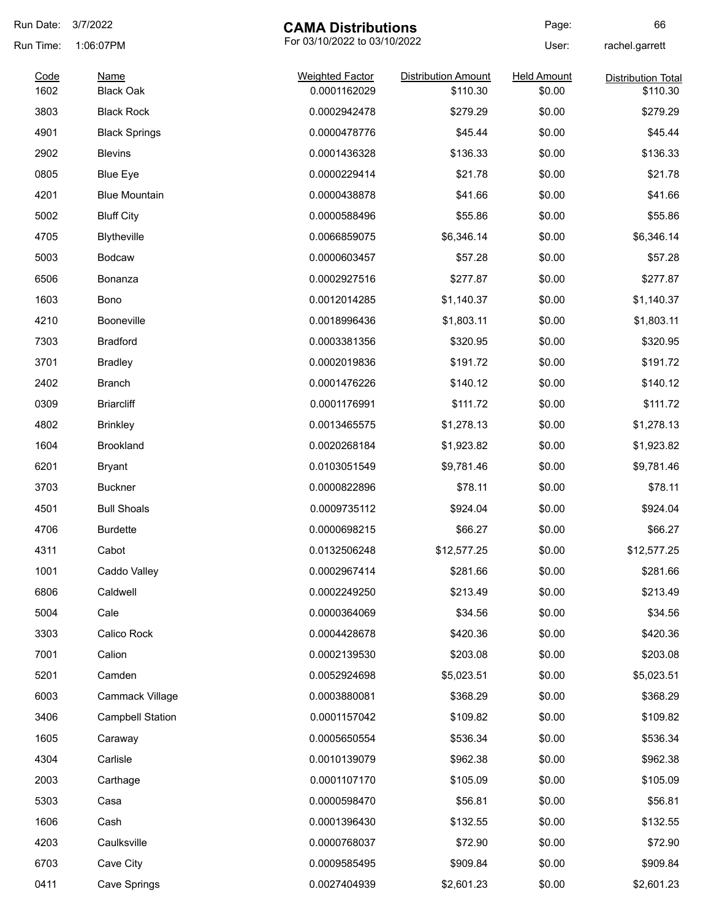| Run Date:    | 3/7/2022                        | <b>CAMA Distributions</b>              |                                        | Page:                        | 66                                    |
|--------------|---------------------------------|----------------------------------------|----------------------------------------|------------------------------|---------------------------------------|
| Run Time:    | 1:06:07PM                       | For 03/10/2022 to 03/10/2022           |                                        | User:                        | rachel.garrett                        |
| Code<br>1602 | <b>Name</b><br><b>Black Oak</b> | <b>Weighted Factor</b><br>0.0001162029 | <b>Distribution Amount</b><br>\$110.30 | <b>Held Amount</b><br>\$0.00 | <b>Distribution Total</b><br>\$110.30 |
| 3803         | <b>Black Rock</b>               | 0.0002942478                           | \$279.29                               | \$0.00                       | \$279.29                              |
| 4901         | <b>Black Springs</b>            | 0.0000478776                           | \$45.44                                | \$0.00                       | \$45.44                               |
| 2902         | <b>Blevins</b>                  | 0.0001436328                           | \$136.33                               | \$0.00                       | \$136.33                              |
| 0805         | <b>Blue Eye</b>                 | 0.0000229414                           | \$21.78                                | \$0.00                       | \$21.78                               |
| 4201         | <b>Blue Mountain</b>            | 0.0000438878                           | \$41.66                                | \$0.00                       | \$41.66                               |
| 5002         | <b>Bluff City</b>               | 0.0000588496                           | \$55.86                                | \$0.00                       | \$55.86                               |
| 4705         | Blytheville                     | 0.0066859075                           | \$6,346.14                             | \$0.00                       | \$6,346.14                            |
| 5003         | <b>Bodcaw</b>                   | 0.0000603457                           | \$57.28                                | \$0.00                       | \$57.28                               |
| 6506         | Bonanza                         | 0.0002927516                           | \$277.87                               | \$0.00                       | \$277.87                              |
| 1603         | Bono                            | 0.0012014285                           | \$1,140.37                             | \$0.00                       | \$1,140.37                            |
| 4210         | Booneville                      | 0.0018996436                           | \$1,803.11                             | \$0.00                       | \$1,803.11                            |
| 7303         | <b>Bradford</b>                 | 0.0003381356                           | \$320.95                               | \$0.00                       | \$320.95                              |
| 3701         | <b>Bradley</b>                  | 0.0002019836                           | \$191.72                               | \$0.00                       | \$191.72                              |
| 2402         | <b>Branch</b>                   | 0.0001476226                           | \$140.12                               | \$0.00                       | \$140.12                              |
| 0309         | <b>Briarcliff</b>               | 0.0001176991                           | \$111.72                               | \$0.00                       | \$111.72                              |
| 4802         | <b>Brinkley</b>                 | 0.0013465575                           | \$1,278.13                             | \$0.00                       | \$1,278.13                            |
| 1604         | <b>Brookland</b>                | 0.0020268184                           | \$1,923.82                             | \$0.00                       | \$1,923.82                            |
| 6201         | Bryant                          | 0.0103051549                           | \$9,781.46                             | \$0.00                       | \$9,781.46                            |
| 3703         | <b>Buckner</b>                  | 0.0000822896                           | \$78.11                                | \$0.00                       | \$78.11                               |
| 4501         | <b>Bull Shoals</b>              | 0.0009735112                           | \$924.04                               | \$0.00                       | \$924.04                              |
| 4706         | <b>Burdette</b>                 | 0.0000698215                           | \$66.27                                | \$0.00                       | \$66.27                               |
| 4311         | Cabot                           | 0.0132506248                           | \$12,577.25                            | \$0.00                       | \$12,577.25                           |
| 1001         | Caddo Valley                    | 0.0002967414                           | \$281.66                               | \$0.00                       | \$281.66                              |
| 6806         | Caldwell                        | 0.0002249250                           | \$213.49                               | \$0.00                       | \$213.49                              |
| 5004         | Cale                            | 0.0000364069                           | \$34.56                                | \$0.00                       | \$34.56                               |
| 3303         | Calico Rock                     | 0.0004428678                           | \$420.36                               | \$0.00                       | \$420.36                              |
| 7001         | Calion                          | 0.0002139530                           | \$203.08                               | \$0.00                       | \$203.08                              |
| 5201         | Camden                          | 0.0052924698                           | \$5,023.51                             | \$0.00                       | \$5,023.51                            |
| 6003         | Cammack Village                 | 0.0003880081                           | \$368.29                               | \$0.00                       | \$368.29                              |
| 3406         | <b>Campbell Station</b>         | 0.0001157042                           | \$109.82                               | \$0.00                       | \$109.82                              |
| 1605         | Caraway                         | 0.0005650554                           | \$536.34                               | \$0.00                       | \$536.34                              |
| 4304         | Carlisle                        | 0.0010139079                           | \$962.38                               | \$0.00                       | \$962.38                              |
| 2003         | Carthage                        | 0.0001107170                           | \$105.09                               | \$0.00                       | \$105.09                              |
| 5303         | Casa                            | 0.0000598470                           | \$56.81                                | \$0.00                       | \$56.81                               |
| 1606         | Cash                            | 0.0001396430                           | \$132.55                               | \$0.00                       | \$132.55                              |
| 4203         | Caulksville                     | 0.0000768037                           | \$72.90                                | \$0.00                       | \$72.90                               |
| 6703         | Cave City                       | 0.0009585495                           | \$909.84                               | \$0.00                       | \$909.84                              |
| 0411         | Cave Springs                    | 0.0027404939                           | \$2,601.23                             | \$0.00                       | \$2,601.23                            |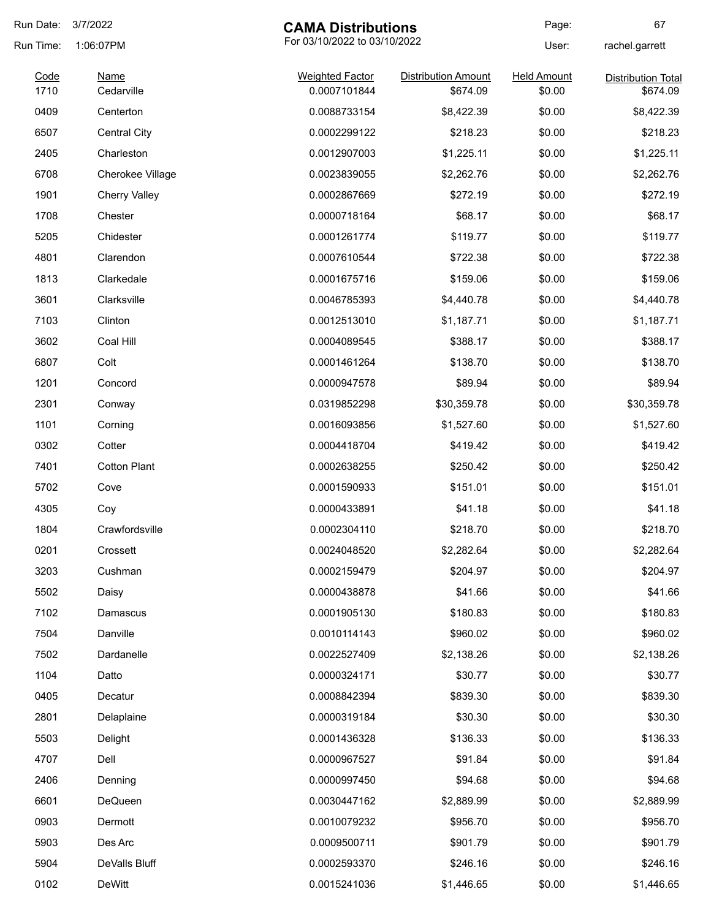| Run Date:    | 3/7/2022                  | <b>CAMA Distributions</b>              |                            | Page:                        | 67                        |
|--------------|---------------------------|----------------------------------------|----------------------------|------------------------------|---------------------------|
| Run Time:    | 1:06:07PM                 | For 03/10/2022 to 03/10/2022           |                            | User:                        | rachel.garrett            |
| Code<br>1710 | <b>Name</b><br>Cedarville | <b>Weighted Factor</b><br>0.0007101844 | <b>Distribution Amount</b> | <b>Held Amount</b><br>\$0.00 | <b>Distribution Total</b> |
|              |                           |                                        | \$674.09                   |                              | \$674.09                  |
| 0409         | Centerton                 | 0.0088733154                           | \$8,422.39                 | \$0.00                       | \$8,422.39                |
| 6507         | <b>Central City</b>       | 0.0002299122                           | \$218.23                   | \$0.00                       | \$218.23                  |
| 2405         | Charleston                | 0.0012907003                           | \$1,225.11                 | \$0.00                       | \$1,225.11                |
| 6708         | Cherokee Village          | 0.0023839055                           | \$2,262.76                 | \$0.00                       | \$2,262.76                |
| 1901         | <b>Cherry Valley</b>      | 0.0002867669                           | \$272.19                   | \$0.00                       | \$272.19                  |
| 1708         | Chester                   | 0.0000718164                           | \$68.17                    | \$0.00                       | \$68.17                   |
| 5205         | Chidester                 | 0.0001261774                           | \$119.77                   | \$0.00                       | \$119.77                  |
| 4801         | Clarendon                 | 0.0007610544                           | \$722.38                   | \$0.00                       | \$722.38                  |
| 1813         | Clarkedale                | 0.0001675716                           | \$159.06                   | \$0.00                       | \$159.06                  |
| 3601         | Clarksville               | 0.0046785393                           | \$4,440.78                 | \$0.00                       | \$4,440.78                |
| 7103         | Clinton                   | 0.0012513010                           | \$1,187.71                 | \$0.00                       | \$1,187.71                |
| 3602         | Coal Hill                 | 0.0004089545                           | \$388.17                   | \$0.00                       | \$388.17                  |
| 6807         | Colt                      | 0.0001461264                           | \$138.70                   | \$0.00                       | \$138.70                  |
| 1201         | Concord                   | 0.0000947578                           | \$89.94                    | \$0.00                       | \$89.94                   |
| 2301         | Conway                    | 0.0319852298                           | \$30,359.78                | \$0.00                       | \$30,359.78               |
| 1101         | Corning                   | 0.0016093856                           | \$1,527.60                 | \$0.00                       | \$1,527.60                |
| 0302         | Cotter                    | 0.0004418704                           | \$419.42                   | \$0.00                       | \$419.42                  |
| 7401         | <b>Cotton Plant</b>       | 0.0002638255                           | \$250.42                   | \$0.00                       | \$250.42                  |
| 5702         | Cove                      | 0.0001590933                           | \$151.01                   | \$0.00                       | \$151.01                  |
| 4305         | Coy                       | 0.0000433891                           | \$41.18                    | \$0.00                       | \$41.18                   |
| 1804         | Crawfordsville            | 0.0002304110                           | \$218.70                   | \$0.00                       | \$218.70                  |
| 0201         | Crossett                  | 0.0024048520                           | \$2,282.64                 | \$0.00                       | \$2,282.64                |
| 3203         | Cushman                   | 0.0002159479                           | \$204.97                   | \$0.00                       | \$204.97                  |
| 5502         | Daisy                     | 0.0000438878                           | \$41.66                    | \$0.00                       | \$41.66                   |
| 7102         | Damascus                  | 0.0001905130                           | \$180.83                   | \$0.00                       | \$180.83                  |
| 7504         | Danville                  | 0.0010114143                           | \$960.02                   | \$0.00                       | \$960.02                  |
| 7502         | Dardanelle                | 0.0022527409                           | \$2,138.26                 | \$0.00                       | \$2,138.26                |
| 1104         | Datto                     | 0.0000324171                           | \$30.77                    | \$0.00                       | \$30.77                   |
|              |                           |                                        |                            |                              |                           |
| 0405         | Decatur                   | 0.0008842394                           | \$839.30                   | \$0.00                       | \$839.30                  |
| 2801         | Delaplaine                | 0.0000319184                           | \$30.30                    | \$0.00                       | \$30.30                   |
| 5503         | Delight                   | 0.0001436328                           | \$136.33                   | \$0.00                       | \$136.33                  |
| 4707         | Dell                      | 0.0000967527                           | \$91.84                    | \$0.00                       | \$91.84                   |
| 2406         | Denning                   | 0.0000997450                           | \$94.68                    | \$0.00                       | \$94.68                   |
| 6601         | DeQueen                   | 0.0030447162                           | \$2,889.99                 | \$0.00                       | \$2,889.99                |
| 0903         | Dermott                   | 0.0010079232                           | \$956.70                   | \$0.00                       | \$956.70                  |
| 5903         | Des Arc                   | 0.0009500711                           | \$901.79                   | \$0.00                       | \$901.79                  |
| 5904         | DeValls Bluff             | 0.0002593370                           | \$246.16                   | \$0.00                       | \$246.16                  |
| 0102         | DeWitt                    | 0.0015241036                           | \$1,446.65                 | \$0.00                       | \$1,446.65                |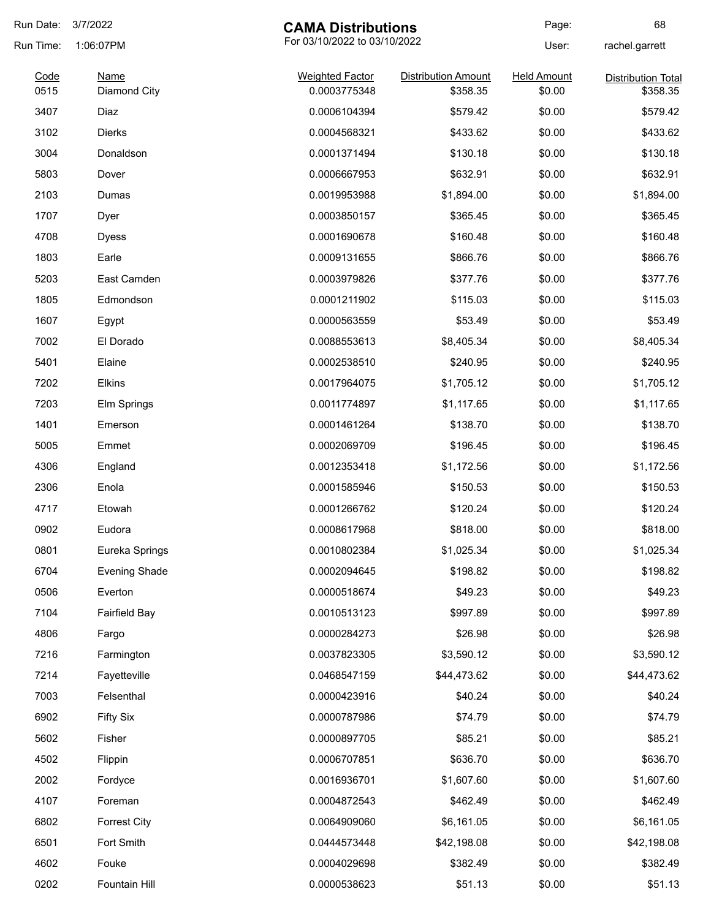| Run Date:    | 3/7/2022                    | <b>CAMA Distributions</b>              |                                        | Page:                        | 68                                    |
|--------------|-----------------------------|----------------------------------------|----------------------------------------|------------------------------|---------------------------------------|
| Run Time:    | 1:06:07PM                   | For 03/10/2022 to 03/10/2022           |                                        | User:                        | rachel.garrett                        |
| Code<br>0515 | <b>Name</b><br>Diamond City | <b>Weighted Factor</b><br>0.0003775348 | <b>Distribution Amount</b><br>\$358.35 | <b>Held Amount</b><br>\$0.00 | <b>Distribution Total</b><br>\$358.35 |
| 3407         | Diaz                        | 0.0006104394                           | \$579.42                               | \$0.00                       | \$579.42                              |
| 3102         | <b>Dierks</b>               | 0.0004568321                           | \$433.62                               | \$0.00                       | \$433.62                              |
| 3004         | Donaldson                   | 0.0001371494                           | \$130.18                               | \$0.00                       | \$130.18                              |
| 5803         | Dover                       | 0.0006667953                           | \$632.91                               | \$0.00                       | \$632.91                              |
| 2103         | Dumas                       | 0.0019953988                           | \$1,894.00                             | \$0.00                       | \$1,894.00                            |
| 1707         | Dyer                        | 0.0003850157                           | \$365.45                               | \$0.00                       | \$365.45                              |
| 4708         | <b>Dyess</b>                | 0.0001690678                           | \$160.48                               | \$0.00                       | \$160.48                              |
| 1803         | Earle                       | 0.0009131655                           | \$866.76                               | \$0.00                       | \$866.76                              |
| 5203         | East Camden                 | 0.0003979826                           | \$377.76                               | \$0.00                       | \$377.76                              |
| 1805         | Edmondson                   | 0.0001211902                           | \$115.03                               | \$0.00                       | \$115.03                              |
| 1607         | Egypt                       | 0.0000563559                           | \$53.49                                | \$0.00                       | \$53.49                               |
| 7002         | El Dorado                   | 0.0088553613                           | \$8,405.34                             | \$0.00                       | \$8,405.34                            |
| 5401         | Elaine                      | 0.0002538510                           | \$240.95                               | \$0.00                       | \$240.95                              |
| 7202         | Elkins                      | 0.0017964075                           | \$1,705.12                             | \$0.00                       | \$1,705.12                            |
| 7203         | Elm Springs                 | 0.0011774897                           | \$1,117.65                             | \$0.00                       | \$1,117.65                            |
| 1401         | Emerson                     | 0.0001461264                           | \$138.70                               | \$0.00                       | \$138.70                              |
| 5005         | Emmet                       | 0.0002069709                           | \$196.45                               | \$0.00                       | \$196.45                              |
| 4306         | England                     | 0.0012353418                           | \$1,172.56                             | \$0.00                       | \$1,172.56                            |
| 2306         | Enola                       | 0.0001585946                           | \$150.53                               | \$0.00                       | \$150.53                              |
| 4717         | Etowah                      | 0.0001266762                           | \$120.24                               | \$0.00                       | \$120.24                              |
| 0902         | Eudora                      | 0.0008617968                           | \$818.00                               | \$0.00                       | \$818.00                              |
| 0801         | Eureka Springs              | 0.0010802384                           | \$1,025.34                             | \$0.00                       | \$1,025.34                            |
| 6704         | <b>Evening Shade</b>        | 0.0002094645                           | \$198.82                               | \$0.00                       | \$198.82                              |
| 0506         | Everton                     | 0.0000518674                           | \$49.23                                | \$0.00                       | \$49.23                               |
| 7104         | <b>Fairfield Bay</b>        | 0.0010513123                           | \$997.89                               | \$0.00                       | \$997.89                              |
| 4806         | Fargo                       | 0.0000284273                           | \$26.98                                | \$0.00                       | \$26.98                               |
| 7216         | Farmington                  | 0.0037823305                           | \$3,590.12                             | \$0.00                       | \$3,590.12                            |
| 7214         | Fayetteville                | 0.0468547159                           | \$44,473.62                            | \$0.00                       | \$44,473.62                           |
| 7003         | Felsenthal                  | 0.0000423916                           | \$40.24                                | \$0.00                       | \$40.24                               |
| 6902         | <b>Fifty Six</b>            | 0.0000787986                           | \$74.79                                | \$0.00                       | \$74.79                               |
| 5602         | Fisher                      | 0.0000897705                           | \$85.21                                | \$0.00                       | \$85.21                               |
| 4502         | Flippin                     | 0.0006707851                           | \$636.70                               | \$0.00                       | \$636.70                              |
| 2002         | Fordyce                     | 0.0016936701                           | \$1,607.60                             | \$0.00                       | \$1,607.60                            |
| 4107         | Foreman                     | 0.0004872543                           | \$462.49                               | \$0.00                       | \$462.49                              |
| 6802         | <b>Forrest City</b>         | 0.0064909060                           | \$6,161.05                             | \$0.00                       | \$6,161.05                            |
| 6501         | Fort Smith                  | 0.0444573448                           | \$42,198.08                            | \$0.00                       | \$42,198.08                           |
| 4602         | Fouke                       | 0.0004029698                           | \$382.49                               | \$0.00                       | \$382.49                              |
| 0202         | Fountain Hill               | 0.0000538623                           | \$51.13                                | \$0.00                       | \$51.13                               |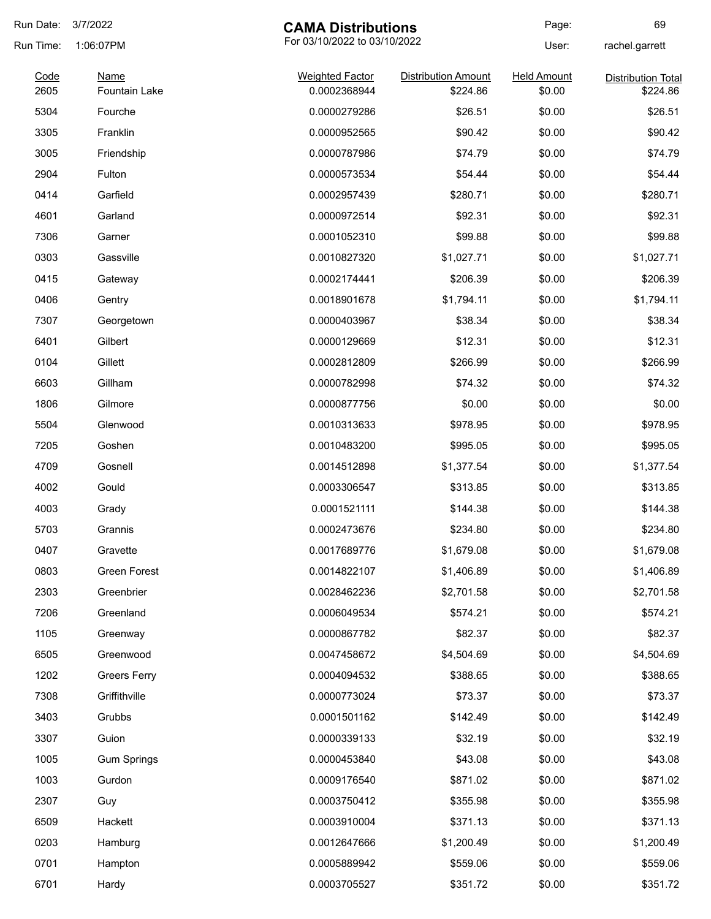| Run Date:    | 3/7/2022                            | <b>CAMA Distributions</b>              |                                        | Page:                        | 69                                    |
|--------------|-------------------------------------|----------------------------------------|----------------------------------------|------------------------------|---------------------------------------|
| Run Time:    | 1:06:07PM                           | For 03/10/2022 to 03/10/2022           |                                        | User:                        | rachel.garrett                        |
| Code<br>2605 | <b>Name</b><br><b>Fountain Lake</b> | <b>Weighted Factor</b><br>0.0002368944 | <b>Distribution Amount</b><br>\$224.86 | <b>Held Amount</b><br>\$0.00 | <b>Distribution Total</b><br>\$224.86 |
| 5304         | Fourche                             | 0.0000279286                           | \$26.51                                | \$0.00                       | \$26.51                               |
| 3305         | Franklin                            | 0.0000952565                           | \$90.42                                | \$0.00                       | \$90.42                               |
| 3005         | Friendship                          | 0.0000787986                           | \$74.79                                | \$0.00                       | \$74.79                               |
| 2904         | Fulton                              | 0.0000573534                           | \$54.44                                | \$0.00                       | \$54.44                               |
| 0414         | Garfield                            | 0.0002957439                           | \$280.71                               | \$0.00                       | \$280.71                              |
| 4601         | Garland                             | 0.0000972514                           | \$92.31                                | \$0.00                       | \$92.31                               |
| 7306         | Garner                              | 0.0001052310                           | \$99.88                                | \$0.00                       | \$99.88                               |
| 0303         | Gassville                           | 0.0010827320                           | \$1,027.71                             | \$0.00                       | \$1,027.71                            |
| 0415         | Gateway                             | 0.0002174441                           | \$206.39                               | \$0.00                       | \$206.39                              |
| 0406         | Gentry                              | 0.0018901678                           | \$1,794.11                             | \$0.00                       | \$1,794.11                            |
| 7307         | Georgetown                          | 0.0000403967                           | \$38.34                                | \$0.00                       | \$38.34                               |
| 6401         | Gilbert                             | 0.0000129669                           | \$12.31                                | \$0.00                       | \$12.31                               |
| 0104         | Gillett                             | 0.0002812809                           | \$266.99                               | \$0.00                       | \$266.99                              |
| 6603         | Gillham                             | 0.0000782998                           | \$74.32                                | \$0.00                       | \$74.32                               |
| 1806         | Gilmore                             | 0.0000877756                           | \$0.00                                 | \$0.00                       | \$0.00                                |
| 5504         | Glenwood                            | 0.0010313633                           | \$978.95                               | \$0.00                       | \$978.95                              |
| 7205         | Goshen                              | 0.0010483200                           | \$995.05                               | \$0.00                       | \$995.05                              |
| 4709         | Gosnell                             | 0.0014512898                           | \$1,377.54                             | \$0.00                       | \$1,377.54                            |
| 4002         | Gould                               | 0.0003306547                           | \$313.85                               | \$0.00                       | \$313.85                              |
| 4003         | Grady                               | 0.0001521111                           | \$144.38                               | \$0.00                       | \$144.38                              |
| 5703         | Grannis                             | 0.0002473676                           | \$234.80                               | \$0.00                       | \$234.80                              |
| 0407         | Gravette                            | 0.0017689776                           | \$1,679.08                             | \$0.00                       | \$1,679.08                            |
| 0803         | Green Forest                        | 0.0014822107                           | \$1,406.89                             | \$0.00                       | \$1,406.89                            |
| 2303         | Greenbrier                          | 0.0028462236                           | \$2,701.58                             | \$0.00                       | \$2,701.58                            |
| 7206         | Greenland                           | 0.0006049534                           | \$574.21                               | \$0.00                       | \$574.21                              |
| 1105         | Greenway                            | 0.0000867782                           | \$82.37                                | \$0.00                       | \$82.37                               |
| 6505         | Greenwood                           | 0.0047458672                           | \$4,504.69                             | \$0.00                       | \$4,504.69                            |
| 1202         | <b>Greers Ferry</b>                 | 0.0004094532                           | \$388.65                               | \$0.00                       | \$388.65                              |
| 7308         | Griffithville                       | 0.0000773024                           | \$73.37                                | \$0.00                       | \$73.37                               |
| 3403         | Grubbs                              | 0.0001501162                           | \$142.49                               | \$0.00                       | \$142.49                              |
| 3307         | Guion                               | 0.0000339133                           | \$32.19                                | \$0.00                       | \$32.19                               |
| 1005         | <b>Gum Springs</b>                  | 0.0000453840                           | \$43.08                                | \$0.00                       | \$43.08                               |
| 1003         | Gurdon                              | 0.0009176540                           | \$871.02                               | \$0.00                       | \$871.02                              |
| 2307         | Guy                                 | 0.0003750412                           | \$355.98                               | \$0.00                       | \$355.98                              |
| 6509         | Hackett                             | 0.0003910004                           | \$371.13                               | \$0.00                       | \$371.13                              |
| 0203         | Hamburg                             | 0.0012647666                           | \$1,200.49                             | \$0.00                       | \$1,200.49                            |
| 0701         | Hampton                             | 0.0005889942                           | \$559.06                               | \$0.00                       | \$559.06                              |
| 6701         | Hardy                               | 0.0003705527                           | \$351.72                               | \$0.00                       | \$351.72                              |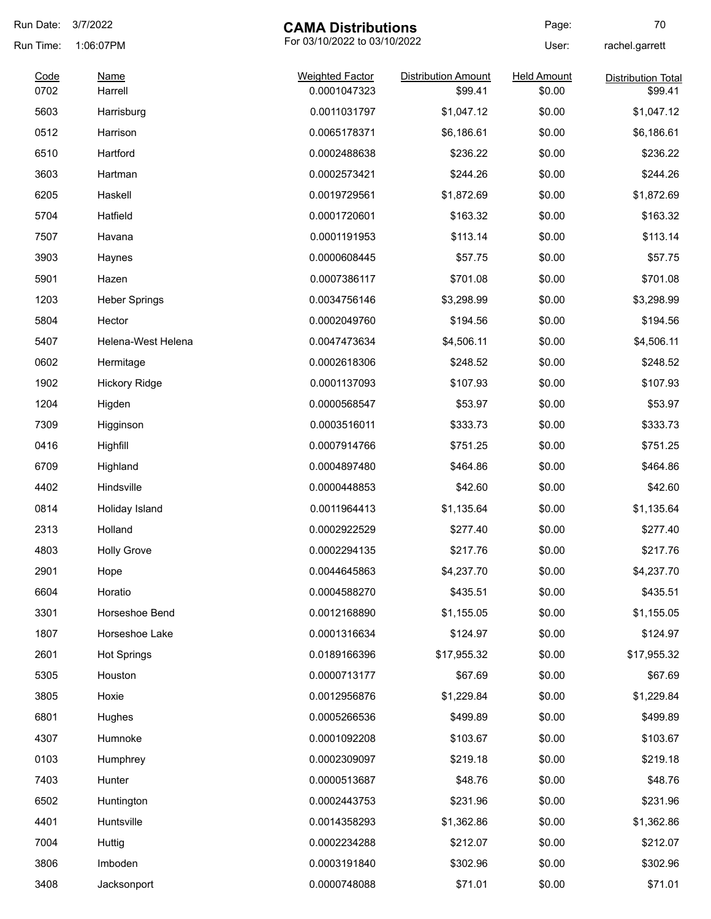| Run Date:    | 3/7/2022               | <b>CAMA Distributions</b>              |                                       | Page:                        | 70                                   |
|--------------|------------------------|----------------------------------------|---------------------------------------|------------------------------|--------------------------------------|
| Run Time:    | 1:06:07PM              | For 03/10/2022 to 03/10/2022           |                                       | User:                        | rachel.garrett                       |
| Code<br>0702 | <b>Name</b><br>Harrell | <b>Weighted Factor</b><br>0.0001047323 | <b>Distribution Amount</b><br>\$99.41 | <b>Held Amount</b><br>\$0.00 | <b>Distribution Total</b><br>\$99.41 |
| 5603         |                        | 0.0011031797                           | \$1,047.12                            | \$0.00                       | \$1,047.12                           |
|              | Harrisburg             |                                        |                                       |                              |                                      |
| 0512         | Harrison               | 0.0065178371                           | \$6,186.61                            | \$0.00                       | \$6,186.61                           |
| 6510         | Hartford               | 0.0002488638                           | \$236.22                              | \$0.00                       | \$236.22                             |
| 3603         | Hartman                | 0.0002573421                           | \$244.26                              | \$0.00                       | \$244.26                             |
| 6205         | Haskell                | 0.0019729561                           | \$1,872.69                            | \$0.00                       | \$1,872.69                           |
| 5704         | Hatfield               | 0.0001720601                           | \$163.32                              | \$0.00                       | \$163.32                             |
| 7507         | Havana                 | 0.0001191953                           | \$113.14                              | \$0.00                       | \$113.14                             |
| 3903         | Haynes                 | 0.0000608445                           | \$57.75                               | \$0.00                       | \$57.75                              |
| 5901         | Hazen                  | 0.0007386117                           | \$701.08                              | \$0.00                       | \$701.08                             |
| 1203         | <b>Heber Springs</b>   | 0.0034756146                           | \$3,298.99                            | \$0.00                       | \$3,298.99                           |
| 5804         | Hector                 | 0.0002049760                           | \$194.56                              | \$0.00                       | \$194.56                             |
| 5407         | Helena-West Helena     | 0.0047473634                           | \$4,506.11                            | \$0.00                       | \$4,506.11                           |
| 0602         | Hermitage              | 0.0002618306                           | \$248.52                              | \$0.00                       | \$248.52                             |
| 1902         | <b>Hickory Ridge</b>   | 0.0001137093                           | \$107.93                              | \$0.00                       | \$107.93                             |
| 1204         | Higden                 | 0.0000568547                           | \$53.97                               | \$0.00                       | \$53.97                              |
| 7309         | Higginson              | 0.0003516011                           | \$333.73                              | \$0.00                       | \$333.73                             |
| 0416         | Highfill               | 0.0007914766                           | \$751.25                              | \$0.00                       | \$751.25                             |
| 6709         | Highland               | 0.0004897480                           | \$464.86                              | \$0.00                       | \$464.86                             |
| 4402         | Hindsville             | 0.0000448853                           | \$42.60                               | \$0.00                       | \$42.60                              |
| 0814         | Holiday Island         | 0.0011964413                           | \$1,135.64                            | \$0.00                       | \$1,135.64                           |
| 2313         | Holland                | 0.0002922529                           | \$277.40                              | \$0.00                       | \$277.40                             |
| 4803         | <b>Holly Grove</b>     | 0.0002294135                           | \$217.76                              | \$0.00                       | \$217.76                             |
| 2901         | Hope                   | 0.0044645863                           | \$4,237.70                            | \$0.00                       | \$4,237.70                           |
| 6604         | Horatio                | 0.0004588270                           | \$435.51                              | \$0.00                       | \$435.51                             |
| 3301         | Horseshoe Bend         | 0.0012168890                           | \$1,155.05                            | \$0.00                       | \$1,155.05                           |
| 1807         | Horseshoe Lake         | 0.0001316634                           | \$124.97                              | \$0.00                       | \$124.97                             |
| 2601         | <b>Hot Springs</b>     | 0.0189166396                           | \$17,955.32                           | \$0.00                       | \$17,955.32                          |
| 5305         | Houston                | 0.0000713177                           | \$67.69                               | \$0.00                       | \$67.69                              |
| 3805         | Hoxie                  | 0.0012956876                           | \$1,229.84                            | \$0.00                       | \$1,229.84                           |
| 6801         | Hughes                 | 0.0005266536                           | \$499.89                              | \$0.00                       | \$499.89                             |
| 4307         | Humnoke                | 0.0001092208                           | \$103.67                              | \$0.00                       | \$103.67                             |
| 0103         | Humphrey               | 0.0002309097                           | \$219.18                              | \$0.00                       | \$219.18                             |
| 7403         | Hunter                 | 0.0000513687                           | \$48.76                               | \$0.00                       | \$48.76                              |
| 6502         |                        | 0.0002443753                           | \$231.96                              | \$0.00                       | \$231.96                             |
|              | Huntington             |                                        |                                       |                              |                                      |
| 4401         | Huntsville             | 0.0014358293                           | \$1,362.86                            | \$0.00                       | \$1,362.86                           |
| 7004         | Huttig                 | 0.0002234288                           | \$212.07                              | \$0.00                       | \$212.07                             |
| 3806         | Imboden                | 0.0003191840                           | \$302.96                              | \$0.00                       | \$302.96                             |
| 3408         | Jacksonport            | 0.0000748088                           | \$71.01                               | \$0.00                       | \$71.01                              |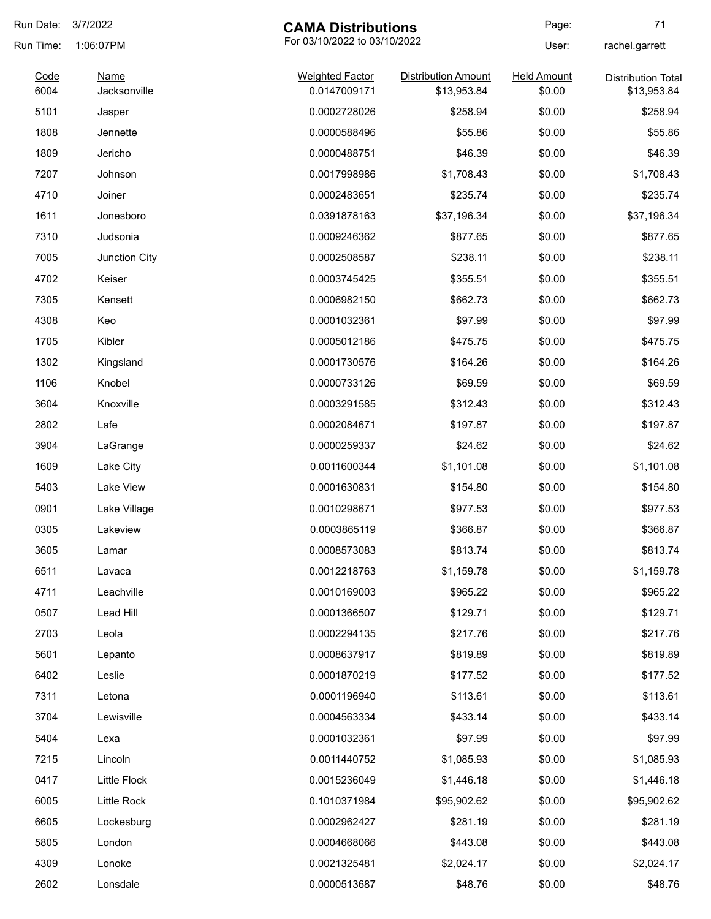| Run Date:    | 3/7/2022             | <b>CAMA Distributions</b>              |                                           | Page:                        | 71                                       |
|--------------|----------------------|----------------------------------------|-------------------------------------------|------------------------------|------------------------------------------|
| Run Time:    | 1:06:07PM            | For 03/10/2022 to 03/10/2022           |                                           | User:                        | rachel.garrett                           |
| Code<br>6004 | Name<br>Jacksonville | <b>Weighted Factor</b><br>0.0147009171 | <b>Distribution Amount</b><br>\$13,953.84 | <b>Held Amount</b><br>\$0.00 | <b>Distribution Total</b><br>\$13,953.84 |
| 5101         | Jasper               | 0.0002728026                           | \$258.94                                  | \$0.00                       | \$258.94                                 |
| 1808         | Jennette             | 0.0000588496                           | \$55.86                                   | \$0.00                       | \$55.86                                  |
| 1809         | Jericho              | 0.0000488751                           | \$46.39                                   | \$0.00                       | \$46.39                                  |
| 7207         | Johnson              | 0.0017998986                           | \$1,708.43                                | \$0.00                       | \$1,708.43                               |
| 4710         | Joiner               | 0.0002483651                           | \$235.74                                  | \$0.00                       | \$235.74                                 |
| 1611         | Jonesboro            | 0.0391878163                           | \$37,196.34                               | \$0.00                       | \$37,196.34                              |
| 7310         | Judsonia             | 0.0009246362                           | \$877.65                                  | \$0.00                       | \$877.65                                 |
| 7005         | Junction City        | 0.0002508587                           | \$238.11                                  | \$0.00                       | \$238.11                                 |
| 4702         | Keiser               | 0.0003745425                           | \$355.51                                  | \$0.00                       | \$355.51                                 |
| 7305         | Kensett              | 0.0006982150                           | \$662.73                                  | \$0.00                       | \$662.73                                 |
| 4308         | Keo                  | 0.0001032361                           | \$97.99                                   | \$0.00                       | \$97.99                                  |
| 1705         | Kibler               | 0.0005012186                           | \$475.75                                  | \$0.00                       | \$475.75                                 |
| 1302         | Kingsland            | 0.0001730576                           | \$164.26                                  | \$0.00                       | \$164.26                                 |
| 1106         | Knobel               | 0.0000733126                           | \$69.59                                   | \$0.00                       | \$69.59                                  |
| 3604         | Knoxville            | 0.0003291585                           | \$312.43                                  | \$0.00                       | \$312.43                                 |
| 2802         | Lafe                 | 0.0002084671                           | \$197.87                                  | \$0.00                       | \$197.87                                 |
| 3904         | LaGrange             | 0.0000259337                           | \$24.62                                   | \$0.00                       | \$24.62                                  |
| 1609         | Lake City            | 0.0011600344                           | \$1,101.08                                | \$0.00                       | \$1,101.08                               |
| 5403         | Lake View            | 0.0001630831                           | \$154.80                                  | \$0.00                       | \$154.80                                 |
| 0901         | Lake Village         | 0.0010298671                           | \$977.53                                  | \$0.00                       | \$977.53                                 |
| 0305         | Lakeview             | 0.0003865119                           | \$366.87                                  | \$0.00                       | \$366.87                                 |
| 3605         | Lamar                | 0.0008573083                           | \$813.74                                  | \$0.00                       | \$813.74                                 |
| 6511         | Lavaca               | 0.0012218763                           | \$1,159.78                                | \$0.00                       | \$1,159.78                               |
| 4711         | Leachville           | 0.0010169003                           | \$965.22                                  | \$0.00                       | \$965.22                                 |
| 0507         | Lead Hill            | 0.0001366507                           | \$129.71                                  | \$0.00                       | \$129.71                                 |
| 2703         | Leola                | 0.0002294135                           | \$217.76                                  | \$0.00                       | \$217.76                                 |
| 5601         | Lepanto              | 0.0008637917                           | \$819.89                                  | \$0.00                       | \$819.89                                 |
| 6402         | Leslie               | 0.0001870219                           | \$177.52                                  | \$0.00                       | \$177.52                                 |
| 7311         | Letona               | 0.0001196940                           | \$113.61                                  | \$0.00                       | \$113.61                                 |
| 3704         | Lewisville           | 0.0004563334                           | \$433.14                                  | \$0.00                       | \$433.14                                 |
| 5404         | Lexa                 | 0.0001032361                           | \$97.99                                   | \$0.00                       | \$97.99                                  |
| 7215         | Lincoln              | 0.0011440752                           | \$1,085.93                                | \$0.00                       | \$1,085.93                               |
| 0417         | Little Flock         | 0.0015236049                           | \$1,446.18                                | \$0.00                       | \$1,446.18                               |
| 6005         | Little Rock          | 0.1010371984                           | \$95,902.62                               | \$0.00                       | \$95,902.62                              |
| 6605         | Lockesburg           | 0.0002962427                           | \$281.19                                  | \$0.00                       | \$281.19                                 |
| 5805         | London               | 0.0004668066                           | \$443.08                                  | \$0.00                       | \$443.08                                 |
| 4309         | Lonoke               | 0.0021325481                           | \$2,024.17                                | \$0.00                       | \$2,024.17                               |
| 2602         | Lonsdale             | 0.0000513687                           | \$48.76                                   | \$0.00                       | \$48.76                                  |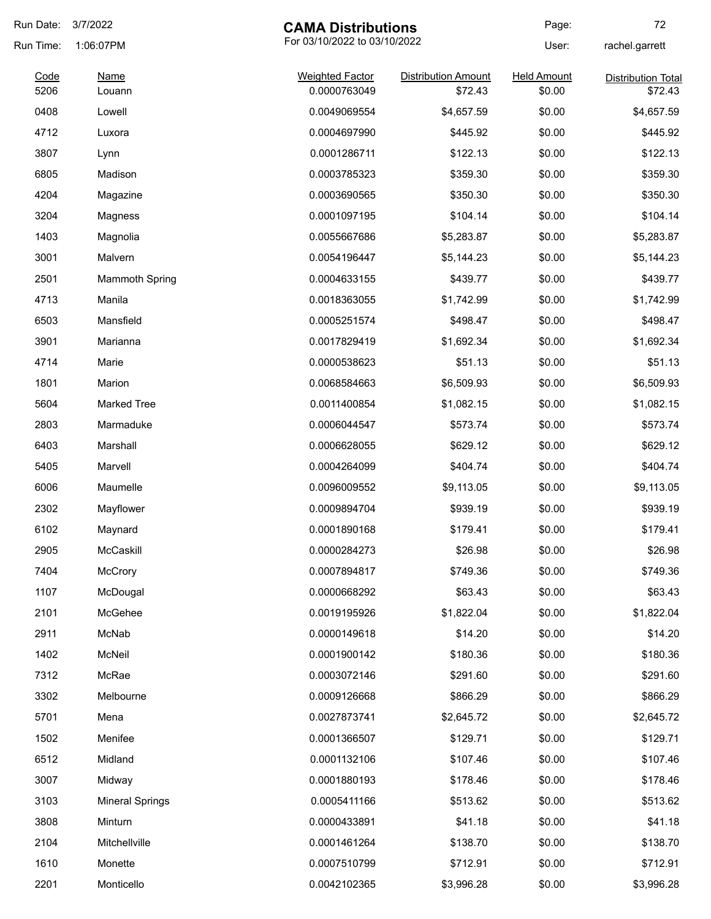| Run Date: | 3/7/2022                                  | <b>CAMA Distributions</b> |                            | Page:              | 72                        |
|-----------|-------------------------------------------|---------------------------|----------------------------|--------------------|---------------------------|
| Run Time: | For 03/10/2022 to 03/10/2022<br>1:06:07PM |                           |                            | User:              | rachel.garrett            |
| Code      | <b>Name</b>                               | <b>Weighted Factor</b>    | <b>Distribution Amount</b> | <b>Held Amount</b> | <b>Distribution Total</b> |
| 5206      | Louann                                    | 0.0000763049              | \$72.43                    | \$0.00             | \$72.43                   |
| 0408      | Lowell                                    | 0.0049069554              | \$4,657.59                 | \$0.00             | \$4,657.59                |
| 4712      | Luxora                                    | 0.0004697990              | \$445.92                   | \$0.00             | \$445.92                  |
| 3807      | Lynn                                      | 0.0001286711              | \$122.13                   | \$0.00             | \$122.13                  |
| 6805      | Madison                                   | 0.0003785323              | \$359.30                   | \$0.00             | \$359.30                  |
| 4204      | Magazine                                  | 0.0003690565              | \$350.30                   | \$0.00             | \$350.30                  |
| 3204      | Magness                                   | 0.0001097195              | \$104.14                   | \$0.00             | \$104.14                  |
| 1403      | Magnolia                                  | 0.0055667686              | \$5,283.87                 | \$0.00             | \$5,283.87                |
| 3001      | Malvern                                   | 0.0054196447              | \$5,144.23                 | \$0.00             | \$5,144.23                |
| 2501      | <b>Mammoth Spring</b>                     | 0.0004633155              | \$439.77                   | \$0.00             | \$439.77                  |
| 4713      | Manila                                    | 0.0018363055              | \$1,742.99                 | \$0.00             | \$1,742.99                |
| 6503      | Mansfield                                 | 0.0005251574              | \$498.47                   | \$0.00             | \$498.47                  |
| 3901      | Marianna                                  | 0.0017829419              | \$1,692.34                 | \$0.00             | \$1,692.34                |
| 4714      | Marie                                     | 0.0000538623              | \$51.13                    | \$0.00             | \$51.13                   |
| 1801      | Marion                                    | 0.0068584663              | \$6,509.93                 | \$0.00             | \$6,509.93                |
| 5604      | <b>Marked Tree</b>                        | 0.0011400854              | \$1,082.15                 | \$0.00             | \$1,082.15                |
| 2803      | Marmaduke                                 | 0.0006044547              | \$573.74                   | \$0.00             | \$573.74                  |
| 6403      | Marshall                                  | 0.0006628055              | \$629.12                   | \$0.00             | \$629.12                  |
| 5405      | Marvell                                   | 0.0004264099              | \$404.74                   | \$0.00             | \$404.74                  |
| 6006      | Maumelle                                  | 0.0096009552              | \$9,113.05                 | \$0.00             | \$9,113.05                |
| 2302      | Mayflower                                 | 0.0009894704              | \$939.19                   | \$0.00             | \$939.19                  |
| 6102      | Maynard                                   | 0.0001890168              | \$179.41                   | \$0.00             | \$179.41                  |
| 2905      | McCaskill                                 | 0.0000284273              | \$26.98                    | \$0.00             | \$26.98                   |
| 7404      | McCrory                                   | 0.0007894817              | \$749.36                   | \$0.00             | \$749.36                  |
| 1107      | McDougal                                  | 0.0000668292              | \$63.43                    | \$0.00             | \$63.43                   |
| 2101      | McGehee                                   | 0.0019195926              | \$1,822.04                 | \$0.00             | \$1,822.04                |
| 2911      | McNab                                     | 0.0000149618              | \$14.20                    | \$0.00             | \$14.20                   |
| 1402      | McNeil                                    | 0.0001900142              | \$180.36                   | \$0.00             | \$180.36                  |
| 7312      | McRae                                     | 0.0003072146              | \$291.60                   | \$0.00             | \$291.60                  |
| 3302      | Melbourne                                 | 0.0009126668              | \$866.29                   | \$0.00             | \$866.29                  |
| 5701      | Mena                                      | 0.0027873741              | \$2,645.72                 | \$0.00             | \$2,645.72                |
| 1502      | Menifee                                   | 0.0001366507              | \$129.71                   | \$0.00             | \$129.71                  |
| 6512      | Midland                                   | 0.0001132106              | \$107.46                   | \$0.00             | \$107.46                  |
| 3007      | Midway                                    | 0.0001880193              | \$178.46                   | \$0.00             | \$178.46                  |
| 3103      | <b>Mineral Springs</b>                    | 0.0005411166              | \$513.62                   | \$0.00             | \$513.62                  |
| 3808      | Minturn                                   | 0.0000433891              | \$41.18                    | \$0.00             | \$41.18                   |
| 2104      | Mitchellville                             | 0.0001461264              | \$138.70                   | \$0.00             | \$138.70                  |
| 1610      | Monette                                   | 0.0007510799              | \$712.91                   | \$0.00             |                           |
|           |                                           |                           |                            |                    | \$712.91                  |
| 2201      | Monticello                                | 0.0042102365              | \$3,996.28                 | \$0.00             | \$3,996.28                |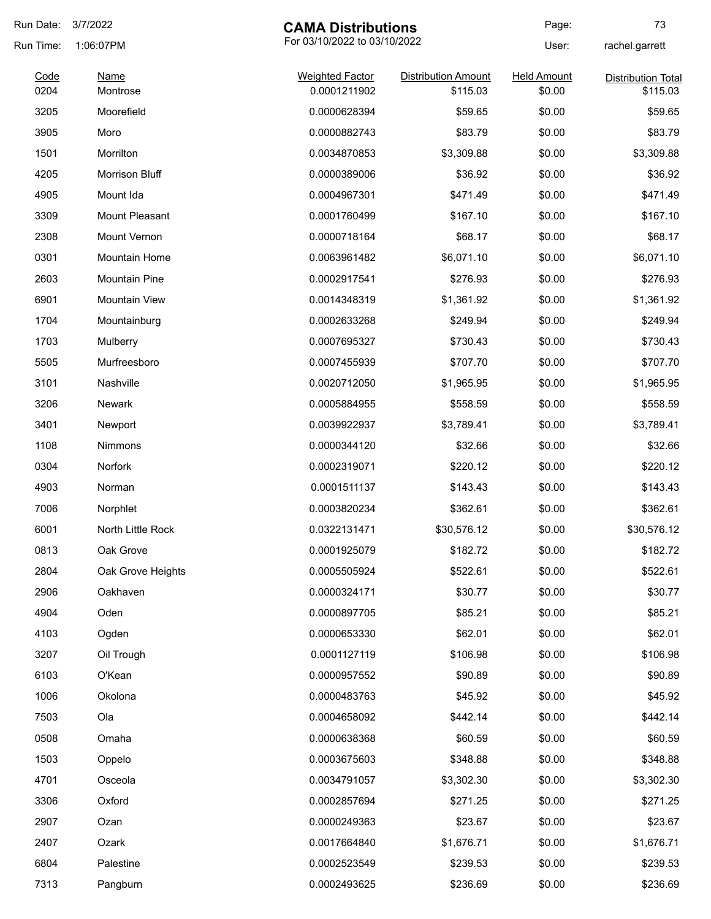| Run Date:    | 3/7/2022                | <b>CAMA Distributions</b>              |                                        | Page:                        | 73                                    |
|--------------|-------------------------|----------------------------------------|----------------------------------------|------------------------------|---------------------------------------|
| Run Time:    | 1:06:07PM               | For 03/10/2022 to 03/10/2022           |                                        | User:                        | rachel.garrett                        |
| Code<br>0204 | <b>Name</b><br>Montrose | <b>Weighted Factor</b><br>0.0001211902 | <b>Distribution Amount</b><br>\$115.03 | <b>Held Amount</b><br>\$0.00 | <b>Distribution Total</b><br>\$115.03 |
| 3205         | Moorefield              | 0.0000628394                           | \$59.65                                | \$0.00                       | \$59.65                               |
| 3905         | Moro                    | 0.0000882743                           | \$83.79                                | \$0.00                       | \$83.79                               |
| 1501         | Morrilton               | 0.0034870853                           | \$3,309.88                             | \$0.00                       | \$3,309.88                            |
| 4205         | Morrison Bluff          | 0.0000389006                           | \$36.92                                | \$0.00                       | \$36.92                               |
| 4905         | Mount Ida               | 0.0004967301                           | \$471.49                               | \$0.00                       | \$471.49                              |
| 3309         | Mount Pleasant          | 0.0001760499                           | \$167.10                               | \$0.00                       | \$167.10                              |
| 2308         | Mount Vernon            | 0.0000718164                           | \$68.17                                | \$0.00                       | \$68.17                               |
| 0301         | Mountain Home           | 0.0063961482                           | \$6,071.10                             | \$0.00                       | \$6,071.10                            |
| 2603         | <b>Mountain Pine</b>    | 0.0002917541                           | \$276.93                               | \$0.00                       | \$276.93                              |
| 6901         | <b>Mountain View</b>    | 0.0014348319                           | \$1,361.92                             | \$0.00                       | \$1,361.92                            |
| 1704         | Mountainburg            | 0.0002633268                           | \$249.94                               | \$0.00                       | \$249.94                              |
| 1703         | Mulberry                | 0.0007695327                           | \$730.43                               | \$0.00                       | \$730.43                              |
| 5505         | Murfreesboro            | 0.0007455939                           | \$707.70                               | \$0.00                       | \$707.70                              |
| 3101         | Nashville               | 0.0020712050                           | \$1,965.95                             | \$0.00                       | \$1,965.95                            |
| 3206         | Newark                  | 0.0005884955                           | \$558.59                               | \$0.00                       | \$558.59                              |
| 3401         | Newport                 | 0.0039922937                           | \$3,789.41                             | \$0.00                       | \$3,789.41                            |
| 1108         | Nimmons                 | 0.0000344120                           | \$32.66                                | \$0.00                       | \$32.66                               |
| 0304         | <b>Norfork</b>          | 0.0002319071                           | \$220.12                               | \$0.00                       | \$220.12                              |
| 4903         | Norman                  | 0.0001511137                           | \$143.43                               | \$0.00                       | \$143.43                              |
| 7006         | Norphlet                | 0.0003820234                           | \$362.61                               | \$0.00                       | \$362.61                              |
| 6001         | North Little Rock       | 0.0322131471                           | \$30,576.12                            | \$0.00                       | \$30,576.12                           |
| 0813         | Oak Grove               | 0.0001925079                           | \$182.72                               | \$0.00                       | \$182.72                              |
| 2804         | Oak Grove Heights       | 0.0005505924                           | \$522.61                               | \$0.00                       | \$522.61                              |
| 2906         | Oakhaven                | 0.0000324171                           | \$30.77                                | \$0.00                       | \$30.77                               |
| 4904         | Oden                    | 0.0000897705                           | \$85.21                                | \$0.00                       | \$85.21                               |
| 4103         | Ogden                   | 0.0000653330                           | \$62.01                                | \$0.00                       | \$62.01                               |
| 3207         | Oil Trough              | 0.0001127119                           | \$106.98                               | \$0.00                       | \$106.98                              |
| 6103         | O'Kean                  | 0.0000957552                           | \$90.89                                | \$0.00                       | \$90.89                               |
| 1006         | Okolona                 | 0.0000483763                           | \$45.92                                | \$0.00                       | \$45.92                               |
| 7503         | Ola                     | 0.0004658092                           | \$442.14                               | \$0.00                       | \$442.14                              |
| 0508         | Omaha                   | 0.0000638368                           | \$60.59                                | \$0.00                       | \$60.59                               |
| 1503         | Oppelo                  | 0.0003675603                           | \$348.88                               | \$0.00                       | \$348.88                              |
| 4701         | Osceola                 | 0.0034791057                           | \$3,302.30                             | \$0.00                       | \$3,302.30                            |
| 3306         | Oxford                  | 0.0002857694                           | \$271.25                               | \$0.00                       | \$271.25                              |
| 2907         | Ozan                    | 0.0000249363                           | \$23.67                                | \$0.00                       | \$23.67                               |
| 2407         | Ozark                   | 0.0017664840                           | \$1,676.71                             | \$0.00                       | \$1,676.71                            |
| 6804         | Palestine               | 0.0002523549                           | \$239.53                               | \$0.00                       | \$239.53                              |
| 7313         | Pangburn                | 0.0002493625                           | \$236.69                               | \$0.00                       | \$236.69                              |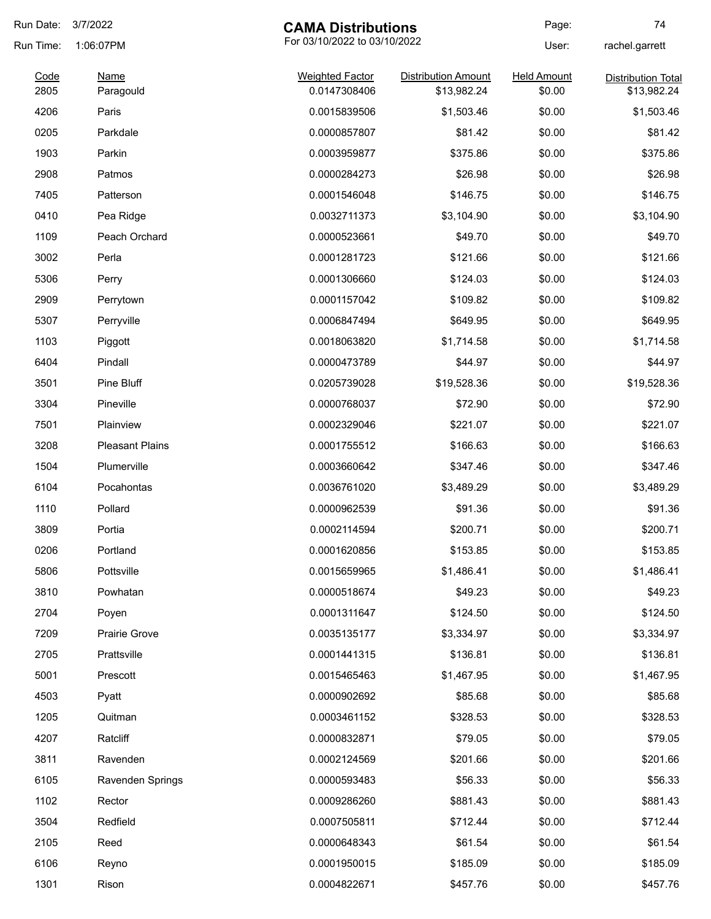| Run Date:    | 3/7/2022                 | <b>CAMA Distributions</b>              |                                           | Page:                        | 74                                       |
|--------------|--------------------------|----------------------------------------|-------------------------------------------|------------------------------|------------------------------------------|
| Run Time:    | 1:06:07PM                | For 03/10/2022 to 03/10/2022           |                                           | User:                        | rachel.garrett                           |
| Code<br>2805 | <b>Name</b><br>Paragould | <b>Weighted Factor</b><br>0.0147308406 | <b>Distribution Amount</b><br>\$13,982.24 | <b>Held Amount</b><br>\$0.00 | <b>Distribution Total</b><br>\$13,982.24 |
| 4206         | Paris                    | 0.0015839506                           | \$1,503.46                                | \$0.00                       | \$1,503.46                               |
| 0205         | Parkdale                 | 0.0000857807                           | \$81.42                                   | \$0.00                       | \$81.42                                  |
| 1903         | Parkin                   | 0.0003959877                           | \$375.86                                  | \$0.00                       | \$375.86                                 |
| 2908         | Patmos                   | 0.0000284273                           | \$26.98                                   | \$0.00                       | \$26.98                                  |
| 7405         | Patterson                | 0.0001546048                           | \$146.75                                  | \$0.00                       | \$146.75                                 |
| 0410         | Pea Ridge                | 0.0032711373                           | \$3,104.90                                | \$0.00                       | \$3,104.90                               |
| 1109         | Peach Orchard            | 0.0000523661                           | \$49.70                                   | \$0.00                       | \$49.70                                  |
| 3002         | Perla                    | 0.0001281723                           | \$121.66                                  | \$0.00                       | \$121.66                                 |
| 5306         | Perry                    | 0.0001306660                           | \$124.03                                  | \$0.00                       | \$124.03                                 |
| 2909         | Perrytown                | 0.0001157042                           | \$109.82                                  | \$0.00                       | \$109.82                                 |
| 5307         | Perryville               | 0.0006847494                           | \$649.95                                  | \$0.00                       | \$649.95                                 |
| 1103         | Piggott                  | 0.0018063820                           | \$1,714.58                                | \$0.00                       | \$1,714.58                               |
| 6404         | Pindall                  | 0.0000473789                           | \$44.97                                   | \$0.00                       | \$44.97                                  |
| 3501         | Pine Bluff               | 0.0205739028                           | \$19,528.36                               | \$0.00                       | \$19,528.36                              |
| 3304         | Pineville                | 0.0000768037                           | \$72.90                                   | \$0.00                       | \$72.90                                  |
| 7501         | Plainview                | 0.0002329046                           | \$221.07                                  | \$0.00                       | \$221.07                                 |
| 3208         | <b>Pleasant Plains</b>   | 0.0001755512                           | \$166.63                                  | \$0.00                       | \$166.63                                 |
| 1504         | Plumerville              | 0.0003660642                           | \$347.46                                  | \$0.00                       | \$347.46                                 |
| 6104         | Pocahontas               | 0.0036761020                           | \$3,489.29                                | \$0.00                       | \$3,489.29                               |
| 1110         | Pollard                  | 0.0000962539                           | \$91.36                                   | \$0.00                       | \$91.36                                  |
| 3809         | Portia                   | 0.0002114594                           | \$200.71                                  | \$0.00                       | \$200.71                                 |
| 0206         | Portland                 | 0.0001620856                           | \$153.85                                  | \$0.00                       | \$153.85                                 |
| 5806         | Pottsville               | 0.0015659965                           | \$1,486.41                                | \$0.00                       | \$1,486.41                               |
| 3810         | Powhatan                 | 0.0000518674                           | \$49.23                                   | \$0.00                       | \$49.23                                  |
| 2704         | Poyen                    | 0.0001311647                           | \$124.50                                  | \$0.00                       | \$124.50                                 |
| 7209         | Prairie Grove            | 0.0035135177                           | \$3,334.97                                | \$0.00                       | \$3,334.97                               |
| 2705         | Prattsville              | 0.0001441315                           | \$136.81                                  | \$0.00                       | \$136.81                                 |
| 5001         | Prescott                 | 0.0015465463                           | \$1,467.95                                | \$0.00                       | \$1,467.95                               |
| 4503         | Pyatt                    | 0.0000902692                           | \$85.68                                   | \$0.00                       | \$85.68                                  |
| 1205         | Quitman                  | 0.0003461152                           | \$328.53                                  | \$0.00                       | \$328.53                                 |
| 4207         | Ratcliff                 | 0.0000832871                           | \$79.05                                   | \$0.00                       | \$79.05                                  |
| 3811         | Ravenden                 | 0.0002124569                           | \$201.66                                  | \$0.00                       | \$201.66                                 |
| 6105         | Ravenden Springs         | 0.0000593483                           | \$56.33                                   | \$0.00                       | \$56.33                                  |
| 1102         | Rector                   | 0.0009286260                           | \$881.43                                  | \$0.00                       | \$881.43                                 |
| 3504         | Redfield                 | 0.0007505811                           | \$712.44                                  | \$0.00                       | \$712.44                                 |
| 2105         | Reed                     | 0.0000648343                           | \$61.54                                   | \$0.00                       | \$61.54                                  |
| 6106         | Reyno                    | 0.0001950015                           | \$185.09                                  | \$0.00                       | \$185.09                                 |
| 1301         | Rison                    | 0.0004822671                           | \$457.76                                  | \$0.00                       | \$457.76                                 |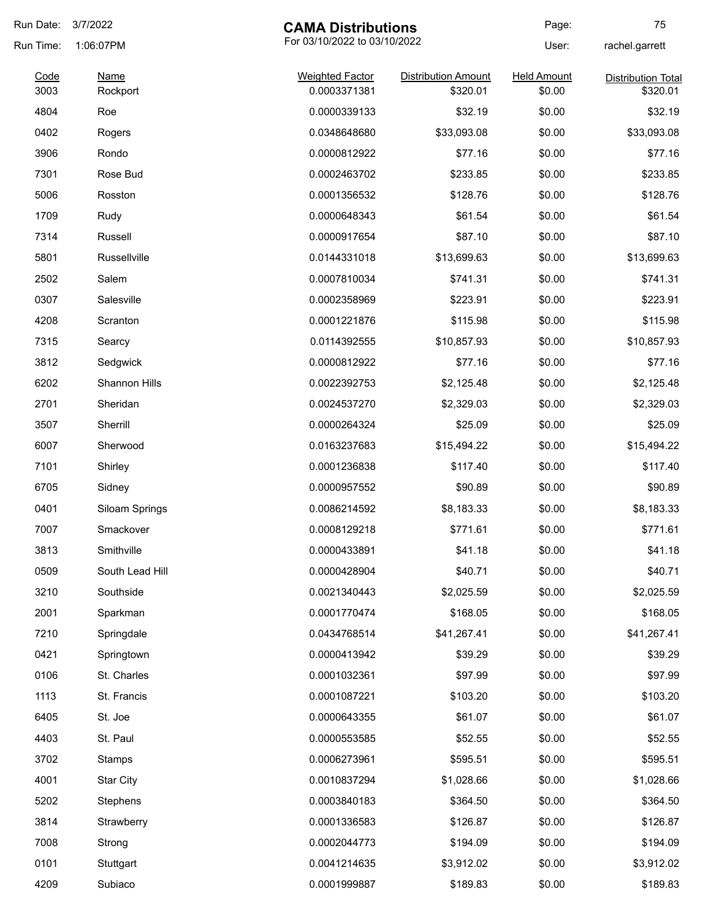| Run Date:    | 3/7/2022                | <b>CAMA Distributions</b>              |                                        | Page:                        | 75                                    |
|--------------|-------------------------|----------------------------------------|----------------------------------------|------------------------------|---------------------------------------|
| Run Time:    | 1:06:07PM               | For 03/10/2022 to 03/10/2022           |                                        | User:                        | rachel.garrett                        |
| Code<br>3003 | <b>Name</b><br>Rockport | <b>Weighted Factor</b><br>0.0003371381 | <b>Distribution Amount</b><br>\$320.01 | <b>Held Amount</b><br>\$0.00 | <b>Distribution Total</b><br>\$320.01 |
| 4804         | Roe                     | 0.0000339133                           | \$32.19                                | \$0.00                       | \$32.19                               |
| 0402         | Rogers                  | 0.0348648680                           | \$33,093.08                            | \$0.00                       | \$33,093.08                           |
| 3906         | Rondo                   | 0.0000812922                           | \$77.16                                | \$0.00                       | \$77.16                               |
| 7301         | Rose Bud                | 0.0002463702                           | \$233.85                               | \$0.00                       | \$233.85                              |
| 5006         | Rosston                 | 0.0001356532                           | \$128.76                               | \$0.00                       | \$128.76                              |
| 1709         | Rudy                    | 0.0000648343                           | \$61.54                                | \$0.00                       | \$61.54                               |
| 7314         | Russell                 | 0.0000917654                           | \$87.10                                | \$0.00                       | \$87.10                               |
| 5801         | Russellville            | 0.0144331018                           | \$13,699.63                            | \$0.00                       | \$13,699.63                           |
| 2502         | Salem                   | 0.0007810034                           | \$741.31                               | \$0.00                       | \$741.31                              |
| 0307         | Salesville              | 0.0002358969                           | \$223.91                               | \$0.00                       | \$223.91                              |
| 4208         | Scranton                | 0.0001221876                           | \$115.98                               | \$0.00                       | \$115.98                              |
| 7315         | Searcy                  | 0.0114392555                           | \$10,857.93                            | \$0.00                       | \$10,857.93                           |
| 3812         | Sedgwick                | 0.0000812922                           | \$77.16                                | \$0.00                       | \$77.16                               |
| 6202         | Shannon Hills           | 0.0022392753                           | \$2,125.48                             | \$0.00                       | \$2,125.48                            |
| 2701         | Sheridan                | 0.0024537270                           | \$2,329.03                             | \$0.00                       | \$2,329.03                            |
| 3507         | Sherrill                | 0.0000264324                           | \$25.09                                | \$0.00                       | \$25.09                               |
| 6007         | Sherwood                | 0.0163237683                           | \$15,494.22                            | \$0.00                       | \$15,494.22                           |
| 7101         | Shirley                 | 0.0001236838                           | \$117.40                               | \$0.00                       | \$117.40                              |
| 6705         | Sidney                  | 0.0000957552                           | \$90.89                                | \$0.00                       | \$90.89                               |
| 0401         | Siloam Springs          | 0.0086214592                           | \$8,183.33                             | \$0.00                       | \$8,183.33                            |
| 7007         | Smackover               | 0.0008129218                           | \$771.61                               | \$0.00                       | \$771.61                              |
| 3813         | Smithville              | 0.0000433891                           | \$41.18                                | \$0.00                       | \$41.18                               |
| 0509         | South Lead Hill         | 0.0000428904                           | \$40.71                                | \$0.00                       | \$40.71                               |
| 3210         | Southside               | 0.0021340443                           | \$2,025.59                             | \$0.00                       | \$2,025.59                            |
| 2001         | Sparkman                | 0.0001770474                           | \$168.05                               | \$0.00                       | \$168.05                              |
| 7210         | Springdale              | 0.0434768514                           | \$41,267.41                            | \$0.00                       | \$41,267.41                           |
| 0421         | Springtown              | 0.0000413942                           | \$39.29                                | \$0.00                       | \$39.29                               |
| 0106         | St. Charles             | 0.0001032361                           | \$97.99                                | \$0.00                       | \$97.99                               |
| 1113         | St. Francis             | 0.0001087221                           | \$103.20                               | \$0.00                       | \$103.20                              |
| 6405         | St. Joe                 | 0.0000643355                           | \$61.07                                | \$0.00                       | \$61.07                               |
| 4403         | St. Paul                | 0.0000553585                           | \$52.55                                | \$0.00                       | \$52.55                               |
| 3702         | Stamps                  | 0.0006273961                           | \$595.51                               | \$0.00                       | \$595.51                              |
| 4001         | <b>Star City</b>        | 0.0010837294                           | \$1,028.66                             | \$0.00                       | \$1,028.66                            |
| 5202         | Stephens                | 0.0003840183                           | \$364.50                               | \$0.00                       | \$364.50                              |
| 3814         | Strawberry              | 0.0001336583                           | \$126.87                               | \$0.00                       | \$126.87                              |
| 7008         | Strong                  | 0.0002044773                           | \$194.09                               | \$0.00                       | \$194.09                              |
| 0101         | Stuttgart               | 0.0041214635                           | \$3,912.02                             | \$0.00                       | \$3,912.02                            |
| 4209         | Subiaco                 | 0.0001999887                           | \$189.83                               | \$0.00                       | \$189.83                              |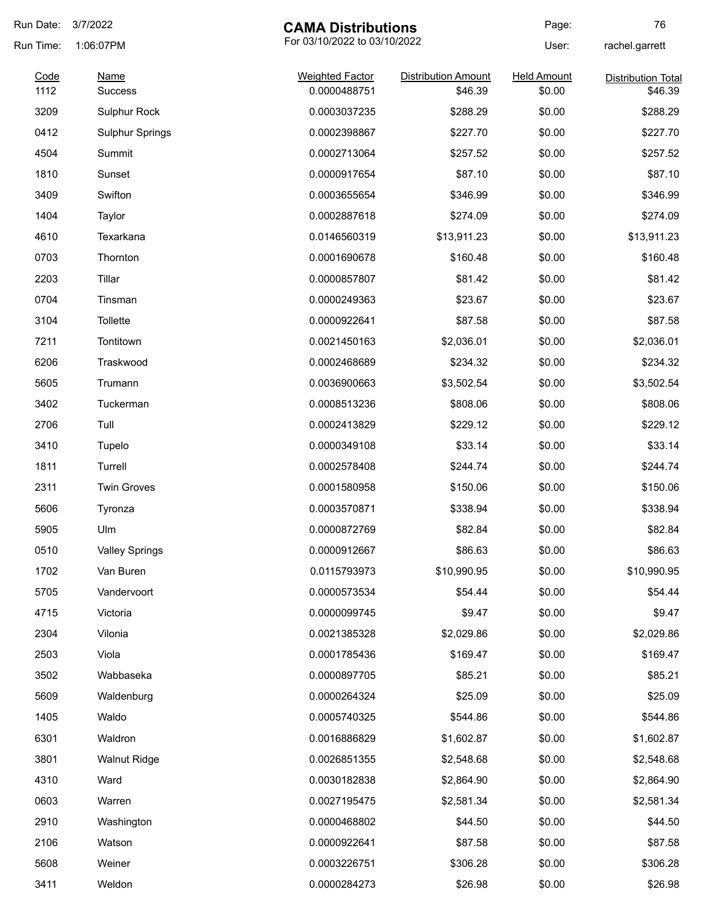| Run Date:    | 3/7/2022               | <b>CAMA Distributions</b>              |                                       | Page:                        | 76                                   |
|--------------|------------------------|----------------------------------------|---------------------------------------|------------------------------|--------------------------------------|
| Run Time:    | 1:06:07PM              | For 03/10/2022 to 03/10/2022           |                                       | User:                        | rachel.garrett                       |
| Code<br>1112 | Name<br><b>Success</b> | <b>Weighted Factor</b><br>0.0000488751 | <b>Distribution Amount</b><br>\$46.39 | <b>Held Amount</b><br>\$0.00 | <b>Distribution Total</b><br>\$46.39 |
| 3209         | Sulphur Rock           | 0.0003037235                           | \$288.29                              | \$0.00                       | \$288.29                             |
| 0412         | <b>Sulphur Springs</b> | 0.0002398867                           | \$227.70                              | \$0.00                       | \$227.70                             |
| 4504         | Summit                 | 0.0002713064                           | \$257.52                              | \$0.00                       | \$257.52                             |
| 1810         | Sunset                 | 0.0000917654                           | \$87.10                               | \$0.00                       | \$87.10                              |
| 3409         | Swifton                | 0.0003655654                           | \$346.99                              | \$0.00                       | \$346.99                             |
| 1404         | Taylor                 | 0.0002887618                           | \$274.09                              | \$0.00                       | \$274.09                             |
| 4610         | Texarkana              | 0.0146560319                           | \$13,911.23                           | \$0.00                       | \$13,911.23                          |
| 0703         | Thornton               | 0.0001690678                           | \$160.48                              | \$0.00                       | \$160.48                             |
| 2203         | Tillar                 | 0.0000857807                           | \$81.42                               | \$0.00                       | \$81.42                              |
| 0704         | Tinsman                | 0.0000249363                           | \$23.67                               | \$0.00                       | \$23.67                              |
| 3104         | Tollette               | 0.0000922641                           | \$87.58                               | \$0.00                       | \$87.58                              |
| 7211         | Tontitown              | 0.0021450163                           | \$2,036.01                            | \$0.00                       | \$2,036.01                           |
| 6206         | Traskwood              | 0.0002468689                           | \$234.32                              | \$0.00                       | \$234.32                             |
| 5605         | Trumann                | 0.0036900663                           | \$3,502.54                            | \$0.00                       | \$3,502.54                           |
| 3402         | Tuckerman              | 0.0008513236                           | \$808.06                              | \$0.00                       | \$808.06                             |
| 2706         | Tull                   | 0.0002413829                           | \$229.12                              | \$0.00                       | \$229.12                             |
| 3410         | Tupelo                 | 0.0000349108                           | \$33.14                               | \$0.00                       | \$33.14                              |
| 1811         | Turrell                | 0.0002578408                           | \$244.74                              | \$0.00                       | \$244.74                             |
| 2311         | <b>Twin Groves</b>     | 0.0001580958                           | \$150.06                              | \$0.00                       | \$150.06                             |
| 5606         | Tyronza                | 0.0003570871                           | \$338.94                              | \$0.00                       | \$338.94                             |
| 5905         | Ulm                    | 0.0000872769                           | \$82.84                               | \$0.00                       | \$82.84                              |
| 0510         | <b>Valley Springs</b>  | 0.0000912667                           | \$86.63                               | \$0.00                       | \$86.63                              |
| 1702         | Van Buren              | 0.0115793973                           | \$10,990.95                           | \$0.00                       | \$10,990.95                          |
| 5705         | Vandervoort            | 0.0000573534                           | \$54.44                               | \$0.00                       | \$54.44                              |
| 4715         | Victoria               | 0.0000099745                           | \$9.47                                | \$0.00                       | \$9.47                               |
| 2304         | Vilonia                | 0.0021385328                           | \$2,029.86                            | \$0.00                       | \$2,029.86                           |
| 2503         | Viola                  | 0.0001785436                           | \$169.47                              | \$0.00                       | \$169.47                             |
| 3502         | Wabbaseka              | 0.0000897705                           | \$85.21                               | \$0.00                       | \$85.21                              |
| 5609         | Waldenburg             | 0.0000264324                           | \$25.09                               | \$0.00                       | \$25.09                              |
| 1405         | Waldo                  | 0.0005740325                           | \$544.86                              | \$0.00                       | \$544.86                             |
| 6301         | Waldron                | 0.0016886829                           | \$1,602.87                            | \$0.00                       | \$1,602.87                           |
| 3801         | <b>Walnut Ridge</b>    | 0.0026851355                           | \$2,548.68                            | \$0.00                       | \$2,548.68                           |
| 4310         | Ward                   | 0.0030182838                           | \$2,864.90                            | \$0.00                       | \$2,864.90                           |
| 0603         | Warren                 | 0.0027195475                           | \$2,581.34                            | \$0.00                       | \$2,581.34                           |
| 2910         | Washington             | 0.0000468802                           | \$44.50                               | \$0.00                       | \$44.50                              |
| 2106         | Watson                 | 0.0000922641                           | \$87.58                               | \$0.00                       | \$87.58                              |
| 5608         | Weiner                 | 0.0003226751                           | \$306.28                              | \$0.00                       | \$306.28                             |
| 3411         | Weldon                 | 0.0000284273                           | \$26.98                               | \$0.00                       | \$26.98                              |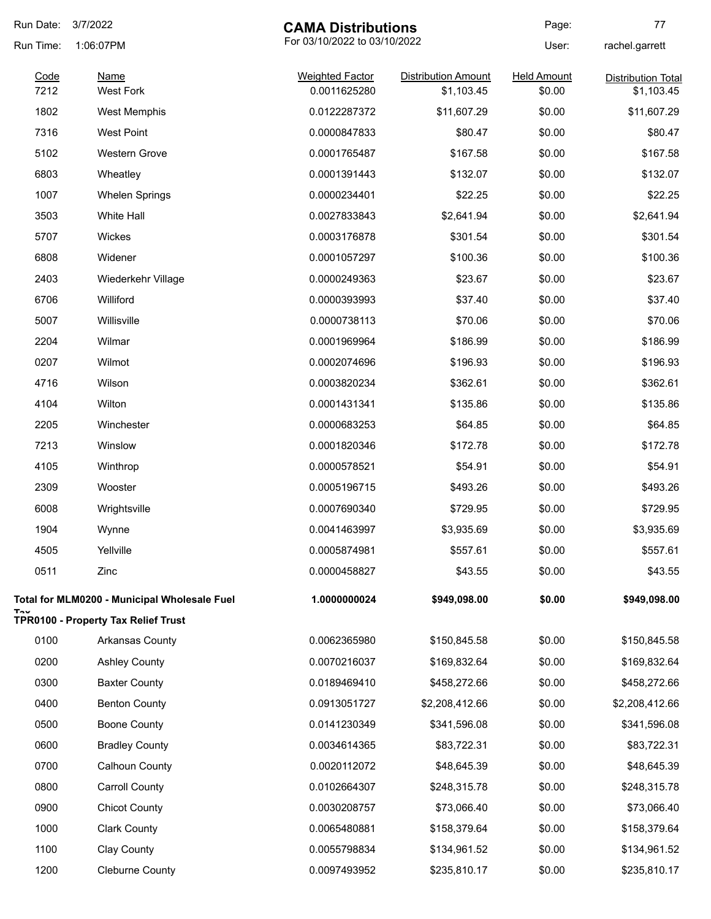| Run Date:    | 3/7/2022<br><b>CAMA Distributions</b>               |                                        | Page:                                    | 77                           |                                         |
|--------------|-----------------------------------------------------|----------------------------------------|------------------------------------------|------------------------------|-----------------------------------------|
| Run Time:    | 1:06:07PM                                           | For 03/10/2022 to 03/10/2022           |                                          | User:                        | rachel.garrett                          |
| Code<br>7212 | <b>Name</b><br><b>West Fork</b>                     | <b>Weighted Factor</b><br>0.0011625280 | <b>Distribution Amount</b><br>\$1,103.45 | <b>Held Amount</b><br>\$0.00 | <b>Distribution Total</b><br>\$1,103.45 |
| 1802         | <b>West Memphis</b>                                 | 0.0122287372                           | \$11,607.29                              | \$0.00                       | \$11,607.29                             |
| 7316         | <b>West Point</b>                                   | 0.0000847833                           | \$80.47                                  | \$0.00                       | \$80.47                                 |
| 5102         | <b>Western Grove</b>                                | 0.0001765487                           | \$167.58                                 | \$0.00                       | \$167.58                                |
| 6803         | Wheatley                                            | 0.0001391443                           | \$132.07                                 | \$0.00                       | \$132.07                                |
| 1007         | <b>Whelen Springs</b>                               | 0.0000234401                           | \$22.25                                  | \$0.00                       | \$22.25                                 |
| 3503         | White Hall                                          | 0.0027833843                           | \$2,641.94                               | \$0.00                       | \$2,641.94                              |
| 5707         | Wickes                                              | 0.0003176878                           | \$301.54                                 | \$0.00                       | \$301.54                                |
| 6808         | Widener                                             | 0.0001057297                           | \$100.36                                 | \$0.00                       | \$100.36                                |
| 2403         | Wiederkehr Village                                  | 0.0000249363                           | \$23.67                                  | \$0.00                       | \$23.67                                 |
| 6706         | Williford                                           | 0.0000393993                           | \$37.40                                  | \$0.00                       | \$37.40                                 |
| 5007         | Willisville                                         | 0.0000738113                           | \$70.06                                  | \$0.00                       | \$70.06                                 |
| 2204         | Wilmar                                              | 0.0001969964                           | \$186.99                                 | \$0.00                       | \$186.99                                |
| 0207         | Wilmot                                              | 0.0002074696                           | \$196.93                                 | \$0.00                       | \$196.93                                |
| 4716         | Wilson                                              | 0.0003820234                           | \$362.61                                 | \$0.00                       | \$362.61                                |
| 4104         | Wilton                                              | 0.0001431341                           | \$135.86                                 | \$0.00                       | \$135.86                                |
| 2205         | Winchester                                          | 0.0000683253                           | \$64.85                                  | \$0.00                       | \$64.85                                 |
| 7213         | Winslow                                             | 0.0001820346                           | \$172.78                                 | \$0.00                       | \$172.78                                |
| 4105         | Winthrop                                            | 0.0000578521                           | \$54.91                                  | \$0.00                       | \$54.91                                 |
| 2309         | Wooster                                             | 0.0005196715                           | \$493.26                                 | \$0.00                       | \$493.26                                |
| 6008         | Wrightsville                                        | 0.0007690340                           | \$729.95                                 | \$0.00                       | \$729.95                                |
| 1904         | Wynne                                               | 0.0041463997                           | \$3,935.69                               | \$0.00                       | \$3,935.69                              |
| 4505         | Yellville                                           | 0.0005874981                           | \$557.61                                 | \$0.00                       | \$557.61                                |
| 0511         | Zinc                                                | 0.0000458827                           | \$43.55                                  | \$0.00                       | \$43.55                                 |
|              | <b>Total for MLM0200 - Municipal Wholesale Fuel</b> | 1.0000000024                           | \$949,098.00                             | \$0.00                       | \$949,098.00                            |
|              | <b>TPR0100 - Property Tax Relief Trust</b>          |                                        |                                          |                              |                                         |
| 0100         | <b>Arkansas County</b>                              | 0.0062365980                           | \$150,845.58                             | \$0.00                       | \$150,845.58                            |
| 0200         | <b>Ashley County</b>                                | 0.0070216037                           | \$169,832.64                             | \$0.00                       | \$169,832.64                            |
| 0300         | <b>Baxter County</b>                                | 0.0189469410                           | \$458,272.66                             | \$0.00                       | \$458,272.66                            |
| 0400         | <b>Benton County</b>                                | 0.0913051727                           | \$2,208,412.66                           | \$0.00                       | \$2,208,412.66                          |
| 0500         | <b>Boone County</b>                                 | 0.0141230349                           | \$341,596.08                             | \$0.00                       | \$341,596.08                            |
| 0600         | <b>Bradley County</b>                               | 0.0034614365                           | \$83,722.31                              | \$0.00                       | \$83,722.31                             |
| 0700         | Calhoun County                                      | 0.0020112072                           | \$48,645.39                              | \$0.00                       | \$48,645.39                             |
| 0800         | <b>Carroll County</b>                               | 0.0102664307                           | \$248,315.78                             | \$0.00                       | \$248,315.78                            |
| 0900         | <b>Chicot County</b>                                | 0.0030208757                           | \$73,066.40                              | \$0.00                       | \$73,066.40                             |
| 1000         | <b>Clark County</b>                                 | 0.0065480881                           | \$158,379.64                             | \$0.00                       | \$158,379.64                            |
| 1100         | Clay County                                         | 0.0055798834                           | \$134,961.52                             | \$0.00                       | \$134,961.52                            |
| 1200         | <b>Cleburne County</b>                              | 0.0097493952                           | \$235,810.17                             | \$0.00                       | \$235,810.17                            |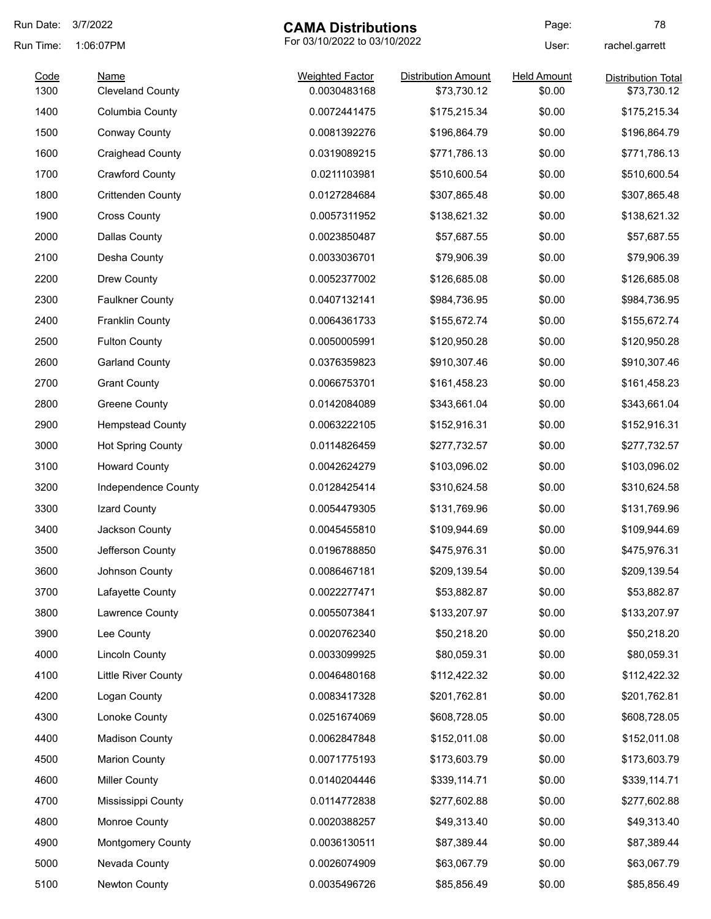| Run Date: | 3/7/2022<br><b>CAMA Distributions</b> |                              | Page:                      | 78                 |                           |
|-----------|---------------------------------------|------------------------------|----------------------------|--------------------|---------------------------|
| Run Time: | 1:06:07PM                             | For 03/10/2022 to 03/10/2022 |                            | User:              | rachel.garrett            |
| Code      | Name                                  | <b>Weighted Factor</b>       | <b>Distribution Amount</b> | <b>Held Amount</b> | <b>Distribution Total</b> |
| 1300      | <b>Cleveland County</b>               | 0.0030483168                 | \$73,730.12                | \$0.00             | \$73,730.12               |
| 1400      | Columbia County                       | 0.0072441475                 | \$175,215.34               | \$0.00             | \$175,215.34              |
| 1500      | Conway County                         | 0.0081392276                 | \$196,864.79               | \$0.00             | \$196,864.79              |
| 1600      | <b>Craighead County</b>               | 0.0319089215                 | \$771,786.13               | \$0.00             | \$771,786.13              |
| 1700      | <b>Crawford County</b>                | 0.0211103981                 | \$510,600.54               | \$0.00             | \$510,600.54              |
| 1800      | <b>Crittenden County</b>              | 0.0127284684                 | \$307,865.48               | \$0.00             | \$307,865.48              |
| 1900      | <b>Cross County</b>                   | 0.0057311952                 | \$138,621.32               | \$0.00             | \$138,621.32              |
| 2000      | <b>Dallas County</b>                  | 0.0023850487                 | \$57,687.55                | \$0.00             | \$57,687.55               |
| 2100      | Desha County                          | 0.0033036701                 | \$79,906.39                | \$0.00             | \$79,906.39               |
| 2200      | Drew County                           | 0.0052377002                 | \$126,685.08               | \$0.00             | \$126,685.08              |
| 2300      | <b>Faulkner County</b>                | 0.0407132141                 | \$984,736.95               | \$0.00             | \$984,736.95              |
| 2400      | <b>Franklin County</b>                | 0.0064361733                 | \$155,672.74               | \$0.00             | \$155,672.74              |
| 2500      | <b>Fulton County</b>                  | 0.0050005991                 | \$120,950.28               | \$0.00             | \$120,950.28              |
| 2600      | <b>Garland County</b>                 | 0.0376359823                 | \$910,307.46               | \$0.00             | \$910,307.46              |
| 2700      | <b>Grant County</b>                   | 0.0066753701                 | \$161,458.23               | \$0.00             | \$161,458.23              |
| 2800      | <b>Greene County</b>                  | 0.0142084089                 | \$343,661.04               | \$0.00             | \$343,661.04              |
| 2900      | <b>Hempstead County</b>               | 0.0063222105                 | \$152,916.31               | \$0.00             | \$152,916.31              |
| 3000      | <b>Hot Spring County</b>              | 0.0114826459                 | \$277,732.57               | \$0.00             | \$277,732.57              |
| 3100      | <b>Howard County</b>                  | 0.0042624279                 | \$103,096.02               | \$0.00             | \$103,096.02              |
| 3200      | Independence County                   | 0.0128425414                 | \$310,624.58               | \$0.00             | \$310,624.58              |
| 3300      | Izard County                          | 0.0054479305                 | \$131,769.96               | \$0.00             | \$131,769.96              |
| 3400      | Jackson County                        | 0.0045455810                 | \$109,944.69               | \$0.00             | \$109,944.69              |
| 3500      | Jefferson County                      | 0.0196788850                 | \$475,976.31               | \$0.00             | \$475,976.31              |
| 3600      | Johnson County                        | 0.0086467181                 | \$209,139.54               | \$0.00             | \$209,139.54              |
| 3700      | Lafayette County                      | 0.0022277471                 | \$53,882.87                | \$0.00             | \$53,882.87               |
| 3800      | Lawrence County                       | 0.0055073841                 | \$133,207.97               | \$0.00             | \$133,207.97              |
| 3900      | Lee County                            | 0.0020762340                 | \$50,218.20                | \$0.00             | \$50,218.20               |
| 4000      | <b>Lincoln County</b>                 | 0.0033099925                 | \$80,059.31                | \$0.00             | \$80,059.31               |
| 4100      | <b>Little River County</b>            | 0.0046480168                 | \$112,422.32               | \$0.00             | \$112,422.32              |
| 4200      | Logan County                          | 0.0083417328                 | \$201,762.81               | \$0.00             | \$201,762.81              |
| 4300      | Lonoke County                         | 0.0251674069                 | \$608,728.05               | \$0.00             | \$608,728.05              |
| 4400      | <b>Madison County</b>                 | 0.0062847848                 | \$152,011.08               | \$0.00             | \$152,011.08              |
| 4500      | <b>Marion County</b>                  | 0.0071775193                 | \$173,603.79               | \$0.00             | \$173,603.79              |
| 4600      | <b>Miller County</b>                  | 0.0140204446                 | \$339,114.71               | \$0.00             | \$339,114.71              |
| 4700      | Mississippi County                    | 0.0114772838                 | \$277,602.88               | \$0.00             | \$277,602.88              |
| 4800      | Monroe County                         | 0.0020388257                 | \$49,313.40                | \$0.00             | \$49,313.40               |
| 4900      | Montgomery County                     | 0.0036130511                 | \$87,389.44                | \$0.00             | \$87,389.44               |
| 5000      | Nevada County                         |                              |                            | \$0.00             |                           |
|           |                                       | 0.0026074909                 | \$63,067.79                |                    | \$63,067.79               |
| 5100      | Newton County                         | 0.0035496726                 | \$85,856.49                | \$0.00             | \$85,856.49               |